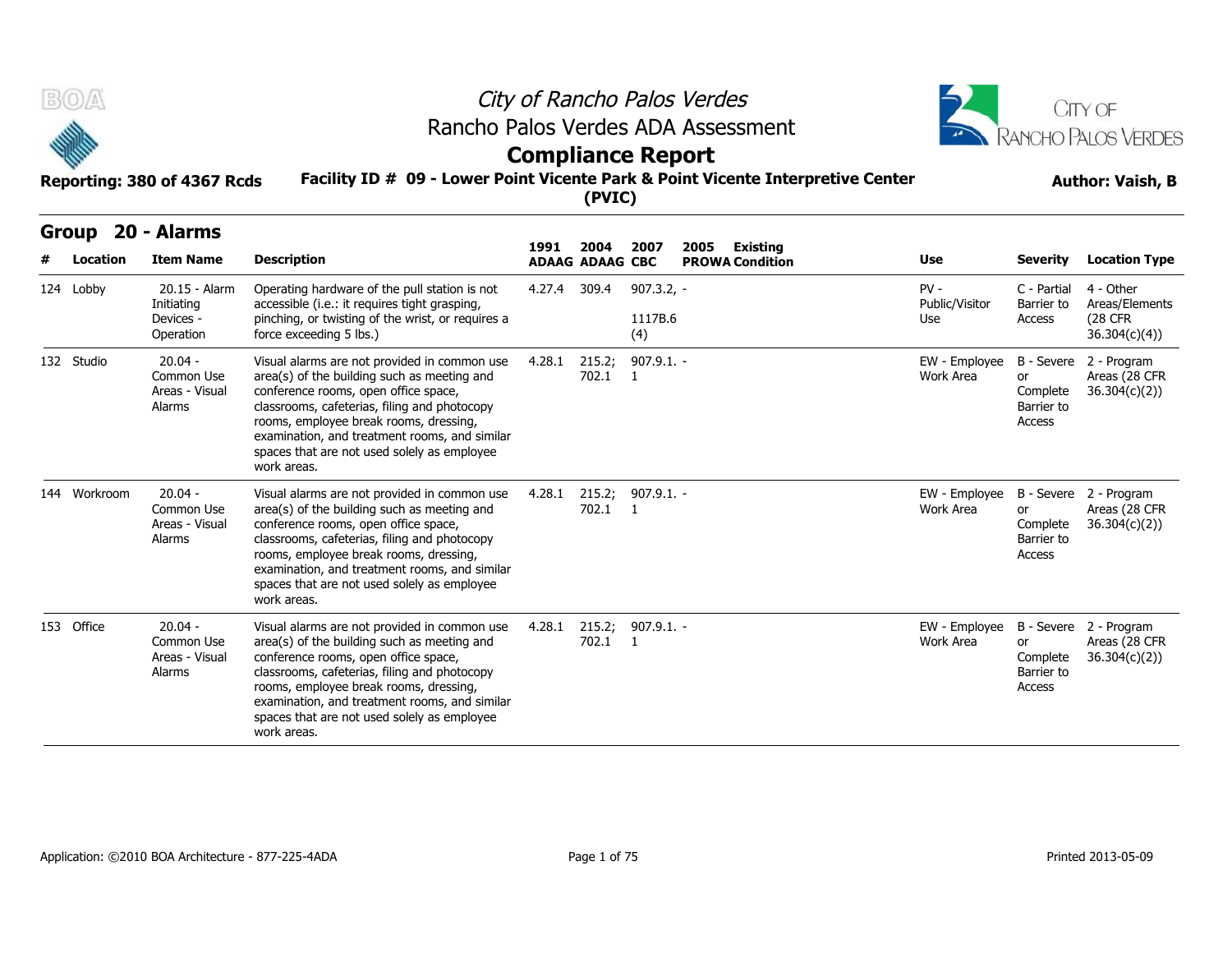



# **Compliance Report**

### **Facility ID # 09 - Lower Point Vicente Park & Point Vicente Interpretive Center Reporting: 380 of 4367 Rcds Author: Vaish, B**

|  | <b>Author: Vaish, B</b> |
|--|-------------------------|
|--|-------------------------|

| B(0)<br>Reporting: 380 of 4367 Rcds |          |                                                            |                                                                                                                                                                                                                                                                                                                                              | City of Rancho Palos Verdes<br>Rancho Palos Verdes ADA Assessment<br><b>Compliance Report</b><br>Facility ID # 09 - Lower Point Vicente Park & Point Vicente Interpretive Center<br>(PVIC) |                                |                                |      |                                    |                                 |                                                      |                                                         |  |  |
|-------------------------------------|----------|------------------------------------------------------------|----------------------------------------------------------------------------------------------------------------------------------------------------------------------------------------------------------------------------------------------------------------------------------------------------------------------------------------------|--------------------------------------------------------------------------------------------------------------------------------------------------------------------------------------------|--------------------------------|--------------------------------|------|------------------------------------|---------------------------------|------------------------------------------------------|---------------------------------------------------------|--|--|
| <b>Group</b>                        | Location | 20 - Alarms<br><b>Item Name</b>                            | <b>Description</b>                                                                                                                                                                                                                                                                                                                           | 1991                                                                                                                                                                                       | 2004<br><b>ADAAG ADAAG CBC</b> | 2007                           | 2005 | Existing<br><b>PROWA Condition</b> | <b>Use</b>                      | <b>Severity</b>                                      | <b>Location Type</b>                                    |  |  |
| 124 Lobby                           |          | 20.15 - Alarm<br>Initiating<br>Devices -<br>Operation      | Operating hardware of the pull station is not<br>accessible (i.e.: it requires tight grasping,<br>pinching, or twisting of the wrist, or requires a<br>force exceeding 5 lbs.)                                                                                                                                                               | 4.27.4 309.4                                                                                                                                                                               |                                | $907.3.2, -$<br>1117B.6<br>(4) |      |                                    | $PV -$<br>Public/Visitor<br>Use | C - Partial<br>Barrier to<br>Access                  | 4 - Other<br>Areas/Elements<br>(28 CFR<br>36.304(c)(4)) |  |  |
| 132 Studio                          |          | $20.04 -$<br>Common Use<br>Areas - Visual<br>Alarms        | Visual alarms are not provided in common use<br>area(s) of the building such as meeting and<br>conference rooms, open office space,<br>classrooms, cafeterias, filing and photocopy<br>rooms, employee break rooms, dressing,<br>examination, and treatment rooms, and similar<br>spaces that are not used solely as employee<br>work areas. | 4.28.1                                                                                                                                                                                     | 215.2;<br>702.1                | $907.9.1. -$<br>$\mathbf{1}$   |      |                                    | EW - Employee<br>Work Area      | or<br>Complete<br>Barrier to<br>Access               | B - Severe 2 - Program<br>Areas (28 CFR<br>36.304(c)(2) |  |  |
| 144 Workroom                        |          | $20.04 -$<br>Common Use<br>Areas - Visual<br>Alarms        | Visual alarms are not provided in common use<br>area(s) of the building such as meeting and<br>conference rooms, open office space,<br>classrooms, cafeterias, filing and photocopy<br>rooms, employee break rooms, dressing,<br>examination, and treatment rooms, and similar<br>spaces that are not used solely as employee<br>work areas. | 4.28.1                                                                                                                                                                                     | 215.2;<br>702.1                | $907.9.1. -$<br>$\overline{1}$ |      |                                    | EW - Employee<br>Work Area      | B - Severe<br>or<br>Complete<br>Barrier to<br>Access | 2 - Program<br>Areas (28 CFR<br>36.304(c)(2)            |  |  |
| 153 Office                          |          | $20.04 -$<br>Common Use<br>Areas - Visual<br><b>Alarms</b> | Visual alarms are not provided in common use<br>area(s) of the building such as meeting and<br>conference rooms, open office space,<br>classrooms, cafeterias, filing and photocopy<br>rooms, employee break rooms, dressing,<br>examination, and treatment rooms, and similar<br>spaces that are not used solely as employee<br>work areas. | 4.28.1                                                                                                                                                                                     | 215.2;<br>702.1                | $907.9.1. -$<br>$\mathbf{1}$   |      |                                    | EW - Employee<br>Work Area      | or<br>Complete<br>Barrier to<br>Access               | B - Severe 2 - Program<br>Areas (28 CFR<br>36.304(c)(2) |  |  |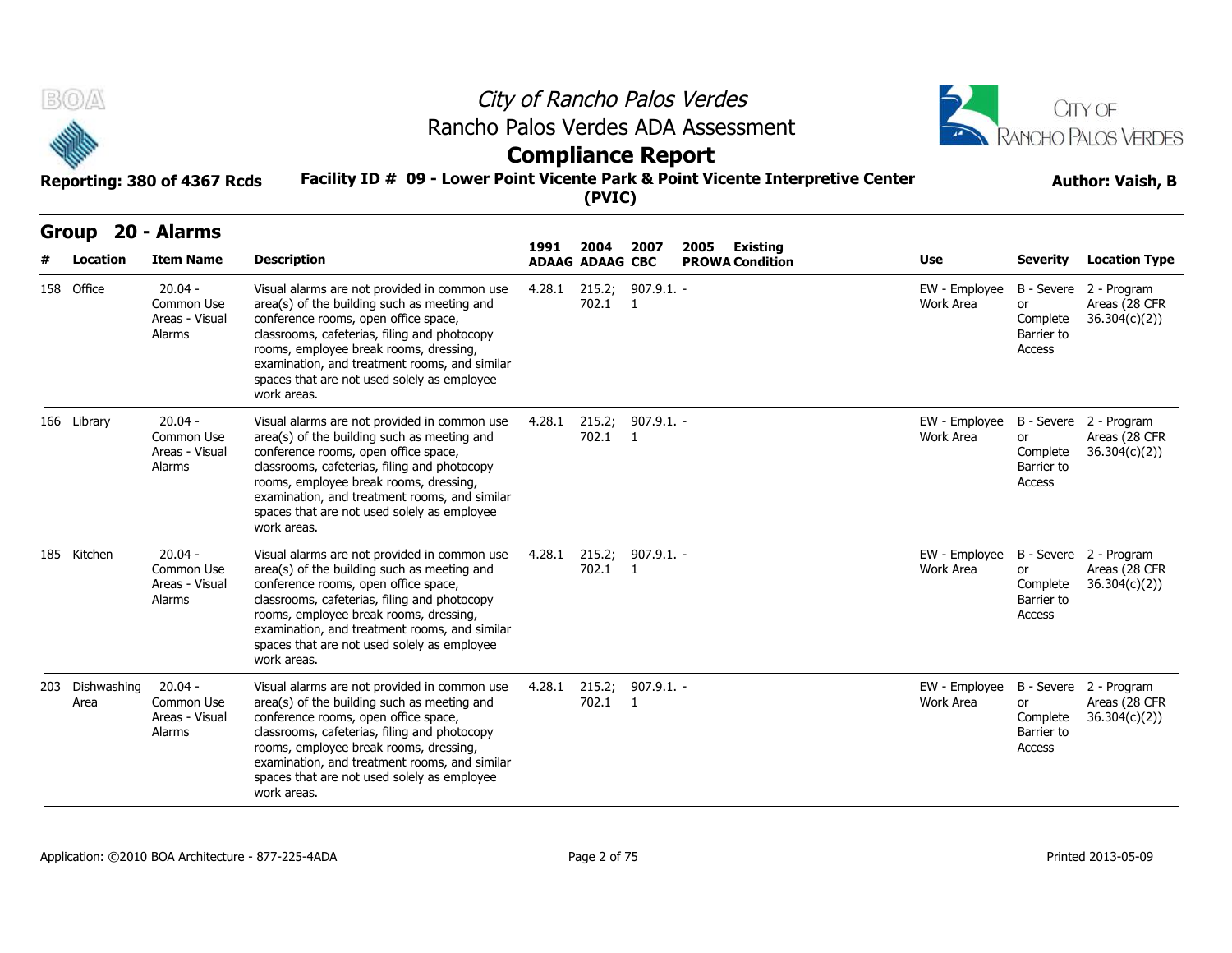

# City of Rancho Palos Verdes Rancho Palos Verdes ADA Assessment



# **Compliance Report**



| B(0)<br>Reporting: 380 of 4367 Rcds |                     |                                                     |                                                                                                                                                                                                                                                                                                                                              | City of Rancho Palos Verdes<br>Rancho Palos Verdes ADA Assessment<br><b>Compliance Report</b><br>Facility ID # 09 - Lower Point Vicente Park & Point Vicente Interpretive Center<br>(PVIC) |                                |                                |                                                   |                            |                                               |                                                         |  |  |  |
|-------------------------------------|---------------------|-----------------------------------------------------|----------------------------------------------------------------------------------------------------------------------------------------------------------------------------------------------------------------------------------------------------------------------------------------------------------------------------------------------|--------------------------------------------------------------------------------------------------------------------------------------------------------------------------------------------|--------------------------------|--------------------------------|---------------------------------------------------|----------------------------|-----------------------------------------------|---------------------------------------------------------|--|--|--|
|                                     | Group<br>Location   | 20 - Alarms<br><b>Item Name</b>                     | <b>Description</b>                                                                                                                                                                                                                                                                                                                           | 1991                                                                                                                                                                                       | 2004<br><b>ADAAG ADAAG CBC</b> | 2007                           | 2005<br><b>Existing</b><br><b>PROWA Condition</b> | Use                        | Severity                                      | <b>Location Type</b>                                    |  |  |  |
|                                     | 158 Office          | $20.04 -$<br>Common Use<br>Areas - Visual<br>Alarms | Visual alarms are not provided in common use<br>area(s) of the building such as meeting and<br>conference rooms, open office space,<br>classrooms, cafeterias, filing and photocopy<br>rooms, employee break rooms, dressing,<br>examination, and treatment rooms, and similar<br>spaces that are not used solely as employee<br>work areas. | 4.28.1                                                                                                                                                                                     | 215.2;<br>702.1                | $907.9.1. -$<br>$\blacksquare$ |                                                   | EW - Employee<br>Work Area | or<br>Complete<br>Barrier to<br>Access        | B - Severe 2 - Program<br>Areas (28 CFR<br>36.304(c)(2) |  |  |  |
|                                     | 166 Library         | $20.04 -$<br>Common Use<br>Areas - Visual<br>Alarms | Visual alarms are not provided in common use<br>area(s) of the building such as meeting and<br>conference rooms, open office space,<br>classrooms, cafeterias, filing and photocopy<br>rooms, employee break rooms, dressing,<br>examination, and treatment rooms, and similar<br>spaces that are not used solely as employee<br>work areas. | 4.28.1                                                                                                                                                                                     | 702.1 1                        | 215.2; 907.9.1. -              |                                                   | EW - Employee<br>Work Area | or<br>Complete<br>Barrier to<br>Access        | B - Severe 2 - Program<br>Areas (28 CFR<br>36.304(c)(2) |  |  |  |
|                                     | 185 Kitchen         | $20.04 -$<br>Common Use<br>Areas - Visual<br>Alarms | Visual alarms are not provided in common use<br>area(s) of the building such as meeting and<br>conference rooms, open office space,<br>classrooms, cafeterias, filing and photocopy<br>rooms, employee break rooms, dressing,<br>examination, and treatment rooms, and similar<br>spaces that are not used solely as employee<br>work areas. | 4.28.1                                                                                                                                                                                     | 215.2;<br>702.1                | $907.9.1. -$<br>$\overline{1}$ |                                                   | EW - Employee<br>Work Area | or<br>Complete<br>Barrier to<br><b>Access</b> | B - Severe 2 - Program<br>Areas (28 CFR<br>36.304(c)(2) |  |  |  |
| 203                                 | Dishwashing<br>Area | $20.04 -$<br>Common Use<br>Areas - Visual<br>Alarms | Visual alarms are not provided in common use<br>area(s) of the building such as meeting and<br>conference rooms, open office space,<br>classrooms, cafeterias, filing and photocopy<br>rooms, employee break rooms, dressing,<br>examination, and treatment rooms, and similar<br>spaces that are not used solely as employee<br>work areas. | 4.28.1                                                                                                                                                                                     | 215.2;<br>702.1                | $907.9.1. -$<br>$\blacksquare$ |                                                   | EW - Employee<br>Work Area | or<br>Complete<br>Barrier to<br>Access        | B - Severe 2 - Program<br>Areas (28 CFR<br>36.304(c)(2) |  |  |  |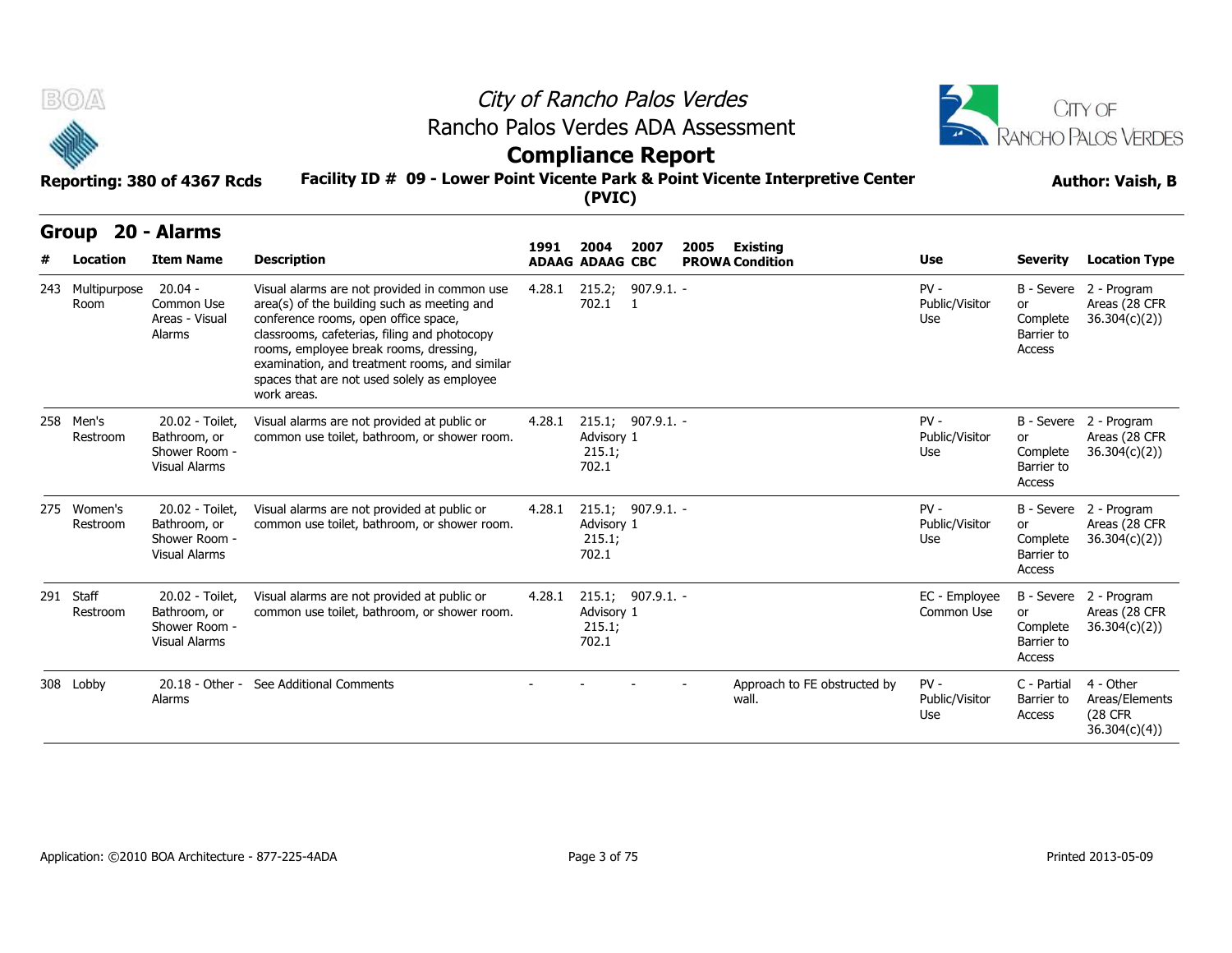



# **Compliance Report**

| B(0)                     |                                                                          |                                                                                                                                                                                                                                                                                                                                              | City of Rancho Palos Verdes |                                |                          |      |                                           |                                 |                                               | CITY OF                                                       |  |  |
|--------------------------|--------------------------------------------------------------------------|----------------------------------------------------------------------------------------------------------------------------------------------------------------------------------------------------------------------------------------------------------------------------------------------------------------------------------------------|-----------------------------|--------------------------------|--------------------------|------|-------------------------------------------|---------------------------------|-----------------------------------------------|---------------------------------------------------------------|--|--|
|                          |                                                                          | Rancho Palos Verdes ADA Assessment                                                                                                                                                                                                                                                                                                           | <b>Compliance Report</b>    |                                |                          |      |                                           |                                 |                                               | RANCHO PALOS VERDES                                           |  |  |
|                          | Reporting: 380 of 4367 Rcds                                              | Facility ID # 09 - Lower Point Vicente Park & Point Vicente Interpretive Center                                                                                                                                                                                                                                                              |                             | (PVIC)                         |                          |      |                                           |                                 | <b>Author: Vaish, B</b>                       |                                                               |  |  |
| <b>Group</b><br>Location | 20 - Alarms<br><b>Item Name</b>                                          | <b>Description</b>                                                                                                                                                                                                                                                                                                                           | 1991                        | 2004<br><b>ADAAG ADAAG CBC</b> | 2007                     | 2005 | <b>Existing</b><br><b>PROWA Condition</b> | Use                             | Severity                                      | <b>Location Type</b>                                          |  |  |
| 243 Multipurpose<br>Room | $20.04 -$<br>Common Use<br>Areas - Visual<br>Alarms                      | Visual alarms are not provided in common use<br>area(s) of the building such as meeting and<br>conference rooms, open office space,<br>classrooms, cafeterias, filing and photocopy<br>rooms, employee break rooms, dressing,<br>examination, and treatment rooms, and similar<br>spaces that are not used solely as employee<br>work areas. |                             | 702.1 1                        | 4.28.1 215.2; 907.9.1. - |      |                                           | $PV -$<br>Public/Visitor<br>Use | or<br>Complete<br>Barrier to<br>Access        | B - Severe 2 - Program<br>Areas (28 CFR<br>36.304(c)(2)       |  |  |
| 258 Men's<br>Restroom    | 20.02 - Toilet,<br>Bathroom, or<br>Shower Room -<br><b>Visual Alarms</b> | Visual alarms are not provided at public or<br>common use toilet, bathroom, or shower room.                                                                                                                                                                                                                                                  | 4.28.1                      | Advisory 1<br>215.1;<br>702.1  | 215.1; 907.9.1. -        |      |                                           | $PV -$<br>Public/Visitor<br>Use | or<br>Complete<br>Barrier to<br>Access        | B - Severe 2 - Program<br>Areas (28 CFR<br>36.304(c)(2)       |  |  |
| 275 Women's<br>Restroom  | 20.02 - Toilet,<br>Bathroom, or<br>Shower Room -<br><b>Visual Alarms</b> | Visual alarms are not provided at public or<br>common use toilet, bathroom, or shower room.                                                                                                                                                                                                                                                  | 4.28.1                      | Advisory 1<br>215.1;<br>702.1  | 215.1; 907.9.1. -        |      |                                           | $PV -$<br>Public/Visitor<br>Use | or<br>Complete<br>Barrier to<br>Access        | B - Severe 2 - Program<br>Areas (28 CFR<br>36.304(c)(2))      |  |  |
| 291 Staff<br>Restroom    | 20.02 - Toilet,<br>Bathroom, or<br>Shower Room -<br><b>Visual Alarms</b> | Visual alarms are not provided at public or<br>common use toilet, bathroom, or shower room.                                                                                                                                                                                                                                                  | 4.28.1                      | Advisory 1<br>215.1;<br>702.1  | $215.1; 907.9.1 -$       |      |                                           | EC - Employee<br>Common Use     | <b>or</b><br>Complete<br>Barrier to<br>Access | B - Severe 2 - Program<br>Areas (28 CFR<br>36.304(c)(2)       |  |  |
| 308 Lobby                | Alarms                                                                   | 20.18 - Other - See Additional Comments                                                                                                                                                                                                                                                                                                      |                             |                                |                          |      | Approach to FE obstructed by<br>wall.     | $PV -$<br>Public/Visitor<br>Use | C - Partial<br>Barrier to<br>Access           | 4 - Other<br>Areas/Elements<br><b>(28 CFR</b><br>36.304(c)(4) |  |  |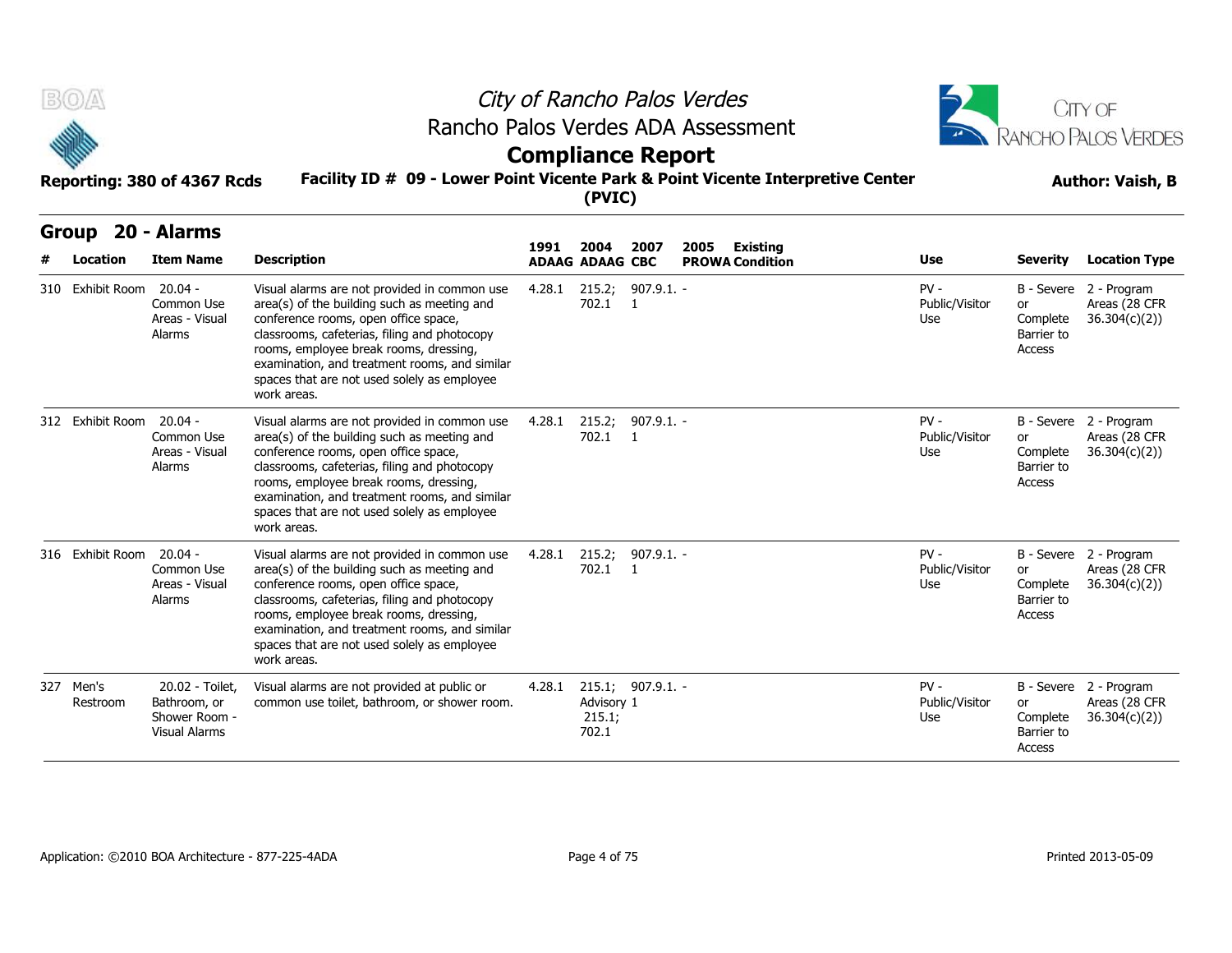



# **Compliance Report**

| B(0)                     |                                                                   | City of Rancho Palos Verdes                                                                                                                                                                                                                                                                                                                  |                                                                                           | CITY OF                                            |                                     |      |                                           |                                 |                                        |                                                         |  |  |  |
|--------------------------|-------------------------------------------------------------------|----------------------------------------------------------------------------------------------------------------------------------------------------------------------------------------------------------------------------------------------------------------------------------------------------------------------------------------------|-------------------------------------------------------------------------------------------|----------------------------------------------------|-------------------------------------|------|-------------------------------------------|---------------------------------|----------------------------------------|---------------------------------------------------------|--|--|--|
|                          |                                                                   |                                                                                                                                                                                                                                                                                                                                              | Rancho Palos Verdes ADA Assessment<br><b>Compliance Report</b>                            |                                                    |                                     |      |                                           |                                 |                                        |                                                         |  |  |  |
|                          | Reporting: 380 of 4367 Rcds                                       |                                                                                                                                                                                                                                                                                                                                              | Facility ID # 09 - Lower Point Vicente Park & Point Vicente Interpretive Center<br>(PVIC) |                                                    |                                     |      |                                           |                                 |                                        |                                                         |  |  |  |
| <b>Group</b><br>Location | 20 - Alarms<br><b>Item Name</b>                                   | <b>Description</b>                                                                                                                                                                                                                                                                                                                           | 1991                                                                                      | 2004<br><b>ADAAG ADAAG CBC</b>                     | 2007                                | 2005 | <b>Existing</b><br><b>PROWA Condition</b> | Use                             | <b>Severity</b>                        | <b>Location Type</b>                                    |  |  |  |
| 310 Exhibit Room         | $20.04 -$<br>Common Use<br>Areas - Visual<br>Alarms               | Visual alarms are not provided in common use<br>area(s) of the building such as meeting and<br>conference rooms, open office space,<br>classrooms, cafeterias, filing and photocopy<br>rooms, employee break rooms, dressing,<br>examination, and treatment rooms, and similar<br>spaces that are not used solely as employee<br>work areas. | 4.28.1                                                                                    | 215.2;<br>702.1                                    | $907.9.1. -$<br>- 1                 |      |                                           | $PV -$<br>Public/Visitor<br>Use | or<br>Complete<br>Barrier to<br>Access | B - Severe 2 - Program<br>Areas (28 CFR<br>36.304(c)(2) |  |  |  |
| 312 Exhibit Room 20.04 - | Common Use<br>Areas - Visual<br>Alarms                            | Visual alarms are not provided in common use<br>area(s) of the building such as meeting and<br>conference rooms, open office space,<br>classrooms, cafeterias, filing and photocopy<br>rooms, employee break rooms, dressing,<br>examination, and treatment rooms, and similar<br>spaces that are not used solely as employee<br>work areas. | 4.28.1                                                                                    | 702.1                                              | 215.2; 907.9.1. -<br>$\overline{1}$ |      |                                           | $PV -$<br>Public/Visitor<br>Use | or<br>Complete<br>Barrier to<br>Access | B - Severe 2 - Program<br>Areas (28 CFR<br>36.304(c)(2) |  |  |  |
| 316 Exhibit Room 20.04 - | Common Use<br>Areas - Visual<br>Alarms                            | Visual alarms are not provided in common use<br>area(s) of the building such as meeting and<br>conference rooms, open office space,<br>classrooms, cafeterias, filing and photocopy<br>rooms, employee break rooms, dressing,<br>examination, and treatment rooms, and similar<br>spaces that are not used solely as employee<br>work areas. | 4.28.1                                                                                    | 215.2;<br>702.1 1                                  | $907.9.1. -$                        |      |                                           | $PV -$<br>Public/Visitor<br>Use | or<br>Complete<br>Barrier to<br>Access | B - Severe 2 - Program<br>Areas (28 CFR<br>36.304(c)(2) |  |  |  |
| 327 Men's<br>Restroom    | 20.02 - Toilet,<br>Bathroom, or<br>Shower Room -<br>Visual Alarms | Visual alarms are not provided at public or<br>common use toilet, bathroom, or shower room.                                                                                                                                                                                                                                                  | 4.28.1                                                                                    | 215.1; 907.9.1. -<br>Advisory 1<br>215.1;<br>702.1 |                                     |      |                                           | $PV -$<br>Public/Visitor<br>Use | or<br>Complete<br>Barrier to<br>Access | B - Severe 2 - Program<br>Areas (28 CFR<br>36.304(c)(2) |  |  |  |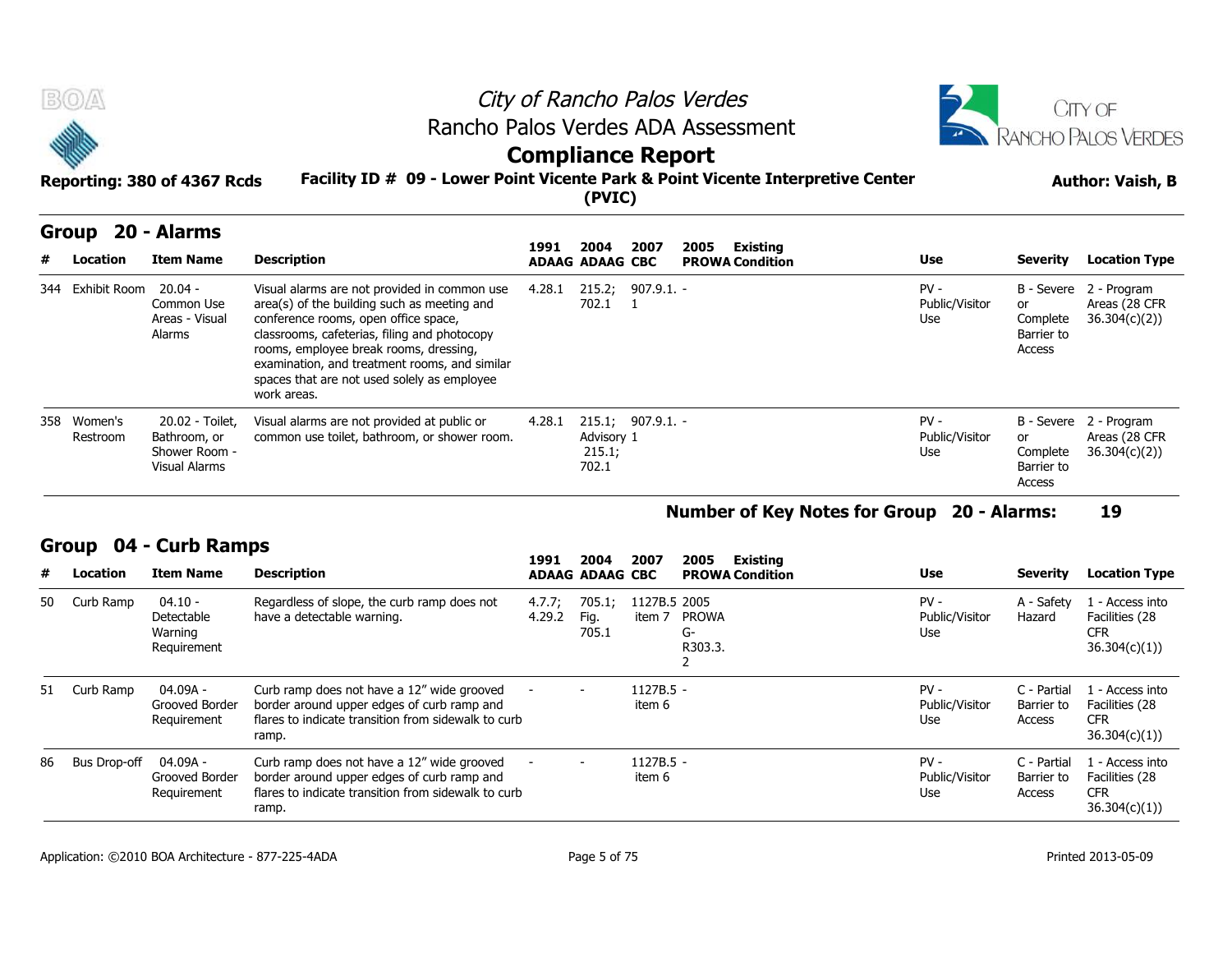

|   | Group                   | 20 - Alarms                                                       |                                                                                                                                                                                                                                                                                                                                              |        |                                |                    |      |                                    |                                 |                                        |                                                         |
|---|-------------------------|-------------------------------------------------------------------|----------------------------------------------------------------------------------------------------------------------------------------------------------------------------------------------------------------------------------------------------------------------------------------------------------------------------------------------|--------|--------------------------------|--------------------|------|------------------------------------|---------------------------------|----------------------------------------|---------------------------------------------------------|
| # | Location                | <b>Item Name</b>                                                  | <b>Description</b>                                                                                                                                                                                                                                                                                                                           | 1991   | 2004<br><b>ADAAG ADAAG CBC</b> | 2007               | 2005 | Existing<br><b>PROWA Condition</b> | <b>Use</b>                      | <b>Severity</b>                        | <b>Location Type</b>                                    |
|   | 344 Exhibit Room        | $20.04 -$<br>Common Use<br>Areas - Visual<br>Alarms               | Visual alarms are not provided in common use<br>area(s) of the building such as meeting and<br>conference rooms, open office space,<br>classrooms, cafeterias, filing and photocopy<br>rooms, employee break rooms, dressing,<br>examination, and treatment rooms, and similar<br>spaces that are not used solely as employee<br>work areas. | 4.28.1 | 702.1                          | $215.2; 907.9.1 -$ |      |                                    | $PV -$<br>Public/Visitor<br>Use | or<br>Complete<br>Barrier to<br>Access | B - Severe 2 - Program<br>Areas (28 CFR<br>36.304(c)(2) |
|   | 358 Women's<br>Restroom | 20.02 - Toilet,<br>Bathroom, or<br>Shower Room -<br>Visual Alarms | Visual alarms are not provided at public or<br>common use toilet, bathroom, or shower room.                                                                                                                                                                                                                                                  | 4.28.1 | Advisory 1<br>215.1;<br>702.1  | $215.1; 907.9.1 -$ |      |                                    | $PV -$<br>Public/Visitor<br>Use | or<br>Complete<br>Barrier to<br>Access | B - Severe 2 - Program<br>Areas (28 CFR<br>36.304(c)(2) |

#### **Number of Key Notes for Group 20 - Alarms: 19**

#### **Group 04 - Curb Ramps**

| #  | <b>Location</b>     | <b>Item Name</b>                                  | <b>Description</b>                                                                                                                                       | 1991             | 2004<br><b>ADAAG ADAAG CBC</b> | 2007                   | Existing<br>2005<br><b>PROWA Condition</b> | <b>Use</b>                      | <b>Severity</b>                     | <b>Location Type</b>                                            |
|----|---------------------|---------------------------------------------------|----------------------------------------------------------------------------------------------------------------------------------------------------------|------------------|--------------------------------|------------------------|--------------------------------------------|---------------------------------|-------------------------------------|-----------------------------------------------------------------|
| 50 | Curb Ramp           | $04.10 -$<br>Detectable<br>Warning<br>Requirement | Regardless of slope, the curb ramp does not<br>have a detectable warning.                                                                                | 4.7.7;<br>4.29.2 | 705.1;<br>Fig.<br>705.1        | 1127B.5 2005<br>item 7 | PROWA<br>G-<br>R303.3.                     | $PV -$<br>Public/Visitor<br>Use | A - Safety<br>Hazard                | 1 - Access into<br>Facilities (28<br><b>CFR</b><br>36.304(c)(1) |
|    | 51 Curb Ramp        | 04.09A -<br>Grooved Border<br>Requirement         | Curb ramp does not have a 12" wide grooved<br>border around upper edges of curb ramp and<br>flares to indicate transition from sidewalk to curb<br>ramp. |                  | $\overline{\phantom{0}}$       | 1127B.5 -<br>item 6    |                                            | $PV -$<br>Public/Visitor<br>Use | C - Partial<br>Barrier to<br>Access | 1 - Access into<br>Facilities (28<br><b>CFR</b><br>36.304(c)(1) |
| 86 | <b>Bus Drop-off</b> | 04.09A -<br>Grooved Border<br>Requirement         | Curb ramp does not have a 12" wide grooved<br>border around upper edges of curb ramp and<br>flares to indicate transition from sidewalk to curb<br>ramp. |                  | $\overline{\phantom{0}}$       | $1127B.5 -$<br>item 6  |                                            | $PV -$<br>Public/Visitor<br>Use | C - Partial<br>Barrier to<br>Access | 1 - Access into<br>Facilities (28<br><b>CFR</b><br>36.304(c)(1) |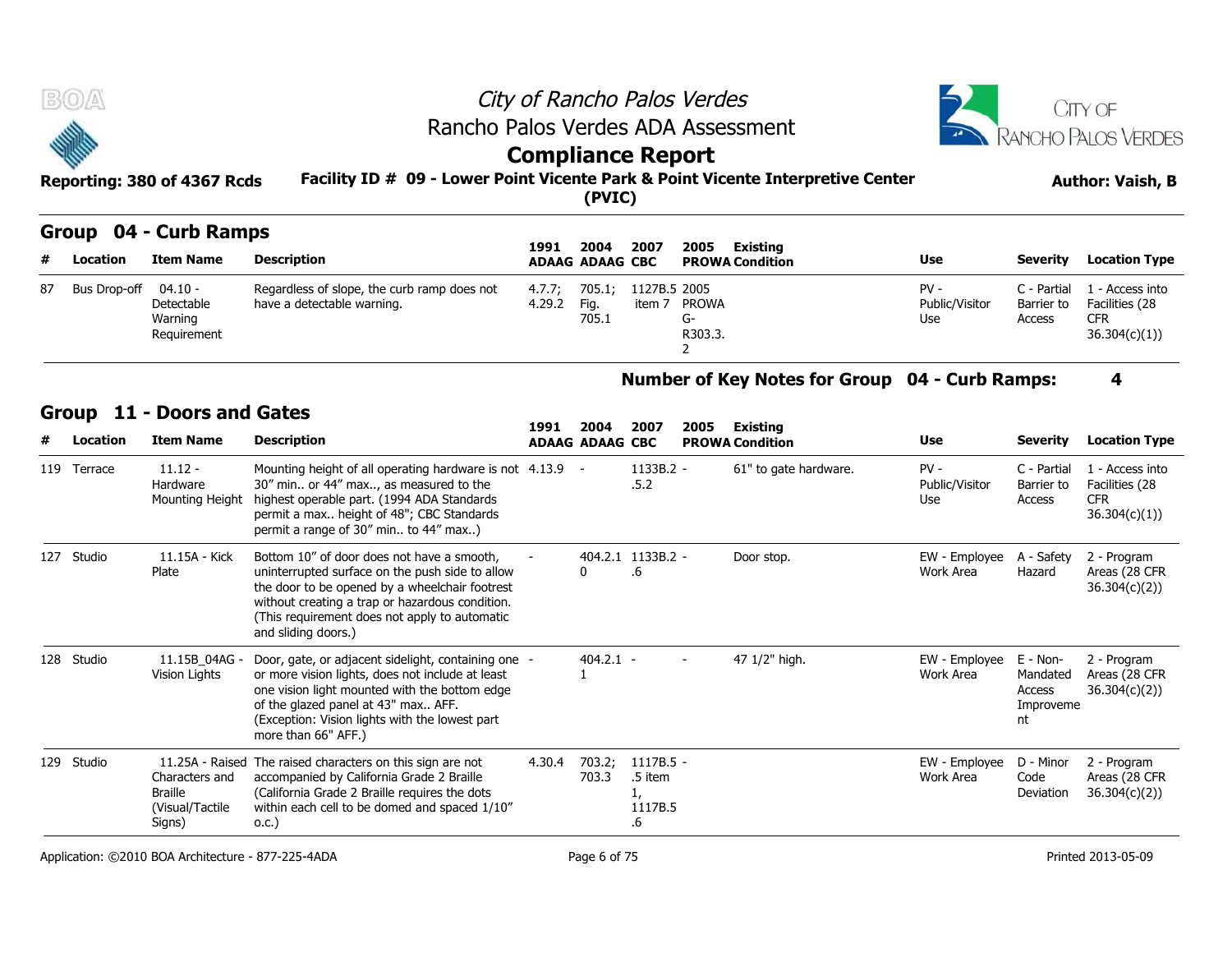| <b>BOA</b>                  | City of Rancho Palos Verdes                                                     | <b>CITY OF</b>          |
|-----------------------------|---------------------------------------------------------------------------------|-------------------------|
|                             | Rancho Palos Verdes ADA Assessment                                              | RANCHO PALOS VERDES     |
| <b>September</b>            | <b>Compliance Report</b>                                                        |                         |
| Reporting: 380 of 4367 Rcds | Facility ID # 09 - Lower Point Vicente Park & Point Vicente Interpretive Center | <b>Author: Vaish, B</b> |
|                             | (PVIC)                                                                          |                         |

### **Group 04 - Curb Ramps**

|    | SIVUP VT     |                                                 | <b>CAIN INAIIIDS</b>                                                      |                  |                                | 2007                   | 2005<br>Existing       |                               |                                     |                                                                 |
|----|--------------|-------------------------------------------------|---------------------------------------------------------------------------|------------------|--------------------------------|------------------------|------------------------|-------------------------------|-------------------------------------|-----------------------------------------------------------------|
| #  | Location     | <b>Item Name</b>                                | Description                                                               | 1991             | 2004<br><b>ADAAG ADAAG CBC</b> |                        | <b>PROWA Condition</b> | <b>Use</b>                    | <b>Severity</b>                     | <b>Location Type</b>                                            |
| 87 | Bus Drop-off | 04.10 -<br>Detectable<br>Warning<br>Requirement | Regardless of slope, the curb ramp does not<br>have a detectable warning. | 4.7.7:<br>4.29.2 | 705.1<br>Fig.<br>705.1         | 1127B.5 2005<br>item 7 | PROWA<br>-ت<br>R303.3. | PV -<br>Public/Visitor<br>Use | C - Partial<br>Barrier to<br>Access | L - Access into<br>Facilities (28<br><b>CFR</b><br>36.304(c)(1) |

#### **Number of Key Notes for Group 04 - Curb Ramps: 4**

| 87 | Bus Drop-off | $04.10 -$<br>Detectable<br>Warning<br>Requirement             | Regardless of slope, the curb ramp does not<br>have a detectable warning.                                                                                                                                                                                                  | 4.7.7;<br>4.29.2 | 705.1;<br>Fig.<br>705.1        | 1127B.5 2005<br>item 7                        | <b>PROWA</b><br>$G-$<br>R303.3.<br>2 |                                                | $PV -$<br>Public/Visitor<br>Use | C - Partial<br>Barrier to<br>Access               | 1 - Access into<br>Facilities (28<br><b>CFR</b><br>36.304(c)(1) |
|----|--------------|---------------------------------------------------------------|----------------------------------------------------------------------------------------------------------------------------------------------------------------------------------------------------------------------------------------------------------------------------|------------------|--------------------------------|-----------------------------------------------|--------------------------------------|------------------------------------------------|---------------------------------|---------------------------------------------------|-----------------------------------------------------------------|
|    |              |                                                               |                                                                                                                                                                                                                                                                            |                  |                                |                                               |                                      | Number of Key Notes for Group 04 - Curb Ramps: |                                 |                                                   | 4                                                               |
|    | 11<br>Group  | - Doors and Gates                                             |                                                                                                                                                                                                                                                                            |                  |                                |                                               |                                      |                                                |                                 |                                                   |                                                                 |
|    | Location     | <b>Item Name</b>                                              | <b>Description</b>                                                                                                                                                                                                                                                         | 1991             | 2004<br><b>ADAAG ADAAG CBC</b> | 2007                                          | 2005                                 | <b>Existing</b><br><b>PROWA Condition</b>      | Use                             | <b>Severity</b>                                   | <b>Location Type</b>                                            |
|    | 119 Terrace  | $11.12 -$<br>Hardware<br>Mounting Height                      | Mounting height of all operating hardware is not 4.13.9<br>30" min or 44" max, as measured to the<br>highest operable part. (1994 ADA Standards<br>permit a max height of 48"; CBC Standards<br>permit a range of 30" min to 44" max)                                      |                  |                                | 1133B.2 -<br>.5.2                             |                                      | 61" to gate hardware.                          | $PV -$<br>Public/Visitor<br>Use | C - Partial<br>Barrier to<br>Access               | 1 - Access into<br>Facilities (28<br><b>CFR</b><br>36.304(c)(1) |
|    | 127 Studio   | 11.15A - Kick<br>Plate                                        | Bottom 10" of door does not have a smooth,<br>uninterrupted surface on the push side to allow<br>the door to be opened by a wheelchair footrest<br>without creating a trap or hazardous condition.<br>(This requirement does not apply to automatic<br>and sliding doors.) |                  | U                              | 404.2.1 1133B.2 -<br>.6                       |                                      | Door stop.                                     | EW - Employee<br>Work Area      | A - Safety<br>Hazard                              | 2 - Program<br>Areas (28 CFR<br>36.304(c)(2)                    |
|    | 128 Studio   | 11.15B 04AG -<br>Vision Lights                                | Door, gate, or adjacent sidelight, containing one -<br>or more vision lights, does not include at least<br>one vision light mounted with the bottom edge<br>of the glazed panel at 43" max AFF.<br>(Exception: Vision lights with the lowest part<br>more than 66" AFF.)   |                  | $404.2.1 -$                    |                                               |                                      | 47 1/2" high.                                  | EW - Employee<br>Work Area      | E - Non-<br>Mandated<br>Access<br>Improveme<br>nt | 2 - Program<br>Areas (28 CFR<br>36.304(c)(2)                    |
|    | 129 Studio   | Characters and<br><b>Braille</b><br>(Visual/Tactile<br>Signs) | 11.25A - Raised The raised characters on this sign are not<br>accompanied by California Grade 2 Braille<br>(California Grade 2 Braille requires the dots<br>within each cell to be domed and spaced 1/10"<br>0.C.)                                                         | 4.30.4           | 703.2;<br>703.3                | $1117B.5 -$<br>.5 item<br>1,<br>1117B.5<br>.6 |                                      |                                                | EW - Employee<br>Work Area      | D - Minor<br>Code<br>Deviation                    | 2 - Program<br>Areas (28 CFR<br>36.304(c)(2)                    |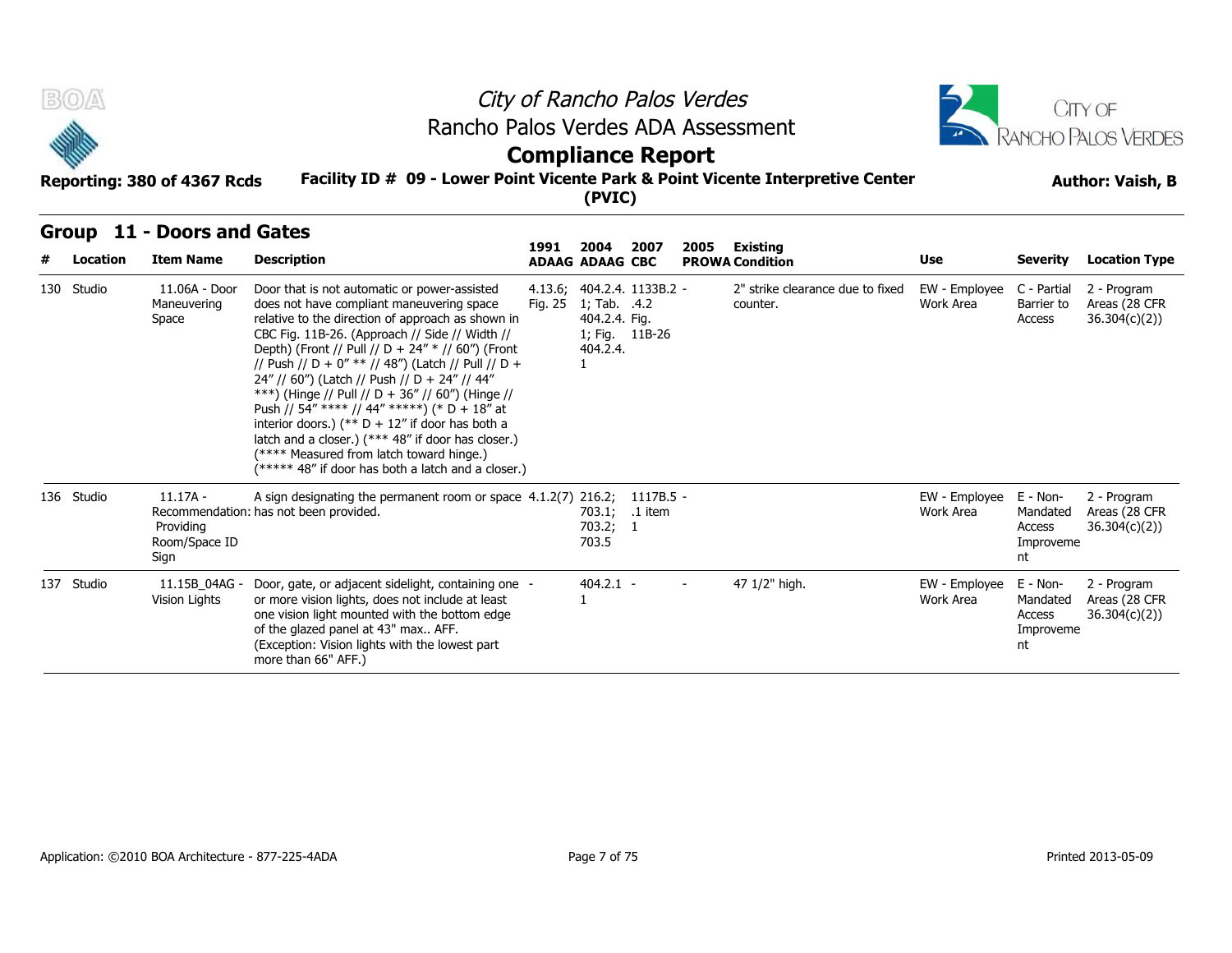

## **Compliance Report**

#### **Facility ID # 09 - Lower Point Vicente Park & Point Vicente Interpretive Center Reporting: 380 of 4367 Rcds Author: Vaish, B**

| B(0)       |                                                  | Rancho Palos Verdes ADA Assessment                                                                                                                                                                                                                                                                                                                                                                                                                                                                                                                                                                                                                                            |         |                                                                         |                             | City of Rancho Palos Verdes |                                              |                            |                                                   | <b>JITY OF</b>                                |  |  |
|------------|--------------------------------------------------|-------------------------------------------------------------------------------------------------------------------------------------------------------------------------------------------------------------------------------------------------------------------------------------------------------------------------------------------------------------------------------------------------------------------------------------------------------------------------------------------------------------------------------------------------------------------------------------------------------------------------------------------------------------------------------|---------|-------------------------------------------------------------------------|-----------------------------|-----------------------------|----------------------------------------------|----------------------------|---------------------------------------------------|-----------------------------------------------|--|--|
|            |                                                  |                                                                                                                                                                                                                                                                                                                                                                                                                                                                                                                                                                                                                                                                               |         | <b>Compliance Report</b>                                                |                             |                             |                                              |                            |                                                   | RANCHO PALOS VERDES                           |  |  |
|            | Reporting: 380 of 4367 Rcds                      | Facility ID # 09 - Lower Point Vicente Park & Point Vicente Interpretive Center                                                                                                                                                                                                                                                                                                                                                                                                                                                                                                                                                                                               |         | (PVIC)                                                                  |                             |                             |                                              |                            | <b>Author: Vaish, B</b>                           |                                               |  |  |
|            | Group 11 - Doors and Gates                       |                                                                                                                                                                                                                                                                                                                                                                                                                                                                                                                                                                                                                                                                               | 1991    | 2004                                                                    | 2007                        | 2005                        | Existing                                     |                            |                                                   |                                               |  |  |
| Location   | <b>Item Name</b>                                 | <b>Description</b>                                                                                                                                                                                                                                                                                                                                                                                                                                                                                                                                                                                                                                                            |         | <b>ADAAG ADAAG CBC</b>                                                  |                             |                             | <b>PROWA Condition</b>                       | Use                        | <b>Severity</b>                                   | <b>Location Type</b>                          |  |  |
| 130 Studio | 11.06A - Door<br>Maneuvering<br>Space            | Door that is not automatic or power-assisted<br>does not have compliant maneuvering space<br>relative to the direction of approach as shown in<br>CBC Fig. 11B-26. (Approach // Side // Width //<br>Depth) (Front // Pull // D + 24" * // 60") (Front<br>// Push // D + 0" ** // 48") (Latch // Pull // D +<br>24" // 60") (Latch // Push // D + 24" // 44"<br>***) (Hinge // Pull // D + 36" // 60") (Hinge //<br>Push // 54" **** // 44" *****) (* D + 18" at<br>interior doors.) (** $D + 12$ " if door has both a<br>latch and a closer.) (*** 48" if door has closer.)<br>(**** Measured from latch toward hinge.)<br>(***** 48" if door has both a latch and a closer.) | Fig. 25 | 4.13.6; 404.2.4. 1133B.2 -<br>1; Tab. .4.2<br>404.2.4. Fig.<br>404.2.4. | 1; Fig. 11B-26              |                             | 2" strike clearance due to fixed<br>counter. | EW - Employee<br>Work Area | C - Partial<br>Barrier to<br>Access               | 2 - Program<br>Areas (28 CFR<br>36.304(c)(2)) |  |  |
| 136 Studio | $11.17A -$<br>Providing<br>Room/Space ID<br>Sign | A sign designating the permanent room or space 4.1.2(7) 216.2;<br>Recommendation: has not been provided.                                                                                                                                                                                                                                                                                                                                                                                                                                                                                                                                                                      |         | 703.2; 1<br>703.5                                                       | 1117B.5 -<br>703.1; .1 item |                             |                                              | EW - Employee<br>Work Area | E - Non-<br>Mandated<br>Access<br>Improveme<br>nt | 2 - Program<br>Areas (28 CFR<br>36.304(c)(2)  |  |  |
| 137 Studio | 11.15B 04AG -<br>Vision Lights                   | Door, gate, or adjacent sidelight, containing one -<br>or more vision lights, does not include at least<br>one vision light mounted with the bottom edge<br>of the glazed panel at 43" max AFF.<br>(Exception: Vision lights with the lowest part<br>more than 66" AFF.)                                                                                                                                                                                                                                                                                                                                                                                                      |         | $404.2.1 -$                                                             |                             | $\overline{\phantom{0}}$    | 47 1/2" high.                                | EW - Employee<br>Work Area | E - Non-<br>Mandated<br>Access<br>Improveme<br>nt | 2 - Program<br>Areas (28 CFR<br>36.304(c)(2)  |  |  |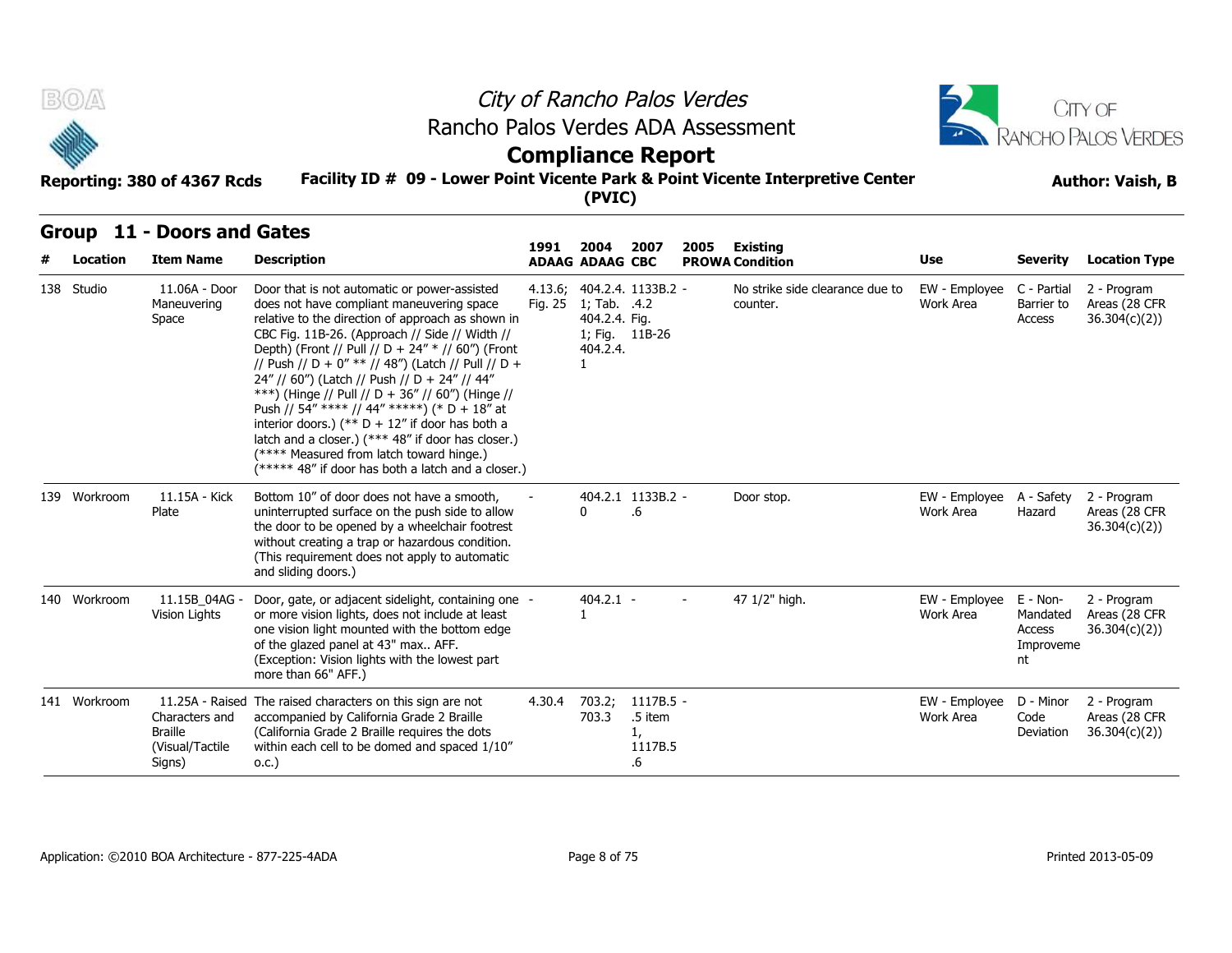

## **Compliance Report**

#### **Facility ID # 09 - Lower Point Vicente Park & Point Vicente Interpretive Center Reporting: 380 of 4367 Rcds Author: Vaish, B**

| B(0)       |              | Reporting: 380 of 4367 Rcds                                                      |                                                                                                                                                                                                                                                                                                                                                                                                                                                                                                                                                                                                                                                                               | City of Rancho Palos Verdes<br>Rancho Palos Verdes ADA Assessment<br><b>Compliance Report</b><br>Facility ID # 09 - Lower Point Vicente Park & Point Vicente Interpretive Center<br>(PVIC) |                                                                                                |                                               |      |                                             |                            |                                                   |                                               |  |  |  |  |
|------------|--------------|----------------------------------------------------------------------------------|-------------------------------------------------------------------------------------------------------------------------------------------------------------------------------------------------------------------------------------------------------------------------------------------------------------------------------------------------------------------------------------------------------------------------------------------------------------------------------------------------------------------------------------------------------------------------------------------------------------------------------------------------------------------------------|--------------------------------------------------------------------------------------------------------------------------------------------------------------------------------------------|------------------------------------------------------------------------------------------------|-----------------------------------------------|------|---------------------------------------------|----------------------------|---------------------------------------------------|-----------------------------------------------|--|--|--|--|
| Group      | Location     | 11 - Doors and Gates<br><b>Item Name</b>                                         | <b>Description</b>                                                                                                                                                                                                                                                                                                                                                                                                                                                                                                                                                                                                                                                            | 1991                                                                                                                                                                                       | 2004<br><b>ADAAG ADAAG CBC</b>                                                                 | 2007                                          | 2005 | Existing<br><b>PROWA Condition</b>          | Use                        | <b>Severity</b>                                   | <b>Location Type</b>                          |  |  |  |  |
| 138 Studio |              | 11.06A - Door<br>Maneuvering<br>Space                                            | Door that is not automatic or power-assisted<br>does not have compliant maneuvering space<br>relative to the direction of approach as shown in<br>CBC Fig. 11B-26. (Approach // Side // Width //<br>Depth) (Front // Pull // D + 24" * // 60") (Front<br>// Push // D + 0" ** // 48") (Latch // Pull // D +<br>24" // 60") (Latch // Push // D + 24" // 44"<br>***) (Hinge // Pull // D + 36" // 60") (Hinge //<br>Push // 54" **** // 44" *****) (* D + 18" at<br>interior doors.) (** $D + 12$ " if door has both a<br>latch and a closer.) (*** 48" if door has closer.)<br>(**** Measured from latch toward hinge.)<br>(***** 48" if door has both a latch and a closer.) | Fig. 25                                                                                                                                                                                    | 4.13.6; 404.2.4. 1133B.2 -<br>1; Tab. .4.2<br>404.2.4. Fig.<br>1; Fig. 11B-26<br>404.2.4.<br>1 |                                               |      | No strike side clearance due to<br>counter. | EW - Employee<br>Work Area | C - Partial<br>Barrier to<br>Access               | 2 - Program<br>Areas (28 CFR<br>36.304(c)(2)) |  |  |  |  |
|            | 139 Workroom | 11.15A - Kick<br>Plate                                                           | Bottom 10" of door does not have a smooth,<br>uninterrupted surface on the push side to allow<br>the door to be opened by a wheelchair footrest<br>without creating a trap or hazardous condition.<br>(This requirement does not apply to automatic<br>and sliding doors.)                                                                                                                                                                                                                                                                                                                                                                                                    |                                                                                                                                                                                            | 0                                                                                              | 404.2.1 1133B.2 -<br>.6                       |      | Door stop.                                  | EW - Employee<br>Work Area | A - Safety<br>Hazard                              | 2 - Program<br>Areas (28 CFR<br>36.304(c)(2)) |  |  |  |  |
|            | 140 Workroom | 11.15B 04AG -<br>Vision Lights                                                   | Door, gate, or adjacent sidelight, containing one -<br>or more vision lights, does not include at least<br>one vision light mounted with the bottom edge<br>of the glazed panel at 43" max AFF.<br>(Exception: Vision lights with the lowest part<br>more than 66" AFF.)                                                                                                                                                                                                                                                                                                                                                                                                      |                                                                                                                                                                                            | $404.2.1 -$<br>1                                                                               |                                               |      | 47 1/2" high.                               | EW - Employee<br>Work Area | E - Non-<br>Mandated<br>Access<br>Improveme<br>nt | 2 - Program<br>Areas (28 CFR<br>36.304(c)(2)  |  |  |  |  |
|            | 141 Workroom | 11.25A - Raised<br>Characters and<br><b>Braille</b><br>(Visual/Tactile<br>Signs) | The raised characters on this sign are not<br>accompanied by California Grade 2 Braille<br>(California Grade 2 Braille requires the dots<br>within each cell to be domed and spaced 1/10"<br>0.C.)                                                                                                                                                                                                                                                                                                                                                                                                                                                                            | 4.30.4                                                                                                                                                                                     | 703.2;<br>703.3                                                                                | $1117B.5 -$<br>.5 item<br>1,<br>1117B.5<br>.6 |      |                                             | EW - Employee<br>Work Area | D - Minor<br>Code<br>Deviation                    | 2 - Program<br>Areas (28 CFR<br>36.304(c)(2)  |  |  |  |  |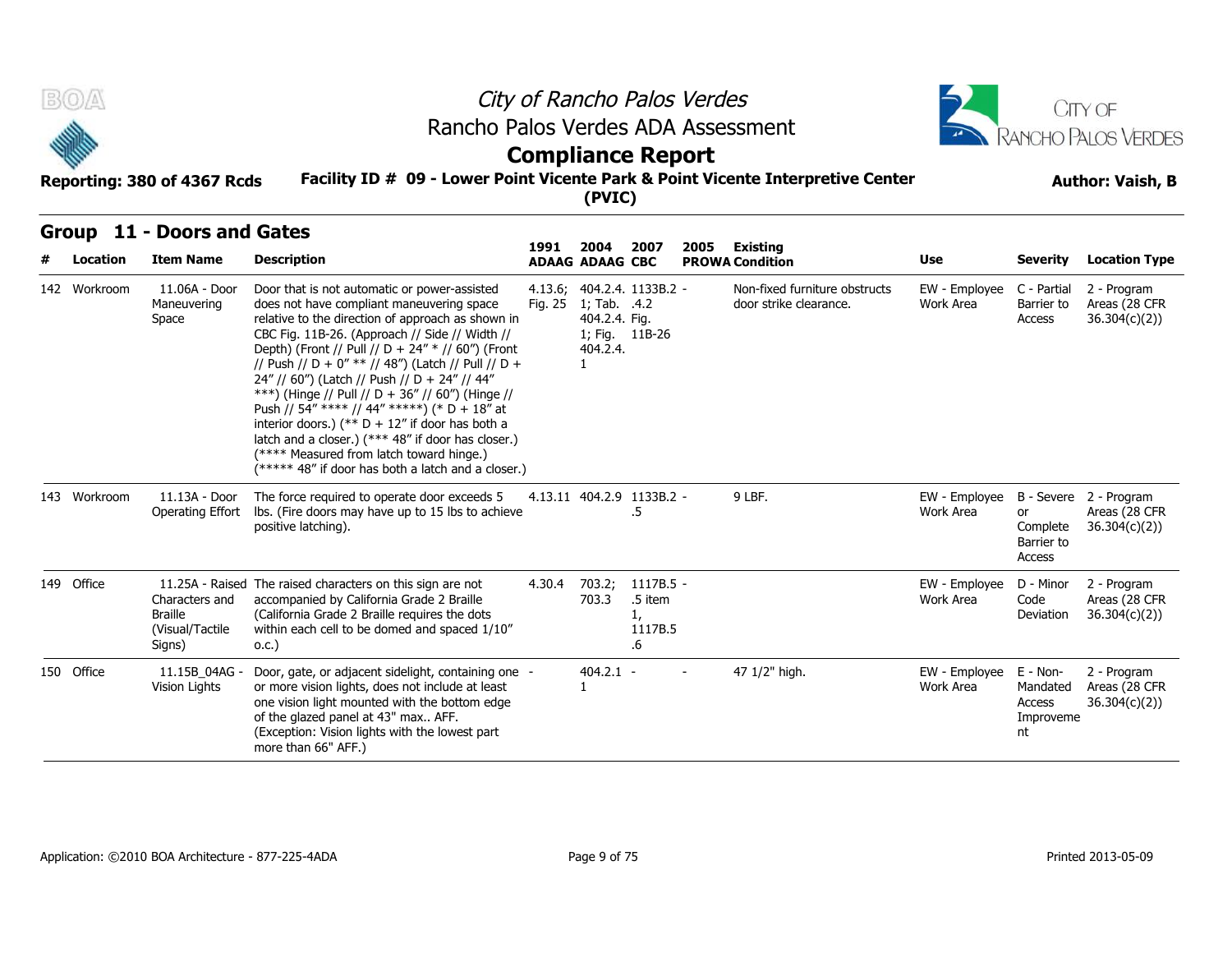

## **Compliance Report**

#### **Facility ID # 09 - Lower Point Vicente Park & Point Vicente Interpretive Center Reporting: 380 of 4367 Rcds Author: Vaish, B**

| BOA          | Reporting: 380 of 4367 Rcds                                   | Rancho Palos Verdes ADA Assessment<br>Facility ID # 09 - Lower Point Vicente Park & Point Vicente Interpretive Center                                                                                                                                                                                                                                                                                                                                                                                                                                                                                                                                                         | <b>Compliance Report</b> | (PVIC)                                          |                                             | City of Rancho Palos Verdes |                                                         |                            |                                                   | CITY OF<br>RANCHO PALOS VERDES<br><b>Author: Vaish, B</b> |
|--------------|---------------------------------------------------------------|-------------------------------------------------------------------------------------------------------------------------------------------------------------------------------------------------------------------------------------------------------------------------------------------------------------------------------------------------------------------------------------------------------------------------------------------------------------------------------------------------------------------------------------------------------------------------------------------------------------------------------------------------------------------------------|--------------------------|-------------------------------------------------|---------------------------------------------|-----------------------------|---------------------------------------------------------|----------------------------|---------------------------------------------------|-----------------------------------------------------------|
| Location     | Group 11 - Doors and Gates<br><b>Item Name</b>                | <b>Description</b>                                                                                                                                                                                                                                                                                                                                                                                                                                                                                                                                                                                                                                                            | 1991                     | 2004<br><b>ADAAG ADAAG CBC</b>                  | 2007                                        | 2005                        | Existing<br><b>PROWA Condition</b>                      | Use                        | <b>Severity</b>                                   | <b>Location Type</b>                                      |
| 142 Workroom | 11.06A - Door<br>Maneuvering<br>Space                         | Door that is not automatic or power-assisted<br>does not have compliant maneuvering space<br>relative to the direction of approach as shown in<br>CBC Fig. 11B-26. (Approach // Side // Width //<br>Depth) (Front // Pull // D + 24" * // 60") (Front<br>// Push // D + 0" ** // 48") (Latch // Pull // D +<br>24" // 60") (Latch // Push // D + 24" // 44"<br>***) (Hinge // Pull // D + 36" // 60") (Hinge //<br>Push // 54" **** // 44" *****) (* D + 18" at<br>interior doors.) (** $D + 12$ " if door has both a<br>latch and a closer.) (*** 48" if door has closer.)<br>(**** Measured from latch toward hinge.)<br>(***** 48" if door has both a latch and a closer.) | 4.13.6;<br>Fig. 25       | 1; Tab. .4.2<br>404.2.4. Fig.<br>404.2.4.<br>1. | 404.2.4. 1133B.2 -<br>1; Fig. 11B-26        |                             | Non-fixed furniture obstructs<br>door strike clearance. | EW - Employee<br>Work Area | C - Partial<br>Barrier to<br>Access               | 2 - Program<br>Areas (28 CFR<br>36.304(c)(2)              |
| 143 Workroom | 11.13A - Door<br>Operating Effort                             | The force required to operate door exceeds 5<br>Ibs. (Fire doors may have up to 15 lbs to achieve<br>positive latching).                                                                                                                                                                                                                                                                                                                                                                                                                                                                                                                                                      |                          |                                                 | 4.13.11 404.2.9 1133B.2 -<br>.5             |                             | 9 LBF.                                                  | EW - Employee<br>Work Area | or<br>Complete<br>Barrier to<br>Access            | B - Severe 2 - Program<br>Areas (28 CFR<br>36.304(c)(2)   |
| 149 Office   | Characters and<br><b>Braille</b><br>(Visual/Tactile<br>Signs) | 11.25A - Raised The raised characters on this sign are not<br>accompanied by California Grade 2 Braille<br>(California Grade 2 Braille requires the dots<br>within each cell to be domed and spaced 1/10"<br>0.C.)                                                                                                                                                                                                                                                                                                                                                                                                                                                            | 4.30.4                   | 703.2;<br>703.3                                 | 1117B.5 -<br>.5 item<br>1,<br>1117B.5<br>.6 |                             |                                                         | EW - Employee<br>Work Area | D - Minor<br>Code<br>Deviation                    | 2 - Program<br>Areas (28 CFR<br>36.304(c)(2)              |
| 150 Office   | 11.15B 04AG -<br>Vision Lights                                | Door, gate, or adjacent sidelight, containing one -<br>or more vision lights, does not include at least<br>one vision light mounted with the bottom edge<br>of the glazed panel at 43" max AFF.<br>(Exception: Vision lights with the lowest part<br>more than 66" AFF.)                                                                                                                                                                                                                                                                                                                                                                                                      |                          | $404.2.1 -$<br>$\mathbf{1}$                     |                                             |                             | 47 1/2" high.                                           | EW - Employee<br>Work Area | E - Non-<br>Mandated<br>Access<br>Improveme<br>nt | 2 - Program<br>Areas (28 CFR<br>36.304(c)(2)              |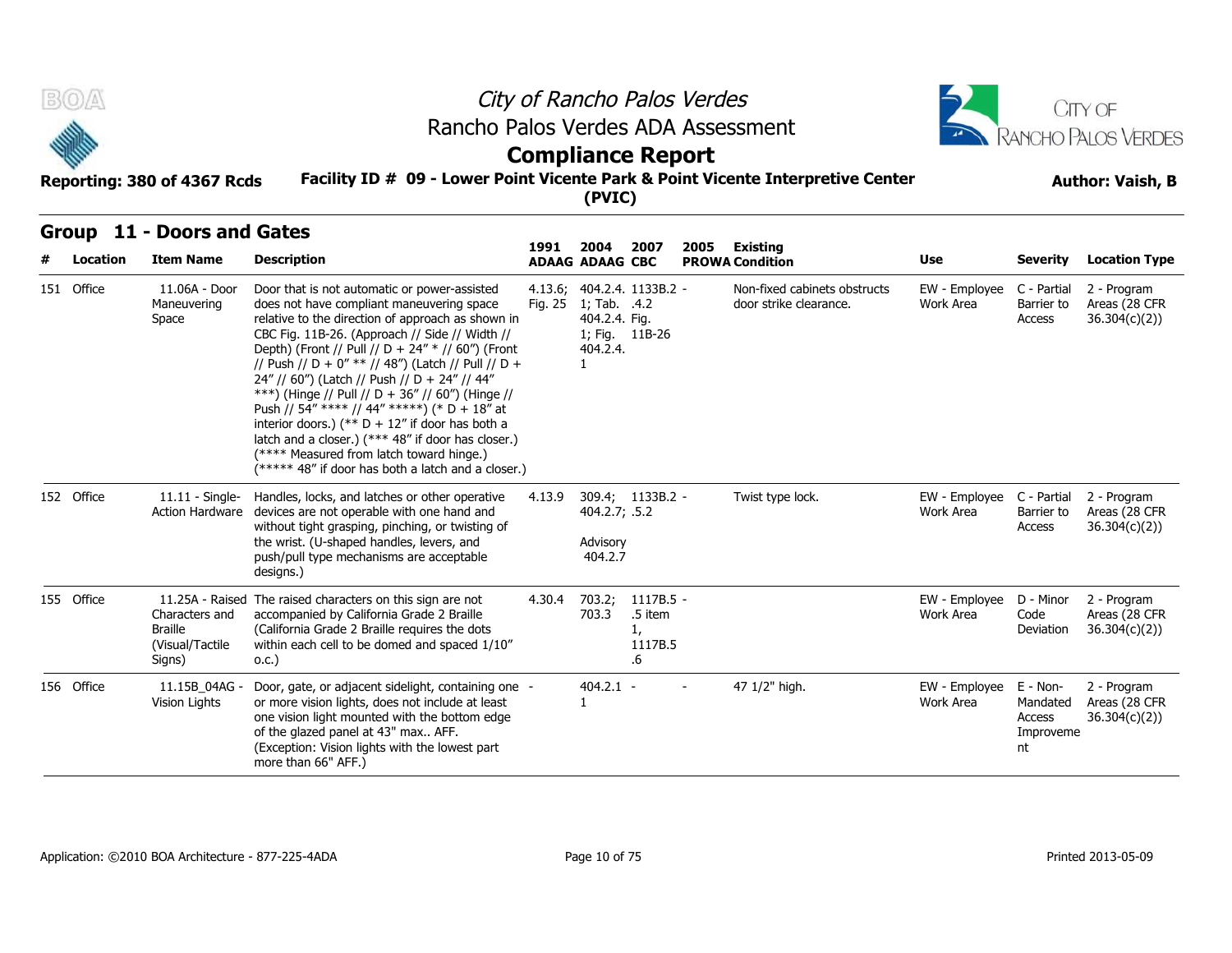

## **Compliance Report**

#### **Facility ID # 09 - Lower Point Vicente Park & Point Vicente Interpretive Center Reporting: 380 of 4367 Rcds Author: Vaish, B**

| B(0)<br>Reporting: 380 of 4367 Rcds |                                                                                  | Rancho Palos Verdes ADA Assessment<br>Facility ID # 09 - Lower Point Vicente Park & Point Vicente Interpretive Center                                                                                                                                                                                                                                                                                                                                                                                                                                                                                                                                                         |         | <b>Compliance Report</b><br>(PVIC)                                           |                                               | City of Rancho Palos Verdes |                                                        |                            |                                                   | CITY OF<br>RANCHO PALOS VERDES<br><b>Author: Vaish, B</b> |
|-------------------------------------|----------------------------------------------------------------------------------|-------------------------------------------------------------------------------------------------------------------------------------------------------------------------------------------------------------------------------------------------------------------------------------------------------------------------------------------------------------------------------------------------------------------------------------------------------------------------------------------------------------------------------------------------------------------------------------------------------------------------------------------------------------------------------|---------|------------------------------------------------------------------------------|-----------------------------------------------|-----------------------------|--------------------------------------------------------|----------------------------|---------------------------------------------------|-----------------------------------------------------------|
| Location                            | Group 11 - Doors and Gates<br><b>Item Name</b>                                   | <b>Description</b>                                                                                                                                                                                                                                                                                                                                                                                                                                                                                                                                                                                                                                                            | 1991    | 2004<br><b>ADAAG ADAAG CBC</b>                                               | 2007                                          | 2005                        | <b>Existing</b><br><b>PROWA Condition</b>              | Use                        | <b>Severity</b>                                   | <b>Location Type</b>                                      |
| 151 Office                          | 11.06A - Door<br>Maneuvering<br>Space                                            | Door that is not automatic or power-assisted<br>does not have compliant maneuvering space<br>relative to the direction of approach as shown in<br>CBC Fig. 11B-26. (Approach // Side // Width //<br>Depth) (Front // Pull // D + 24" * // 60") (Front<br>// Push // D + 0" ** // 48") (Latch // Pull // D +<br>24" // 60") (Latch // Push // D + 24" // 44"<br>***) (Hinge // Pull // D + 36" // 60") (Hinge //<br>Push // 54" **** // 44" *****) (* D + 18" at<br>interior doors.) (** $D + 12$ " if door has both a<br>latch and a closer.) (*** 48" if door has closer.)<br>(**** Measured from latch toward hinge.)<br>(***** 48" if door has both a latch and a closer.) | Fig. 25 | 4.13.6; 404.2.4. 1133B.2 -<br>1; Tab. .4.2<br>404.2.4. Fig.<br>404.2.4.<br>1 | 1; Fig. 11B-26                                |                             | Non-fixed cabinets obstructs<br>door strike clearance. | EW - Employee<br>Work Area | C - Partial<br>Barrier to<br>Access               | 2 - Program<br>Areas (28 CFR<br>36.304(c)(2))             |
| 152 Office                          | $11.11 -$ Single-<br>Action Hardware                                             | Handles, locks, and latches or other operative<br>devices are not operable with one hand and<br>without tight grasping, pinching, or twisting of<br>the wrist. (U-shaped handles, levers, and<br>push/pull type mechanisms are acceptable<br>designs.)                                                                                                                                                                                                                                                                                                                                                                                                                        | 4.13.9  | 404.2.7; .5.2<br>Advisory<br>404.2.7                                         | 309.4; 1133B.2 -                              |                             | Twist type lock.                                       | EW - Employee<br>Work Area | C - Partial<br>Barrier to<br>Access               | 2 - Program<br>Areas (28 CFR<br>36.304(c)(2)              |
| 155 Office                          | 11.25A - Raised<br>Characters and<br><b>Braille</b><br>(Visual/Tactile<br>Signs) | The raised characters on this sign are not<br>accompanied by California Grade 2 Braille<br>(California Grade 2 Braille requires the dots<br>within each cell to be domed and spaced 1/10"<br>0.C.)                                                                                                                                                                                                                                                                                                                                                                                                                                                                            | 4.30.4  | 703.2;<br>703.3                                                              | $1117B.5 -$<br>.5 item<br>1,<br>1117B.5<br>.6 |                             |                                                        | EW - Employee<br>Work Area | D - Minor<br>Code<br>Deviation                    | 2 - Program<br>Areas (28 CFR<br>36.304(c)(2))             |
| 156 Office                          | 11.15B 04AG -<br>Vision Lights                                                   | Door, gate, or adjacent sidelight, containing one -<br>or more vision lights, does not include at least<br>one vision light mounted with the bottom edge<br>of the glazed panel at 43" max AFF.<br>(Exception: Vision lights with the lowest part<br>more than 66" AFF.)                                                                                                                                                                                                                                                                                                                                                                                                      |         | $404.2.1 -$<br>1                                                             |                                               |                             | 47 1/2" high.                                          | EW - Employee<br>Work Area | E - Non-<br>Mandated<br>Access<br>Improveme<br>nt | 2 - Program<br>Areas (28 CFR<br>36.304(c)(2)              |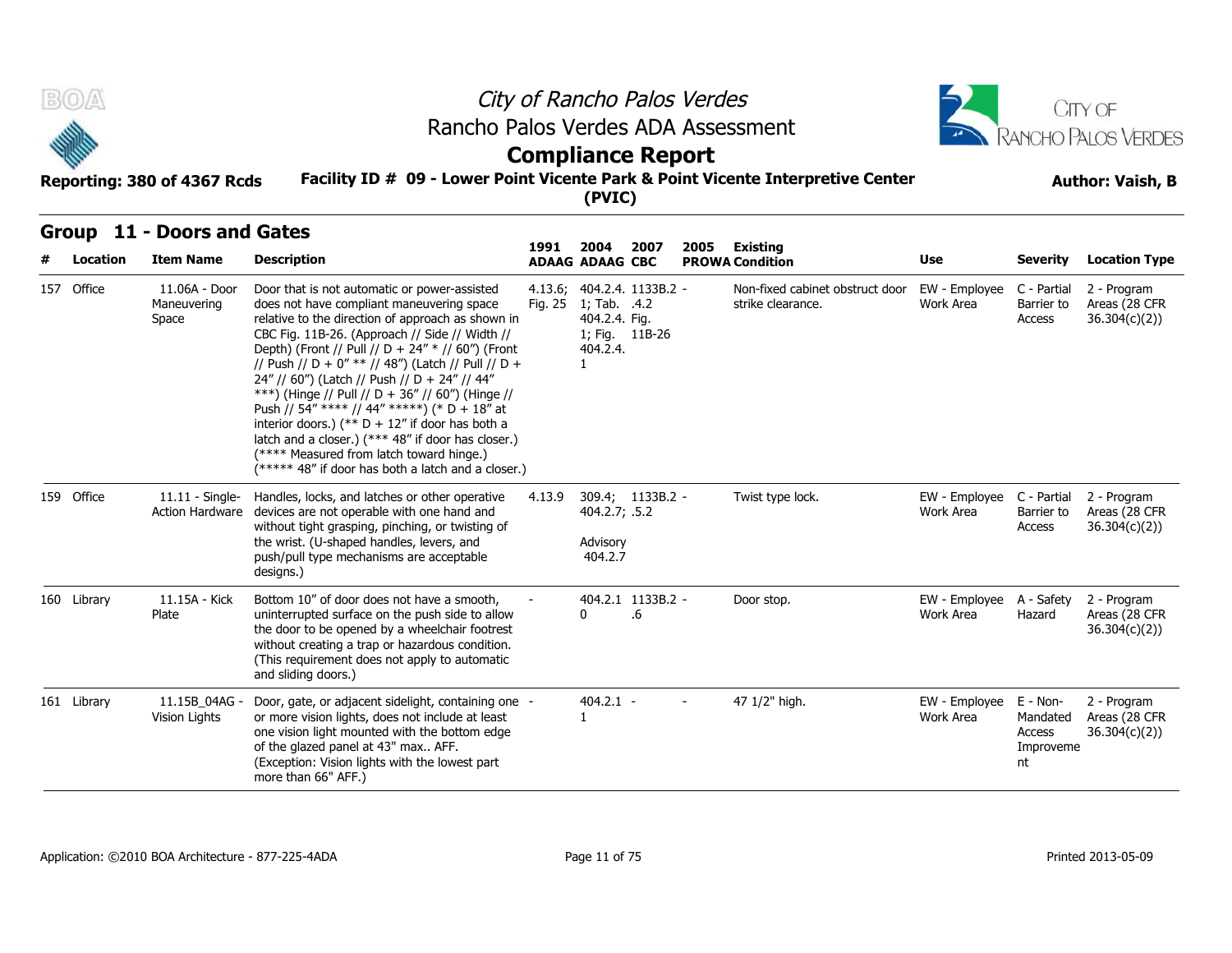

## **Compliance Report**

#### **Facility ID # 09 - Lower Point Vicente Park & Point Vicente Interpretive Center Reporting: 380 of 4367 Rcds Author: Vaish, B**

| B(0)              | Reporting: 380 of 4367 Rcds                 | Rancho Palos Verdes ADA Assessment<br>Facility ID # 09 - Lower Point Vicente Park & Point Vicente Interpretive Center                                                                                                                                                                                                                                                                                                                                                                                                                                                                                                                                                         |                    | <b>Compliance Report</b>                                                        |                         | City of Rancho Palos Verdes |                                                      |                            |                                                   | CITY OF<br>RANCHO PALOS VERDES<br><b>Author: Vaish, B</b> |
|-------------------|---------------------------------------------|-------------------------------------------------------------------------------------------------------------------------------------------------------------------------------------------------------------------------------------------------------------------------------------------------------------------------------------------------------------------------------------------------------------------------------------------------------------------------------------------------------------------------------------------------------------------------------------------------------------------------------------------------------------------------------|--------------------|---------------------------------------------------------------------------------|-------------------------|-----------------------------|------------------------------------------------------|----------------------------|---------------------------------------------------|-----------------------------------------------------------|
|                   |                                             |                                                                                                                                                                                                                                                                                                                                                                                                                                                                                                                                                                                                                                                                               |                    | (PVIC)                                                                          |                         |                             |                                                      |                            |                                                   |                                                           |
| Group<br>Location | 11 - Doors and Gates<br><b>Item Name</b>    | <b>Description</b>                                                                                                                                                                                                                                                                                                                                                                                                                                                                                                                                                                                                                                                            | 1991               | 2004<br><b>ADAAG ADAAG CBC</b>                                                  | 2007                    | 2005                        | Existing<br><b>PROWA Condition</b>                   | Use                        | <b>Severity</b>                                   | <b>Location Type</b>                                      |
| 157 Office        | 11.06A - Door<br>Maneuvering<br>Space       | Door that is not automatic or power-assisted<br>does not have compliant maneuvering space<br>relative to the direction of approach as shown in<br>CBC Fig. 11B-26. (Approach // Side // Width //<br>Depth) (Front // Pull // D + 24" * // 60") (Front<br>// Push // D + 0" ** // 48") (Latch // Pull // D +<br>24" // 60") (Latch // Push // D + 24" // 44"<br>***) (Hinge // Pull // D + 36" // 60") (Hinge //<br>Push // 54" **** // 44" *****) (* D + 18" at<br>interior doors.) (** $D + 12$ " if door has both a<br>latch and a closer.) (*** 48" if door has closer.)<br>(**** Measured from latch toward hinge.)<br>(***** 48" if door has both a latch and a closer.) | 4.13.6;<br>Fig. 25 | 404.2.4. 1133B.2 -<br>1; Tab. .4.2<br>404.2.4. Fig.<br>404.2.4.<br>$\mathbf{1}$ | 1; Fig. 11B-26          |                             | Non-fixed cabinet obstruct door<br>strike clearance. | EW - Employee<br>Work Area | C - Partial<br>Barrier to<br>Access               | 2 - Program<br>Areas (28 CFR<br>36.304(c)(2)              |
| 159 Office        | $11.11 -$ Single-<br><b>Action Hardware</b> | Handles, locks, and latches or other operative<br>devices are not operable with one hand and<br>without tight grasping, pinching, or twisting of<br>the wrist. (U-shaped handles, levers, and<br>push/pull type mechanisms are acceptable<br>designs.)                                                                                                                                                                                                                                                                                                                                                                                                                        | 4.13.9             | 404.2.7; .5.2<br>Advisory<br>404.2.7                                            | 309.4; 1133B.2 -        |                             | Twist type lock.                                     | EW - Employee<br>Work Area | C - Partial<br>Barrier to<br>Access               | 2 - Program<br>Areas (28 CFR<br>36.304(c)(2)              |
| 160 Library       | 11.15A - Kick<br>Plate                      | Bottom 10" of door does not have a smooth,<br>uninterrupted surface on the push side to allow<br>the door to be opened by a wheelchair footrest<br>without creating a trap or hazardous condition.<br>(This requirement does not apply to automatic<br>and sliding doors.)                                                                                                                                                                                                                                                                                                                                                                                                    |                    | 0                                                                               | 404.2.1 1133B.2 -<br>.6 |                             | Door stop.                                           | EW - Employee<br>Work Area | A - Safety<br>Hazard                              | 2 - Program<br>Areas (28 CFR<br>36.304(c)(2)              |
| 161 Library       | 11.15B_04AG -<br>Vision Lights              | Door, gate, or adjacent sidelight, containing one -<br>or more vision lights, does not include at least<br>one vision light mounted with the bottom edge<br>of the glazed panel at 43" max AFF.<br>(Exception: Vision lights with the lowest part<br>more than 66" AFF.)                                                                                                                                                                                                                                                                                                                                                                                                      |                    | $404.2.1 -$<br>1                                                                |                         | $\sim$                      | 47 1/2" high.                                        | EW - Employee<br>Work Area | E - Non-<br>Mandated<br>Access<br>Improveme<br>nt | 2 - Program<br>Areas (28 CFR<br>36.304(c)(2)              |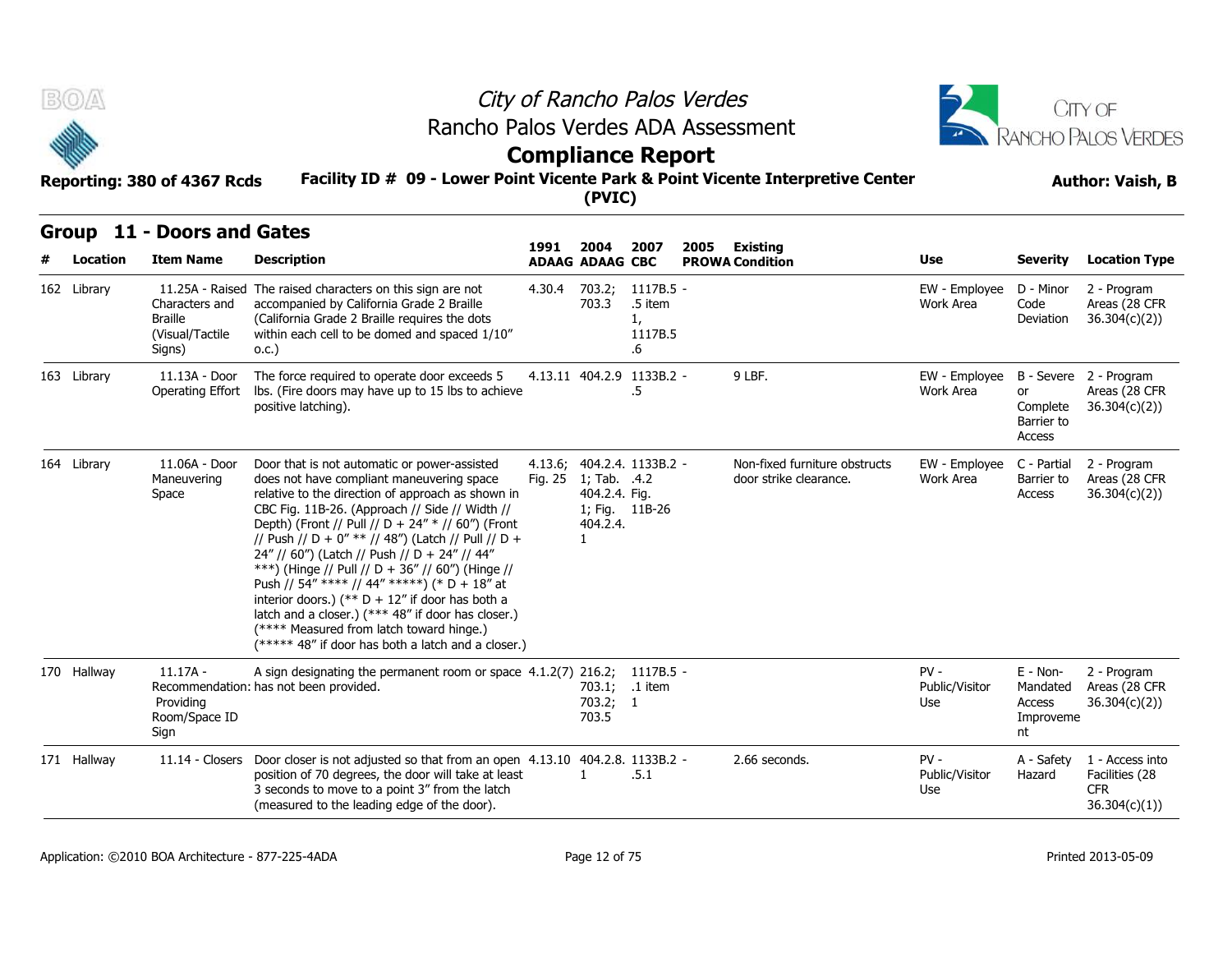



# **Compliance Report**

#### **Facility ID # 09 - Lower Point Vicente Park & Point Vicente Interpretive Center Reporting: 380 of 4367 Rcds Author: Vaish, B**

| <b>BOA</b>  | Reporting: 380 of 4367 Rcds                                    | Rancho Palos Verdes ADA Assessment<br>Facility ID # 09 - Lower Point Vicente Park & Point Vicente Interpretive Center                                                                                                                                                                                                                                                                                                                                                                                                                                                                                                                                                         |                    |                                                           | City of Rancho Palos Verdes<br><b>Compliance Report</b> |      |                                                         |                                 |                                                     | CITY OF<br>RANCHO PALOS VERDES<br><b>Author: Vaish, B</b>        |
|-------------|----------------------------------------------------------------|-------------------------------------------------------------------------------------------------------------------------------------------------------------------------------------------------------------------------------------------------------------------------------------------------------------------------------------------------------------------------------------------------------------------------------------------------------------------------------------------------------------------------------------------------------------------------------------------------------------------------------------------------------------------------------|--------------------|-----------------------------------------------------------|---------------------------------------------------------|------|---------------------------------------------------------|---------------------------------|-----------------------------------------------------|------------------------------------------------------------------|
|             |                                                                |                                                                                                                                                                                                                                                                                                                                                                                                                                                                                                                                                                                                                                                                               |                    | (PVIC)                                                    |                                                         |      |                                                         |                                 |                                                     |                                                                  |
| Location    | Group 11 - Doors and Gates<br><b>Item Name</b>                 | <b>Description</b>                                                                                                                                                                                                                                                                                                                                                                                                                                                                                                                                                                                                                                                            | 1991               | 2004                                                      | 2007                                                    | 2005 | Existing                                                | <b>Use</b>                      | <b>Severity</b>                                     | <b>Location Type</b>                                             |
| 162 Library | Characters and<br><b>Braille</b><br>(Visual/Tactile)<br>Signs) | 11.25A - Raised The raised characters on this sign are not<br>accompanied by California Grade 2 Braille<br>(California Grade 2 Braille requires the dots<br>within each cell to be domed and spaced 1/10"<br>0.C.)                                                                                                                                                                                                                                                                                                                                                                                                                                                            | 4.30.4             | <b>ADAAG ADAAG CBC</b><br>703.2;<br>703.3                 | 1117B.5 -<br>.5 item<br>1,<br>1117B.5<br>.6             |      | <b>PROWA Condition</b>                                  | EW - Employee<br>Work Area      | D - Minor<br>Code<br>Deviation                      | 2 - Program<br>Areas (28 CFR<br>36.304(c)(2)                     |
| 163 Library | 11.13A - Door<br>Operating Effort                              | The force required to operate door exceeds 5<br>Ibs. (Fire doors may have up to 15 lbs to achieve<br>positive latching).                                                                                                                                                                                                                                                                                                                                                                                                                                                                                                                                                      |                    |                                                           | 4.13.11 404.2.9 1133B.2 -<br>.5                         |      | 9 LBF.                                                  | EW - Employee<br>Work Area      | or<br>Complete<br>Barrier to<br>Access              | B - Severe 2 - Program<br>Areas (28 CFR<br>36.304(c)(2)          |
| 164 Library | 11.06A - Door<br>Maneuvering<br>Space                          | Door that is not automatic or power-assisted<br>does not have compliant maneuvering space<br>relative to the direction of approach as shown in<br>CBC Fig. 11B-26. (Approach // Side // Width //<br>Depth) (Front // Pull // D + 24" * // 60") (Front<br>// Push // D + 0" ** // 48") (Latch // Pull // D +<br>24" // 60") (Latch // Push // D + 24" // 44"<br>***) (Hinge // Pull // D + 36" // 60") (Hinge //<br>Push // 54" **** // 44" *****) (* D + 18" at<br>interior doors.) (** $D + 12$ " if door has both a<br>latch and a closer.) (*** 48" if door has closer.)<br>(**** Measured from latch toward hinge.)<br>(***** 48" if door has both a latch and a closer.) | 4.13.6;<br>Fig. 25 | 1; Tab. .4.2<br>404.2.4. Fig.<br>404.2.4.<br>$\mathbf{1}$ | 404.2.4. 1133B.2 -<br>1; Fig. 11B-26                    |      | Non-fixed furniture obstructs<br>door strike clearance. | EW - Employee<br>Work Area      | C - Partial<br>Barrier to<br>Access                 | 2 - Program<br>Areas (28 CFR<br>36.304(c)(2))                    |
| 170 Hallway | 11.17A -<br>Providing<br>Room/Space ID<br>Sign                 | A sign designating the permanent room or space $4.1.2(7)$ 216.2;<br>Recommendation: has not been provided.                                                                                                                                                                                                                                                                                                                                                                                                                                                                                                                                                                    |                    | 703.1;<br>703.2; 1<br>703.5                               | 1117B.5 -<br>.1 item                                    |      |                                                         | $PV -$<br>Public/Visitor<br>Use | $E - Non-$<br>Mandated<br>Access<br>Improveme<br>nt | 2 - Program<br>Areas (28 CFR<br>36.304(c)(2)                     |
| 171 Hallway |                                                                | 11.14 - Closers Door closer is not adjusted so that from an open $4.13.10$ 404.2.8. 1133B.2 -<br>position of 70 degrees, the door will take at least<br>3 seconds to move to a point 3" from the latch<br>(measured to the leading edge of the door).                                                                                                                                                                                                                                                                                                                                                                                                                         |                    | 1                                                         | .5.1                                                    |      | 2.66 seconds.                                           | $PV -$<br>Public/Visitor<br>Use | A - Safety<br>Hazard                                | 1 - Access into<br>Facilities (28<br><b>CFR</b><br>36.304(c)(1)) |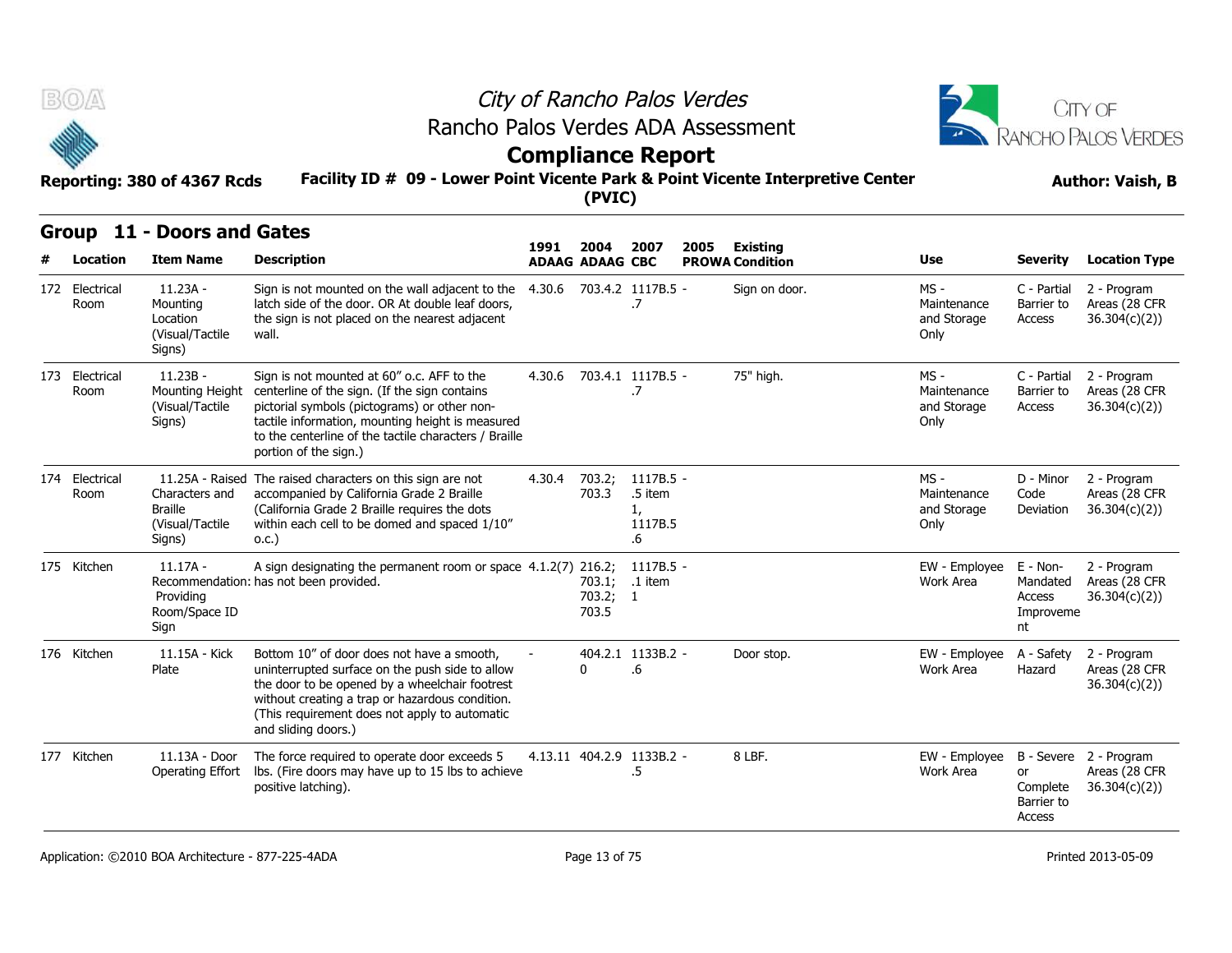



#### **Facility ID # 09 - Lower Point Vicente Park & Point Vicente Interpretive Center Reporting: 380 of 4367 Rcds Author: Vaish, B**

# **Compliance Report**

| B(0)                   |                                                                                   | Rancho Palos Verdes ADA Assessment                                                                                                                                                                                                                                                |                                                                                                                       |                                | City of Rancho Palos Verdes                 |      |                                    |                                            |                                                   | <b>CITY OF</b><br>RANCHO PALOS VERDES                   |  |  |
|------------------------|-----------------------------------------------------------------------------------|-----------------------------------------------------------------------------------------------------------------------------------------------------------------------------------------------------------------------------------------------------------------------------------|-----------------------------------------------------------------------------------------------------------------------|--------------------------------|---------------------------------------------|------|------------------------------------|--------------------------------------------|---------------------------------------------------|---------------------------------------------------------|--|--|
|                        | Reporting: 380 of 4367 Rcds                                                       |                                                                                                                                                                                                                                                                                   | <b>Compliance Report</b><br>Facility ID # 09 - Lower Point Vicente Park & Point Vicente Interpretive Center<br>(PVIC) |                                |                                             |      |                                    |                                            |                                                   |                                                         |  |  |
|                        | Group 11 - Doors and Gates                                                        |                                                                                                                                                                                                                                                                                   |                                                                                                                       |                                |                                             |      |                                    |                                            |                                                   |                                                         |  |  |
| Location               | <b>Item Name</b>                                                                  | <b>Description</b>                                                                                                                                                                                                                                                                | 1991                                                                                                                  | 2004<br><b>ADAAG ADAAG CBC</b> | 2007                                        | 2005 | Existing<br><b>PROWA Condition</b> | Use                                        | <b>Severity</b>                                   | <b>Location Type</b>                                    |  |  |
| 172 Electrical<br>Room | $11.23A -$<br>Mounting<br>Location<br>(Visual/Tactile<br>Signs)                   | Sign is not mounted on the wall adjacent to the<br>latch side of the door. OR At double leaf doors,<br>the sign is not placed on the nearest adjacent<br>wall.                                                                                                                    |                                                                                                                       |                                | 4.30.6 703.4.2 1117B.5 -<br>.7              |      | Sign on door.                      | MS -<br>Maintenance<br>and Storage<br>Only | C - Partial<br>Barrier to<br>Access               | 2 - Program<br>Areas (28 CFR<br>36.304(c)(2))           |  |  |
| 173 Electrical<br>Room | $11.23B -$<br>Mounting Height<br>(Visual/Tactile<br>Signs)                        | Sign is not mounted at 60" o.c. AFF to the<br>centerline of the sign. (If the sign contains<br>pictorial symbols (pictograms) or other non-<br>tactile information, mounting height is measured<br>to the centerline of the tactile characters / Braille<br>portion of the sign.) |                                                                                                                       |                                | 4.30.6 703.4.1 1117B.5 -<br>.7              |      | 75" high.                          | MS -<br>Maintenance<br>and Storage<br>Only | C - Partial<br>Barrier to<br>Access               | 2 - Program<br>Areas (28 CFR<br>36.304(c)(2)            |  |  |
| 174 Electrical<br>Room | 11.25A - Raised<br>Characters and<br><b>Braille</b><br>(Visual/Tactile)<br>Signs) | The raised characters on this sign are not<br>accompanied by California Grade 2 Braille<br>(California Grade 2 Braille requires the dots<br>within each cell to be domed and spaced 1/10"<br>0.C.)                                                                                | 4.30.4                                                                                                                | 703.2;<br>703.3                | 1117B.5 -<br>.5 item<br>1,<br>1117B.5<br>.6 |      |                                    | MS -<br>Maintenance<br>and Storage<br>Only | D - Minor<br>Code<br>Deviation                    | 2 - Program<br>Areas (28 CFR<br>36.304(c)(2)            |  |  |
| 175 Kitchen            | $11.17A -$<br>Providing<br>Room/Space ID<br>Sign                                  | A sign designating the permanent room or space 4.1.2(7) 216.2;<br>Recommendation: has not been provided.                                                                                                                                                                          |                                                                                                                       | 703.2; 1<br>703.5              | 1117B.5 -<br>703.1; .1 item                 |      |                                    | EW - Employee<br>Work Area                 | E - Non-<br>Mandated<br>Access<br>Improveme<br>nt | 2 - Program<br>Areas (28 CFR<br>36.304(c)(2))           |  |  |
| 176 Kitchen            | 11.15A - Kick<br>Plate                                                            | Bottom 10" of door does not have a smooth,<br>uninterrupted surface on the push side to allow<br>the door to be opened by a wheelchair footrest<br>without creating a trap or hazardous condition.<br>(This requirement does not apply to automatic<br>and sliding doors.)        |                                                                                                                       | 0                              | 404.2.1 1133B.2 -<br>.6                     |      | Door stop.                         | EW - Employee<br>Work Area                 | A - Safety<br>Hazard                              | 2 - Program<br>Areas (28 CFR<br>36.304(c)(2)            |  |  |
| 177 Kitchen            | 11.13A - Door<br>Operating Effort                                                 | The force required to operate door exceeds 5<br>lbs. (Fire doors may have up to 15 lbs to achieve<br>positive latching).                                                                                                                                                          |                                                                                                                       |                                | 4.13.11 404.2.9 1133B.2 -<br>.5             |      | 8 LBF.                             | EW - Employee<br>Work Area                 | or<br>Complete<br>Barrier to<br>Access            | B - Severe 2 - Program<br>Areas (28 CFR<br>36.304(c)(2) |  |  |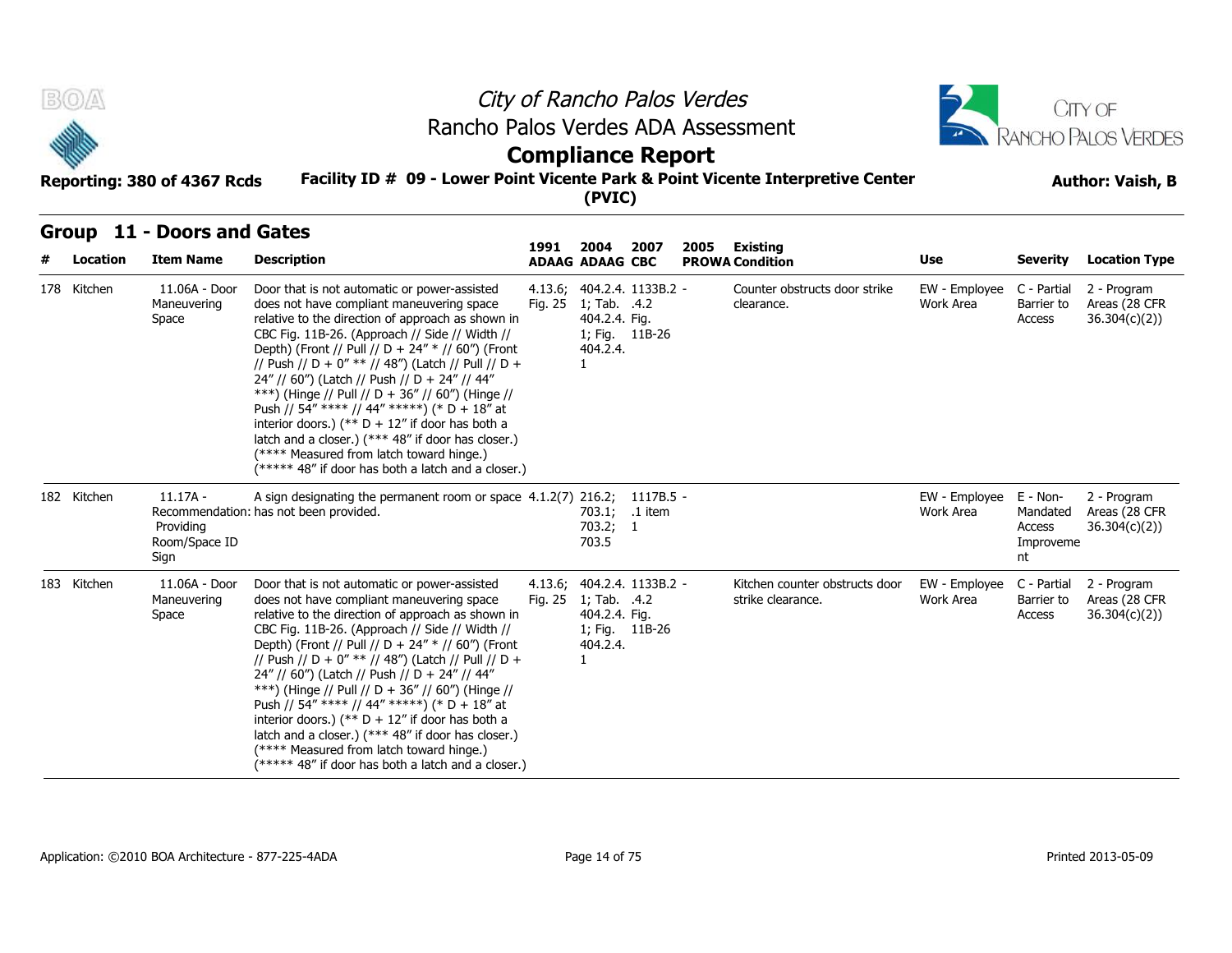

## **Compliance Report**

#### **Facility ID # 09 - Lower Point Vicente Park & Point Vicente Interpretive Center Reporting: 380 of 4367 Rcds Author: Vaish, B**

|   | <b>BOA</b>  | Reporting: 380 of 4367 Rcds                      | Rancho Palos Verdes ADA Assessment<br>Facility ID # 09 - Lower Point Vicente Park & Point Vicente Interpretive Center                                                                                                                                                                                                                                                                                                                                                                                                                                                                                                                                                         |                    | <b>Compliance Report</b><br>(PVIC)                                           |                | City of Rancho Palos Verdes |                                                     |                            |                                                   | CITY OF<br>RANCHO PALOS VERDES<br><b>Author: Vaish, B</b> |
|---|-------------|--------------------------------------------------|-------------------------------------------------------------------------------------------------------------------------------------------------------------------------------------------------------------------------------------------------------------------------------------------------------------------------------------------------------------------------------------------------------------------------------------------------------------------------------------------------------------------------------------------------------------------------------------------------------------------------------------------------------------------------------|--------------------|------------------------------------------------------------------------------|----------------|-----------------------------|-----------------------------------------------------|----------------------------|---------------------------------------------------|-----------------------------------------------------------|
| # | Location    | Group 11 - Doors and Gates<br><b>Item Name</b>   | <b>Description</b>                                                                                                                                                                                                                                                                                                                                                                                                                                                                                                                                                                                                                                                            | 1991               | 2004<br><b>ADAAG ADAAG CBC</b>                                               | 2007           | 2005                        | Existing<br><b>PROWA Condition</b>                  | Use                        | <b>Severity</b>                                   | <b>Location Type</b>                                      |
|   | 178 Kitchen | 11.06A - Door<br>Maneuvering<br>Space            | Door that is not automatic or power-assisted<br>does not have compliant maneuvering space<br>relative to the direction of approach as shown in<br>CBC Fig. 11B-26. (Approach // Side // Width //<br>Depth) (Front // Pull // D + 24" * // 60") (Front<br>// Push // D + 0" ** // 48") (Latch // Pull // D +<br>24" // 60") (Latch // Push // D + 24" // 44"<br>***) (Hinge // Pull // D + 36" // 60") (Hinge //<br>Push // 54" **** // 44" *****) (* D + 18" at<br>interior doors.) (** $D + 12$ " if door has both a<br>latch and a closer.) (*** 48" if door has closer.)<br>(**** Measured from latch toward hinge.)<br>(***** 48" if door has both a latch and a closer.) | Fig. 25            | 4.13.6; 404.2.4. 1133B.2 -<br>1; Tab. .4.2<br>404.2.4. Fig.<br>404.2.4.<br>1 | 1; Fig. 11B-26 |                             | Counter obstructs door strike<br>clearance.         | EW - Employee<br>Work Area | C - Partial<br>Barrier to<br>Access               | 2 - Program<br>Areas (28 CFR<br>36.304(c)(2)              |
|   | 182 Kitchen | $11.17A -$<br>Providing<br>Room/Space ID<br>Sign | A sign designating the permanent room or space 4.1.2(7) 216.2; 1117B.5 -<br>Recommendation: has not been provided.                                                                                                                                                                                                                                                                                                                                                                                                                                                                                                                                                            |                    | 703.2; 1<br>703.5                                                            | 703.1; .1 item |                             |                                                     | EW - Employee<br>Work Area | E - Non-<br>Mandated<br>Access<br>Improveme<br>nt | 2 - Program<br>Areas (28 CFR<br>36.304(c)(2))             |
|   | 183 Kitchen | 11.06A - Door<br>Maneuvering<br>Space            | Door that is not automatic or power-assisted<br>does not have compliant maneuvering space<br>relative to the direction of approach as shown in<br>CBC Fig. 11B-26. (Approach // Side // Width //<br>Depth) (Front // Pull // D + 24" * // 60") (Front<br>// Push // D + 0" ** // 48") (Latch // Pull // D +<br>24" // 60") (Latch // Push // D + 24" // 44"<br>***) (Hinge // Pull // D + 36" // 60") (Hinge //<br>Push // 54" **** // 44" *****) (* D + 18" at<br>interior doors.) (** $D + 12$ " if door has both a<br>latch and a closer.) (*** 48" if door has closer.)<br>(**** Measured from latch toward hinge.)<br>(***** 48" if door has both a latch and a closer.) | 4.13.6;<br>Fig. 25 | 404.2.4. 1133B.2 -<br>1; Tab. .4.2<br>404.2.4. Fig.<br>404.2.4.<br>1         | 1; Fig. 11B-26 |                             | Kitchen counter obstructs door<br>strike clearance. | EW - Employee<br>Work Area | C - Partial<br>Barrier to<br>Access               | 2 - Program<br>Areas (28 CFR<br>36.304(c)(2))             |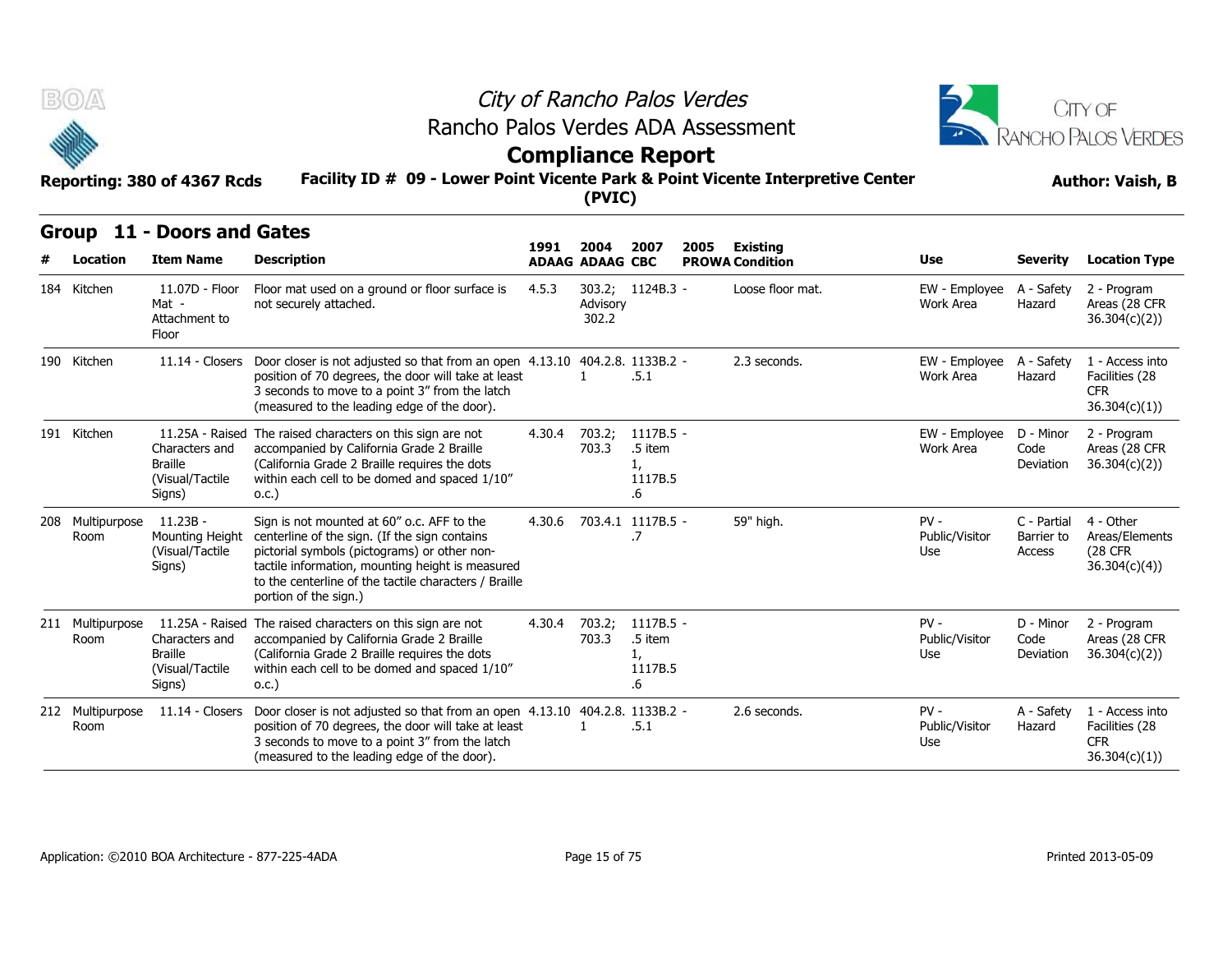



## **Facility ID # 09 - Lower Point Vicente Park & Point Vicente Interpretive Center Reporting: 380 of 4367 Rcds Author: Vaish, B Compliance Report**

| BOA                      | Reporting: 380 of 4367 Rcds                                   | Rancho Palos Verdes ADA Assessment<br>Facility ID # 09 - Lower Point Vicente Park & Point Vicente Interpretive Center                                                                                                                                                             |        |                                          | City of Rancho Palos Verdes<br><b>Compliance Report</b> |      |                                           |                                 |                                     | CITY OF<br><b>RANCHO PALOS VERDES</b><br><b>Author: Vaish, B</b> |
|--------------------------|---------------------------------------------------------------|-----------------------------------------------------------------------------------------------------------------------------------------------------------------------------------------------------------------------------------------------------------------------------------|--------|------------------------------------------|---------------------------------------------------------|------|-------------------------------------------|---------------------------------|-------------------------------------|------------------------------------------------------------------|
| Location                 | Group 11 - Doors and Gates<br><b>Item Name</b>                | <b>Description</b>                                                                                                                                                                                                                                                                | 1991   | (PVIC)<br>2004<br><b>ADAAG ADAAG CBC</b> | 2007                                                    | 2005 | <b>Existing</b><br><b>PROWA Condition</b> | Use                             | <b>Severity</b>                     | <b>Location Type</b>                                             |
| 184 Kitchen              | 11.07D - Floor<br>Mat -<br>Attachment to<br>Floor             | Floor mat used on a ground or floor surface is<br>not securely attached.                                                                                                                                                                                                          | 4.5.3  | Advisory<br>302.2                        | 303.2; 1124B.3 -                                        |      | Loose floor mat.                          | EW - Employee<br>Work Area      | A - Safety<br>Hazard                | 2 - Program<br>Areas (28 CFR<br>36.304(c)(2)                     |
| 190 Kitchen              |                                                               | 11.14 - Closers Door closer is not adjusted so that from an open 4.13.10 404.2.8. 1133B.2 -<br>position of 70 degrees, the door will take at least<br>3 seconds to move to a point 3" from the latch<br>(measured to the leading edge of the door).                               |        |                                          | .5.1                                                    |      | 2.3 seconds.                              | EW - Employee<br>Work Area      | A - Safety<br>Hazard                | 1 - Access into<br>Facilities (28<br><b>CFR</b><br>36.304(c)(1)) |
| 191 Kitchen              | Characters and<br><b>Braille</b><br>(Visual/Tactile<br>Signs) | 11.25A - Raised The raised characters on this sign are not<br>accompanied by California Grade 2 Braille<br>(California Grade 2 Braille requires the dots<br>within each cell to be domed and spaced 1/10"<br>0.C.)                                                                | 4.30.4 | 703.2;<br>703.3                          | 1117B.5 -<br>.5 item<br>1,<br>1117B.5<br>.6             |      |                                           | EW - Employee<br>Work Area      | D - Minor<br>Code<br>Deviation      | 2 - Program<br>Areas (28 CFR<br>36.304(c)(2)                     |
| 208 Multipurpose<br>Room | $11.23B -$<br>Mounting Height<br>(Visual/Tactile<br>Signs)    | Sign is not mounted at 60" o.c. AFF to the<br>centerline of the sign. (If the sign contains<br>pictorial symbols (pictograms) or other non-<br>tactile information, mounting height is measured<br>to the centerline of the tactile characters / Braille<br>portion of the sign.) |        |                                          | 4.30.6 703.4.1 1117B.5 -<br>.7                          |      | 59" high.                                 | $PV -$<br>Public/Visitor<br>Use | C - Partial<br>Barrier to<br>Access | 4 - Other<br>Areas/Elements<br><b>(28 CFR)</b><br>36.304(c)(4)   |
| 211 Multipurpose<br>Room | Characters and<br><b>Braille</b><br>(Visual/Tactile<br>Signs) | 11.25A - Raised The raised characters on this sign are not<br>accompanied by California Grade 2 Braille<br>(California Grade 2 Braille requires the dots<br>within each cell to be domed and spaced 1/10"<br>0.C.)                                                                | 4.30.4 | 703.2;<br>703.3                          | $1117B.5 -$<br>.5 item<br>1,<br>1117B.5<br>.6           |      |                                           | $PV -$<br>Public/Visitor<br>Use | D - Minor<br>Code<br>Deviation      | 2 - Program<br>Areas (28 CFR<br>36.304(c)(2)                     |
| 212 Multipurpose<br>Room | $11.14 - Closters$                                            | Door closer is not adjusted so that from an open 4.13.10 404.2.8. 1133B.2 -<br>position of 70 degrees, the door will take at least<br>3 seconds to move to a point 3" from the latch<br>(measured to the leading edge of the door).                                               |        | $\mathbf{1}$                             | .5.1                                                    |      | 2.6 seconds.                              | $PV -$<br>Public/Visitor<br>Use | A - Safety<br>Hazard                | 1 - Access into<br>Facilities (28<br><b>CFR</b><br>36.304(c)(1)  |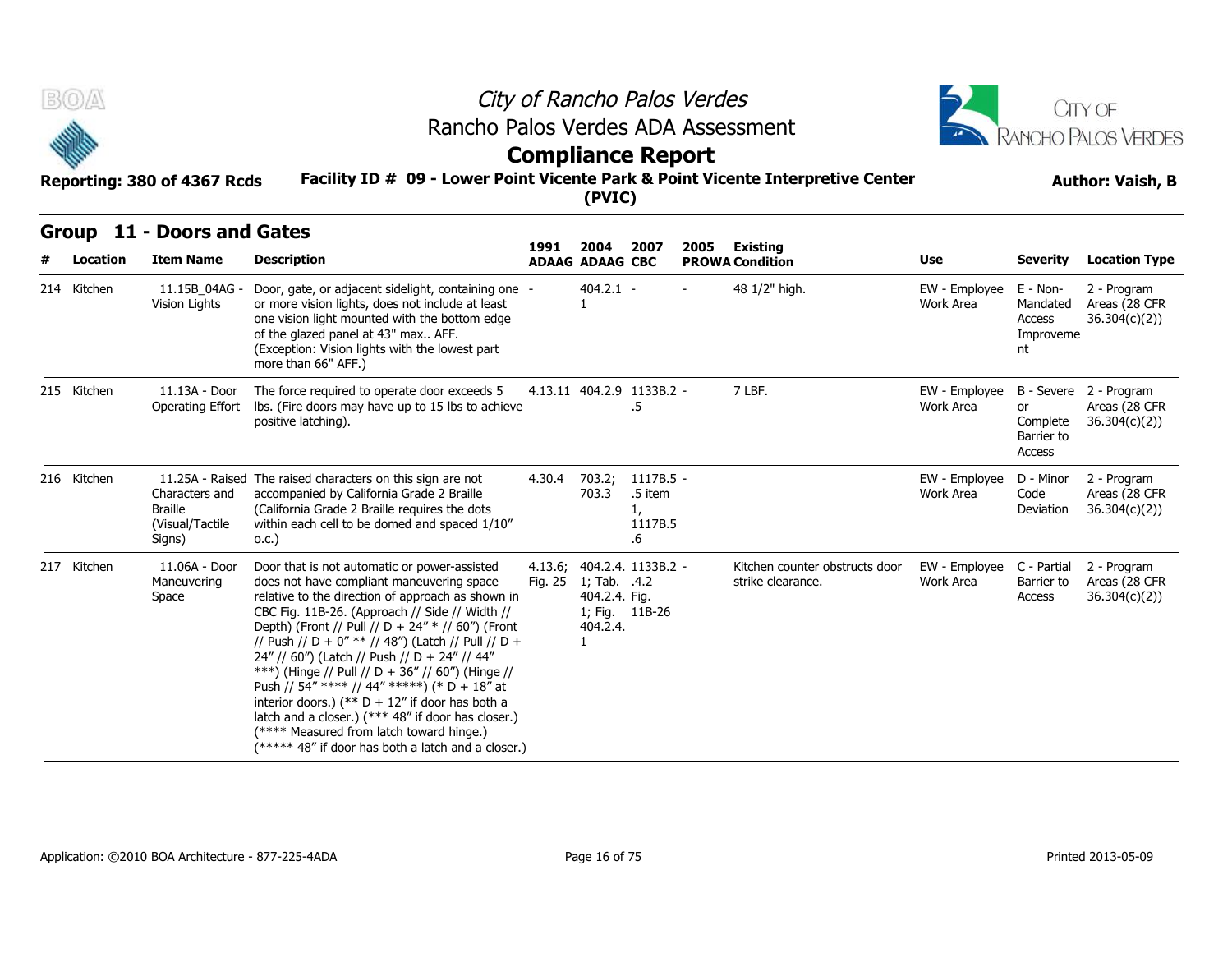



# **Compliance Report**



|  | Group 11 - Doors and Gates |  |
|--|----------------------------|--|
|--|----------------------------|--|

| <b>BOA</b> |                         | Reporting: 380 of 4367 Rcds                                   | Rancho Palos Verdes ADA Assessment<br>Facility ID # 09 - Lower Point Vicente Park & Point Vicente Interpretive Center                                                                                                                                                                                                                                                                                                                                                                                                                                                                                                                                                          |         | (PVIC)                                                    | City of Rancho Palos Verdes<br><b>Compliance Report</b> |      |                                                     |                                          |                                                                      | CITY OF<br><b>RANCHO PALOS VERDES</b><br><b>Author: Vaish, B</b>     |
|------------|-------------------------|---------------------------------------------------------------|--------------------------------------------------------------------------------------------------------------------------------------------------------------------------------------------------------------------------------------------------------------------------------------------------------------------------------------------------------------------------------------------------------------------------------------------------------------------------------------------------------------------------------------------------------------------------------------------------------------------------------------------------------------------------------|---------|-----------------------------------------------------------|---------------------------------------------------------|------|-----------------------------------------------------|------------------------------------------|----------------------------------------------------------------------|----------------------------------------------------------------------|
|            |                         | Group 11 - Doors and Gates                                    |                                                                                                                                                                                                                                                                                                                                                                                                                                                                                                                                                                                                                                                                                | 1991    | 2004                                                      | 2007                                                    | 2005 | Existing                                            |                                          |                                                                      |                                                                      |
|            | Location<br>214 Kitchen | <b>Item Name</b><br>11.15B 04AG ·<br>Vision Lights            | <b>Description</b><br>Door, gate, or adjacent sidelight, containing one -<br>or more vision lights, does not include at least<br>one vision light mounted with the bottom edge<br>of the glazed panel at 43" max AFF.<br>(Exception: Vision lights with the lowest part<br>more than 66" AFF.)                                                                                                                                                                                                                                                                                                                                                                                 |         | <b>ADAAG ADAAG CBC</b><br>$404.2.1 -$<br>1                |                                                         |      | <b>PROWA Condition</b><br>48 1/2" high.             | <b>Use</b><br>EW - Employee<br>Work Area | <b>Severity</b><br>E - Non-<br>Mandated<br>Access<br>Improveme<br>nt | <b>Location Type</b><br>2 - Program<br>Areas (28 CFR<br>36.304(c)(2) |
|            | 215 Kitchen             | 11.13A - Door<br>Operating Effort                             | The force required to operate door exceeds 5<br>lbs. (Fire doors may have up to 15 lbs to achieve<br>positive latching).                                                                                                                                                                                                                                                                                                                                                                                                                                                                                                                                                       |         |                                                           | 4.13.11 404.2.9 1133B.2 -<br>.5                         |      | 7 LBF.                                              | EW - Employee<br>Work Area               | or<br>Complete<br>Barrier to<br>Access                               | B - Severe 2 - Program<br>Areas (28 CFR<br>36.304(c)(2)              |
|            | 216 Kitchen             | Characters and<br><b>Braille</b><br>(Visual/Tactile<br>Signs) | 11.25A - Raised The raised characters on this sign are not<br>accompanied by California Grade 2 Braille<br>(California Grade 2 Braille requires the dots<br>within each cell to be domed and spaced 1/10"<br>0.C.)                                                                                                                                                                                                                                                                                                                                                                                                                                                             | 4.30.4  | 703.2;<br>703.3                                           | 1117B.5 -<br>.5 item<br>1,<br>1117B.5<br>.6             |      |                                                     | EW - Employee<br>Work Area               | D - Minor<br>Code<br>Deviation                                       | 2 - Program<br>Areas (28 CFR<br>36.304(c)(2)                         |
|            | 217 Kitchen             | 11.06A - Door<br>Maneuvering<br>Space                         | Door that is not automatic or power-assisted<br>does not have compliant maneuvering space<br>relative to the direction of approach as shown in<br>CBC Fig. 11B-26. (Approach // Side // Width //<br>Depth) (Front // Pull // D + 24" * // 60") (Front<br>// Push // D + 0" ** // 48") (Latch // Pull // D +<br>24" // 60") (Latch // Push // D + 24" // 44"<br>***) (Hinge // Pull // D + 36" // 60") (Hinge //<br>Push // 54" **** // 44" *****) (* D + 18" at<br>interior doors.) (** $D + 12$ " if door has both a<br>latch and a closer.) (*** 48" if door has closer.)<br>(**** Measured from latch toward hinge.)<br>$(****$ 48" if door has both a latch and a closer.) | Fig. 25 | 1; Tab. .4.2<br>404.2.4. Fig.<br>404.2.4.<br>$\mathbf{1}$ | 4.13.6; 404.2.4. 1133B.2 -<br>1; Fig. 11B-26            |      | Kitchen counter obstructs door<br>strike clearance. | EW - Employee<br>Work Area               | C - Partial<br>Barrier to<br>Access                                  | 2 - Program<br>Areas (28 CFR<br>36.304(c)(2)                         |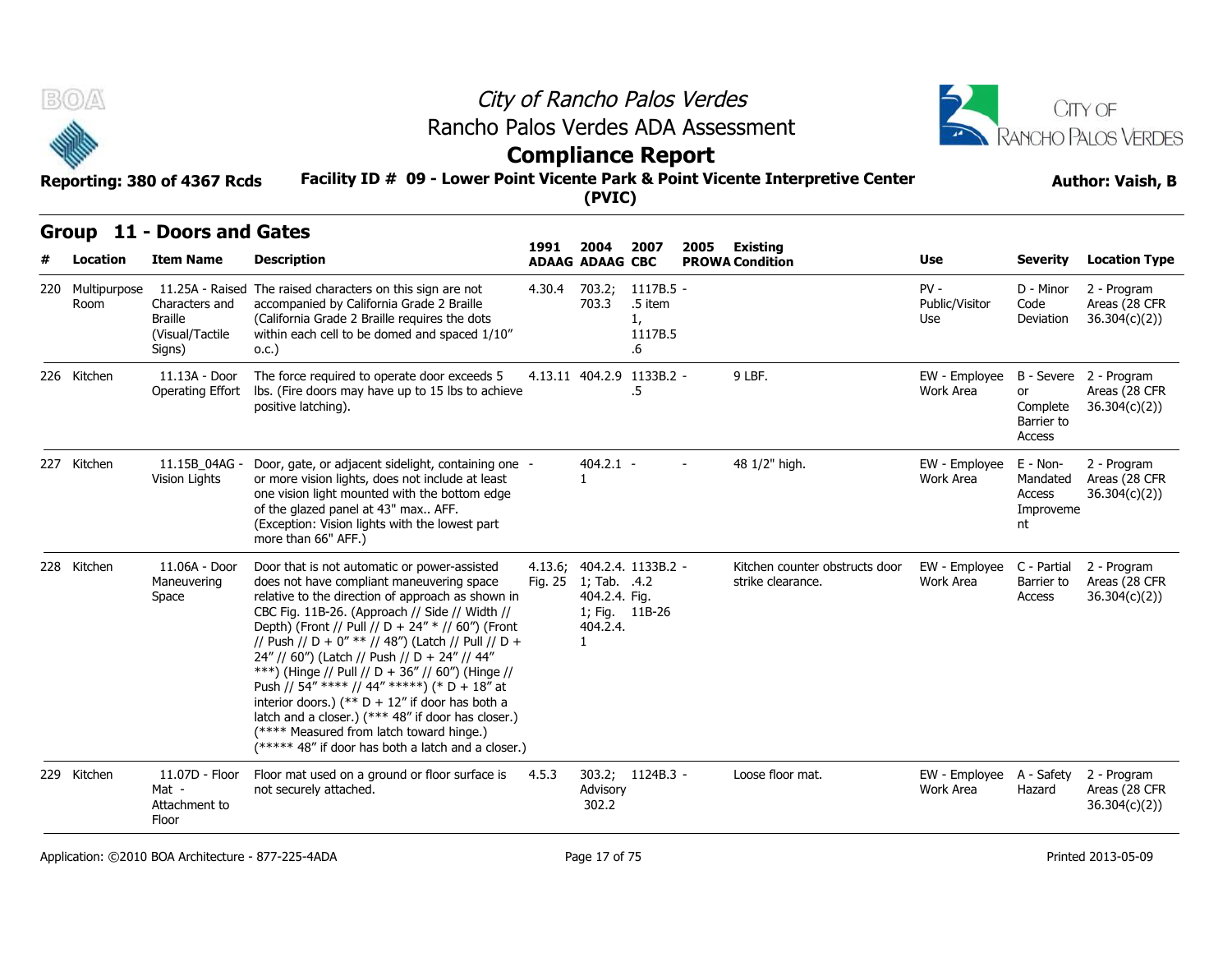



## **Compliance Report**

#### **Facility ID # 09 - Lower Point Vicente Park & Point Vicente Interpretive Center Reporting: 380 of 4367 Rcds Author: Vaish, B**

|     | B(0/A)               | Reporting: 380 of 4367 Rcds                                   | Rancho Palos Verdes ADA Assessment<br>Facility ID # 09 - Lower Point Vicente Park & Point Vicente Interpretive Center                                                                                                                                                                                                                                                                                                                                                                                                                                                                                                                                                          |                    | (PVIC)                                                                      | City of Rancho Palos Verdes<br><b>Compliance Report</b>   |      |                                                     |                                       |                                                     | CITY OF<br>RANCHO PALOS VERDES<br><b>Author: Vaish, B</b> |
|-----|----------------------|---------------------------------------------------------------|--------------------------------------------------------------------------------------------------------------------------------------------------------------------------------------------------------------------------------------------------------------------------------------------------------------------------------------------------------------------------------------------------------------------------------------------------------------------------------------------------------------------------------------------------------------------------------------------------------------------------------------------------------------------------------|--------------------|-----------------------------------------------------------------------------|-----------------------------------------------------------|------|-----------------------------------------------------|---------------------------------------|-----------------------------------------------------|-----------------------------------------------------------|
|     | Location             | Group 11 - Doors and Gates<br><b>Item Name</b>                | <b>Description</b>                                                                                                                                                                                                                                                                                                                                                                                                                                                                                                                                                                                                                                                             | 1991               | 2004<br><b>ADAAG ADAAG CBC</b>                                              | 2007                                                      | 2005 | <b>Existing</b><br><b>PROWA Condition</b>           | Use                                   | <b>Severity</b>                                     | <b>Location Type</b>                                      |
| 220 | Multipurpose<br>Room | Characters and<br><b>Braille</b><br>(Visual/Tactile<br>Signs) | 11.25A - Raised The raised characters on this sign are not<br>accompanied by California Grade 2 Braille<br>(California Grade 2 Braille requires the dots<br>within each cell to be domed and spaced 1/10"<br>0.C.)                                                                                                                                                                                                                                                                                                                                                                                                                                                             |                    | 703.3                                                                       | 4.30.4 703.2; 1117B.5 -<br>.5 item<br>1,<br>1117B.5<br>.6 |      |                                                     | $PV -$<br>Public/Visitor<br>Use       | D - Minor<br>Code<br>Deviation                      | 2 - Program<br>Areas (28 CFR<br>36.304(c)(2)              |
|     | 226 Kitchen          | 11.13A - Door<br>Operating Effort                             | The force required to operate door exceeds 5<br>Ibs. (Fire doors may have up to 15 lbs to achieve<br>positive latching).                                                                                                                                                                                                                                                                                                                                                                                                                                                                                                                                                       |                    |                                                                             | 4.13.11 404.2.9 1133B.2 -<br>.5                           |      | 9 LBF.                                              | EW - Employee<br>Work Area            | or<br>Complete<br>Barrier to<br>Access              | B - Severe 2 - Program<br>Areas (28 CFR<br>36.304(c)(2)   |
|     | 227 Kitchen          | 11.15B 04AG -<br>Vision Lights                                | Door, gate, or adjacent sidelight, containing one -<br>or more vision lights, does not include at least<br>one vision light mounted with the bottom edge<br>of the glazed panel at 43" max AFF.<br>(Exception: Vision lights with the lowest part<br>more than 66" AFF.)                                                                                                                                                                                                                                                                                                                                                                                                       |                    | 404.2.1 -<br>$\mathbf{1}$                                                   |                                                           |      | 48 1/2" high.                                       | EW - Employee<br>Work Area            | $E - Non-$<br>Mandated<br>Access<br>Improveme<br>nt | 2 - Program<br>Areas (28 CFR<br>36.304(c)(2)              |
|     | 228 Kitchen          | 11.06A - Door<br>Maneuvering<br>Space                         | Door that is not automatic or power-assisted<br>does not have compliant maneuvering space<br>relative to the direction of approach as shown in<br>CBC Fig. 11B-26. (Approach // Side // Width //<br>Depth) (Front // Pull // D + 24" * // 60") (Front<br>// Push // D + 0" ** // 48") (Latch // Pull // D +<br>24" // 60") (Latch // Push // D + 24" // 44"<br>***) (Hinge // Pull // D + 36" // 60") (Hinge //<br>Push // 54" **** // 44" *****) (* D + 18" at<br>interior doors.) (** $D + 12$ " if door has both a<br>latch and a closer.) (*** 48" if door has closer.)<br>(**** Measured from latch toward hinge.)<br>$(*****48"$ if door has both a latch and a closer.) | 4.13.6;<br>Fig. 25 | 1; Tab. .4.2<br>404.2.4. Fig.<br>1; Fig. 11B-26<br>404.2.4.<br>$\mathbf{1}$ | 404.2.4. 1133B.2 -                                        |      | Kitchen counter obstructs door<br>strike clearance. | EW - Employee<br>Work Area            | C - Partial<br>Barrier to<br>Access                 | 2 - Program<br>Areas (28 CFR<br>36.304(c)(2))             |
|     | 229 Kitchen          | 11.07D - Floor<br>Mat -<br>Attachment to<br>Floor             | Floor mat used on a ground or floor surface is<br>not securely attached.                                                                                                                                                                                                                                                                                                                                                                                                                                                                                                                                                                                                       | 4.5.3              | Advisory<br>302.2                                                           | 303.2; 1124B.3 -                                          |      | Loose floor mat.                                    | EW - Employee A - Safety<br>Work Area | Hazard                                              | 2 - Program<br>Areas (28 CFR<br>36.304(c)(2)              |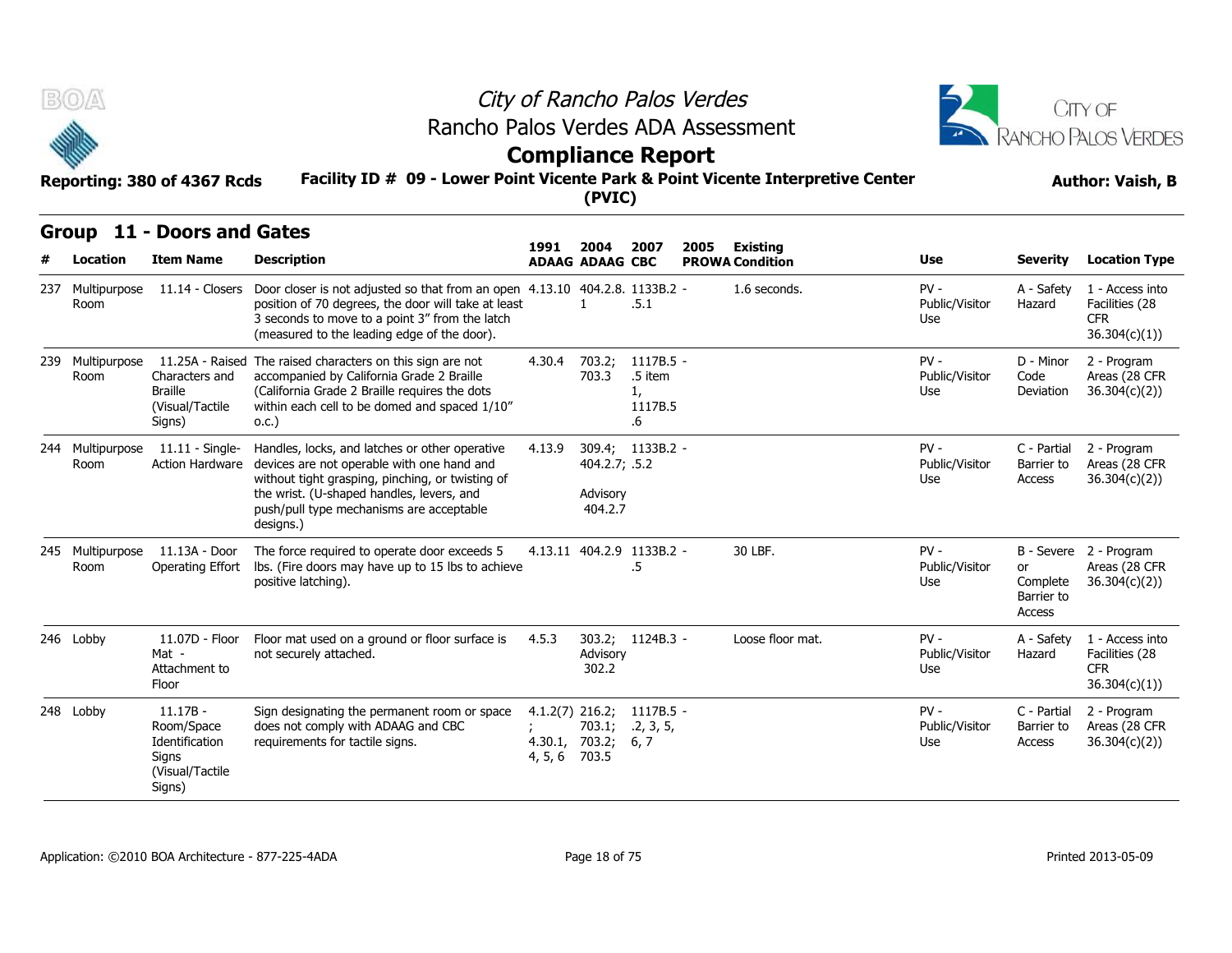



## **Compliance Report**

#### **Facility ID # 09 - Lower Point Vicente Park & Point Vicente Interpretive Center Reporting: 380 of 4367 Rcds Author: Vaish, B**

|     | <b>BOA</b>               | Reporting: 380 of 4367 Rcds                                                      | Rancho Palos Verdes ADA Assessment<br>Facility ID # 09 - Lower Point Vicente Park & Point Vicente Interpretive Center                                                                                                                                  |                                                      | (PVIC)                               | City of Rancho Palos Verdes<br><b>Compliance Report</b> |      |                                           |                                 |                                        | CITY OF<br><b>RANCHO PALOS VERDES</b><br><b>Author: Vaish, B</b> |
|-----|--------------------------|----------------------------------------------------------------------------------|--------------------------------------------------------------------------------------------------------------------------------------------------------------------------------------------------------------------------------------------------------|------------------------------------------------------|--------------------------------------|---------------------------------------------------------|------|-------------------------------------------|---------------------------------|----------------------------------------|------------------------------------------------------------------|
|     | Group<br>Location        | 11 - Doors and Gates<br><b>Item Name</b>                                         | <b>Description</b>                                                                                                                                                                                                                                     | 1991                                                 | 2004<br><b>ADAAG ADAAG CBC</b>       | 2007                                                    | 2005 | <b>Existing</b><br><b>PROWA Condition</b> | Use                             | <b>Severity</b>                        | <b>Location Type</b>                                             |
| 237 | Multipurpose<br>Room     |                                                                                  | 11.14 - Closers Door closer is not adjusted so that from an open 4.13.10 404.2.8. 1133B.2 -<br>position of 70 degrees, the door will take at least<br>3 seconds to move to a point 3" from the latch<br>(measured to the leading edge of the door).    |                                                      | $\mathbf{1}$                         | .5.1                                                    |      | 1.6 seconds.                              | $PV -$<br>Public/Visitor<br>Use | A - Safety<br>Hazard                   | 1 - Access into<br>Facilities (28<br><b>CFR</b><br>36.304(c)(1)) |
| 239 | Multipurpose<br>Room     | Characters and<br><b>Braille</b><br>(Visual/Tactile<br>Signs)                    | 11.25A - Raised The raised characters on this sign are not<br>accompanied by California Grade 2 Braille<br>(California Grade 2 Braille requires the dots<br>within each cell to be domed and spaced 1/10"<br>0.C.)                                     | 4.30.4                                               | 703.2;<br>703.3                      | 1117B.5 -<br>.5 item<br>1,<br>1117B.5<br>$.6\,$         |      |                                           | $PV -$<br>Public/Visitor<br>Use | D - Minor<br>Code<br>Deviation         | 2 - Program<br>Areas (28 CFR<br>36.304(c)(2)                     |
|     | 244 Multipurpose<br>Room | $11.11 -$ Single-<br><b>Action Hardware</b>                                      | Handles, locks, and latches or other operative<br>devices are not operable with one hand and<br>without tight grasping, pinching, or twisting of<br>the wrist. (U-shaped handles, levers, and<br>push/pull type mechanisms are acceptable<br>designs.) | 4.13.9                                               | 404.2.7; .5.2<br>Advisory<br>404.2.7 | 309.4; 1133B.2 -                                        |      |                                           | $PV -$<br>Public/Visitor<br>Use | C - Partial<br>Barrier to<br>Access    | 2 - Program<br>Areas (28 CFR<br>36.304(c)(2)                     |
| 245 | Multipurpose<br>Room     | 11.13A - Door<br>Operating Effort                                                | The force required to operate door exceeds 5<br>Ibs. (Fire doors may have up to 15 lbs to achieve<br>positive latching).                                                                                                                               |                                                      |                                      | 4.13.11 404.2.9 1133B.2 -<br>.5                         |      | 30 LBF.                                   | $PV -$<br>Public/Visitor<br>Use | or<br>Complete<br>Barrier to<br>Access | B - Severe 2 - Program<br>Areas (28 CFR<br>36.304(c)(2)          |
|     | 246 Lobby                | 11.07D - Floor<br>Mat -<br>Attachment to<br>Floor                                | Floor mat used on a ground or floor surface is<br>not securely attached.                                                                                                                                                                               | 4.5.3                                                | 303.2;<br>Advisory<br>302.2          | 1124B.3 -                                               |      | Loose floor mat.                          | $PV -$<br>Public/Visitor<br>Use | A - Safety<br>Hazard                   | 1 - Access into<br>Facilities (28<br><b>CFR</b><br>36.304(c)(1)) |
|     | 248 Lobby                | $11.17B -$<br>Room/Space<br>Identification<br>Signs<br>(Visual/Tactile<br>Signs) | Sign designating the permanent room or space<br>does not comply with ADAAG and CBC<br>requirements for tactile signs.                                                                                                                                  | $4.1.2(7)$ 216.2;<br>4.30.1, 703.2;<br>4, 5, 6 703.5 | 703.1;                               | 1117B.5 -<br>.2, 3, 5,<br>6, 7                          |      |                                           | $PV -$<br>Public/Visitor<br>Use | C - Partial<br>Barrier to<br>Access    | 2 - Program<br>Areas (28 CFR<br>36.304(c)(2)                     |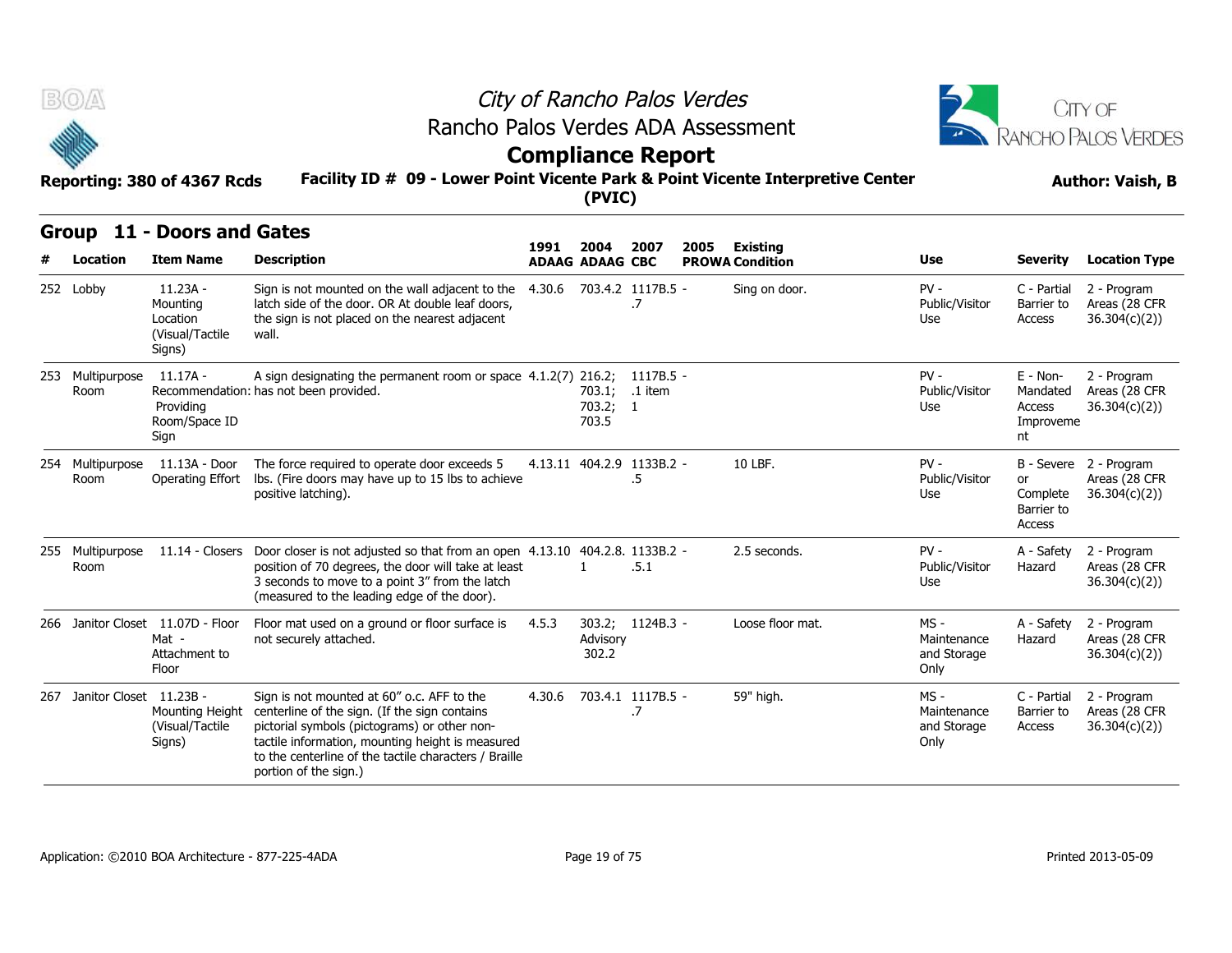



# **Compliance Report**

#### **Facility ID # 09 - Lower Point Vicente Park & Point Vicente Interpretive Center Reporting: 380 of 4367 Rcds Author: Vaish, B**

|     | B(0)                        | Reporting: 380 of 4367 Rcds                                          | Rancho Palos Verdes ADA Assessment<br>Facility ID # 09 - Lower Point Vicente Park & Point Vicente Interpretive Center                                                                                                                                                             | <b>Compliance Report</b> |                                |                                 | City of Rancho Palos Verdes |                                           |                                              |                                                   | CITY OF<br>RANCHO PALOS VERDES<br><b>Author: Vaish, B</b> |
|-----|-----------------------------|----------------------------------------------------------------------|-----------------------------------------------------------------------------------------------------------------------------------------------------------------------------------------------------------------------------------------------------------------------------------|--------------------------|--------------------------------|---------------------------------|-----------------------------|-------------------------------------------|----------------------------------------------|---------------------------------------------------|-----------------------------------------------------------|
|     |                             |                                                                      |                                                                                                                                                                                                                                                                                   |                          | (PVIC)                         |                                 |                             |                                           |                                              |                                                   |                                                           |
|     | Group<br>Location           | 11 - Doors and Gates<br><b>Item Name</b>                             | <b>Description</b>                                                                                                                                                                                                                                                                | 1991                     | 2004<br><b>ADAAG ADAAG CBC</b> | 2007                            | 2005                        | <b>Existing</b><br><b>PROWA Condition</b> | Use                                          | <b>Severity</b>                                   | <b>Location Type</b>                                      |
|     | 252 Lobby                   | $11.23A -$<br>Mounting<br>Location<br>(Visual/Tactile<br>Signs)      | Sign is not mounted on the wall adjacent to the<br>latch side of the door. OR At double leaf doors,<br>the sign is not placed on the nearest adjacent<br>wall.                                                                                                                    | 4.30.6                   |                                | 703.4.2 1117B.5 -<br>.7         |                             | Sing on door.                             | $PV -$<br>Public/Visitor<br>Use              | C - Partial<br>Barrier to<br>Access               | 2 - Program<br>Areas (28 CFR<br>36.304(c)(2)              |
|     | 253 Multipurpose<br>Room    | $11.17A -$<br>Providing<br>Room/Space ID<br>Sign                     | A sign designating the permanent room or space 4.1.2(7) 216.2;<br>Recommendation: has not been provided.                                                                                                                                                                          |                          | 703.1;<br>703.2; 1<br>703.5    | 1117B.5 -<br>.1 item            |                             |                                           | $PV -$<br>Public/Visitor<br>Use              | E - Non-<br>Mandated<br>Access<br>Improveme<br>nt | 2 - Program<br>Areas (28 CFR<br>36.304(c)(2)              |
| 254 | Multipurpose<br>Room        | 11.13A - Door<br>Operating Effort                                    | The force required to operate door exceeds 5<br>lbs. (Fire doors may have up to 15 lbs to achieve<br>positive latching).                                                                                                                                                          |                          |                                | 4.13.11 404.2.9 1133B.2 -<br>.5 |                             | 10 LBF.                                   | $PV -$<br>Public/Visitor<br>Use              | or<br>Complete<br>Barrier to<br>Access            | B - Severe 2 - Program<br>Areas (28 CFR<br>36.304(c)(2)   |
|     | 255 Multipurpose<br>Room    |                                                                      | 11.14 - Closers Door closer is not adjusted so that from an open 4.13.10 404.2.8. 1133B.2 -<br>position of 70 degrees, the door will take at least<br>3 seconds to move to a point 3" from the latch<br>(measured to the leading edge of the door).                               |                          | 1                              | .5.1                            |                             | 2.5 seconds.                              | $PV -$<br>Public/Visitor<br>Use              | A - Safety<br>Hazard                              | 2 - Program<br>Areas (28 CFR<br>36.304(c)(2)              |
|     |                             | 266 Janitor Closet 11.07D - Floor<br>Mat -<br>Attachment to<br>Floor | Floor mat used on a ground or floor surface is<br>not securely attached.                                                                                                                                                                                                          | 4.5.3                    | Advisory<br>302.2              | 303.2; 1124B.3 -                |                             | Loose floor mat.                          | $MS -$<br>Maintenance<br>and Storage<br>Only | A - Safety<br>Hazard                              | 2 - Program<br>Areas (28 CFR<br>36.304(c)(2)              |
|     | 267 Janitor Closet 11.23B - | Mounting Height<br>(Visual/Tactile<br>Signs)                         | Sign is not mounted at 60" o.c. AFF to the<br>centerline of the sign. (If the sign contains<br>pictorial symbols (pictograms) or other non-<br>tactile information, mounting height is measured<br>to the centerline of the tactile characters / Braille<br>portion of the sign.) | 4.30.6                   |                                | 703.4.1 1117B.5 -<br>.7         |                             | 59" high.                                 | $MS -$<br>Maintenance<br>and Storage<br>Only | C - Partial<br>Barrier to<br>Access               | 2 - Program<br>Areas (28 CFR<br>36.304(c)(2)              |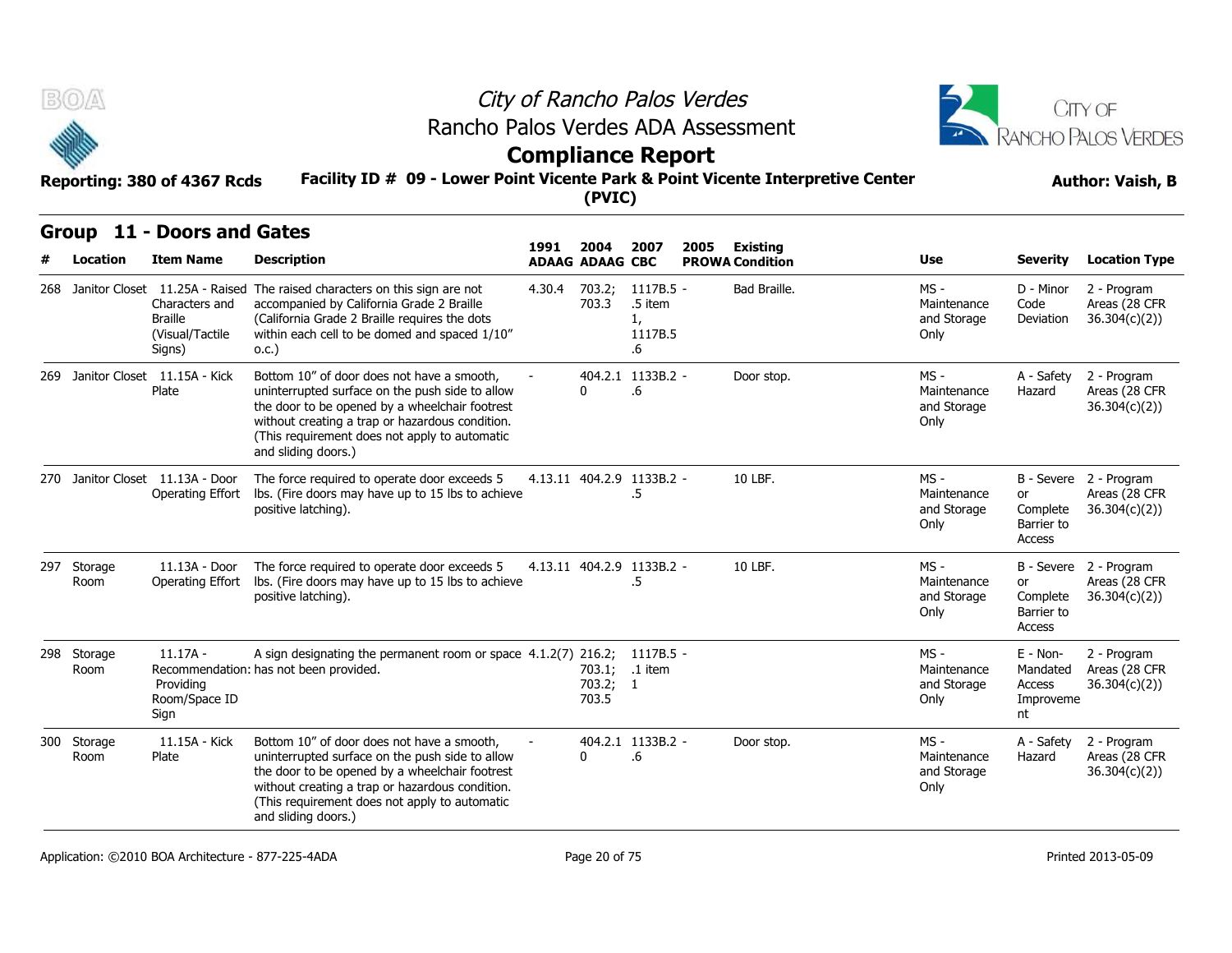



# **Compliance Report**

#### **Facility ID # 09 - Lower Point Vicente Park & Point Vicente Interpretive Center Reporting: 380 of 4367 Rcds Author: Vaish, B**

| B(0)                |                                                                                                     |                                                                                                                                                                                                                                                                            |        |                                |                                             | City of Rancho Palos Verdes                                                     |                                              |                                                     | <b>CITY OF</b>                                          |
|---------------------|-----------------------------------------------------------------------------------------------------|----------------------------------------------------------------------------------------------------------------------------------------------------------------------------------------------------------------------------------------------------------------------------|--------|--------------------------------|---------------------------------------------|---------------------------------------------------------------------------------|----------------------------------------------|-----------------------------------------------------|---------------------------------------------------------|
|                     |                                                                                                     |                                                                                                                                                                                                                                                                            |        |                                |                                             | Rancho Palos Verdes ADA Assessment                                              |                                              |                                                     | RANCHO PALOS VERDES                                     |
|                     | Reporting: 380 of 4367 Rcds                                                                         |                                                                                                                                                                                                                                                                            |        | (PVIC)                         | <b>Compliance Report</b>                    | Facility ID # 09 - Lower Point Vicente Park & Point Vicente Interpretive Center | <b>Author: Vaish, B</b>                      |                                                     |                                                         |
|                     | Group 11 - Doors and Gates                                                                          |                                                                                                                                                                                                                                                                            | 1991   |                                | 2007                                        |                                                                                 |                                              |                                                     |                                                         |
| Location            | <b>Item Name</b>                                                                                    | <b>Description</b>                                                                                                                                                                                                                                                         |        | 2004<br><b>ADAAG ADAAG CBC</b> |                                             | 2005<br>Existing<br><b>PROWA Condition</b>                                      | Use                                          | <b>Severity</b>                                     | <b>Location Type</b>                                    |
|                     | 268 Janitor Closet 11.25A - Raised<br>Characters and<br><b>Braille</b><br>(Visual/Tactile<br>Signs) | The raised characters on this sign are not<br>accompanied by California Grade 2 Braille<br>(California Grade 2 Braille requires the dots<br>within each cell to be domed and spaced 1/10"<br>0.C.)                                                                         | 4.30.4 | 703.2;<br>703.3                | 1117B.5 -<br>.5 item<br>1,<br>1117B.5<br>.6 | Bad Braille.                                                                    | $MS -$<br>Maintenance<br>and Storage<br>Only | D - Minor<br>Code<br>Deviation                      | 2 - Program<br>Areas (28 CFR<br>36.304(c)(2))           |
|                     | 269 Janitor Closet 11.15A - Kick<br>Plate                                                           | Bottom 10" of door does not have a smooth,<br>uninterrupted surface on the push side to allow<br>the door to be opened by a wheelchair footrest<br>without creating a trap or hazardous condition.<br>(This requirement does not apply to automatic<br>and sliding doors.) |        | 0                              | 404.2.1 1133B.2 -<br>.6                     | Door stop.                                                                      | MS -<br>Maintenance<br>and Storage<br>Only   | A - Safety<br>Hazard                                | 2 - Program<br>Areas (28 CFR<br>36.304(c)(2))           |
|                     | 270 Janitor Closet 11.13A - Door<br>Operating Effort                                                | The force required to operate door exceeds 5<br>lbs. (Fire doors may have up to 15 lbs to achieve<br>positive latching).                                                                                                                                                   |        |                                | 4.13.11 404.2.9 1133B.2 -<br>.5             | 10 LBF.                                                                         | MS -<br>Maintenance<br>and Storage<br>Only   | or<br>Complete<br>Barrier to<br>Access              | B - Severe 2 - Program<br>Areas (28 CFR<br>36.304(c)(2) |
| 297 Storage<br>Room | 11.13A - Door<br>Operating Effort                                                                   | The force required to operate door exceeds 5<br>lbs. (Fire doors may have up to 15 lbs to achieve<br>positive latching).                                                                                                                                                   |        |                                | 4.13.11 404.2.9 1133B.2 -<br>$.5\,$         | 10 LBF.                                                                         | MS -<br>Maintenance<br>and Storage<br>Only   | or<br>Complete<br>Barrier to<br>Access              | B - Severe 2 - Program<br>Areas (28 CFR<br>36.304(c)(2) |
| 298 Storage<br>Room | $11.17A -$<br>Providing<br>Room/Space ID<br>Sign                                                    | A sign designating the permanent room or space 4.1.2(7) 216.2; 1117B.5 -<br>Recommendation: has not been provided.                                                                                                                                                         |        | 703.2; 1<br>703.5              | 703.1; .1 item                              |                                                                                 | $MS -$<br>Maintenance<br>and Storage<br>Only | $E - Non-$<br>Mandated<br>Access<br>Improveme<br>nt | 2 - Program<br>Areas (28 CFR<br>36.304(c)(2)            |
| 300 Storage<br>Room | 11.15A - Kick<br>Plate                                                                              | Bottom 10" of door does not have a smooth,<br>uninterrupted surface on the push side to allow<br>the door to be opened by a wheelchair footrest<br>without creating a trap or hazardous condition.<br>(This requirement does not apply to automatic<br>and sliding doors.) |        | 0                              | 404.2.1 1133B.2 -<br>.6                     | Door stop.                                                                      | MS -<br>Maintenance<br>and Storage<br>Only   | A - Safety<br>Hazard                                | 2 - Program<br>Areas (28 CFR<br>36.304(c)(2))           |
|                     | Application: C2010 BOA Architecture - 877-225-4ADA                                                  |                                                                                                                                                                                                                                                                            |        | Page 20 of 75                  |                                             |                                                                                 |                                              |                                                     | Printed 2013-05-09                                      |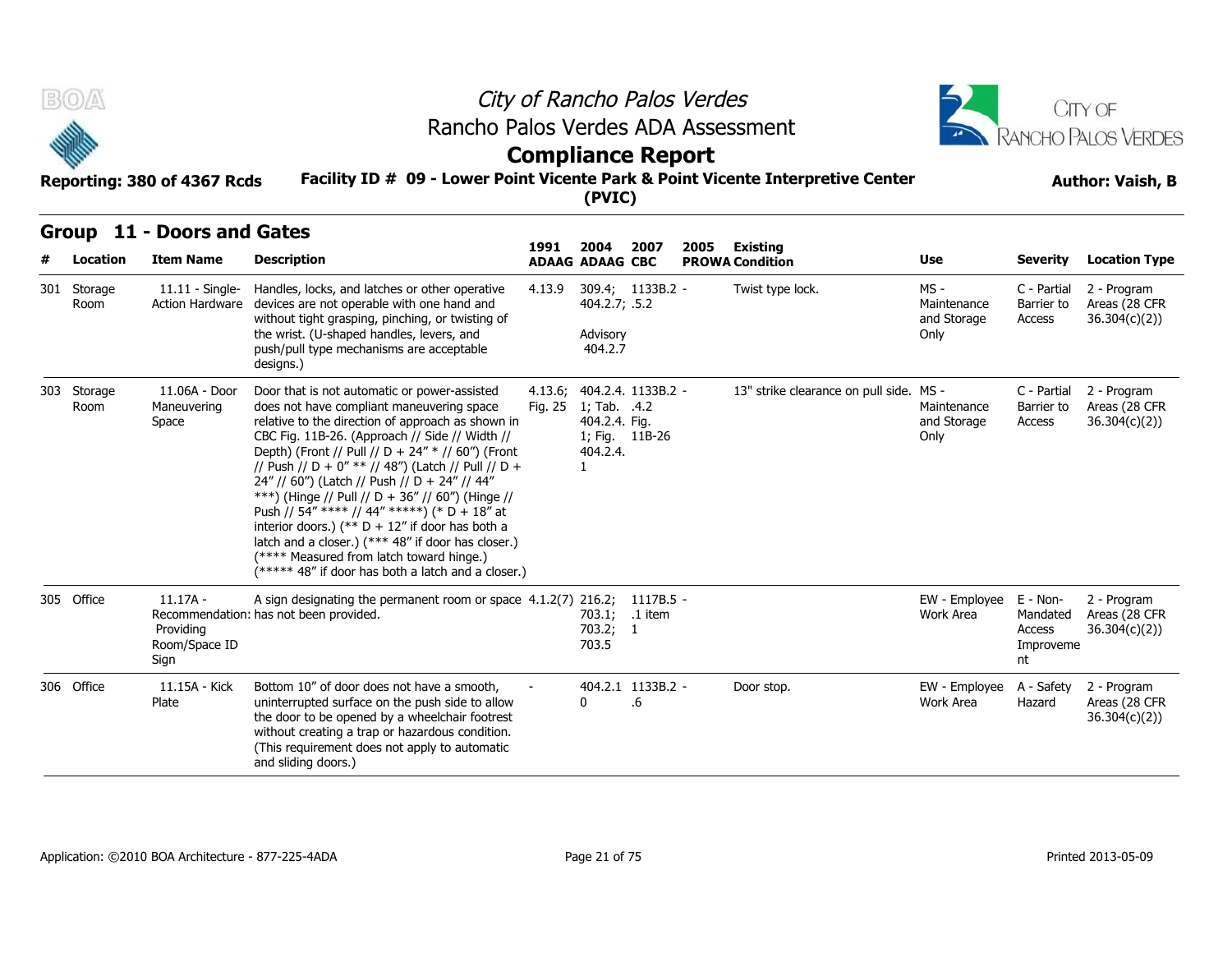



# **Compliance Report**

#### **Facility ID # 09 - Lower Point Vicente Park & Point Vicente Interpretive Center Reporting: 380 of 4367 Rcds Author: Vaish, B**

| B(0)                | Reporting: 380 of 4367 Rcds                      | Rancho Palos Verdes ADA Assessment<br>Facility ID # 09 - Lower Point Vicente Park & Point Vicente Interpretive Center                                                                                                                                                                                                                                                                                                                                                                                                                                                                                                                                                         |         | (PVIC)                                                    | City of Rancho Palos Verdes<br><b>Compliance Report</b> |      | CITY OF<br><b>RANCHO PALOS VERDES</b><br><b>Author: Vaish, B</b> |                                              |                                                   |                                               |
|---------------------|--------------------------------------------------|-------------------------------------------------------------------------------------------------------------------------------------------------------------------------------------------------------------------------------------------------------------------------------------------------------------------------------------------------------------------------------------------------------------------------------------------------------------------------------------------------------------------------------------------------------------------------------------------------------------------------------------------------------------------------------|---------|-----------------------------------------------------------|---------------------------------------------------------|------|------------------------------------------------------------------|----------------------------------------------|---------------------------------------------------|-----------------------------------------------|
| Location            | Group 11 - Doors and Gates<br><b>Item Name</b>   | <b>Description</b>                                                                                                                                                                                                                                                                                                                                                                                                                                                                                                                                                                                                                                                            | 1991    | 2004<br><b>ADAAG ADAAG CBC</b>                            | 2007                                                    | 2005 | Existing<br><b>PROWA Condition</b>                               | <b>Use</b>                                   | <b>Severity</b>                                   | <b>Location Type</b>                          |
| 301 Storage<br>Room | 11.11 - Single-<br>Action Hardware               | Handles, locks, and latches or other operative<br>devices are not operable with one hand and<br>without tight grasping, pinching, or twisting of<br>the wrist. (U-shaped handles, levers, and<br>push/pull type mechanisms are acceptable<br>designs.)                                                                                                                                                                                                                                                                                                                                                                                                                        | 4.13.9  | 404.2.7; .5.2<br>Advisory<br>404.2.7                      | 309.4; 1133B.2 -                                        |      | Twist type lock.                                                 | $MS -$<br>Maintenance<br>and Storage<br>Only | C - Partial<br>Barrier to<br>Access               | 2 - Program<br>Areas (28 CFR<br>36.304(c)(2)  |
| 303 Storage<br>Room | 11.06A - Door<br>Maneuvering<br>Space            | Door that is not automatic or power-assisted<br>does not have compliant maneuvering space<br>relative to the direction of approach as shown in<br>CBC Fig. 11B-26. (Approach // Side // Width //<br>Depth) (Front // Pull // D + 24" * // 60") (Front<br>// Push // D + 0" ** // 48") (Latch // Pull // D +<br>24" // 60") (Latch // Push // D + 24" // 44"<br>***) (Hinge // Pull // D + 36" // 60") (Hinge //<br>Push // 54" **** // 44" *****) (* D + 18" at<br>interior doors.) (** $D + 12$ " if door has both a<br>latch and a closer.) (*** 48" if door has closer.)<br>(**** Measured from latch toward hinge.)<br>(***** 48" if door has both a latch and a closer.) | Fig. 25 | 1; Tab. .4.2<br>404.2.4. Fig.<br>404.2.4.<br>$\mathbf{1}$ | 4.13.6; 404.2.4. 1133B.2 -<br>1; Fig. 11B-26            |      | 13" strike clearance on pull side. MS -                          | Maintenance<br>and Storage<br>Only           | C - Partial<br>Barrier to<br>Access               | 2 - Program<br>Areas (28 CFR<br>36.304(c)(2)) |
| 305 Office          | $11.17A -$<br>Providing<br>Room/Space ID<br>Sign | A sign designating the permanent room or space 4.1.2(7) 216.2; 1117B.5 -<br>Recommendation: has not been provided.                                                                                                                                                                                                                                                                                                                                                                                                                                                                                                                                                            |         | 703.1; .1 item<br>703.2; 1<br>703.5                       |                                                         |      |                                                                  | EW - Employee<br>Work Area                   | E - Non-<br>Mandated<br>Access<br>Improveme<br>nt | 2 - Program<br>Areas (28 CFR<br>36.304(c)(2)  |
| 306 Office          | 11.15A - Kick<br>Plate                           | Bottom 10" of door does not have a smooth,<br>uninterrupted surface on the push side to allow<br>the door to be opened by a wheelchair footrest<br>without creating a trap or hazardous condition.<br>(This requirement does not apply to automatic<br>and sliding doors.)                                                                                                                                                                                                                                                                                                                                                                                                    |         | $\Omega$                                                  | 404.2.1 1133B.2 -<br>.6                                 |      | Door stop.                                                       | EW - Employee<br>Work Area                   | A - Safety<br>Hazard                              | 2 - Program<br>Areas (28 CFR<br>36.304(c)(2)  |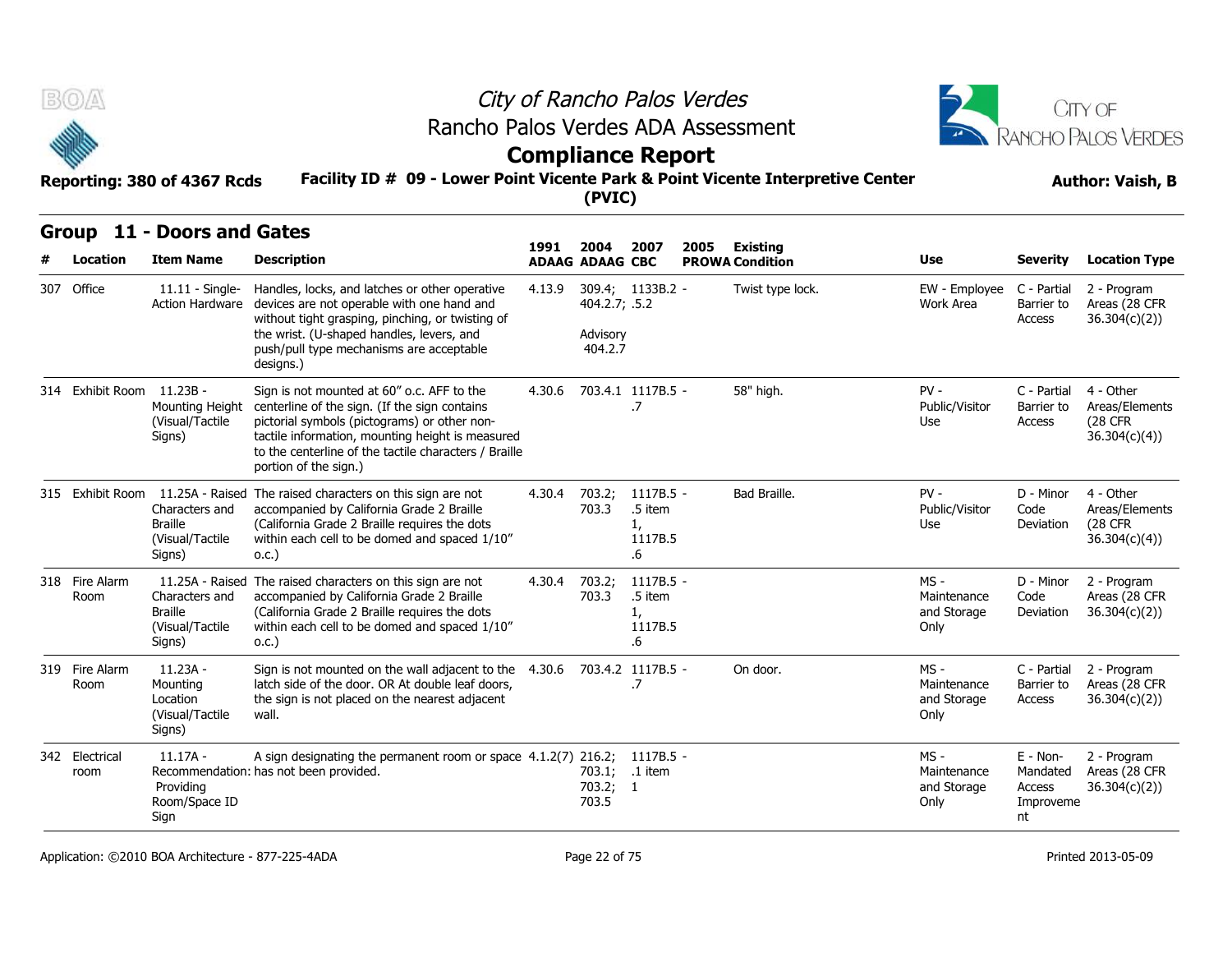



## **Compliance Report**

#### **Facility ID # 09 - Lower Point Vicente Park & Point Vicente Interpretive Center Reporting: 380 of 4367 Rcds Author: Vaish, B**

| B(0)/4                    | Reporting: 380 of 4367 Rcds                                     | Rancho Palos Verdes ADA Assessment<br>Facility ID # 09 - Lower Point Vicente Park & Point Vicente Interpretive Center                                                                                                                                                             |        | (PVIC)                               | City of Rancho Palos Verdes<br><b>Compliance Report</b> |      | CITY OF<br><b>RANCHO PALOS VERDES</b><br><b>Author: Vaish, B</b> |                                              |                                                     |                                                                |
|---------------------------|-----------------------------------------------------------------|-----------------------------------------------------------------------------------------------------------------------------------------------------------------------------------------------------------------------------------------------------------------------------------|--------|--------------------------------------|---------------------------------------------------------|------|------------------------------------------------------------------|----------------------------------------------|-----------------------------------------------------|----------------------------------------------------------------|
|                           | Group 11 - Doors and Gates                                      |                                                                                                                                                                                                                                                                                   |        |                                      |                                                         |      |                                                                  |                                              |                                                     |                                                                |
| Location                  | <b>Item Name</b>                                                | <b>Description</b>                                                                                                                                                                                                                                                                | 1991   | 2004<br><b>ADAAG ADAAG CBC</b>       | 2007                                                    | 2005 | Existing<br><b>PROWA Condition</b>                               | Use                                          | <b>Severity</b>                                     | <b>Location Type</b>                                           |
| 307 Office                | $11.11 -$ Single-<br><b>Action Hardware</b>                     | Handles, locks, and latches or other operative<br>devices are not operable with one hand and<br>without tight grasping, pinching, or twisting of<br>the wrist. (U-shaped handles, levers, and<br>push/pull type mechanisms are acceptable<br>designs.)                            | 4.13.9 | 404.2.7; .5.2<br>Advisory<br>404.2.7 | 309.4; 1133B.2 -                                        |      | Twist type lock.                                                 | EW - Employee<br>Work Area                   | C - Partial<br>Barrier to<br>Access                 | 2 - Program<br>Areas (28 CFR<br>36.304(c)(2)                   |
| 314 Exhibit Room 11.23B - | Mounting Height<br>(Visual/Tactile<br>Signs)                    | Sign is not mounted at 60" o.c. AFF to the<br>centerline of the sign. (If the sign contains<br>pictorial symbols (pictograms) or other non-<br>tactile information, mounting height is measured<br>to the centerline of the tactile characters / Braille<br>portion of the sign.) | 4.30.6 |                                      | 703.4.1 1117B.5 -<br>.7                                 |      | 58" high.                                                        | $PV -$<br>Public/Visitor<br>Use              | C - Partial<br>Barrier to<br>Access                 | 4 - Other<br>Areas/Elements<br><b>(28 CFR)</b><br>36.304(c)(4) |
|                           | Characters and<br><b>Braille</b><br>(Visual/Tactile<br>Signs)   | 315 Exhibit Room 11.25A - Raised The raised characters on this sign are not<br>accompanied by California Grade 2 Braille<br>(California Grade 2 Braille requires the dots<br>within each cell to be domed and spaced 1/10"<br>0.C.                                                | 4.30.4 | 703.2;<br>703.3                      | 1117B.5 -<br>.5 item<br>1,<br>1117B.5<br>.6             |      | Bad Braille.                                                     | $PV -$<br>Public/Visitor<br>Use              | D - Minor<br>Code<br>Deviation                      | 4 - Other<br>Areas/Elements<br>(28 CFR<br>36.304(c)(4)         |
| 318 Fire Alarm<br>Room    | Characters and<br><b>Braille</b><br>(Visual/Tactile<br>Signs)   | 11.25A - Raised The raised characters on this sign are not<br>accompanied by California Grade 2 Braille<br>(California Grade 2 Braille requires the dots<br>within each cell to be domed and spaced 1/10"<br>0.C.)                                                                | 4.30.4 | 703.2;<br>703.3                      | 1117B.5 -<br>.5 item<br>1,<br>1117B.5<br>.6             |      |                                                                  | MS -<br>Maintenance<br>and Storage<br>Only   | D - Minor<br>Code<br>Deviation                      | 2 - Program<br>Areas (28 CFR<br>36.304(c)(2)                   |
| 319 Fire Alarm<br>Room    | $11.23A -$<br>Mounting<br>Location<br>(Visual/Tactile<br>Signs) | Sign is not mounted on the wall adjacent to the<br>latch side of the door. OR At double leaf doors,<br>the sign is not placed on the nearest adjacent<br>wall.                                                                                                                    | 4.30.6 |                                      | 703.4.2 1117B.5 -<br>.7                                 |      | On door.                                                         | $MS -$<br>Maintenance<br>and Storage<br>Only | C - Partial<br>Barrier to<br>Access                 | 2 - Program<br>Areas (28 CFR<br>36.304(c)(2))                  |
| 342 Electrical<br>room    | $11.17A -$<br>Providing<br>Room/Space ID<br>Sign                | A sign designating the permanent room or space 4.1.2(7) 216.2;<br>Recommendation: has not been provided.                                                                                                                                                                          |        | 703.1;<br>703.2; 1<br>703.5          | 1117B.5 -<br>.1 item                                    |      |                                                                  | MS -<br>Maintenance<br>and Storage<br>Only   | $E - Non-$<br>Mandated<br>Access<br>Improveme<br>nt | 2 - Program<br>Areas (28 CFR<br>36.304(c)(2))                  |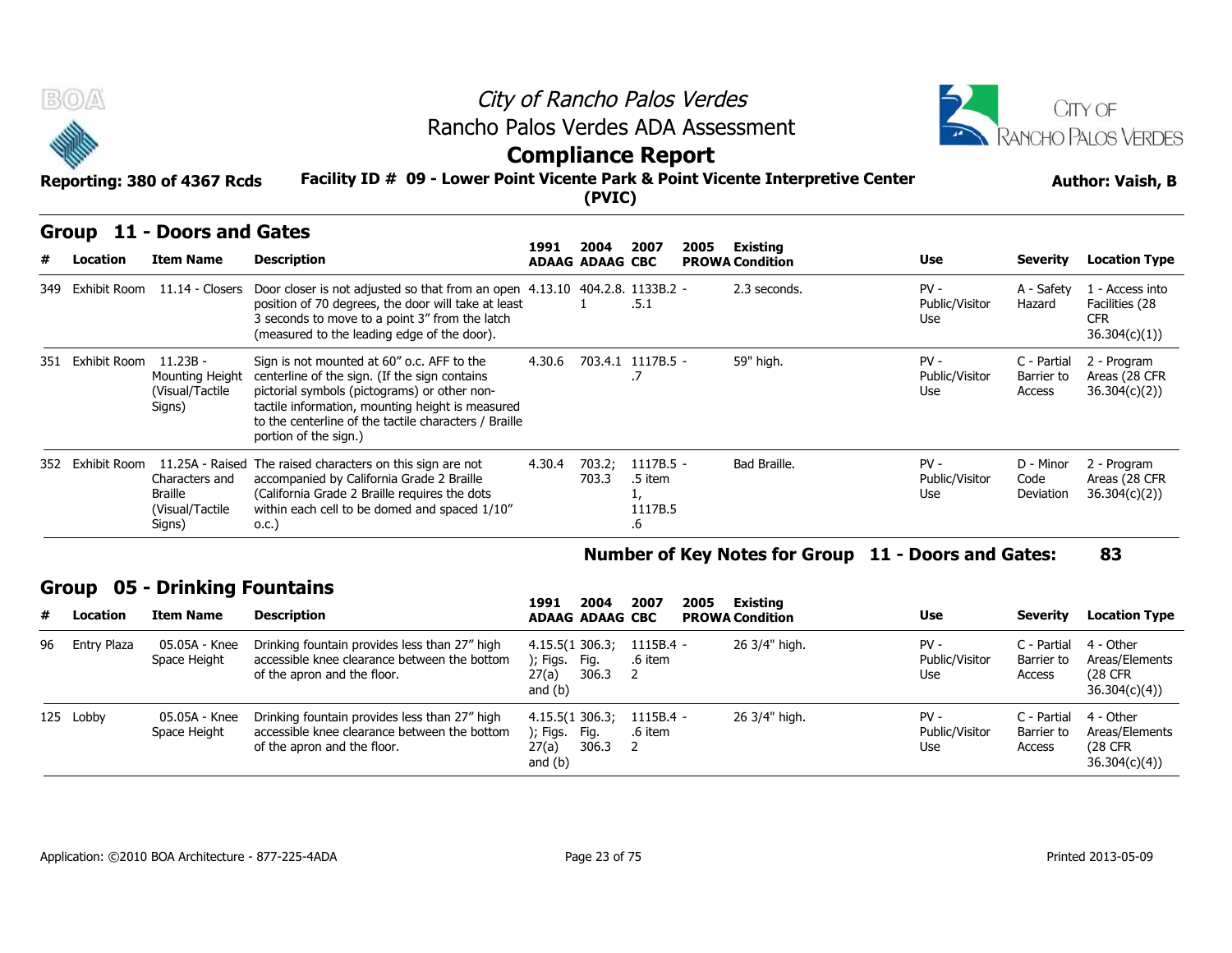



## **Compliance Report**

#### **Facility ID # 09 - Lower Point Vicente Park & Point Vicente Interpretive Center Reporting: 380 of 4367 Rcds Author: Vaish, B**

|  | Group 11 - Doors and Gates |  |
|--|----------------------------|--|
|--|----------------------------|--|

| B(0)                     | Reporting: 380 of 4367 Rcds                                   |                                                                                                                                                                                                                                                                                   | City of Rancho Palos Verdes<br>Rancho Palos Verdes ADA Assessment<br><b>Compliance Report</b><br>Facility ID # 09 - Lower Point Vicente Park & Point Vicente Interpretive Center<br>(PVIC) |                                |                                         |      |                                    |                                 |                                     |                                                                 |  |
|--------------------------|---------------------------------------------------------------|-----------------------------------------------------------------------------------------------------------------------------------------------------------------------------------------------------------------------------------------------------------------------------------|--------------------------------------------------------------------------------------------------------------------------------------------------------------------------------------------|--------------------------------|-----------------------------------------|------|------------------------------------|---------------------------------|-------------------------------------|-----------------------------------------------------------------|--|
| <b>Group</b><br>Location | 11 - Doors and Gates<br><b>Item Name</b>                      | <b>Description</b>                                                                                                                                                                                                                                                                | 1991                                                                                                                                                                                       | 2004<br><b>ADAAG ADAAG CBC</b> | 2007                                    | 2005 | Existing<br><b>PROWA Condition</b> | <b>Use</b>                      | <b>Severity</b>                     | <b>Location Type</b>                                            |  |
| 349 Exhibit Room         |                                                               | 11.14 - Closers Door closer is not adjusted so that from an open 4.13.10 404.2.8. 1133B.2 -<br>position of 70 degrees, the door will take at least<br>3 seconds to move to a point 3" from the latch<br>(measured to the leading edge of the door).                               |                                                                                                                                                                                            |                                | .5.1                                    |      | 2.3 seconds.                       | $PV -$<br>Public/Visitor<br>Use | A - Safety<br>Hazard                | 1 - Access into<br>Facilities (28<br><b>CFR</b><br>36.304(c)(1) |  |
| 351 Exhibit Room         | $11.23B -$<br>Mounting Height<br>(Visual/Tactile<br>Signs)    | Sign is not mounted at 60" o.c. AFF to the<br>centerline of the sign. (If the sign contains<br>pictorial symbols (pictograms) or other non-<br>tactile information, mounting height is measured<br>to the centerline of the tactile characters / Braille<br>portion of the sign.) | 4.30.6                                                                                                                                                                                     |                                | 703.4.1 1117B.5 -                       |      | 59" high.                          | $PV -$<br>Public/Visitor<br>Use | C - Partial<br>Barrier to<br>Access | 2 - Program<br>Areas (28 CFR<br>36.304(c)(2))                   |  |
| 352 Exhibit Room         | Characters and<br><b>Braille</b><br>(Visual/Tactile<br>Signs) | 11.25A - Raised The raised characters on this sign are not<br>accompanied by California Grade 2 Braille<br>(California Grade 2 Braille requires the dots<br>within each cell to be domed and spaced 1/10"<br>0.C.)                                                                | 4.30.4                                                                                                                                                                                     | 703.2;<br>703.3                | $1117B.5 -$<br>.5 item<br>1117B.5<br>.6 |      | Bad Braille.                       | $PV -$<br>Public/Visitor<br>Use | D - Minor<br>Code<br>Deviation      | 2 - Program<br>Areas (28 CFR<br>36.304(c)(2)                    |  |

#### **Number of Key Notes for Group 11 - Doors and Gates: 83**

### **Group 05 - Drinking Fountains**

|    |             | Signs)                               | 0.C.                                                                                                                         |                                                                    | .ხ                     |      |                                    |                                                     |                                     |                                                         |
|----|-------------|--------------------------------------|------------------------------------------------------------------------------------------------------------------------------|--------------------------------------------------------------------|------------------------|------|------------------------------------|-----------------------------------------------------|-------------------------------------|---------------------------------------------------------|
|    |             |                                      |                                                                                                                              |                                                                    |                        |      |                                    | Number of Key Notes for Group 11 - Doors and Gates: |                                     | 83                                                      |
|    |             | <b>Group 05 - Drinking Fountains</b> |                                                                                                                              |                                                                    |                        |      |                                    |                                                     |                                     |                                                         |
| #  | Location    | <b>Item Name</b>                     | <b>Description</b>                                                                                                           | 2004<br>1991<br><b>ADAAG ADAAG CBC</b>                             | 2007                   | 2005 | Existing<br><b>PROWA Condition</b> | <b>Use</b>                                          | Severity                            | <b>Location Type</b>                                    |
| 96 | Entry Plaza | 05.05A - Knee<br>Space Height        | Drinking fountain provides less than 27" high<br>accessible knee clearance between the bottom<br>of the apron and the floor. | 4.15.5(1 306.3;<br>); Figs.<br>Fig.<br>306.3<br>27(a)<br>and $(b)$ | $1115B.4 -$<br>.6 item |      | 26 3/4" high.                      | $PV -$<br>Public/Visitor<br>Use                     | C - Partial<br>Barrier to<br>Access | 4 - Other<br>Areas/Elements<br>(28 CFR)<br>36.304(c)(4) |
|    | 125 Lobby   | 05.05A - Knee<br>Space Height        | Drinking fountain provides less than 27" high<br>accessible knee clearance between the bottom<br>of the apron and the floor. | 4.15.5(1306.3)<br>); Figs.<br>Fig.<br>306.3<br>27(a)<br>and $(b)$  | $1115B.4 -$<br>.6 item |      | 26 3/4" high.                      | $PV -$<br>Public/Visitor<br>Use                     | C - Partial<br>Barrier to<br>Access | 4 - Other<br>Areas/Elements<br>(28 CFR)<br>36.304(c)(4) |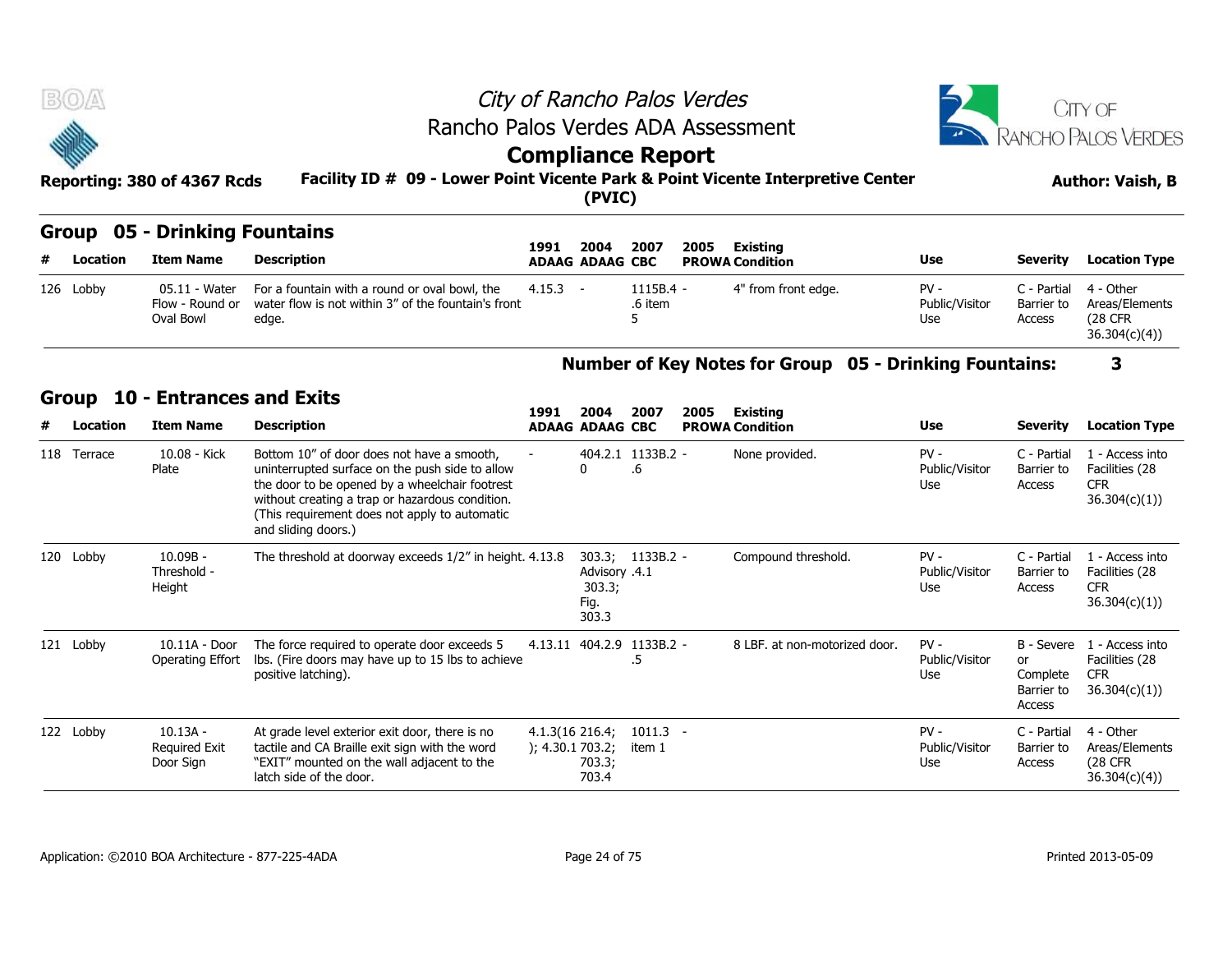|                      |                                                          |                                                                                 | City of Rancho Palos Verdes            |      |                                         |            |                 | CITY OF                 |
|----------------------|----------------------------------------------------------|---------------------------------------------------------------------------------|----------------------------------------|------|-----------------------------------------|------------|-----------------|-------------------------|
| <b>Septe</b>         |                                                          | Rancho Palos Verdes ADA Assessment                                              |                                        |      |                                         | $\sqrt{4}$ |                 | RANCHO PALOS VERDES     |
|                      | Reporting: 380 of 4367 Rcds                              | Facility ID # 09 - Lower Point Vicente Park & Point Vicente Interpretive Center | <b>Compliance Report</b><br>(PVIC)     |      |                                         |            |                 | <b>Author: Vaish, B</b> |
| <b>Location</b><br># | <b>Group 05 - Drinking Fountains</b><br><b>Item Name</b> | <b>Description</b>                                                              | 2004<br>1991<br><b>ADAAG ADAAG CBC</b> | 2007 | 2005 Existing<br><b>PROWA Condition</b> | Use        | <b>Severity</b> | <b>Location Type</b>    |
|                      |                                                          |                                                                                 |                                        |      |                                         |            |                 |                         |

## **Group 05 - Drinking Fountains**

| # | Location  | Item Name                                     | Description                                                                                                   | 1991<br><b>ADAAG ADAAG CBC</b> | 2004 | 2007                  | 2005<br>Existing<br><b>PROWA Condition</b> | <b>Use</b>                      | <b>Severity</b>      | <b>Location Type</b>                                                |
|---|-----------|-----------------------------------------------|---------------------------------------------------------------------------------------------------------------|--------------------------------|------|-----------------------|--------------------------------------------|---------------------------------|----------------------|---------------------------------------------------------------------|
|   | 126 Lobby | 05.11 - Water<br>Flow - Round or<br>Oval Bowl | For a fountain with a round or oval bowl, the<br>water flow is not within 3" of the fountain's front<br>edge. | 4.15.3                         |      | $1115B.4 -$<br>6 item | <sup>1"</sup> from front edge.             | $PV -$<br>Public/Visitor<br>Use | Barrier to<br>Access | C - Partial 4 - Other<br>Areas/Elements<br>(28 CFR)<br>36.304(c)(4) |

### **Number of Key Notes for Group 05 - Drinking Fountains: 3**

#### **Group 10 - Entrances and Exits**

| # | <b>Location</b> | <b>Item Name</b>                                     | <b>Description</b>                                                                                                                                                                                                                                                         |                                     | <b>ADAAG ADAAG CBC</b>                   |                                 |      | <b>PROWA Condition</b>                                        | <b>Use</b>                      | <b>Severity</b>                                      | <b>Location Type</b>                                             |
|---|-----------------|------------------------------------------------------|----------------------------------------------------------------------------------------------------------------------------------------------------------------------------------------------------------------------------------------------------------------------------|-------------------------------------|------------------------------------------|---------------------------------|------|---------------------------------------------------------------|---------------------------------|------------------------------------------------------|------------------------------------------------------------------|
|   | 126 Lobby       | 05.11 - Water<br>Flow - Round or<br><b>Oval Bowl</b> | For a fountain with a round or oval bowl, the<br>water flow is not within 3" of the fountain's front<br>edge.                                                                                                                                                              | 4.15.3                              | $\sim$                                   | 1115B.4 -<br>.6 item            |      | 4" from front edge.                                           | $PV -$<br>Public/Visitor<br>Use | C - Partial<br>Barrier to<br>Access                  | 4 - Other<br>Areas/Elements<br>(28 CFR<br>36.304(c)(4)           |
|   |                 |                                                      |                                                                                                                                                                                                                                                                            |                                     |                                          |                                 |      | <b>Number of Key Notes for Group 05 - Drinking Fountains:</b> |                                 |                                                      | 3                                                                |
|   | <b>Group</b>    | <b>10 - Entrances and Exits</b>                      |                                                                                                                                                                                                                                                                            |                                     |                                          |                                 |      |                                                               |                                 |                                                      |                                                                  |
| # | <b>Location</b> | <b>Item Name</b>                                     | <b>Description</b>                                                                                                                                                                                                                                                         | 1991                                | 2004<br><b>ADAAG ADAAG CBC</b>           | 2007                            | 2005 | Existing<br><b>PROWA Condition</b>                            | <b>Use</b>                      | <b>Severity</b>                                      | <b>Location Type</b>                                             |
|   | 118 Terrace     | 10.08 - Kick<br>Plate                                | Bottom 10" of door does not have a smooth,<br>uninterrupted surface on the push side to allow<br>the door to be opened by a wheelchair footrest<br>without creating a trap or hazardous condition.<br>(This requirement does not apply to automatic<br>and sliding doors.) |                                     | 0                                        | 404.2.1 1133B.2 -<br>.6         |      | None provided.                                                | $PV -$<br>Public/Visitor<br>Use | C - Partial<br>Barrier to<br>Access                  | 1 - Access into<br>Facilities (28<br><b>CFR</b><br>36.304(c)(1)  |
|   | 120 Lobby       | $10.09B -$<br>Threshold -<br>Height                  | The threshold at doorway exceeds 1/2" in height. 4.13.8                                                                                                                                                                                                                    |                                     | Advisory .4.1<br>303.3;<br>Fig.<br>303.3 | 303.3; 1133B.2 -                |      | Compound threshold.                                           | $PV -$<br>Public/Visitor<br>Use | C - Partial<br>Barrier to<br>Access                  | 1 - Access into<br>Facilities (28<br><b>CFR</b><br>36.304(c)(1)) |
|   | 121 Lobby       | 10.11A - Door<br>Operating Effort                    | The force required to operate door exceeds 5<br>Ibs. (Fire doors may have up to 15 lbs to achieve<br>positive latching).                                                                                                                                                   |                                     |                                          | 4.13.11 404.2.9 1133B.2 -<br>.5 |      | 8 LBF, at non-motorized door.                                 | $PV -$<br>Public/Visitor<br>Use | B - Severe<br>or<br>Complete<br>Barrier to<br>Access | 1 - Access into<br>Facilities (28<br><b>CFR</b><br>36.304(c)(1)  |
|   | 122 Lobby       | $10.13A -$<br><b>Required Exit</b><br>Door Sign      | At grade level exterior exit door, there is no<br>tactile and CA Braille exit sign with the word<br>"EXIT" mounted on the wall adjacent to the<br>latch side of the door.                                                                                                  | 4.1.3(16 216.4;<br>); 4.30.1 703.2; | 703.3;<br>703.4                          | $1011.3 -$<br>item 1            |      |                                                               | $PV -$<br>Public/Visitor<br>Use | C - Partial<br>Barrier to<br>Access                  | 4 - Other<br>Areas/Elements<br>(28 CFR<br>36.304(c)(4)           |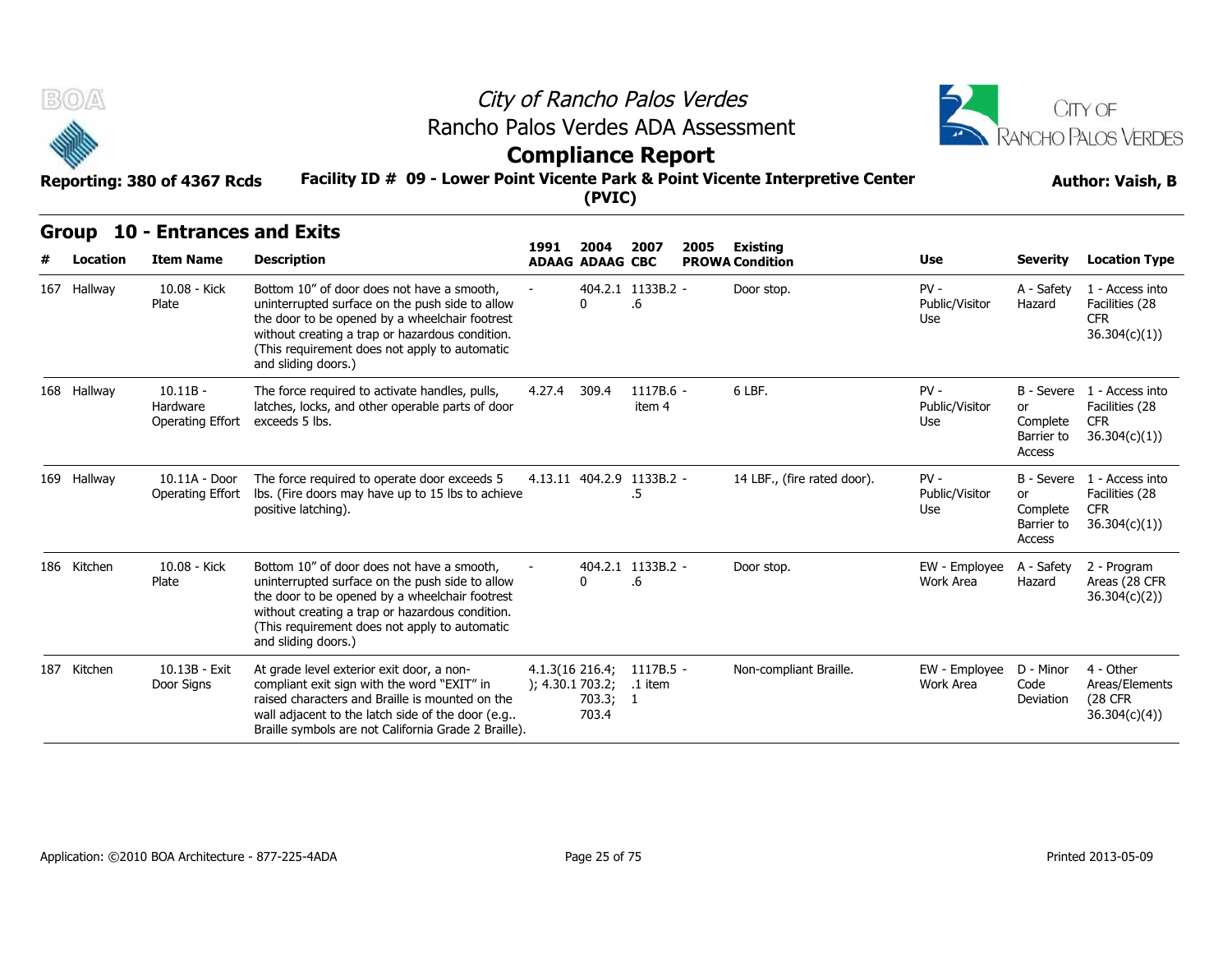



### **Facility ID # 09 - Lower Point Vicente Park & Point Vicente Interpretive Center Reporting: 380 of 4367 Rcds Author: Vaish, B Compliance Report**

|  | Group 10 - Entrances and Exits |  |
|--|--------------------------------|--|
|--|--------------------------------|--|

| B(0)                     |                                                     | Rancho Palos Verdes ADA Assessment                                                                                                                                                                                                                                         |                                       |                                    | City of Rancho Palos Verdes     |      |                                      |                                 |                                        | CITY OF                                                                    |  |
|--------------------------|-----------------------------------------------------|----------------------------------------------------------------------------------------------------------------------------------------------------------------------------------------------------------------------------------------------------------------------------|---------------------------------------|------------------------------------|---------------------------------|------|--------------------------------------|---------------------------------|----------------------------------------|----------------------------------------------------------------------------|--|
|                          |                                                     |                                                                                                                                                                                                                                                                            |                                       |                                    | <b>Compliance Report</b>        |      |                                      |                                 |                                        | <b>RANCHO PALOS VERDES</b>                                                 |  |
|                          | Reporting: 380 of 4367 Rcds                         | Facility ID # 09 - Lower Point Vicente Park & Point Vicente Interpretive Center                                                                                                                                                                                            |                                       | (PVIC)                             |                                 |      |                                      |                                 | <b>Author: Vaish, B</b>                |                                                                            |  |
| <b>Group</b><br>Location | <b>10 - Entrances and Exits</b><br><b>Item Name</b> | <b>Description</b>                                                                                                                                                                                                                                                         | 1991                                  | 2004                               | 2007                            | 2005 | <b>Existing</b>                      | <b>Use</b>                      | <b>Severity</b>                        | <b>Location Type</b>                                                       |  |
| 167 Hallway              | 10.08 - Kick<br>Plate                               | Bottom 10" of door does not have a smooth,<br>uninterrupted surface on the push side to allow<br>the door to be opened by a wheelchair footrest<br>without creating a trap or hazardous condition.<br>(This requirement does not apply to automatic<br>and sliding doors.) |                                       | <b>ADAAG ADAAG CBC</b><br>$\Omega$ | 404.2.1 1133B.2 -<br>.6         |      | <b>PROWA Condition</b><br>Door stop. | $PV -$<br>Public/Visitor<br>Use | A - Safety<br>Hazard                   | 1 - Access into<br>Facilities (28<br><b>CFR</b><br>36.304(c)(1)            |  |
| 168 Hallway              | $10.11B -$<br>Hardware<br>Operating Effort          | The force required to activate handles, pulls,<br>latches, locks, and other operable parts of door<br>exceeds 5 lbs.                                                                                                                                                       | 4.27.4                                | 309.4                              | $1117B.6 -$<br>item 4           |      | 6 LBF.                               | $PV -$<br>Public/Visitor<br>Use | or<br>Complete<br>Barrier to<br>Access | B - Severe 1 - Access into<br>Facilities (28<br><b>CFR</b><br>36.304(c)(1) |  |
| 169 Hallway              | 10.11A - Door<br>Operating Effort                   | The force required to operate door exceeds 5<br>lbs. (Fire doors may have up to 15 lbs to achieve<br>positive latching).                                                                                                                                                   |                                       |                                    | 4.13.11 404.2.9 1133B.2 -<br>.5 |      | 14 LBF., (fire rated door).          | $PV -$<br>Public/Visitor<br>Use | or<br>Complete<br>Barrier to<br>Access | B - Severe 1 - Access into<br>Facilities (28<br><b>CFR</b><br>36.304(c)(1) |  |
| 186 Kitchen              | 10.08 - Kick<br>Plate                               | Bottom 10" of door does not have a smooth,<br>uninterrupted surface on the push side to allow<br>the door to be opened by a wheelchair footrest<br>without creating a trap or hazardous condition.<br>(This requirement does not apply to automatic<br>and sliding doors.) |                                       | $\Omega$                           | 404.2.1 1133B.2 -<br>.6         |      | Door stop.                           | EW - Employee<br>Work Area      | A - Safety<br>Hazard                   | 2 - Program<br>Areas (28 CFR<br>36.304(c)(2)                               |  |
| 187 Kitchen              | 10.13B - Exit<br>Door Signs                         | At grade level exterior exit door, a non-<br>compliant exit sign with the word "EXIT" in<br>raised characters and Braille is mounted on the<br>wall adjacent to the latch side of the door (e.g<br>Braille symbols are not California Grade 2 Braille).                    | $4.1.3(16\ 216.4)$<br>); 4.30.1703.2; | 703.3; 1<br>703.4                  | 1117B.5 -<br>.1 item            |      | Non-compliant Braille.               | EW - Employee<br>Work Area      | D - Minor<br>Code<br>Deviation         | 4 - Other<br>Areas/Elements<br>(28 CFR<br>36.304(c)(4)                     |  |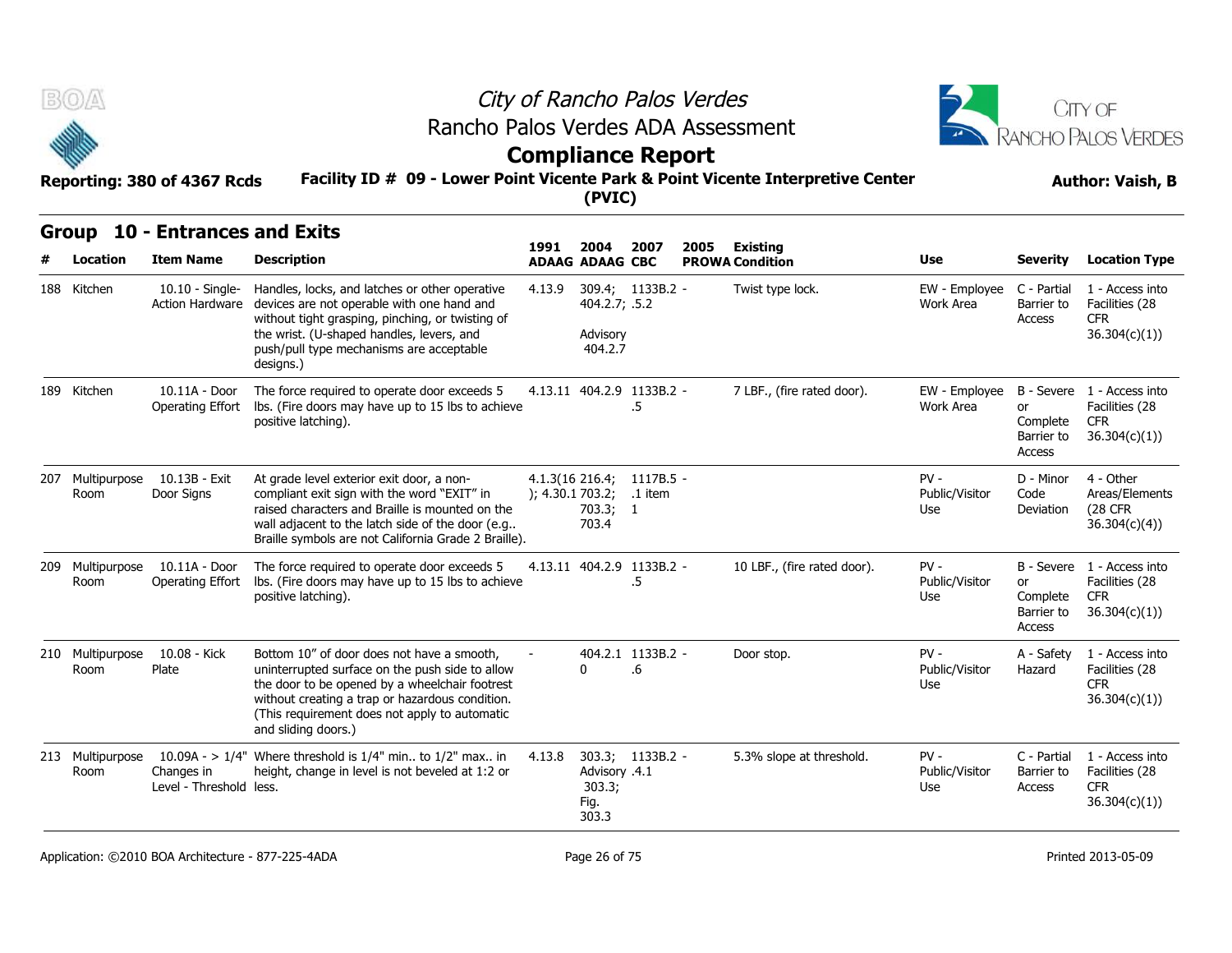



# **Compliance Report**

# **Facility ID # 09 - Lower Point Vicente Park & Point Vicente Interpretive Center Reporting: 380 of 4367 Rcds Author: Vaish, B**

### **Group 10 - Entrances and Exits**

| B(0)                     | Reporting: 380 of 4367 Rcds                         | Rancho Palos Verdes ADA Assessment<br>Facility ID # 09 - Lower Point Vicente Park & Point Vicente Interpretive Center                                                                                                                                                      |        | (PVIC)                                   | City of Rancho Palos Verdes<br><b>Compliance Report</b> |      |                                    | <b>CITY OF</b><br>ANCHO PALOS VERDES<br><b>Author: Vaish, B</b> |                                        |                                                                            |
|--------------------------|-----------------------------------------------------|----------------------------------------------------------------------------------------------------------------------------------------------------------------------------------------------------------------------------------------------------------------------------|--------|------------------------------------------|---------------------------------------------------------|------|------------------------------------|-----------------------------------------------------------------|----------------------------------------|----------------------------------------------------------------------------|
| Group<br>Location        | <b>10 - Entrances and Exits</b><br><b>Item Name</b> | <b>Description</b>                                                                                                                                                                                                                                                         | 1991   | 2004<br><b>ADAAG ADAAG CBC</b>           | 2007                                                    | 2005 | Existing<br><b>PROWA Condition</b> | <b>Use</b>                                                      | <b>Severity</b>                        | <b>Location Type</b>                                                       |
| 188 Kitchen              | $10.10 -$ Single-<br>Action Hardware                | Handles, locks, and latches or other operative<br>devices are not operable with one hand and<br>without tight grasping, pinching, or twisting of<br>the wrist. (U-shaped handles, levers, and<br>push/pull type mechanisms are acceptable<br>designs.)                     | 4.13.9 | 404.2.7; .5.2<br>Advisory<br>404.2.7     | 309.4; 1133B.2 -                                        |      | Twist type lock.                   | EW - Employee<br>Work Area                                      | C - Partial<br>Barrier to<br>Access    | 1 - Access into<br>Facilities (28<br>CFR.<br>36.304(c)(1)                  |
| 189 Kitchen              | 10.11A - Door<br>Operating Effort                   | The force required to operate door exceeds 5<br>Ibs. (Fire doors may have up to 15 lbs to achieve<br>positive latching).                                                                                                                                                   |        |                                          | 4.13.11 404.2.9 1133B.2 -<br>.5                         |      | 7 LBF., (fire rated door).         | EW - Employee<br>Work Area                                      | or<br>Complete<br>Barrier to<br>Access | B - Severe 1 - Access into<br>Facilities (28<br><b>CFR</b><br>36.304(c)(1) |
| Room                     | 207 Multipurpose 10.13B - Exit<br>Door Signs        | At grade level exterior exit door, a non-<br>compliant exit sign with the word "EXIT" in<br>raised characters and Braille is mounted on the<br>wall adjacent to the latch side of the door (e.g<br>Braille symbols are not California Grade 2 Braille).                    |        | ); 4.30.1703.2;<br>703.3; 1<br>703.4     | 4.1.3(16 216.4; 1117B.5 -<br>.1 item                    |      |                                    | $PV -$<br>Public/Visitor<br>Use                                 | D - Minor<br>Code<br>Deviation         | 4 - Other<br>Areas/Elements<br>(28 CFR<br>36.304(c)(4)                     |
| 209 Multipurpose<br>Room | 10.11A - Door<br>Operating Effort                   | The force required to operate door exceeds 5<br>Ibs. (Fire doors may have up to 15 lbs to achieve<br>positive latching).                                                                                                                                                   |        |                                          | 4.13.11 404.2.9 1133B.2 -<br>.5                         |      | 10 LBF., (fire rated door).        | $PV -$<br>Public/Visitor<br>Use                                 | or<br>Complete<br>Barrier to<br>Access | B - Severe 1 - Access into<br>Facilities (28<br><b>CFR</b><br>36.304(c)(1) |
| 210 Multipurpose<br>Room | 10.08 - Kick<br>Plate                               | Bottom 10" of door does not have a smooth.<br>uninterrupted surface on the push side to allow<br>the door to be opened by a wheelchair footrest<br>without creating a trap or hazardous condition.<br>(This requirement does not apply to automatic<br>and sliding doors.) |        | 0                                        | 404.2.1 1133B.2 -<br>.6                                 |      | Door stop.                         | $PV -$<br>Public/Visitor<br>Use                                 | A - Safety<br>Hazard                   | 1 - Access into<br>Facilities (28<br><b>CFR</b><br>36.304(c)(1)            |
| 213 Multipurpose<br>Room | Changes in<br>Level - Threshold less.               | 10.09A - > $1/4$ " Where threshold is $1/4$ " min to $1/2$ " max in<br>height, change in level is not beveled at 1:2 or                                                                                                                                                    | 4.13.8 | Advisory .4.1<br>303.3;<br>Fig.<br>303.3 | 303.3; 1133B.2 -                                        |      | 5.3% slope at threshold.           | $PV -$<br>Public/Visitor<br>Use                                 | C - Partial<br>Barrier to<br>Access    | 1 - Access into<br>Facilities (28<br><b>CFR</b><br>36.304(c)(1))           |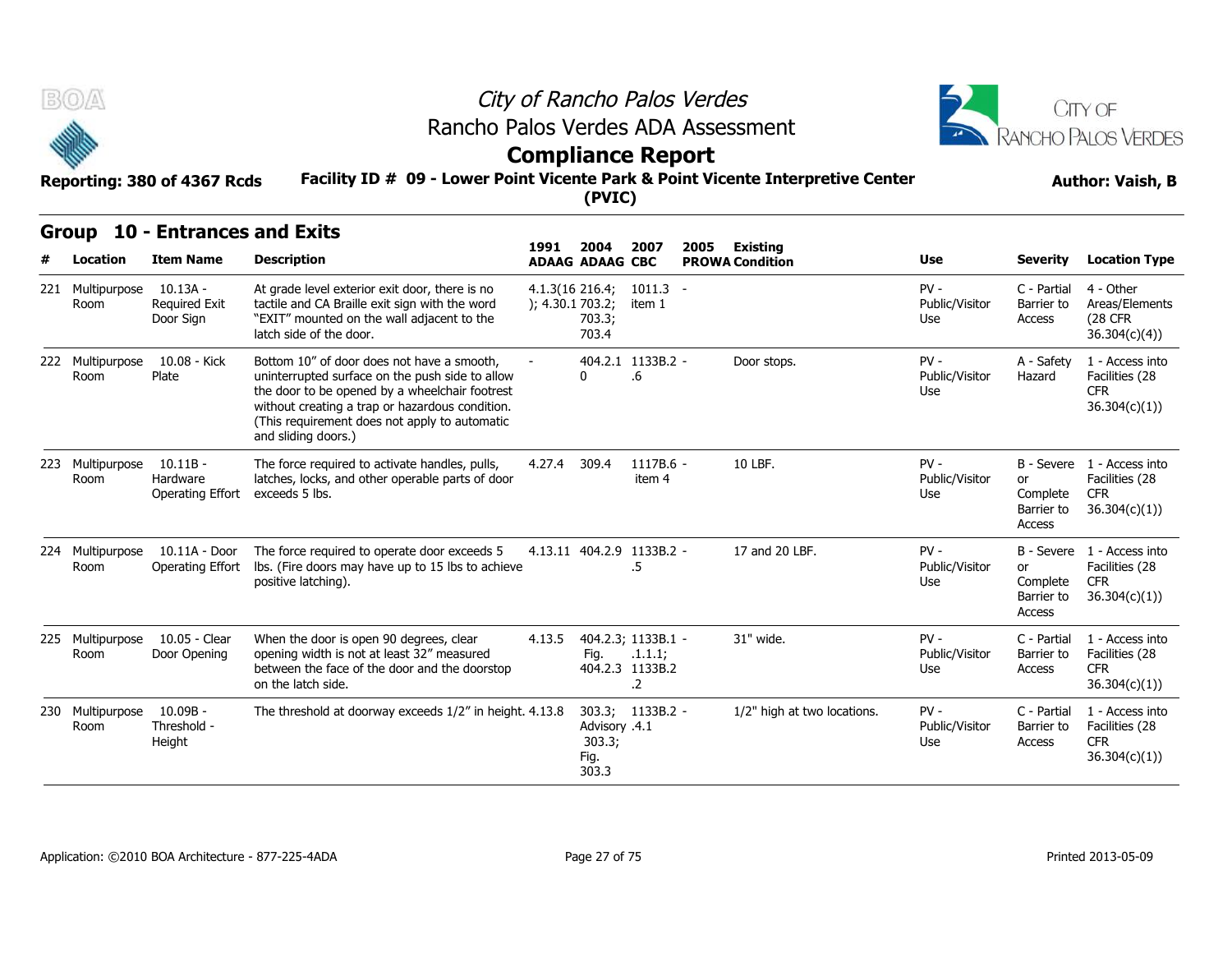



## **Compliance Report**

#### **Facility ID # 09 - Lower Point Vicente Park & Point Vicente Interpretive Center Reporting: 380 of 4367 Rcds Author: Vaish, B**

|  | Group 10 - Entrances and Exits |  |
|--|--------------------------------|--|
|--|--------------------------------|--|

| B(0)<br>Rancho Palos Verdes ADA Assessment<br>Facility ID # 09 - Lower Point Vicente Park & Point Vicente Interpretive Center<br>Reporting: 380 of 4367 Rcds |                                                 |                                                                                                                                                                                                                                                                            |                 | City of Rancho Palos Verdes<br><b>Compliance Report</b> |                                                        |                                                   | CITY OF<br>RANCHO PALOS VERDES<br><b>Author: Vaish, B</b> |                                        |                                                                            |
|--------------------------------------------------------------------------------------------------------------------------------------------------------------|-------------------------------------------------|----------------------------------------------------------------------------------------------------------------------------------------------------------------------------------------------------------------------------------------------------------------------------|-----------------|---------------------------------------------------------|--------------------------------------------------------|---------------------------------------------------|-----------------------------------------------------------|----------------------------------------|----------------------------------------------------------------------------|
| <b>Group</b><br>Location                                                                                                                                     | 10 - Entrances and Exits<br><b>Item Name</b>    | <b>Description</b>                                                                                                                                                                                                                                                         | 1991            | (PVIC)<br>2004<br><b>ADAAG ADAAG CBC</b>                | 2007                                                   | 2005<br><b>Existing</b><br><b>PROWA Condition</b> | Use                                                       | <b>Severity</b>                        | <b>Location Type</b>                                                       |
| 221 Multipurpose<br>Room                                                                                                                                     | $10.13A -$<br><b>Required Exit</b><br>Door Sign | At grade level exterior exit door, there is no<br>tactile and CA Braille exit sign with the word<br>"EXIT" mounted on the wall adjacent to the<br>latch side of the door.                                                                                                  | ); 4.30.1703.2; | $4.1.3(16\ 216.4)$<br>703.3;<br>703.4                   | $1011.3 -$<br>item 1                                   |                                                   | $PV -$<br>Public/Visitor<br>Use                           | C - Partial<br>Barrier to<br>Access    | 4 - Other<br>Areas/Elements<br>(28 CFR<br>36.304(c)(4)                     |
| 222 Multipurpose<br>Room                                                                                                                                     | 10.08 - Kick<br>Plate                           | Bottom 10" of door does not have a smooth,<br>uninterrupted surface on the push side to allow<br>the door to be opened by a wheelchair footrest<br>without creating a trap or hazardous condition.<br>(This requirement does not apply to automatic<br>and sliding doors.) |                 | 0                                                       | 404.2.1 1133B.2 -<br>.6                                | Door stops.                                       | $PV -$<br>Public/Visitor<br>Use                           | A - Safety<br>Hazard                   | 1 - Access into<br>Facilities (28<br><b>CFR</b><br>36.304(c)(1)            |
| 223 Multipurpose<br>Room                                                                                                                                     | $10.11B -$<br>Hardware<br>Operating Effort      | The force required to activate handles, pulls,<br>latches, locks, and other operable parts of door<br>exceeds 5 lbs.                                                                                                                                                       | 4.27.4          | 309.4                                                   | 1117B.6 -<br>item 4                                    | 10 LBF.                                           | $PV -$<br>Public/Visitor<br>Use                           | or<br>Complete<br>Barrier to<br>Access | B - Severe 1 - Access into<br>Facilities (28<br><b>CFR</b><br>36.304(c)(1) |
| 224 Multipurpose<br>Room                                                                                                                                     | 10.11A - Door<br><b>Operating Effort</b>        | The force required to operate door exceeds 5<br>Ibs. (Fire doors may have up to 15 lbs to achieve<br>positive latching).                                                                                                                                                   |                 | 4.13.11 404.2.9 1133B.2 -                               | .5                                                     | 17 and 20 LBF.                                    | $PV -$<br>Public/Visitor<br>Use                           | or<br>Complete<br>Barrier to<br>Access | B - Severe 1 - Access into<br>Facilities (28<br><b>CFR</b><br>36.304(c)(1) |
| 225 Multipurpose<br>Room                                                                                                                                     | 10.05 - Clear<br>Door Opening                   | When the door is open 90 degrees, clear<br>opening width is not at least 32" measured<br>between the face of the door and the doorstop<br>on the latch side.                                                                                                               | 4.13.5          | Fig.                                                    | 404.2.3; 1133B.1 -<br>.1.1.1;<br>404.2.3 1133B.2<br>.2 | 31" wide.                                         | $PV -$<br>Public/Visitor<br>Use                           | C - Partial<br>Barrier to<br>Access    | 1 - Access into<br>Facilities (28<br><b>CFR</b><br>36.304(c)(1)            |
| 230 Multipurpose<br>Room                                                                                                                                     | 10.09B -<br>Threshold -<br>Height               | The threshold at doorway exceeds 1/2" in height. 4.13.8                                                                                                                                                                                                                    |                 | Advisory .4.1<br>303.3;<br>Fig.<br>303.3                | 303.3; 1133B.2 -                                       | 1/2" high at two locations.                       | $PV -$<br>Public/Visitor<br>Use                           | C - Partial<br>Barrier to<br>Access    | 1 - Access into<br>Facilities (28<br><b>CFR</b><br>36.304(c)(1)            |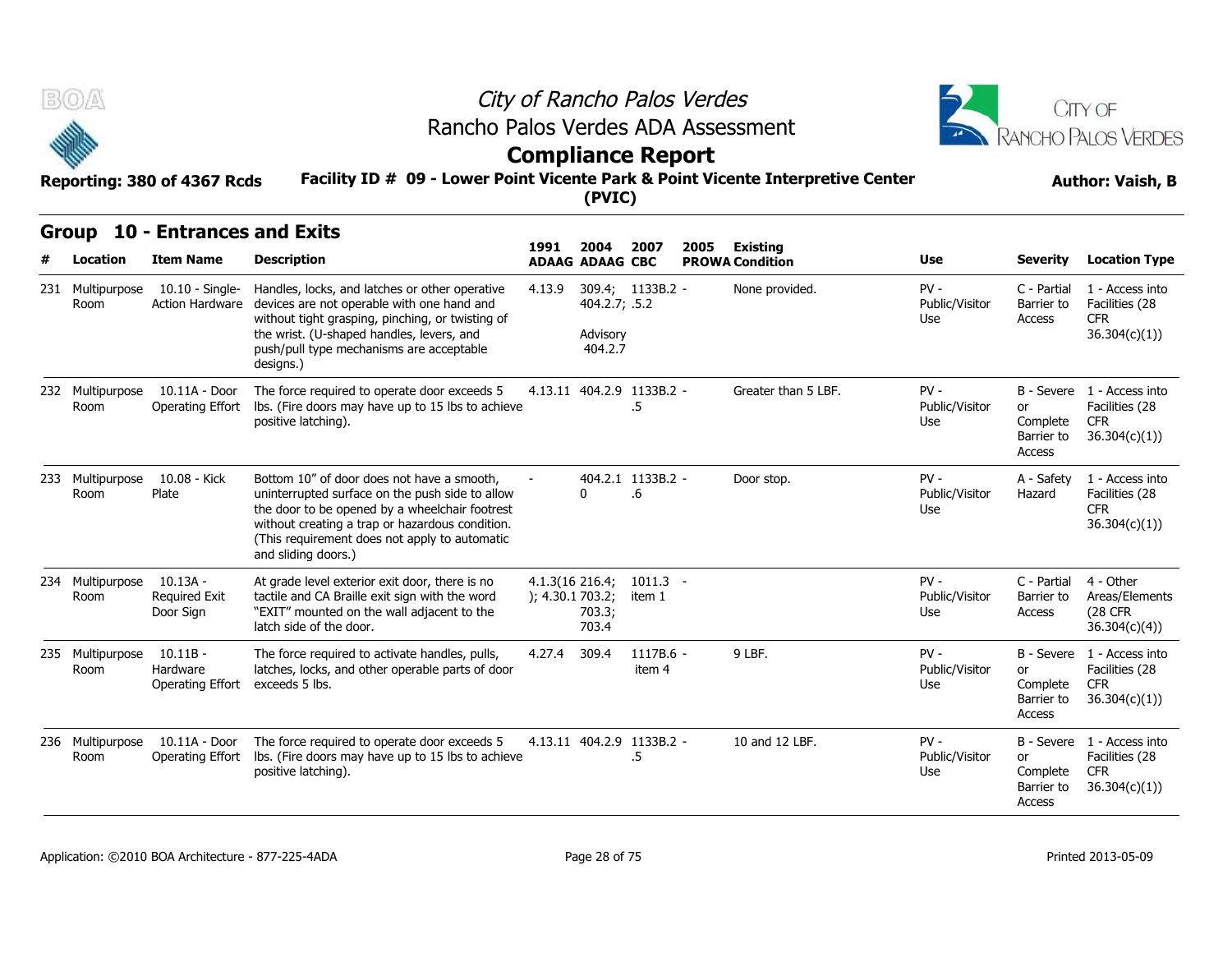



# **Compliance Report**

|  | Group 10 - Entrances and Exits |  |
|--|--------------------------------|--|
|--|--------------------------------|--|

| $B(0)/\Delta$<br>Reporting: 380 of 4367 Rcds |                                             |                                                                                                                                                                                                                                                                            |                                     |                                      |                                 |      | City of Rancho Palos Verdes<br>Rancho Palos Verdes ADA Assessment<br><b>Compliance Report</b><br>Facility ID # 09 - Lower Point Vicente Park & Point Vicente Interpretive Center<br>(PVIC) |                                 |                                        |                                                                            |  |  |  |  |
|----------------------------------------------|---------------------------------------------|----------------------------------------------------------------------------------------------------------------------------------------------------------------------------------------------------------------------------------------------------------------------------|-------------------------------------|--------------------------------------|---------------------------------|------|--------------------------------------------------------------------------------------------------------------------------------------------------------------------------------------------|---------------------------------|----------------------------------------|----------------------------------------------------------------------------|--|--|--|--|
|                                              | Group 10 - Entrances and Exits              |                                                                                                                                                                                                                                                                            | 1991                                | 2004                                 | 2007                            | 2005 | Existing                                                                                                                                                                                   |                                 |                                        |                                                                            |  |  |  |  |
| Location                                     | <b>Item Name</b>                            | <b>Description</b>                                                                                                                                                                                                                                                         |                                     | <b>ADAAG ADAAG CBC</b>               |                                 |      | <b>PROWA Condition</b>                                                                                                                                                                     | Use                             | <b>Severity</b>                        | <b>Location Type</b>                                                       |  |  |  |  |
| 231 Multipurpose<br>Room                     | $10.10 -$ Single-<br><b>Action Hardware</b> | Handles, locks, and latches or other operative<br>devices are not operable with one hand and<br>without tight grasping, pinching, or twisting of<br>the wrist. (U-shaped handles, levers, and<br>push/pull type mechanisms are acceptable<br>designs.)                     | 4.13.9                              | 404.2.7; .5.2<br>Advisory<br>404.2.7 | 309.4; 1133B.2 -                |      | None provided.                                                                                                                                                                             | $PV -$<br>Public/Visitor<br>Use | C - Partial<br>Barrier to<br>Access    | 1 - Access into<br>Facilities (28<br><b>CFR</b><br>36.304(c)(1))           |  |  |  |  |
| 232 Multipurpose<br>Room                     | 10.11A - Door<br>Operating Effort           | The force required to operate door exceeds 5<br>lbs. (Fire doors may have up to 15 lbs to achieve<br>positive latching).                                                                                                                                                   |                                     |                                      | 4.13.11 404.2.9 1133B.2 -<br>.5 |      | Greater than 5 LBF.                                                                                                                                                                        | $PV -$<br>Public/Visitor<br>Use | or<br>Complete<br>Barrier to<br>Access | B - Severe 1 - Access into<br>Facilities (28<br><b>CFR</b><br>36.304(c)(1) |  |  |  |  |
| 233 Multipurpose<br>Room                     | 10.08 - Kick<br>Plate                       | Bottom 10" of door does not have a smooth,<br>uninterrupted surface on the push side to allow<br>the door to be opened by a wheelchair footrest<br>without creating a trap or hazardous condition.<br>(This requirement does not apply to automatic<br>and sliding doors.) |                                     | $\Omega$                             | 404.2.1 1133B.2 -<br>.6         |      | Door stop.                                                                                                                                                                                 | $PV -$<br>Public/Visitor<br>Use | A - Safety<br>Hazard                   | 1 - Access into<br>Facilities (28<br><b>CFR</b><br>36.304(c)(1))           |  |  |  |  |
| 234 Multipurpose<br>Room                     | $10.13A -$<br>Required Exit<br>Door Sign    | At grade level exterior exit door, there is no<br>tactile and CA Braille exit sign with the word<br>"EXIT" mounted on the wall adjacent to the<br>latch side of the door.                                                                                                  | 4.1.3(16 216.4;<br>); 4.30.1 703.2; | 703.3;<br>703.4                      | $1011.3 -$<br>item 1            |      |                                                                                                                                                                                            | $PV -$<br>Public/Visitor<br>Use | C - Partial<br>Barrier to<br>Access    | 4 - Other<br>Areas/Elements<br><b>(28 CFR</b><br>36.304(c)(4))             |  |  |  |  |
| 235 Multipurpose<br>Room                     | $10.11B -$<br>Hardware<br>Operating Effort  | The force required to activate handles, pulls,<br>latches, locks, and other operable parts of door<br>exceeds 5 lbs.                                                                                                                                                       | 4.27.4                              | 309.4                                | $1117B.6 -$<br>item 4           |      | 9 LBF.                                                                                                                                                                                     | $PV -$<br>Public/Visitor<br>Use | or<br>Complete<br>Barrier to<br>Access | B - Severe 1 - Access into<br>Facilities (28<br><b>CFR</b><br>36.304(c)(1) |  |  |  |  |
| 236 Multipurpose<br>Room                     | 10.11A - Door<br>Operating Effort           | The force required to operate door exceeds 5<br>Ibs. (Fire doors may have up to 15 lbs to achieve<br>positive latching).                                                                                                                                                   |                                     |                                      | 4.13.11 404.2.9 1133B.2 -<br>.5 |      | 10 and 12 LBF.                                                                                                                                                                             | $PV -$<br>Public/Visitor<br>Use | or<br>Complete<br>Barrier to<br>Access | B - Severe 1 - Access into<br>Facilities (28<br><b>CFR</b><br>36.304(c)(1) |  |  |  |  |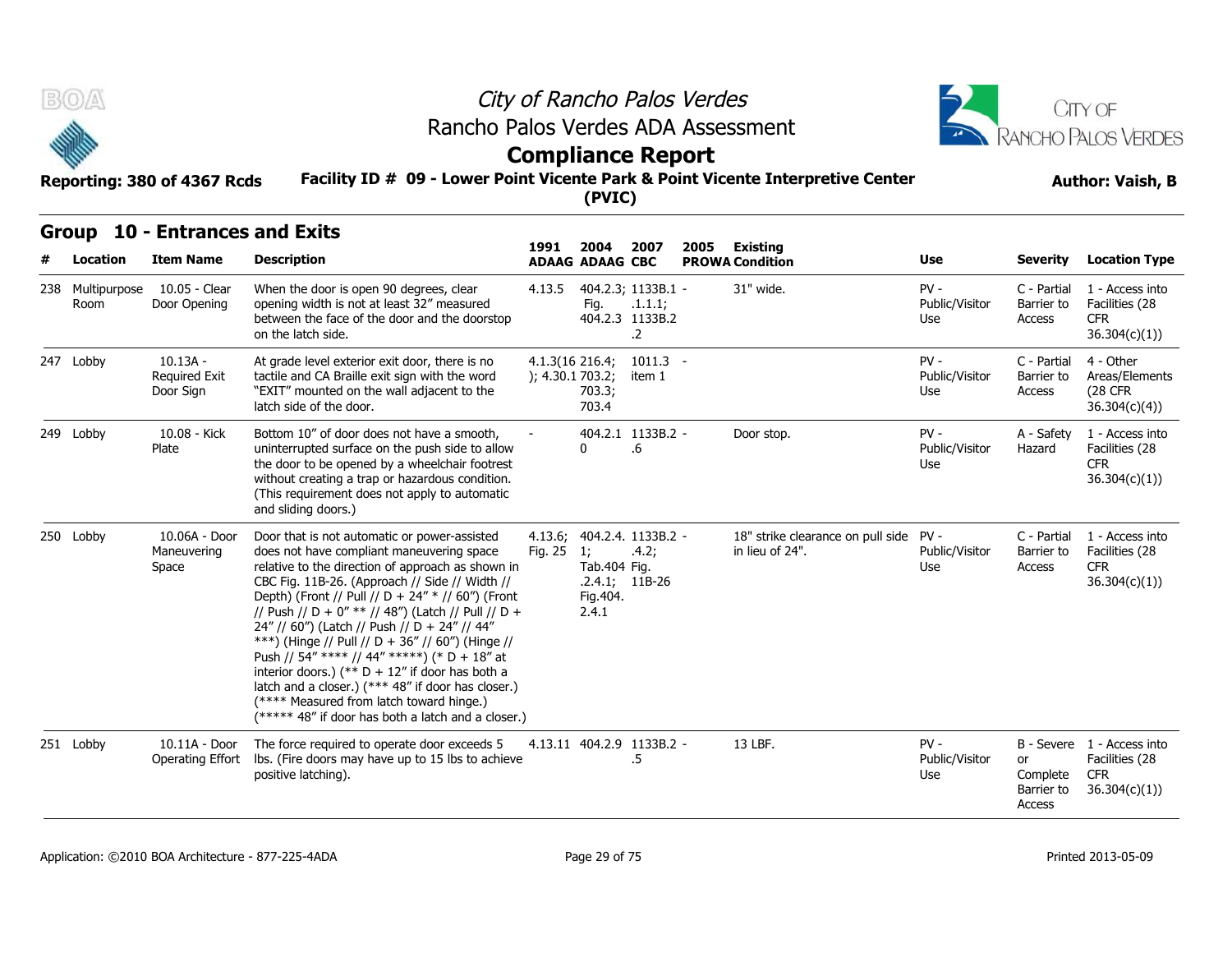

# **Compliance Report**

#### **Facility ID # 09 - Lower Point Vicente Park & Point Vicente Interpretive Center Reporting: 380 of 4367 Rcds Author: Vaish, B**

## **Group 10 - Entrances and Exits**

| B(0)                     | Reporting: 380 of 4367 Rcds                         | Rancho Palos Verdes ADA Assessment<br>Facility ID # 09 - Lower Point Vicente Park & Point Vicente Interpretive Center                                                                                                                                                                                                                                                                                                                                                                                                                                                                                                                                                         |                    | City of Rancho Palos Verdes<br><b>Compliance Report</b><br>(PVIC) |                                                                |      | CITY OF<br><b>ANCHO PALOS VERDES</b><br><b>Author: Vaish, B</b> |                                 |                                        |                                                                            |
|--------------------------|-----------------------------------------------------|-------------------------------------------------------------------------------------------------------------------------------------------------------------------------------------------------------------------------------------------------------------------------------------------------------------------------------------------------------------------------------------------------------------------------------------------------------------------------------------------------------------------------------------------------------------------------------------------------------------------------------------------------------------------------------|--------------------|-------------------------------------------------------------------|----------------------------------------------------------------|------|-----------------------------------------------------------------|---------------------------------|----------------------------------------|----------------------------------------------------------------------------|
| Group<br>Location        | <b>10 - Entrances and Exits</b><br><b>Item Name</b> | <b>Description</b>                                                                                                                                                                                                                                                                                                                                                                                                                                                                                                                                                                                                                                                            | 1991               | 2004<br><b>ADAAG ADAAG CBC</b>                                    | 2007                                                           | 2005 | <b>Existing</b><br><b>PROWA Condition</b>                       | <b>Use</b>                      | <b>Severity</b>                        | <b>Location Type</b>                                                       |
| 238 Multipurpose<br>Room | 10.05 - Clear<br>Door Opening                       | When the door is open 90 degrees, clear<br>opening width is not at least 32" measured<br>between the face of the door and the doorstop<br>on the latch side.                                                                                                                                                                                                                                                                                                                                                                                                                                                                                                                  | 4.13.5             | Fig.                                                              | 404.2.3; 1133B.1 -<br>.1.1.1;<br>404.2.3 1133B.2<br>$\cdot$ .2 |      | 31" wide.                                                       | $PV -$<br>Public/Visitor<br>Use | C - Partial<br>Barrier to<br>Access    | 1 - Access into<br>Facilities (28<br>CFR.<br>36.304(c)(1)                  |
| 247 Lobby                | $10.13A -$<br>Required Exit<br>Door Sign            | At grade level exterior exit door, there is no<br>tactile and CA Braille exit sign with the word<br>"EXIT" mounted on the wall adjacent to the<br>latch side of the door.                                                                                                                                                                                                                                                                                                                                                                                                                                                                                                     |                    | 4.1.3(16 216.4;<br>); 4.30.1 703.2;<br>703.3;<br>703.4            | $1011.3 -$<br>item 1                                           |      |                                                                 | $PV -$<br>Public/Visitor<br>Use | C - Partial<br>Barrier to<br>Access    | 4 - Other<br>Areas/Elements<br><b>(28 CFR)</b><br>36.304(c)(4)             |
| 249 Lobby                | 10.08 - Kick<br>Plate                               | Bottom 10" of door does not have a smooth,<br>uninterrupted surface on the push side to allow<br>the door to be opened by a wheelchair footrest<br>without creating a trap or hazardous condition.<br>(This requirement does not apply to automatic<br>and sliding doors.)                                                                                                                                                                                                                                                                                                                                                                                                    |                    | $\mathbf{0}$                                                      | 404.2.1 1133B.2 -<br>$.6\,$                                    |      | Door stop.                                                      | $PV -$<br>Public/Visitor<br>Use | A - Safety<br>Hazard                   | 1 - Access into<br>Facilities (28<br><b>CFR</b><br>36.304(c)(1)            |
| 250 Lobby                | 10.06A - Door<br>Maneuvering<br>Space               | Door that is not automatic or power-assisted<br>does not have compliant maneuvering space<br>relative to the direction of approach as shown in<br>CBC Fig. 11B-26. (Approach // Side // Width //<br>Depth) (Front // Pull // D + 24" * // 60") (Front<br>// Push // D + 0" ** // 48") (Latch // Pull // D +<br>24" // 60") (Latch // Push // D + 24" // 44"<br>***) (Hinge // Pull // D + 36" // 60") (Hinge //<br>Push // 54" **** // 44" *****) (* D + 18" at<br>interior doors.) (** $D + 12$ " if door has both a<br>latch and a closer.) (*** 48" if door has closer.)<br>(**** Measured from latch toward hinge.)<br>(***** 48" if door has both a latch and a closer.) | 4.13.6;<br>Fig. 25 | $\overline{1}$<br>Tab.404 Fig.<br>Fig.404.<br>2.4.1               | 404.2.4. 1133B.2 -<br>.4.2;<br>$.2.4.1; 11B-26$                |      | 18" strike clearance on pull side PV -<br>in lieu of 24".       | Public/Visitor<br>Use           | C - Partial<br>Barrier to<br>Access    | 1 - Access into<br>Facilities (28<br><b>CFR</b><br>36.304(c)(1)            |
| 251 Lobby                | 10.11A - Door<br><b>Operating Effort</b>            | The force required to operate door exceeds 5<br>Ibs. (Fire doors may have up to 15 lbs to achieve<br>positive latching).                                                                                                                                                                                                                                                                                                                                                                                                                                                                                                                                                      |                    | 4.13.11 404.2.9 1133B.2 -                                         | .5                                                             |      | 13 LBF.                                                         | $PV -$<br>Public/Visitor<br>Use | or<br>Complete<br>Barrier to<br>Access | B - Severe 1 - Access into<br>Facilities (28<br><b>CFR</b><br>36.304(c)(1) |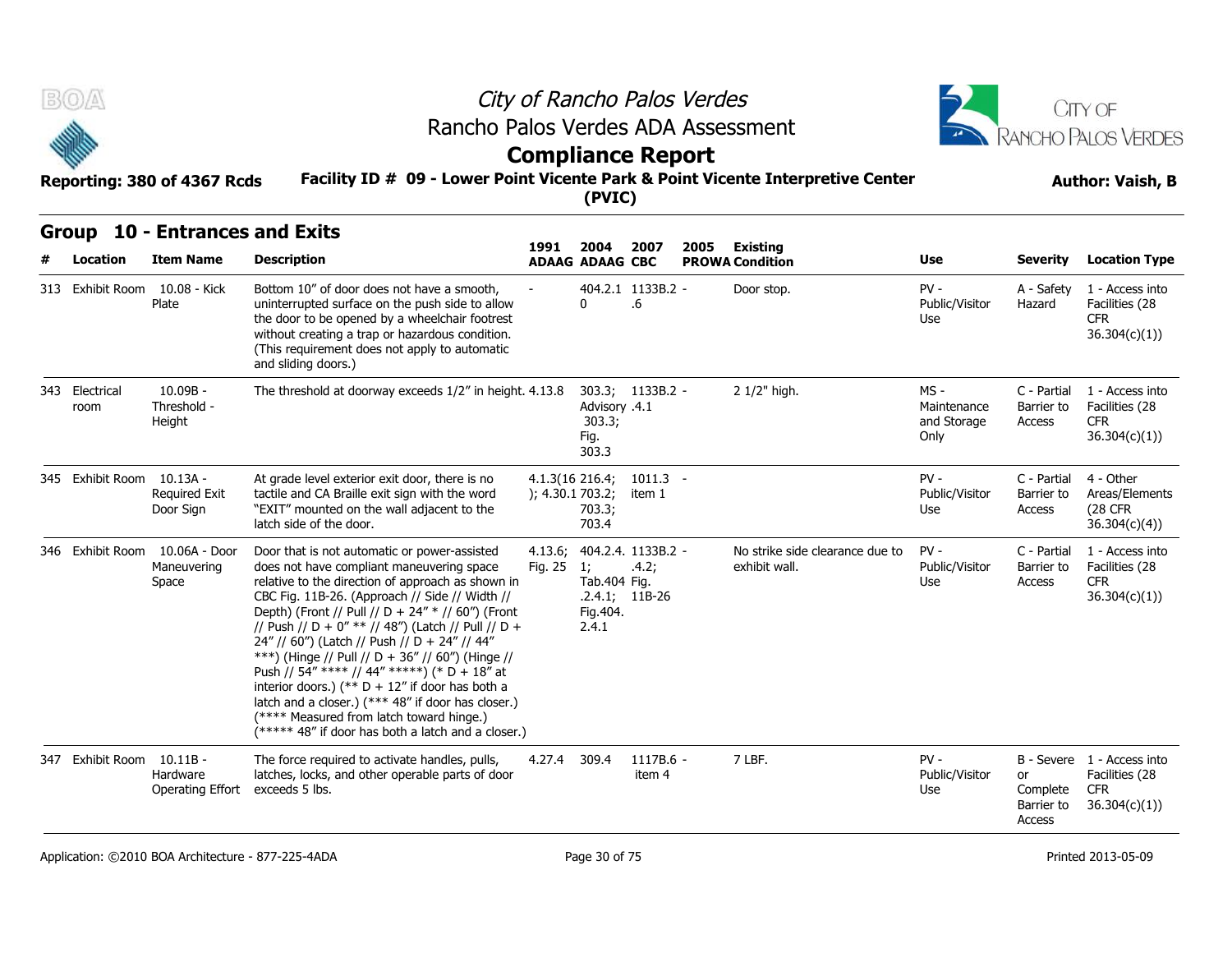



## **Compliance Report**

#### **Facility ID # 09 - Lower Point Vicente Park & Point Vicente Interpretive Center Reporting: 380 of 4367 Rcds Author: Vaish, B**

#### **Group 10 - Entrances and Exits**

| B(0)                      | Reporting: 380 of 4367 Rcds                            | Rancho Palos Verdes ADA Assessment<br>Facility ID # 09 - Lower Point Vicente Park & Point Vicente Interpretive Center                                                                                                                                                                                                                                                                                                                                                                                                                                                                                                                                                         | City of Rancho Palos Verdes<br><b>Compliance Report</b> | CITY OF<br><b>RANCHO PALOS VERDES</b><br><b>Author: Vaish, B</b> |                                                 |      |                                                  |                                            |                                                   |                                                                            |
|---------------------------|--------------------------------------------------------|-------------------------------------------------------------------------------------------------------------------------------------------------------------------------------------------------------------------------------------------------------------------------------------------------------------------------------------------------------------------------------------------------------------------------------------------------------------------------------------------------------------------------------------------------------------------------------------------------------------------------------------------------------------------------------|---------------------------------------------------------|------------------------------------------------------------------|-------------------------------------------------|------|--------------------------------------------------|--------------------------------------------|---------------------------------------------------|----------------------------------------------------------------------------|
| <b>Group</b><br>Location  | <b>10 - Entrances and Exits</b><br><b>Item Name</b>    | <b>Description</b>                                                                                                                                                                                                                                                                                                                                                                                                                                                                                                                                                                                                                                                            | 1991                                                    | 2004<br><b>ADAAG ADAAG CBC</b>                                   | 2007                                            | 2005 | Existina<br><b>PROWA Condition</b>               | Use                                        | <b>Severity</b>                                   | <b>Location Type</b>                                                       |
|                           | 313 Exhibit Room 10.08 - Kick<br>Plate                 | Bottom 10" of door does not have a smooth,<br>uninterrupted surface on the push side to allow<br>the door to be opened by a wheelchair footrest<br>without creating a trap or hazardous condition.<br>(This requirement does not apply to automatic<br>and sliding doors.)                                                                                                                                                                                                                                                                                                                                                                                                    |                                                         | $\Omega$                                                         | 404.2.1 1133B.2 -<br>6.6                        |      | Door stop.                                       | $PV -$<br>Public/Visitor<br>Use            | A - Safety<br>Hazard                              | 1 - Access into<br>Facilities (28<br><b>CFR</b><br>36.304(c)(1)            |
| 343 Electrical<br>room    | $10.09B -$<br>Threshold -<br>Height                    | The threshold at doorway exceeds 1/2" in height. 4.13.8                                                                                                                                                                                                                                                                                                                                                                                                                                                                                                                                                                                                                       |                                                         | Advisory .4.1<br>303.3;<br>Fig.<br>303.3                         | 303.3; 1133B.2 -                                |      | 2 1/2" high.                                     | MS -<br>Maintenance<br>and Storage<br>Only | C - Partial<br>Barrier to<br>Access               | 1 - Access into<br>Facilities (28<br><b>CFR</b><br>36.304(c)(1)            |
| 345 Exhibit Room 10.13A - | <b>Required Exit</b><br>Door Sign                      | At grade level exterior exit door, there is no<br>tactile and CA Braille exit sign with the word<br>"EXIT" mounted on the wall adjacent to the<br>latch side of the door.                                                                                                                                                                                                                                                                                                                                                                                                                                                                                                     | ); 4.30.1703.2;                                         | 4.1.3(16 216.4;<br>703.3;<br>703.4                               | $1011.3 -$<br>item 1                            |      |                                                  | $PV -$<br>Public/Visitor<br>Use            | C - Partial<br>Barrier to<br>Access               | 4 - Other<br>Areas/Elements<br>(28 CFR<br>36.304(c)(4)                     |
|                           | 346 Exhibit Room 10.06A - Door<br>Maneuvering<br>Space | Door that is not automatic or power-assisted<br>does not have compliant maneuvering space<br>relative to the direction of approach as shown in<br>CBC Fig. 11B-26. (Approach // Side // Width //<br>Depth) (Front // Pull // D + 24" * // 60") (Front<br>// Push // D + 0" ** // 48") (Latch // Pull // D +<br>24" // 60") (Latch // Push // D + 24" // 44"<br>***) (Hinge // Pull // D + 36" // 60") (Hinge //<br>Push // 54" **** // 44" *****) (* D + 18" at<br>interior doors.) (** $D + 12$ " if door has both a<br>latch and a closer.) (*** 48" if door has closer.)<br>(**** Measured from latch toward hinge.)<br>(***** 48" if door has both a latch and a closer.) | 4.13.6;<br>Fig. 25                                      | 1;<br>Tab.404 Fig.<br>Fig. 404.<br>2.4.1                         | 404.2.4. 1133B.2 -<br>.4.2;<br>$.2.4.1; 11B-26$ |      | No strike side clearance due to<br>exhibit wall. | $PV -$<br>Public/Visitor<br>Use            | C - Partial<br>Barrier to<br>Access               | 1 - Access into<br>Facilities (28<br><b>CFR</b><br>36.304(c)(1))           |
| 347 Exhibit Room 10.11B - | Hardware<br>Operating Effort                           | The force required to activate handles, pulls,<br>latches, locks, and other operable parts of door<br>exceeds 5 lbs.                                                                                                                                                                                                                                                                                                                                                                                                                                                                                                                                                          | 4.27.4                                                  | 309.4                                                            | 1117B.6 -<br>item 4                             |      | 7 LBF.                                           | $PV -$<br>Public/Visitor<br>Use            | <sub>or</sub><br>Complete<br>Barrier to<br>Access | B - Severe 1 - Access into<br>Facilities (28<br><b>CFR</b><br>36.304(c)(1) |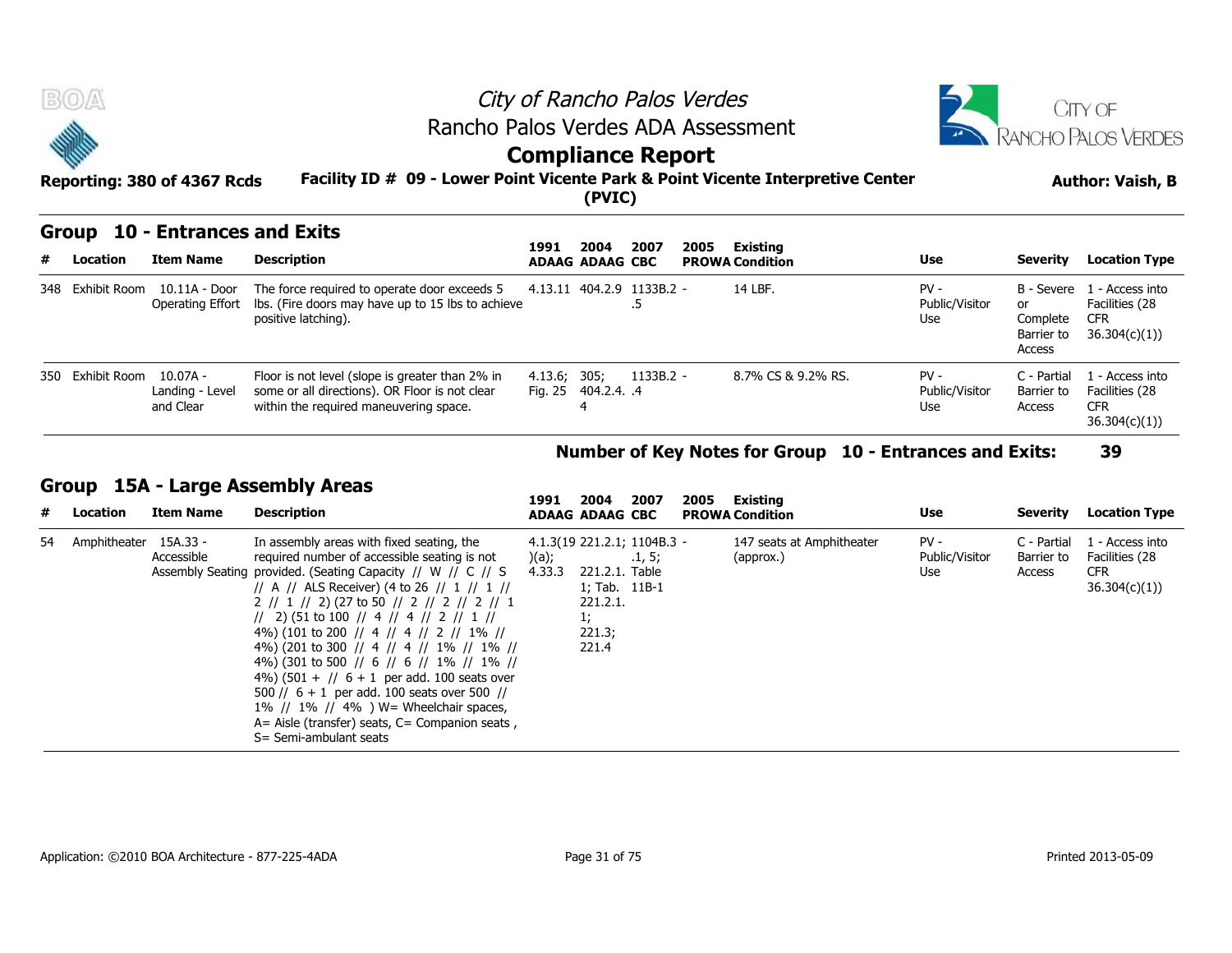



## **Compliance Report**

#### **Facility ID # 09 - Lower Point Vicente Park & Point Vicente Interpretive Center Reporting: 380 of 4367 Rcds Author: Vaish, B**

### **Group 10 - Entrances and Exits**

|   | BOA<br>City of Rancho Palos Verdes<br>Rancho Palos Verdes ADA Assessment<br><b>Compliance Report</b><br>Facility ID # 09 - Lower Point Vicente Park & Point Vicente Interpretive Center<br>Reporting: 380 of 4367 Rcds<br>(PVIC) |                                                     |                                                                                                                                             |                                     |      |             |      |                                    | <b>JITY OF</b><br><b>INCHO PALOS VERDES</b><br><b>Author: Vaish, B</b> |                                                      |                                                                 |  |
|---|----------------------------------------------------------------------------------------------------------------------------------------------------------------------------------------------------------------------------------|-----------------------------------------------------|---------------------------------------------------------------------------------------------------------------------------------------------|-------------------------------------|------|-------------|------|------------------------------------|------------------------------------------------------------------------|------------------------------------------------------|-----------------------------------------------------------------|--|
| # | Group<br>Location                                                                                                                                                                                                                | <b>10 - Entrances and Exits</b><br><b>Item Name</b> | <b>Description</b>                                                                                                                          | 1991<br><b>ADAAG ADAAG CBC</b>      | 2004 | 2007        | 2005 | Existing<br><b>PROWA Condition</b> | Use                                                                    | Severity                                             | <b>Location Type</b>                                            |  |
|   | 348 Exhibit Room                                                                                                                                                                                                                 | 10.11A - Door<br>Operating Effort                   | The force required to operate door exceeds 5<br>lbs. (Fire doors may have up to 15 lbs to achieve<br>positive latching).                    | 4.13.11 404.2.9 1133B.2 -           |      | .כ          |      | 14 LBF.                            | $PV -$<br>Public/Visitor<br>Use                                        | B - Severe<br>or<br>Complete<br>Barrier to<br>Access | 1 - Access into<br>Facilities (28<br><b>CFR</b><br>36.304(c)(1) |  |
|   | 350 Exhibit Room                                                                                                                                                                                                                 | 10.07A -<br>Landing - Level<br>and Clear            | Floor is not level (slope is greater than 2% in<br>some or all directions). OR Floor is not clear<br>within the required maneuvering space. | 4.13.6; 305;<br>Fig. 25 404.2.4. .4 |      | $1133B.2 -$ |      | 8.7% CS & 9.2% RS.                 | $PV -$<br>Public/Visitor<br>Use                                        | C - Partial<br>Barrier to<br>Access                  | 1 - Access into<br>Facilities (28<br><b>CFR</b><br>36.304(c)(1) |  |

#### **Number of Key Notes for Group 10 - Entrances and Exits: 39**

#### **Group 15A - Large Assembly Areas**

| # | Location        | <b>Item Name</b>       | <b>Description</b>                                                                                                                                                                                                                                                                                                                                                                                                                                                                                                                                                                                                                                                                                                | 1991            | 2004<br><b>ADAAG ADAAG CBC</b>                                                                      | 2007   | 2005 | Existing<br><b>PROWA Condition</b>     | Use                             | Severity                            | <b>Location Type</b>                                            |
|---|-----------------|------------------------|-------------------------------------------------------------------------------------------------------------------------------------------------------------------------------------------------------------------------------------------------------------------------------------------------------------------------------------------------------------------------------------------------------------------------------------------------------------------------------------------------------------------------------------------------------------------------------------------------------------------------------------------------------------------------------------------------------------------|-----------------|-----------------------------------------------------------------------------------------------------|--------|------|----------------------------------------|---------------------------------|-------------------------------------|-----------------------------------------------------------------|
|   | 54 Amphitheater | 15A.33 -<br>Accessible | In assembly areas with fixed seating, the<br>required number of accessible seating is not<br>Assembly Seating provided. (Seating Capacity // W // C // S<br>// A // ALS Receiver) (4 to 26 // 1 // 1 //<br>2 // 1 // 2) (27 to 50 // 2 // 2 // 2 // 1<br>$\frac{1}{2}$ (51 to 100 $\frac{1}{4}$ 4 $\frac{1}{4}$ 4 $\frac{1}{2}$ 1 $\frac{1}{1}$<br>4%) (101 to 200 // 4 // 4 // 2 // 1% //<br>4%) (201 to 300 // 4 // 4 // 1% // 1% //<br>4%) (301 to 500 // 6 // 6 // 1% // 1% //<br>4%) $(501 + 1)$ 6 + 1 per add. 100 seats over<br>500 // $6 + 1$ per add. 100 seats over 500 //<br>1% // 1% // 4% ) $W =$ Wheelchair spaces,<br>$A=$ Aisle (transfer) seats, $C=$ Companion seats,<br>S= Semi-ambulant seats | )(a);<br>4.33.3 | 4.1.3(19 221.2.1; 1104B.3 -<br>221.2.1. Table<br>1; Tab. 11B-1<br>221.2.1.<br>1;<br>221.3;<br>221.4 | .1, 5; |      | 147 seats at Amphitheater<br>(approx.) | $PV -$<br>Public/Visitor<br>Use | C - Partial<br>Barrier to<br>Access | 1 - Access into<br>Facilities (28<br><b>CFR</b><br>36.304(c)(1) |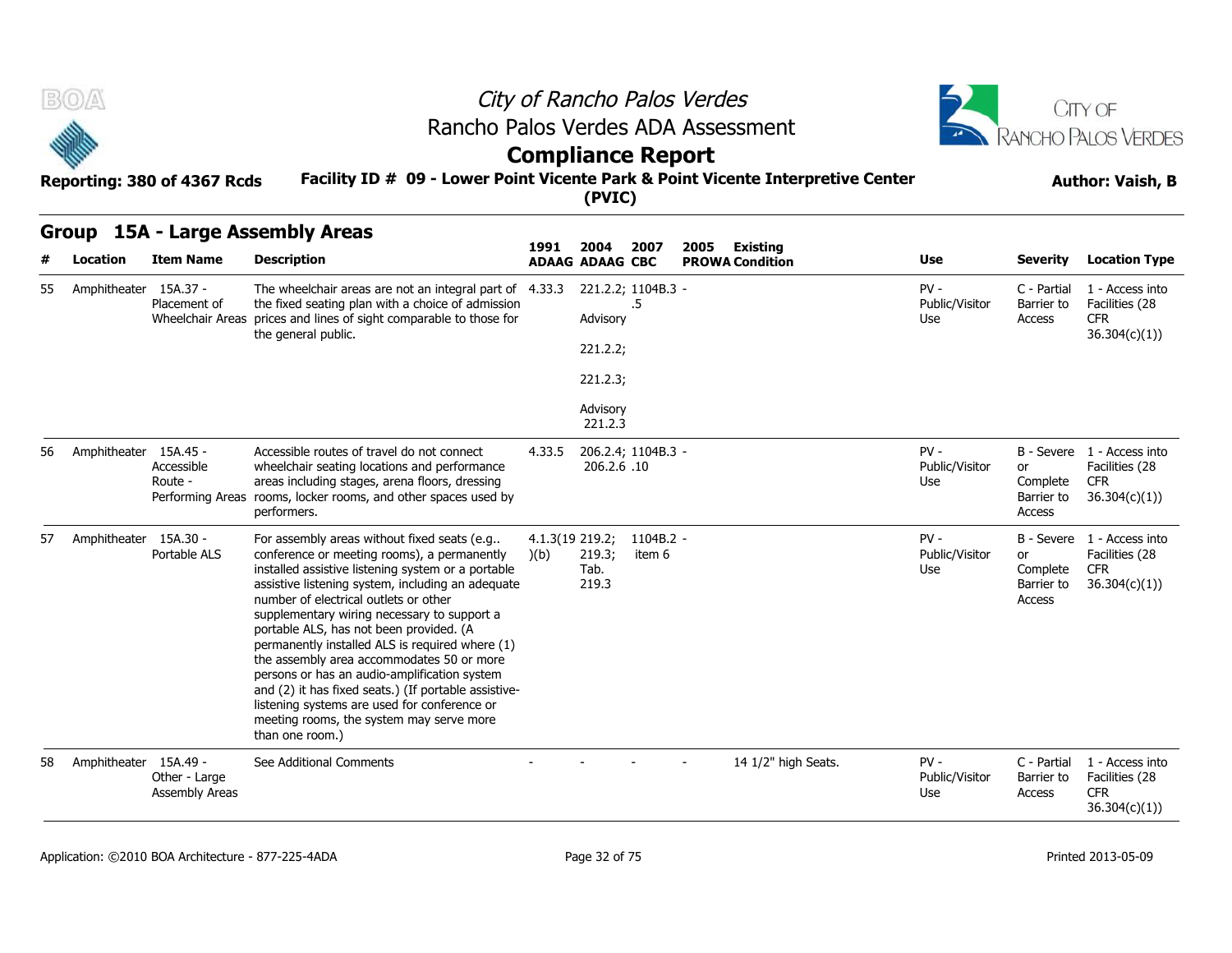| $L \rightarrow 1$ |  |
|-------------------|--|
|                   |  |
| والا              |  |

風の本

# City of Rancho Palos Verdes Rancho Palos Verdes ADA Assessment



## **Compliance Report**

#### **Facility ID # 09 - Lower Point Vicente Park & Point Vicente Interpretive Center Reporting: 380 of 4367 Rcds Author: Vaish, B**

**(PVIC)**

#### **Group 15A - Large Assembly Areas**

| #        | Location              | <b>Item Name</b>                            | <b>Description</b>                                                                                                                                                                                                                                                                                                                                                                                                                                                                                                                                                                                                                                              | 1991                   | 2004<br><b>ADAAG ADAAG CBC</b>                         | 2007                | Existing<br>2005<br><b>PROWA Condition</b> | <b>Use</b>                      | <b>Severity</b>                        | <b>Location Type</b>                                                       |
|----------|-----------------------|---------------------------------------------|-----------------------------------------------------------------------------------------------------------------------------------------------------------------------------------------------------------------------------------------------------------------------------------------------------------------------------------------------------------------------------------------------------------------------------------------------------------------------------------------------------------------------------------------------------------------------------------------------------------------------------------------------------------------|------------------------|--------------------------------------------------------|---------------------|--------------------------------------------|---------------------------------|----------------------------------------|----------------------------------------------------------------------------|
| 55<br>56 | Amphitheater 15A.37 - | Placement of                                | The wheelchair areas are not an integral part of 4.33.3<br>the fixed seating plan with a choice of admission<br>Wheelchair Areas prices and lines of sight comparable to those for<br>the general public.                                                                                                                                                                                                                                                                                                                                                                                                                                                       |                        | 221.2.2; 1104B.3 -<br>Advisory<br>221.2.2;<br>221.2.3; | .5                  |                                            | $PV -$<br>Public/Visitor<br>Use | C - Partial<br>Barrier to<br>Access    | 1 - Access into<br>Facilities (28<br><b>CFR</b><br>36.304(c)(1))           |
|          |                       |                                             |                                                                                                                                                                                                                                                                                                                                                                                                                                                                                                                                                                                                                                                                 |                        | Advisory<br>221.2.3                                    |                     |                                            |                                 |                                        |                                                                            |
|          | Amphitheater          | 15A.45 -<br>Accessible<br>Route -           | Accessible routes of travel do not connect<br>wheelchair seating locations and performance<br>areas including stages, arena floors, dressing<br>Performing Areas rooms, locker rooms, and other spaces used by<br>performers.                                                                                                                                                                                                                                                                                                                                                                                                                                   | 4.33.5                 | 206.2.4; 1104B.3 -<br>206.2.6.10                       |                     |                                            | $PV -$<br>Public/Visitor<br>Use | or<br>Complete<br>Barrier to<br>Access | B - Severe 1 - Access into<br>Facilities (28<br><b>CFR</b><br>36.304(c)(1) |
| 57       | Amphitheater          | 15A.30 -<br>Portable ALS                    | For assembly areas without fixed seats (e.g<br>conference or meeting rooms), a permanently<br>installed assistive listening system or a portable<br>assistive listening system, including an adequate<br>number of electrical outlets or other<br>supplementary wiring necessary to support a<br>portable ALS, has not been provided. (A<br>permanently installed ALS is required where (1)<br>the assembly area accommodates 50 or more<br>persons or has an audio-amplification system<br>and (2) it has fixed seats.) (If portable assistive-<br>listening systems are used for conference or<br>meeting rooms, the system may serve more<br>than one room.) | 4.1.3(19 219.2;<br>(b) | 219.3;<br>Tab.<br>219.3                                | 1104B.2 -<br>item 6 |                                            | $PV -$<br>Public/Visitor<br>Use | or<br>Complete<br>Barrier to<br>Access | B - Severe 1 - Access into<br>Facilities (28<br><b>CFR</b><br>36.304(c)(1) |
| 58       | Amphitheater          | 15A.49 -<br>Other - Large<br>Assembly Areas | See Additional Comments                                                                                                                                                                                                                                                                                                                                                                                                                                                                                                                                                                                                                                         |                        |                                                        |                     | 14 1/2" high Seats.                        | $PV -$<br>Public/Visitor<br>Use | C - Partial<br>Barrier to<br>Access    | 1 - Access into<br>Facilities (28<br><b>CFR</b><br>36.304(c)(1)            |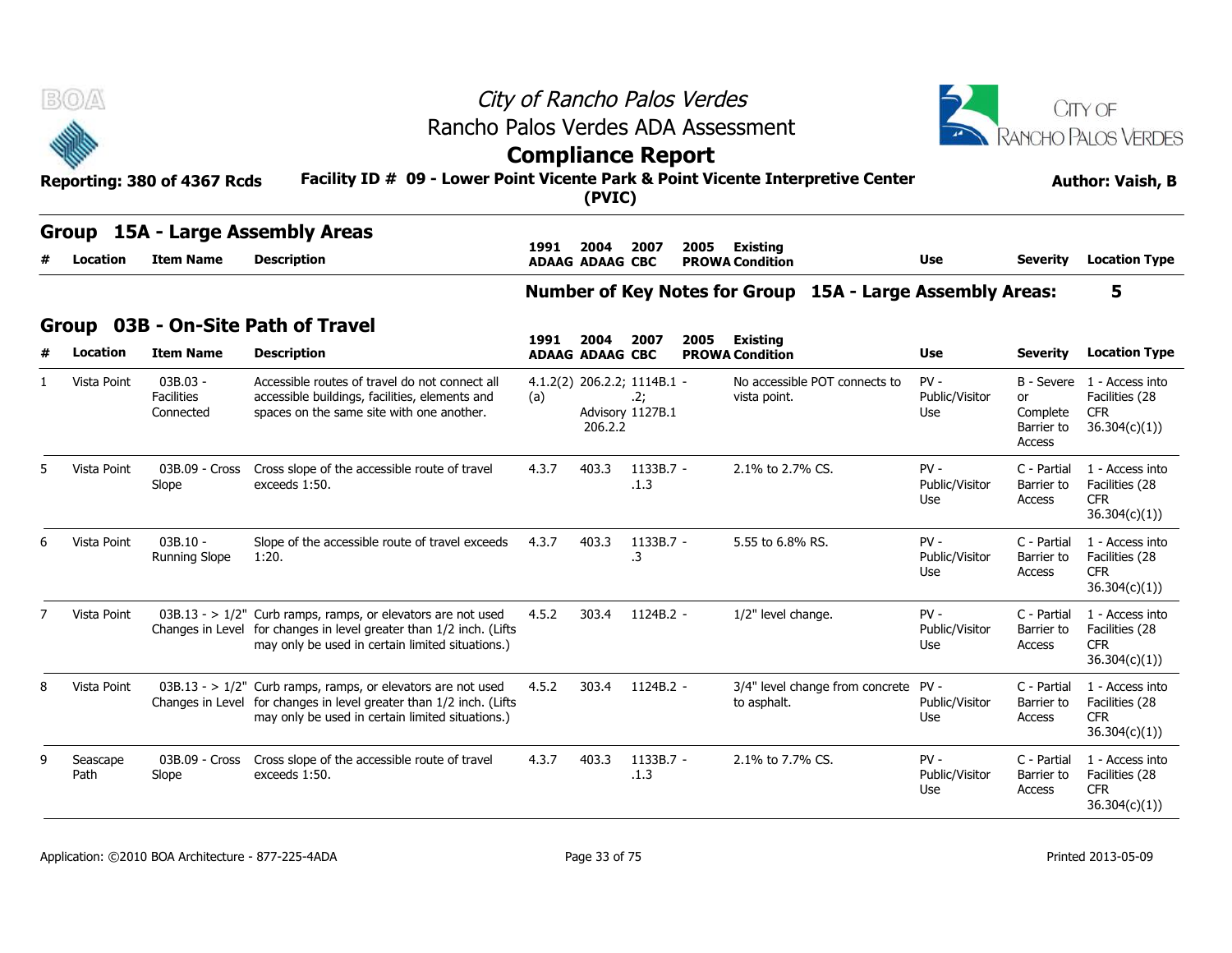|                |                          | Reporting: 380 of 4367 Rcds                  | Rancho Palos Verdes ADA Assessment<br>Facility ID # 09 - Lower Point Vicente Park & Point Vicente Interpretive Center                                                                      | City of Rancho Palos Verdes<br><b>Compliance Report</b> | (PVIC)                                 |                         |      | <b>JITY OF</b><br>RANCHO PALOS VERDES<br><b>Author: Vaish, B</b> |                                 |                                                      |                                                                  |
|----------------|--------------------------|----------------------------------------------|--------------------------------------------------------------------------------------------------------------------------------------------------------------------------------------------|---------------------------------------------------------|----------------------------------------|-------------------------|------|------------------------------------------------------------------|---------------------------------|------------------------------------------------------|------------------------------------------------------------------|
|                | <b>Group</b><br>Location | <b>Item Name</b>                             | 15A - Large Assembly Areas<br><b>Description</b>                                                                                                                                           | 1991                                                    | 2004<br><b>ADAAG ADAAG CBC</b>         | 2007                    | 2005 | Existing<br><b>PROWA Condition</b>                               | Use                             | <b>Severity</b>                                      | <b>Location Type</b>                                             |
|                |                          |                                              |                                                                                                                                                                                            |                                                         |                                        |                         |      | Number of Key Notes for Group 15A - Large Assembly Areas:        |                                 |                                                      | 5                                                                |
|                | <b>Group</b>             |                                              | 03B - On-Site Path of Travel                                                                                                                                                               | 1991                                                    | 2004                                   | 2007                    | 2005 | <b>Existing</b>                                                  |                                 |                                                      |                                                                  |
|                | Location                 | <b>Item Name</b>                             | <b>Description</b>                                                                                                                                                                         |                                                         | <b>ADAAG ADAAG CBC</b>                 |                         |      | <b>PROWA Condition</b>                                           | Use                             | <b>Severity</b>                                      | <b>Location Type</b>                                             |
|                | Vista Point              | $03B.03 -$<br><b>Facilities</b><br>Connected | Accessible routes of travel do not connect all<br>accessible buildings, facilities, elements and<br>spaces on the same site with one another.                                              | (a)                                                     | 4.1.2(2) 206.2.2; 1114B.1 -<br>206.2.2 | .2:<br>Advisory 1127B.1 |      | No accessible POT connects to<br>vista point.                    | $PV -$<br>Public/Visitor<br>Use | B - Severe<br>or<br>Complete<br>Barrier to<br>Access | 1 - Access into<br>Facilities (28<br><b>CFR</b><br>36.304(c)(1)  |
| 5              | Vista Point              | 03B.09 - Cross<br>Slope                      | Cross slope of the accessible route of travel<br>exceeds 1:50.                                                                                                                             | 4.3.7                                                   | 403.3                                  | 1133B.7 -<br>.1.3       |      | 2.1% to 2.7% CS.                                                 | $PV -$<br>Public/Visitor<br>Use | C - Partial<br>Barrier to<br>Access                  | 1 - Access into<br>Facilities (28<br><b>CFR</b><br>36.304(c)(1)  |
| 6              | Vista Point              | $03B.10 -$<br>Running Slope                  | Slope of the accessible route of travel exceeds<br>1:20.                                                                                                                                   | 4.3.7                                                   | 403.3                                  | 1133B.7 -<br>.3         |      | 5.55 to 6.8% RS.                                                 | $PV -$<br>Public/Visitor<br>Use | C - Partial<br>Barrier to<br>Access                  | 1 - Access into<br>Facilities (28<br><b>CFR</b><br>36.304(c)(1)) |
| $\overline{7}$ | Vista Point              |                                              | $03B.13 - > 1/2$ " Curb ramps, ramps, or elevators are not used<br>Changes in Level for changes in level greater than 1/2 inch. (Lifts<br>may only be used in certain limited situations.) | 4.5.2                                                   | 303.4                                  | 1124B.2 -               |      | 1/2" level change.                                               | $PV -$<br>Public/Visitor<br>Use | C - Partial<br>Barrier to<br>Access                  | 1 - Access into<br>Facilities (28<br><b>CFR</b><br>36.304(c)(1)) |
| 8              | Vista Point              |                                              | $03B.13 - 1/2$ " Curb ramps, ramps, or elevators are not used<br>Changes in Level for changes in level greater than 1/2 inch. (Lifts<br>may only be used in certain limited situations.)   | 4.5.2                                                   | 303.4                                  | $1124B.2 -$             |      | 3/4" level change from concrete PV -<br>to asphalt.              | Public/Visitor<br>Use           | C - Partial<br>Barrier to<br>Access                  | 1 - Access into<br>Facilities (28<br>CFR.<br>36.304(c)(1)        |
| 9              | Seascape<br>Path         | 03B.09 - Cross<br>Slope                      | Cross slope of the accessible route of travel<br>exceeds 1:50.                                                                                                                             | 4.3.7                                                   | 403.3                                  | 1133B.7 -<br>.1.3       |      | 2.1% to 7.7% CS.                                                 | $PV -$<br>Public/Visitor<br>Use | C - Partial<br>Barrier to<br>Access                  | 1 - Access into<br>Facilities (28<br><b>CFR</b><br>36.304(c)(1)  |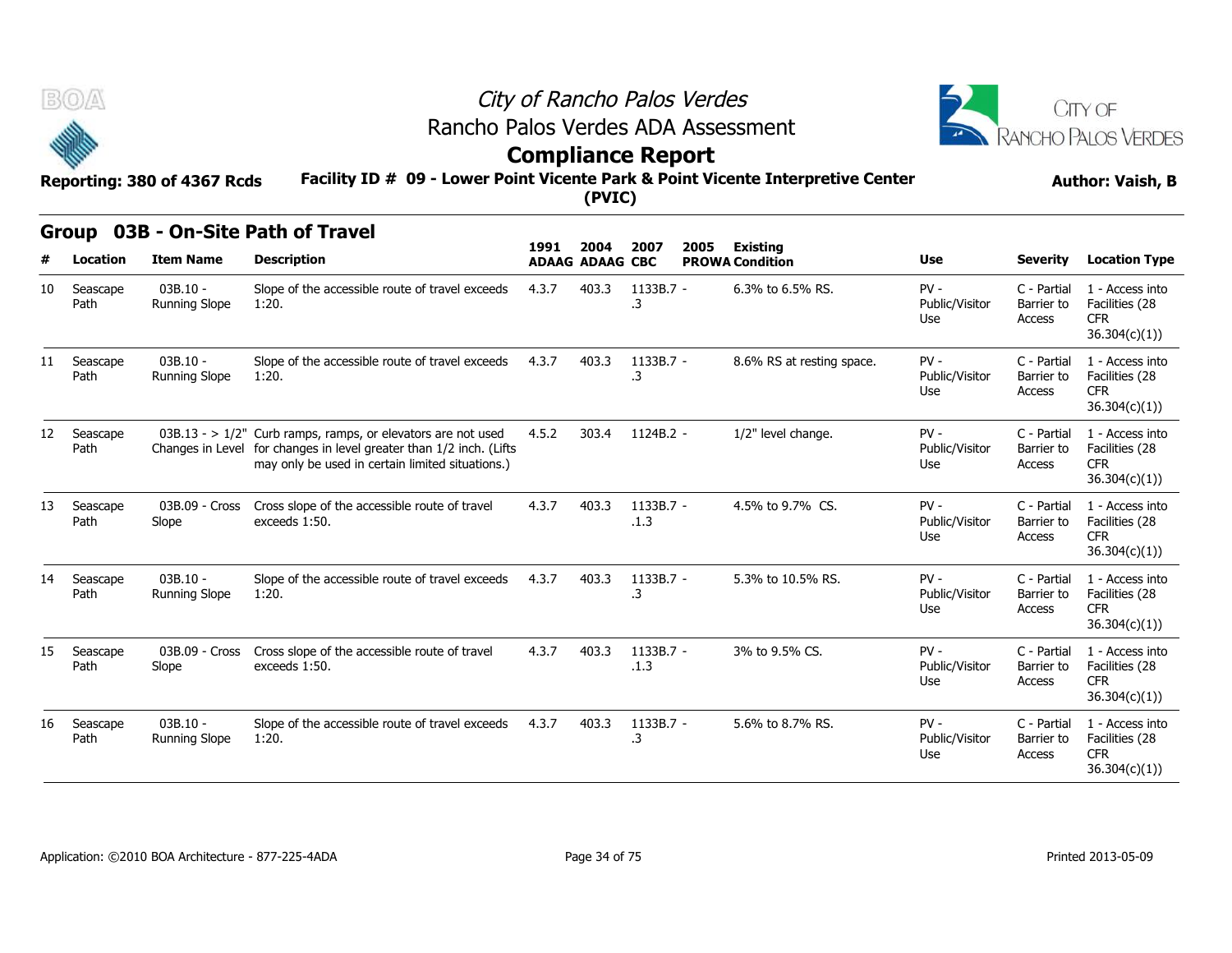



**Group 03B - On-Site Path of Travel**

## **Facility ID # 09 - Lower Point Vicente Park & Point Vicente Interpretive Center Reporting: 380 of 4367 Rcds Author: Vaish, B Compliance Report**

|     | uroup            | USD - UII-SILE PALII UI TIAVEI     |                                                                                                                                                                                          | 1991  | 2004                   | 2007              | 2005 | <b>Existing</b>           |                                 |                                     |                                                                  |
|-----|------------------|------------------------------------|------------------------------------------------------------------------------------------------------------------------------------------------------------------------------------------|-------|------------------------|-------------------|------|---------------------------|---------------------------------|-------------------------------------|------------------------------------------------------------------|
| #   | Location         | <b>Item Name</b>                   | <b>Description</b>                                                                                                                                                                       |       | <b>ADAAG ADAAG CBC</b> |                   |      | <b>PROWA Condition</b>    | <b>Use</b>                      | <b>Severity</b>                     | <b>Location Type</b>                                             |
| 10  | Seascape<br>Path | $03B.10 -$<br><b>Running Slope</b> | Slope of the accessible route of travel exceeds<br>1:20.                                                                                                                                 | 4.3.7 | 403.3                  | 1133B.7 -<br>.3   |      | 6.3% to 6.5% RS.          | $PV -$<br>Public/Visitor<br>Use | C - Partial<br>Barrier to<br>Access | 1 - Access into<br>Facilities (28<br><b>CFR</b><br>36.304(c)(1)) |
| 11  | Seascape<br>Path | $03B.10 -$<br><b>Running Slope</b> | Slope of the accessible route of travel exceeds<br>1:20.                                                                                                                                 | 4.3.7 | 403.3                  | 1133B.7 -<br>.3   |      | 8.6% RS at resting space. | $PV -$<br>Public/Visitor<br>Use | C - Partial<br>Barrier to<br>Access | 1 - Access into<br>Facilities (28<br><b>CFR</b><br>36.304(c)(1)) |
| 12  | Seascape<br>Path |                                    | $03B.13 - 1/2$ " Curb ramps, ramps, or elevators are not used<br>Changes in Level for changes in level greater than 1/2 inch. (Lifts<br>may only be used in certain limited situations.) | 4.5.2 | 303.4                  | 1124B.2 -         |      | 1/2" level change.        | $PV -$<br>Public/Visitor<br>Use | C - Partial<br>Barrier to<br>Access | 1 - Access into<br>Facilities (28<br><b>CFR</b><br>36.304(c)(1)) |
| 13  | Seascape<br>Path | 03B.09 - Cross<br>Slope            | Cross slope of the accessible route of travel<br>exceeds 1:50.                                                                                                                           | 4.3.7 | 403.3                  | 1133B.7 -<br>.1.3 |      | 4.5% to 9.7% CS.          | $PV -$<br>Public/Visitor<br>Use | C - Partial<br>Barrier to<br>Access | 1 - Access into<br>Facilities (28<br><b>CFR</b><br>36.304(c)(1)) |
| 14  | Seascape<br>Path | $03B.10 -$<br><b>Running Slope</b> | Slope of the accessible route of travel exceeds<br>1:20.                                                                                                                                 | 4.3.7 | 403.3                  | 1133B.7 -<br>.3   |      | 5.3% to 10.5% RS.         | $PV -$<br>Public/Visitor<br>Use | C - Partial<br>Barrier to<br>Access | 1 - Access into<br>Facilities (28<br><b>CFR</b><br>36.304(c)(1)) |
| 15. | Seascape<br>Path | 03B.09 - Cross<br>Slope            | Cross slope of the accessible route of travel<br>exceeds 1:50.                                                                                                                           | 4.3.7 | 403.3                  | 1133B.7 -<br>.1.3 |      | 3% to 9.5% CS.            | $PV -$<br>Public/Visitor<br>Use | C - Partial<br>Barrier to<br>Access | 1 - Access into<br>Facilities (28<br><b>CFR</b><br>36.304(c)(1)) |
| 16  | Seascape<br>Path | $03B.10 -$<br>Running Slope        | Slope of the accessible route of travel exceeds<br>1:20.                                                                                                                                 | 4.3.7 | 403.3                  | 1133B.7 -<br>.3   |      | 5.6% to 8.7% RS.          | $PV -$<br>Public/Visitor<br>Use | C - Partial<br>Barrier to<br>Access | 1 - Access into<br>Facilities (28<br><b>CFR</b><br>36.304(c)(1)) |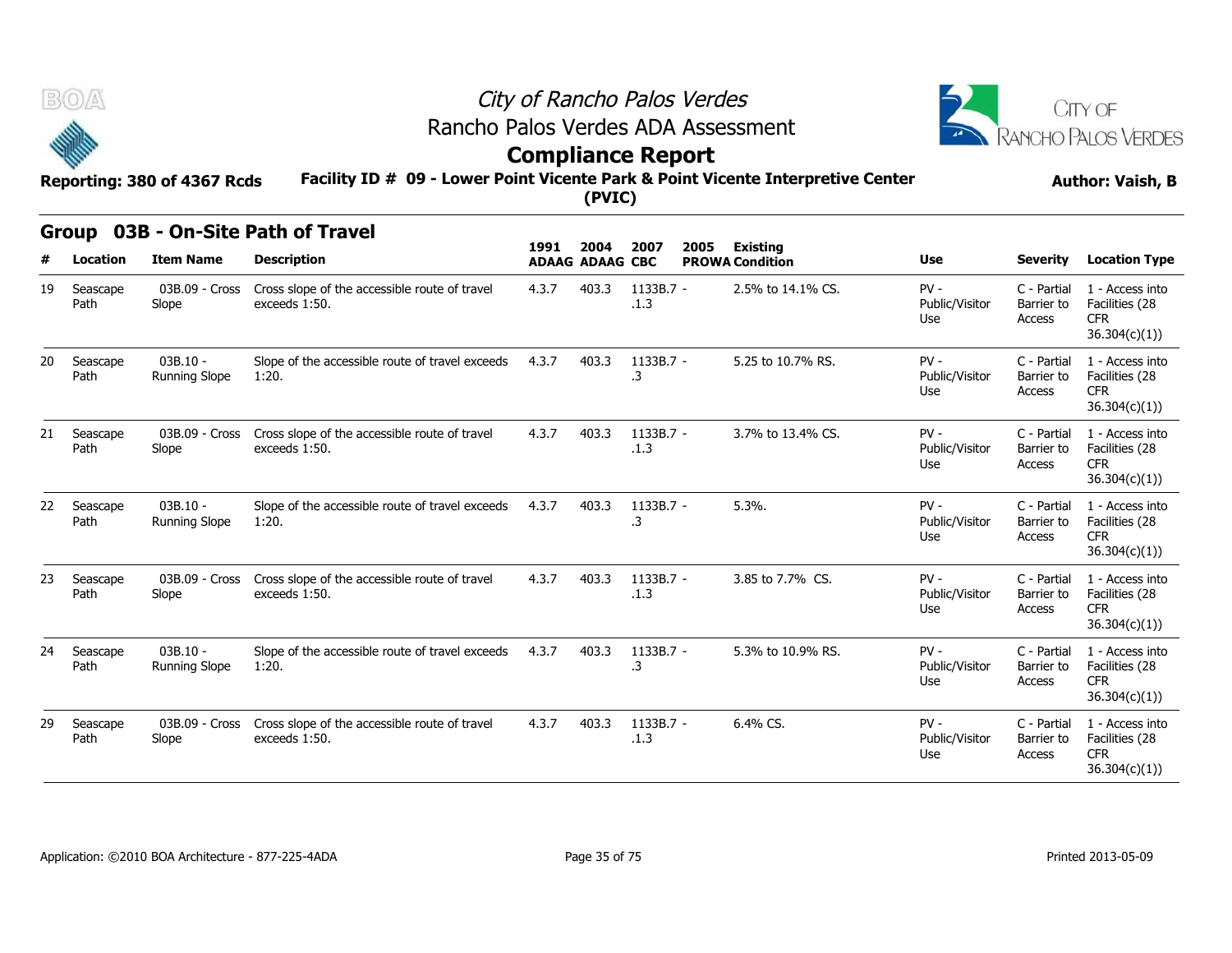



# **Compliance Report**

**Group 03B - On-Site Path of Travel**

### **Facility ID # 09 - Lower Point Vicente Park & Point Vicente Interpretive Center Reporting: 380 of 4367 Rcds Author: Vaish, B**

| urvup<br>טטט<br><b>VII JILG FULII VI TIUVGI</b> |                  |                                    |                                                                |                                | 2004  | 2007              | 2005 | <b>Existing</b>        |                                 |                                     |                                                                  |
|-------------------------------------------------|------------------|------------------------------------|----------------------------------------------------------------|--------------------------------|-------|-------------------|------|------------------------|---------------------------------|-------------------------------------|------------------------------------------------------------------|
|                                                 | <b>Location</b>  | <b>Item Name</b>                   | <b>Description</b>                                             | 1991<br><b>ADAAG ADAAG CBC</b> |       |                   |      | <b>PROWA Condition</b> | <b>Use</b>                      | <b>Severity</b>                     | <b>Location Type</b>                                             |
| 19                                              | Seascape<br>Path | 03B.09 - Cross<br>Slope            | Cross slope of the accessible route of travel<br>exceeds 1:50. | 4.3.7                          | 403.3 | 1133B.7 -<br>.1.3 |      | 2.5% to 14.1% CS.      | $PV -$<br>Public/Visitor<br>Use | C - Partial<br>Barrier to<br>Access | 1 - Access into<br>Facilities (28<br><b>CFR</b><br>36.304(c)(1)) |
| 20                                              | Seascape<br>Path | $03B.10 -$<br><b>Running Slope</b> | Slope of the accessible route of travel exceeds<br>1:20.       | 4.3.7                          | 403.3 | 1133B.7 -<br>.3   |      | 5.25 to 10.7% RS.      | $PV -$<br>Public/Visitor<br>Use | C - Partial<br>Barrier to<br>Access | 1 - Access into<br>Facilities (28<br><b>CFR</b><br>36.304(c)(1)  |
| 21                                              | Seascape<br>Path | 03B.09 - Cross<br>Slope            | Cross slope of the accessible route of travel<br>exceeds 1:50. | 4.3.7                          | 403.3 | 1133B.7 -<br>.1.3 |      | 3.7% to 13.4% CS.      | $PV -$<br>Public/Visitor<br>Use | C - Partial<br>Barrier to<br>Access | 1 - Access into<br>Facilities (28<br><b>CFR</b><br>36.304(c)(1)) |
| 22                                              | Seascape<br>Path | $03B.10 -$<br><b>Running Slope</b> | Slope of the accessible route of travel exceeds<br>1:20.       | 4.3.7                          | 403.3 | 1133B.7 -<br>.3   |      | 5.3%.                  | $PV -$<br>Public/Visitor<br>Use | C - Partial<br>Barrier to<br>Access | 1 - Access into<br>Facilities (28<br><b>CFR</b><br>36.304(c)(1)  |
| 23                                              | Seascape<br>Path | 03B.09 - Cross<br>Slope            | Cross slope of the accessible route of travel<br>exceeds 1:50. | 4.3.7                          | 403.3 | 1133B.7 -<br>.1.3 |      | 3.85 to 7.7% CS.       | $PV -$<br>Public/Visitor<br>Use | C - Partial<br>Barrier to<br>Access | 1 - Access into<br>Facilities (28<br><b>CFR</b><br>36.304(c)(1)  |
| 24                                              | Seascape<br>Path | $03B.10 -$<br><b>Running Slope</b> | Slope of the accessible route of travel exceeds<br>1:20.       | 4.3.7                          | 403.3 | 1133B.7 -<br>.3   |      | 5.3% to 10.9% RS.      | $PV -$<br>Public/Visitor<br>Use | C - Partial<br>Barrier to<br>Access | 1 - Access into<br>Facilities (28<br><b>CFR</b><br>36.304(c)(1)) |
| 29                                              | Seascape<br>Path | 03B.09 - Cross<br>Slope            | Cross slope of the accessible route of travel<br>exceeds 1:50. | 4.3.7                          | 403.3 | 1133B.7 -<br>.1.3 |      | 6.4% CS.               | $PV -$<br>Public/Visitor<br>Use | C - Partial<br>Barrier to<br>Access | 1 - Access into<br>Facilities (28<br><b>CFR</b><br>36.304(c)(1)  |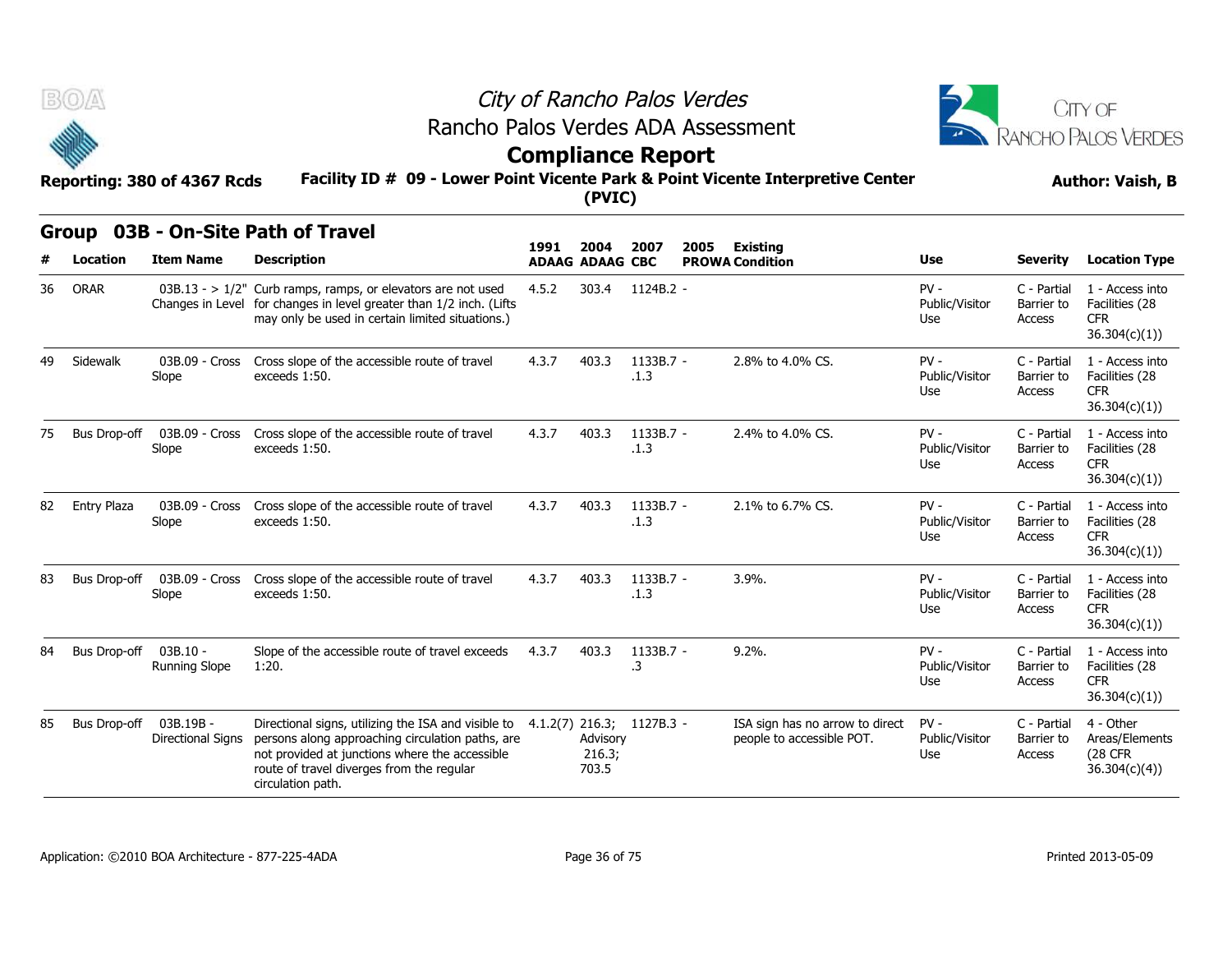



## **Compliance Report**

### **Facility ID # 09 - Lower Point Vicente Park & Point Vicente Interpretive Center Reporting: 380 of 4367 Rcds Author: Vaish, B**

#### **Group 03B - On-Site Path of Travel**

| B(0)<br>Facility ID # 09 - Lower Point Vicente Park & Point Vicente Interpretive Center<br>Reporting: 380 of 4367 Rcds |                          |                                       |                                                                                                                                                                                                                                                       | (PVIC) | City of Rancho Palos Verdes<br>Rancho Palos Verdes ADA Assessment<br><b>Compliance Report</b> |                   |                                                              | CITY OF<br>RANCHO PALOS VERDES<br><b>Author: Vaish, B</b> |                                     |                                                                  |
|------------------------------------------------------------------------------------------------------------------------|--------------------------|---------------------------------------|-------------------------------------------------------------------------------------------------------------------------------------------------------------------------------------------------------------------------------------------------------|--------|-----------------------------------------------------------------------------------------------|-------------------|--------------------------------------------------------------|-----------------------------------------------------------|-------------------------------------|------------------------------------------------------------------|
|                                                                                                                        | <b>Group</b><br>Location | <b>Item Name</b>                      | 03B - On-Site Path of Travel<br><b>Description</b>                                                                                                                                                                                                    | 1991   | 2004<br><b>ADAAG ADAAG CBC</b>                                                                | 2007<br>2005      | <b>Existing</b><br><b>PROWA Condition</b>                    | Use                                                       | <b>Severity</b>                     | <b>Location Type</b>                                             |
| 36                                                                                                                     | <b>ORAR</b>              |                                       | 03B.13 - > $1/2$ " Curb ramps, ramps, or elevators are not used<br>Changes in Level for changes in level greater than 1/2 inch. (Lifts<br>may only be used in certain limited situations.)                                                            | 4.5.2  | 303.4                                                                                         | 1124B.2 -         |                                                              | $PV -$<br>Public/Visitor<br>Use                           | C - Partial<br>Barrier to<br>Access | 1 - Access into<br>Facilities (28<br><b>CFR</b><br>36.304(c)(1)) |
| 49                                                                                                                     | Sidewalk                 | 03B.09 - Cross<br>Slope               | Cross slope of the accessible route of travel<br>exceeds 1:50.                                                                                                                                                                                        | 4.3.7  | 403.3                                                                                         | 1133B.7 -<br>.1.3 | 2.8% to 4.0% CS.                                             | $PV -$<br>Public/Visitor<br>Use                           | C - Partial<br>Barrier to<br>Access | 1 - Access into<br>Facilities (28<br><b>CFR</b><br>36.304(c)(1)) |
| 75                                                                                                                     | <b>Bus Drop-off</b>      | 03B.09 - Cross<br>Slope               | Cross slope of the accessible route of travel<br>exceeds 1:50.                                                                                                                                                                                        | 4.3.7  | 403.3                                                                                         | 1133B.7 -<br>.1.3 | 2.4% to 4.0% CS.                                             | $PV -$<br>Public/Visitor<br>Use                           | C - Partial<br>Barrier to<br>Access | 1 - Access into<br>Facilities (28<br><b>CFR</b><br>36.304(c)(1)) |
| 82                                                                                                                     | <b>Entry Plaza</b>       | 03B.09 - Cross<br>Slope               | Cross slope of the accessible route of travel<br>exceeds 1:50.                                                                                                                                                                                        | 4.3.7  | 403.3                                                                                         | 1133B.7 -<br>.1.3 | 2.1% to 6.7% CS.                                             | $PV -$<br>Public/Visitor<br>Use                           | C - Partial<br>Barrier to<br>Access | 1 - Access into<br>Facilities (28<br><b>CFR</b><br>36.304(c)(1)) |
| 83                                                                                                                     | <b>Bus Drop-off</b>      | 03B.09 - Cross<br>Slope               | Cross slope of the accessible route of travel<br>exceeds 1:50.                                                                                                                                                                                        | 4.3.7  | 403.3                                                                                         | 1133B.7 -<br>.1.3 | 3.9%.                                                        | $PV -$<br>Public/Visitor<br>Use                           | C - Partial<br>Barrier to<br>Access | 1 - Access into<br>Facilities (28<br><b>CFR</b><br>36.304(c)(1)) |
| 84                                                                                                                     | Bus Drop-off             | $03B.10 -$<br><b>Running Slope</b>    | Slope of the accessible route of travel exceeds<br>1:20.                                                                                                                                                                                              | 4.3.7  | 403.3                                                                                         | 1133B.7 -<br>.3   | $9.2\%$ .                                                    | $PV -$<br>Public/Visitor<br>Use                           | C - Partial<br>Barrier to<br>Access | 1 - Access into<br>Facilities (28<br><b>CFR</b><br>36.304(c)(1)) |
| 85                                                                                                                     | Bus Drop-off             | 03B.19B -<br><b>Directional Signs</b> | Directional signs, utilizing the ISA and visible to 4.1.2(7) 216.3; 1127B.3 -<br>persons along approaching circulation paths, are<br>not provided at junctions where the accessible<br>route of travel diverges from the regular<br>circulation path. |        | Advisory<br>216.3;<br>703.5                                                                   |                   | ISA sign has no arrow to direct<br>people to accessible POT. | $PV -$<br>Public/Visitor<br>Use                           | C - Partial<br>Barrier to<br>Access | 4 - Other<br>Areas/Elements<br><b>(28 CFR)</b><br>36.304(c)(4)   |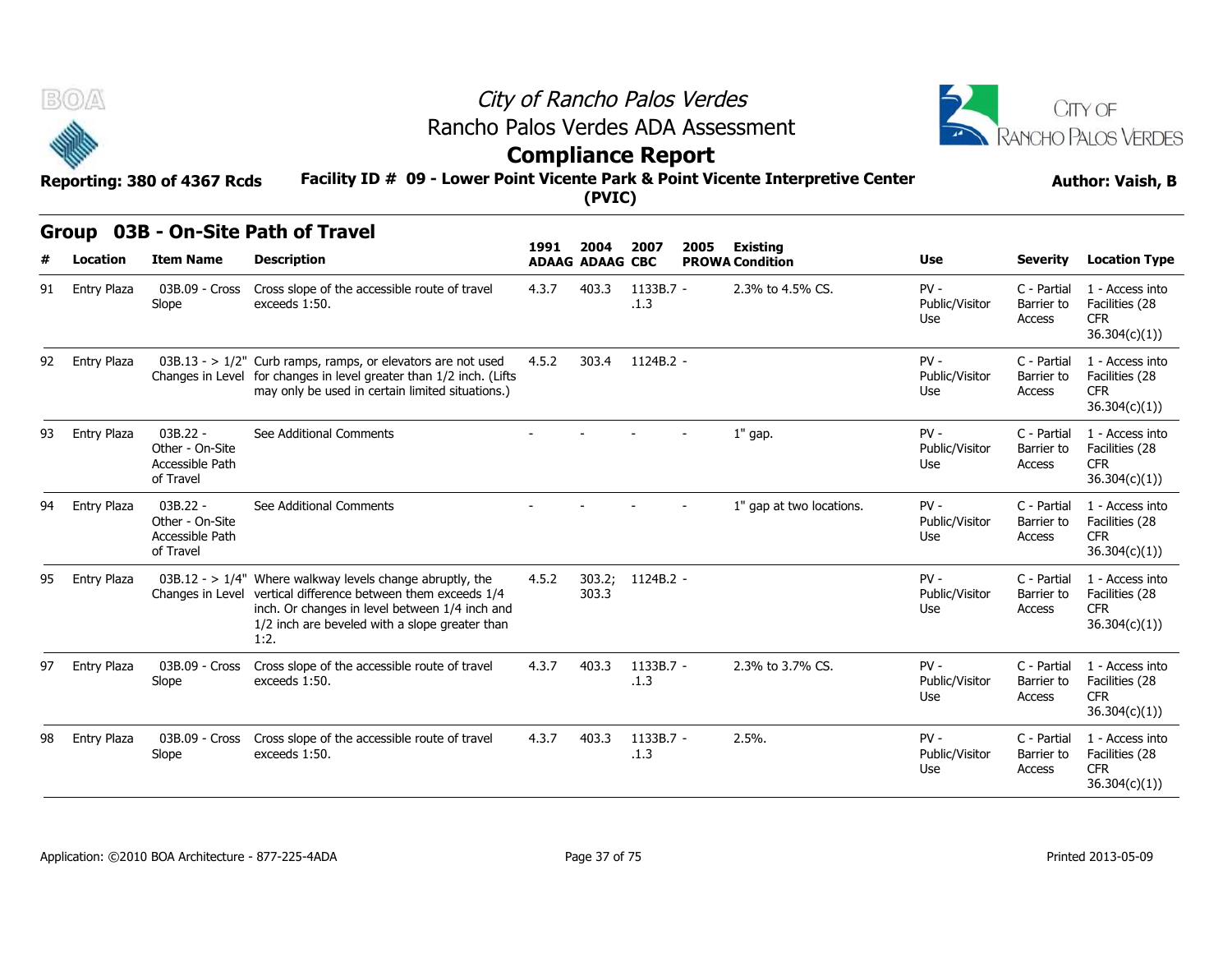



## **Compliance Report**

### **Facility ID # 09 - Lower Point Vicente Park & Point Vicente Interpretive Center Reporting: 380 of 4367 Rcds Author: Vaish, B**

|    | v                  | Reporting: 380 of 4367 Rcds                                   | Facility ID # 09 - Lower Point Vicente Park & Point Vicente Interpretive Center                                                                                                                                                         | <b>ARTIBURGE LAPPLE</b> | (PVIC)                 |                   |      |                          |                                 | <b>Author: Vaish, B</b>             |                                                                  |  |
|----|--------------------|---------------------------------------------------------------|-----------------------------------------------------------------------------------------------------------------------------------------------------------------------------------------------------------------------------------------|-------------------------|------------------------|-------------------|------|--------------------------|---------------------------------|-------------------------------------|------------------------------------------------------------------|--|
|    |                    |                                                               | Group 03B - On-Site Path of Travel                                                                                                                                                                                                      | 1991                    | 2004                   | 2007              | 2005 | <b>Existing</b>          |                                 |                                     |                                                                  |  |
| #  | Location           | <b>Item Name</b>                                              | <b>Description</b>                                                                                                                                                                                                                      |                         | <b>ADAAG ADAAG CBC</b> |                   |      | <b>PROWA Condition</b>   | <b>Use</b>                      | <b>Severity</b>                     | <b>Location Type</b>                                             |  |
| 91 | <b>Entry Plaza</b> | 03B.09 - Cross<br>Slope                                       | Cross slope of the accessible route of travel<br>exceeds 1:50.                                                                                                                                                                          | 4.3.7                   | 403.3                  | 1133B.7 -<br>.1.3 |      | 2.3% to 4.5% CS.         | $PV -$<br>Public/Visitor<br>Use | C - Partial<br>Barrier to<br>Access | 1 - Access into<br>Facilities (28<br><b>CFR</b><br>36.304(c)(1)) |  |
| 92 | <b>Entry Plaza</b> |                                                               | $03B.13 - 1/2$ " Curb ramps, ramps, or elevators are not used<br>Changes in Level for changes in level greater than 1/2 inch. (Lifts<br>may only be used in certain limited situations.)                                                | 4.5.2                   | 303.4                  | 1124B.2 -         |      |                          | $PV -$<br>Public/Visitor<br>Use | C - Partial<br>Barrier to<br>Access | 1 - Access into<br>Facilities (28<br><b>CFR</b><br>36.304(c)(1)) |  |
| 93 | Entry Plaza        | $03B.22 -$<br>Other - On-Site<br>Accessible Path<br>of Travel | See Additional Comments                                                                                                                                                                                                                 |                         |                        |                   |      | 1" gap.                  | $PV -$<br>Public/Visitor<br>Use | C - Partial<br>Barrier to<br>Access | 1 - Access into<br>Facilities (28<br><b>CFR</b><br>36.304(c)(1)) |  |
| 94 | Entry Plaza        | 03B.22 -<br>Other - On-Site<br>Accessible Path<br>of Travel   | See Additional Comments                                                                                                                                                                                                                 |                         |                        |                   |      | 1" gap at two locations. | $PV -$<br>Public/Visitor<br>Use | C - Partial<br>Barrier to<br>Access | 1 - Access into<br>Facilities (28<br><b>CFR</b><br>36.304(c)(1)) |  |
| 95 | Entry Plaza        |                                                               | $03B.12 - 1/4$ " Where walkway levels change abruptly, the<br>Changes in Level vertical difference between them exceeds 1/4<br>inch. Or changes in level between 1/4 inch and<br>1/2 inch are beveled with a slope greater than<br>1:2. | 4.5.2                   | 303.2;<br>303.3        | 1124B.2 -         |      |                          | $PV -$<br>Public/Visitor<br>Use | C - Partial<br>Barrier to<br>Access | 1 - Access into<br>Facilities (28<br><b>CFR</b><br>36.304(c)(1)) |  |
| 97 | <b>Entry Plaza</b> | 03B.09 - Cross<br>Slope                                       | Cross slope of the accessible route of travel<br>exceeds 1:50.                                                                                                                                                                          | 4.3.7                   | 403.3                  | 1133B.7 -<br>.1.3 |      | 2.3% to 3.7% CS.         | $PV -$<br>Public/Visitor<br>Use | C - Partial<br>Barrier to<br>Access | 1 - Access into<br>Facilities (28<br><b>CFR</b><br>36.304(c)(1)  |  |
| 98 | Entry Plaza        | 03B.09 - Cross<br>Slope                                       | Cross slope of the accessible route of travel<br>exceeds 1:50.                                                                                                                                                                          | 4.3.7                   | 403.3                  | 1133B.7 -<br>.1.3 |      | 2.5%                     | $PV -$<br>Public/Visitor<br>Use | C - Partial<br>Barrier to<br>Access | 1 - Access into<br>Facilities (28<br><b>CFR</b><br>36.304(c)(1)  |  |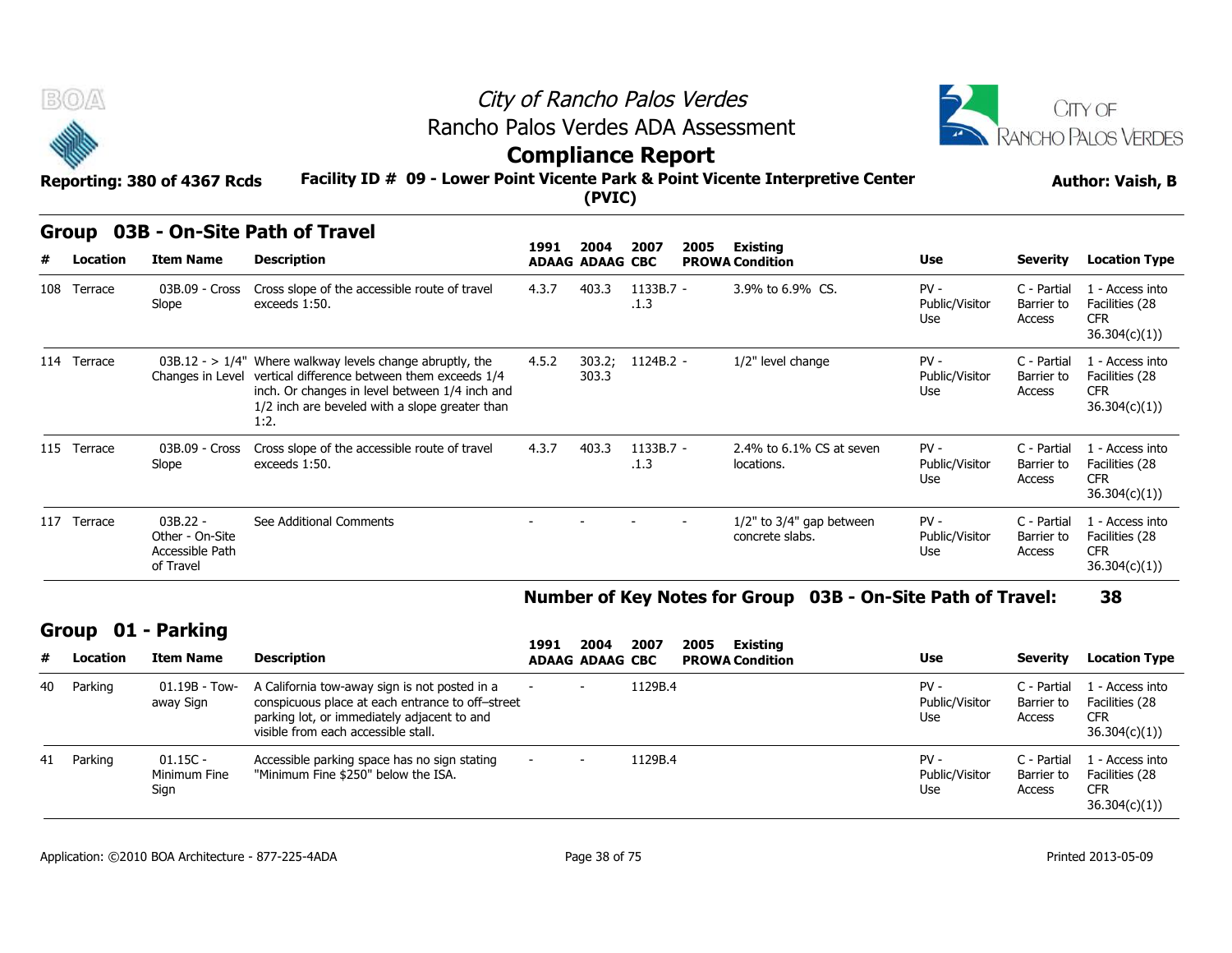



### **Compliance Report**

### **Facility ID # 09 - Lower Point Vicente Park & Point Vicente Interpretive Center Reporting: 380 of 4367 Rcds Author: Vaish, B**

| B(0)              | Reporting: 380 of 4367 Rcds                                   | Rancho Palos Verdes ADA Assessment<br>Facility ID # 09 - Lower Point Vicente Park & Point Vicente Interpretive Center                                                                                                                   | City of Rancho Palos Verdes<br><b>Compliance Report</b> | (PVIC)                         |                     |      |                                                   | <b>CITY OF</b><br><b>ANCHO PALOS VERDES</b><br><b>Author: Vaish, B</b> |                                     |                                                                  |
|-------------------|---------------------------------------------------------------|-----------------------------------------------------------------------------------------------------------------------------------------------------------------------------------------------------------------------------------------|---------------------------------------------------------|--------------------------------|---------------------|------|---------------------------------------------------|------------------------------------------------------------------------|-------------------------------------|------------------------------------------------------------------|
| Group<br>Location | <b>Item Name</b>                                              | 03B - On-Site Path of Travel<br><b>Description</b>                                                                                                                                                                                      | 1991                                                    | 2004<br><b>ADAAG ADAAG CBC</b> | 2007                | 2005 | <b>Existing</b><br><b>PROWA Condition</b>         | <b>Use</b>                                                             | Severity                            | <b>Location Type</b>                                             |
| 108 Terrace       | 03B.09 - Cross<br>Slope                                       | Cross slope of the accessible route of travel<br>exceeds 1:50.                                                                                                                                                                          | 4.3.7                                                   | 403.3                          | $1133B.7 -$<br>.1.3 |      | 3.9% to 6.9% CS.                                  | $PV -$<br>Public/Visitor<br>Use                                        | C - Partial<br>Barrier to<br>Access | 1 - Access into<br>Facilities (28<br><b>CFR</b><br>36.304(c)(1)) |
| 114 Terrace       |                                                               | $03B.12 - 1/4$ " Where walkway levels change abruptly, the<br>Changes in Level vertical difference between them exceeds 1/4<br>inch. Or changes in level between 1/4 inch and<br>1/2 inch are beveled with a slope greater than<br>1:2. | 4.5.2                                                   | 303.2;<br>303.3                | 1124B.2 -           |      | 1/2" level change                                 | $PV -$<br>Public/Visitor<br>Use                                        | C - Partial<br>Barrier to<br>Access | 1 - Access into<br>Facilities (28<br><b>CFR</b><br>36.304(c)(1)) |
| 115 Terrace       | 03B.09 - Cross<br>Slope                                       | Cross slope of the accessible route of travel<br>exceeds 1:50.                                                                                                                                                                          | 4.3.7                                                   | 403.3                          | 1133B.7 -<br>.1.3   |      | 2.4% to 6.1% CS at seven<br>locations.            | $PV -$<br>Public/Visitor<br>Use                                        | C - Partial<br>Barrier to<br>Access | 1 - Access into<br>Facilities (28<br><b>CFR</b><br>36.304(c)(1)) |
| 117 Terrace       | $03B.22 -$<br>Other - On-Site<br>Accessible Path<br>of Travel | See Additional Comments                                                                                                                                                                                                                 |                                                         |                                |                     |      | $1/2$ " to $3/4$ " gap between<br>concrete slabs. | $PV -$<br>Public/Visitor<br>Use                                        | C - Partial<br>Barrier to<br>Access | 1 - Access into<br>Facilities (28<br><b>CFR</b><br>36.304(c)(1)  |

### **Number of Key Notes for Group 03B - On-Site Path of Travel: 38**

### **Group 01 - Parking**

| #  | Location | <b>Item Name</b>                   | <b>Description</b>                                                                                                                                                                      | 1991 | 2004<br><b>ADAAG ADAAG CBC</b> | 2007    | 2005<br>Existing<br><b>PROWA Condition</b> | Use                             | Severity                            | <b>Location Type</b>                                            |
|----|----------|------------------------------------|-----------------------------------------------------------------------------------------------------------------------------------------------------------------------------------------|------|--------------------------------|---------|--------------------------------------------|---------------------------------|-------------------------------------|-----------------------------------------------------------------|
| 40 | Parking  | $01.19B - Town-$<br>away Sign      | A California tow-away sign is not posted in a<br>conspicuous place at each entrance to off-street<br>parking lot, or immediately adjacent to and<br>visible from each accessible stall. |      |                                | 1129B.4 |                                            | $PV -$<br>Public/Visitor<br>Use | C - Partial<br>Barrier to<br>Access | 1 - Access into<br>Facilities (28<br><b>CFR</b><br>36.304(c)(1) |
| 41 | Parking  | $01.15C -$<br>Minimum Fine<br>Sign | Accessible parking space has no sign stating<br>"Minimum Fine \$250" below the ISA.                                                                                                     |      |                                | 1129B.4 |                                            | $PV -$<br>Public/Visitor<br>Use | C - Partial<br>Barrier to<br>Access | 1 - Access into<br>Facilities (28<br><b>CFR</b><br>36.304(c)(1) |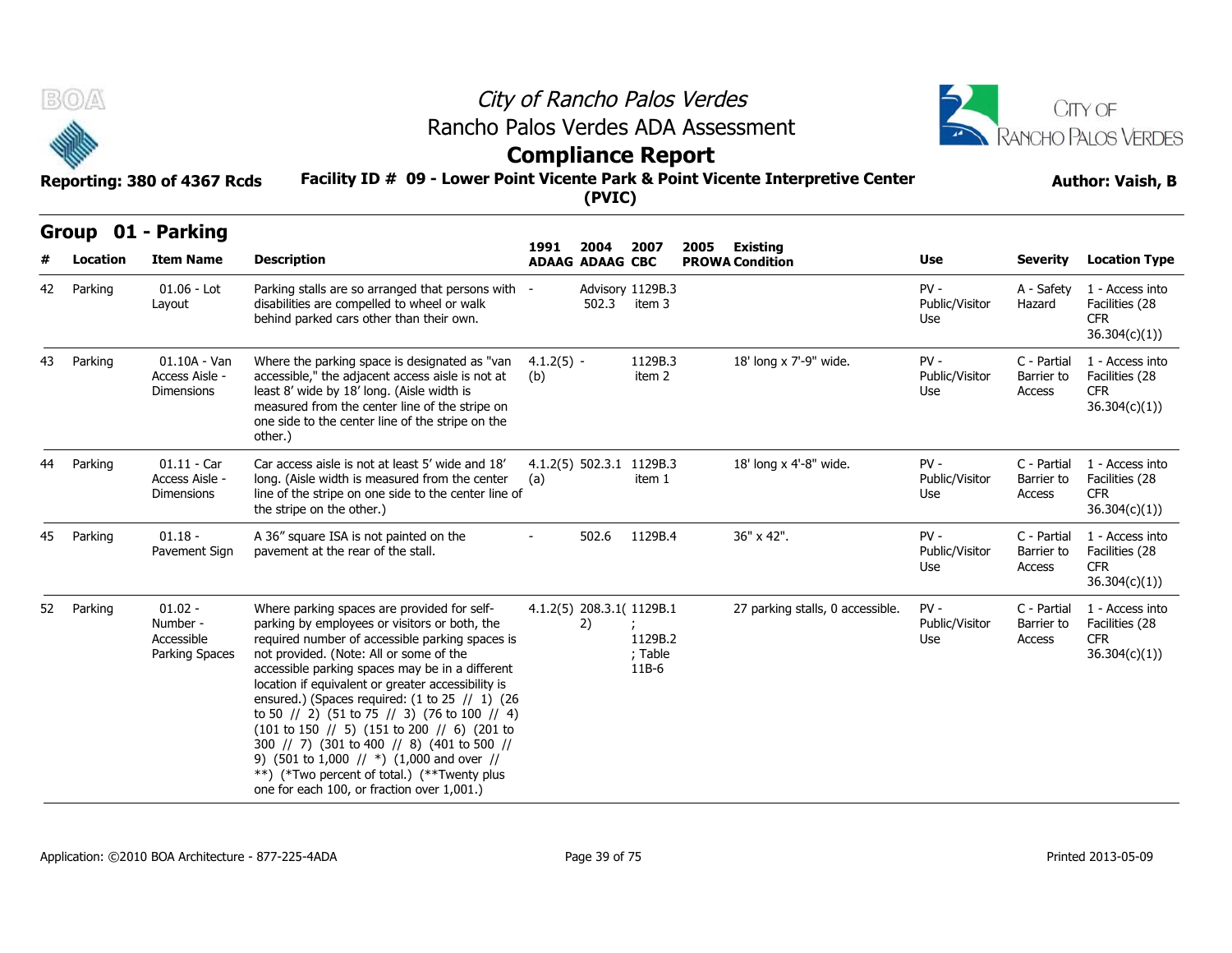



# **Compliance Report**

### **Facility ID # 09 - Lower Point Vicente Park & Point Vicente Interpretive Center Reporting: 380 of 4367 Rcds Author: Vaish, B**

|    | Group    | 01 - Parking                                          |                                                                                                                                                                                                                                                                                                                                                                                                                                                                                                                                                                                                                                                                                                                      |                     |                                |                                                            |      |                                           |                                 |                                     |                                                                  |
|----|----------|-------------------------------------------------------|----------------------------------------------------------------------------------------------------------------------------------------------------------------------------------------------------------------------------------------------------------------------------------------------------------------------------------------------------------------------------------------------------------------------------------------------------------------------------------------------------------------------------------------------------------------------------------------------------------------------------------------------------------------------------------------------------------------------|---------------------|--------------------------------|------------------------------------------------------------|------|-------------------------------------------|---------------------------------|-------------------------------------|------------------------------------------------------------------|
| #  | Location | <b>Item Name</b>                                      | <b>Description</b>                                                                                                                                                                                                                                                                                                                                                                                                                                                                                                                                                                                                                                                                                                   | 1991                | 2004<br><b>ADAAG ADAAG CBC</b> | 2007                                                       | 2005 | <b>Existing</b><br><b>PROWA Condition</b> | Use                             | <b>Severity</b>                     | <b>Location Type</b>                                             |
| 42 | Parking  | $01.06 -$ Lot<br>Layout                               | Parking stalls are so arranged that persons with -<br>disabilities are compelled to wheel or walk<br>behind parked cars other than their own.                                                                                                                                                                                                                                                                                                                                                                                                                                                                                                                                                                        |                     | 502.3                          | Advisory 1129B.3<br>item 3                                 |      |                                           | $PV -$<br>Public/Visitor<br>Use | A - Safety<br>Hazard                | 1 - Access into<br>Facilities (28<br><b>CFR</b><br>36.304(c)(1)) |
| 43 | Parking  | $01.10A - Van$<br>Access Aisle -<br><b>Dimensions</b> | Where the parking space is designated as "van<br>accessible," the adjacent access aisle is not at<br>least 8' wide by 18' long. (Aisle width is<br>measured from the center line of the stripe on<br>one side to the center line of the stripe on the<br>other.)                                                                                                                                                                                                                                                                                                                                                                                                                                                     | $4.1.2(5) -$<br>(b) |                                | 1129B.3<br>item 2                                          |      | 18' long x 7'-9" wide.                    | $PV -$<br>Public/Visitor<br>Use | C - Partial<br>Barrier to<br>Access | 1 - Access into<br>Facilities (28<br><b>CFR</b><br>36.304(c)(1)) |
| 44 | Parking  | $01.11 - Car$<br>Access Aisle -<br><b>Dimensions</b>  | Car access aisle is not at least 5' wide and 18'<br>long. (Aisle width is measured from the center<br>line of the stripe on one side to the center line of<br>the stripe on the other.)                                                                                                                                                                                                                                                                                                                                                                                                                                                                                                                              | (a)                 | $4.1.2(5)$ 502.3.1             | 1129B.3<br>item 1                                          |      | 18' long x 4'-8" wide.                    | $PV -$<br>Public/Visitor<br>Use | C - Partial<br>Barrier to<br>Access | 1 - Access into<br>Facilities (28<br><b>CFR</b><br>36.304(c)(1)) |
| 45 | Parking  | $01.18 -$<br>Pavement Sign                            | A 36" square ISA is not painted on the<br>pavement at the rear of the stall.                                                                                                                                                                                                                                                                                                                                                                                                                                                                                                                                                                                                                                         |                     | 502.6                          | 1129B.4                                                    |      | 36" x 42".                                | $PV -$<br>Public/Visitor<br>Use | C - Partial<br>Barrier to<br>Access | 1 - Access into<br>Facilities (28<br><b>CFR</b><br>36.304(c)(1)  |
| 52 | Parking  | $01.02 -$<br>Number -<br>Accessible<br>Parking Spaces | Where parking spaces are provided for self-<br>parking by employees or visitors or both, the<br>required number of accessible parking spaces is<br>not provided. (Note: All or some of the<br>accessible parking spaces may be in a different<br>location if equivalent or greater accessibility is<br>ensured.) (Spaces required: $(1 to 25 / 1)$ (26<br>to 50 // 2) (51 to 75 // 3) (76 to 100 // 4)<br>$(101 \text{ to } 150 \text{ // } 5)$ $(151 \text{ to } 200 \text{ // } 6)$ $(201 \text{ to } 150 \text{ / } 5)$<br>300 // 7) (301 to 400 // 8) (401 to 500 //<br>9) (501 to 1,000 // $*)$ (1,000 and over //<br>**) (*Two percent of total.) (**Twenty plus<br>one for each 100, or fraction over 1,001.) |                     | 2)                             | 4.1.2(5) 208.3.1( 1129B.1<br>1129B.2<br>; Table<br>$11B-6$ |      | 27 parking stalls, 0 accessible.          | $PV -$<br>Public/Visitor<br>Use | C - Partial<br>Barrier to<br>Access | 1 - Access into<br>Facilities (28<br><b>CFR</b><br>36.304(c)(1)  |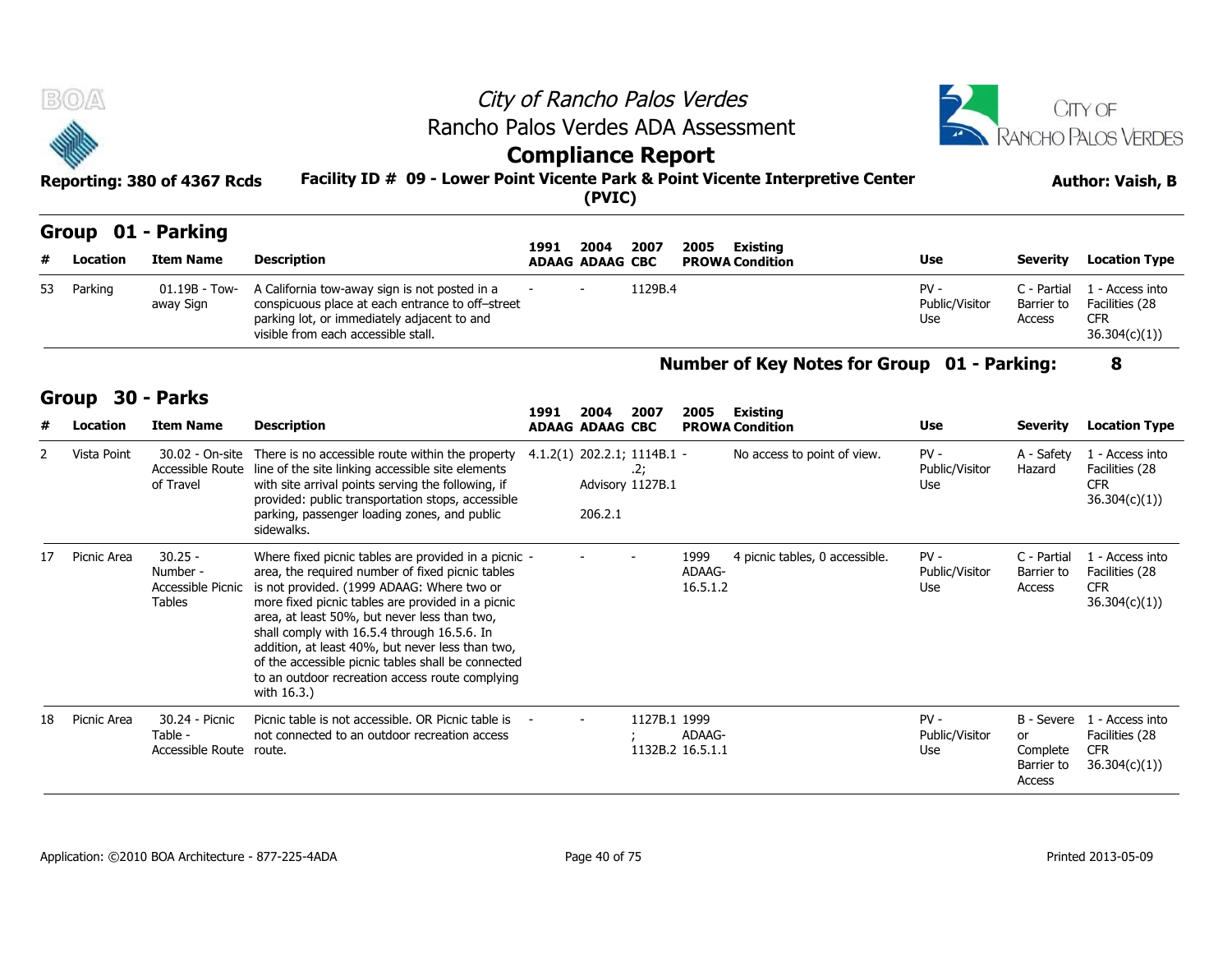| <b>BOA</b>                  | City of Rancho Palos Verdes                                                     | <b>CITY OF</b>          |
|-----------------------------|---------------------------------------------------------------------------------|-------------------------|
|                             | Rancho Palos Verdes ADA Assessment                                              | RANCHO PALOS VERDES     |
| <b>SERIES</b>               | <b>Compliance Report</b>                                                        |                         |
| Reporting: 380 of 4367 Rcds | Facility ID # 09 - Lower Point Vicente Park & Point Vicente Interpretive Center | <b>Author: Vaish, B</b> |
|                             | (PVIC)                                                                          |                         |

### **Group 01 - Parking**

| #  | Location        | <b>Item Name</b>              | <b>Description</b>                                                                                                                                                                                                               | 1991                        | 2004<br><b>ADAAG ADAAG CBC</b> | 2007                    | 2005 | Existing<br><b>PROWA Condition</b>          | <b>Use</b>                      | <b>Severity</b>                     | <b>Location Type</b>                                            |
|----|-----------------|-------------------------------|----------------------------------------------------------------------------------------------------------------------------------------------------------------------------------------------------------------------------------|-----------------------------|--------------------------------|-------------------------|------|---------------------------------------------|---------------------------------|-------------------------------------|-----------------------------------------------------------------|
| 53 | Parking         | $01.19B - Town-$<br>away Sign | A California tow-away sign is not posted in a<br>conspicuous place at each entrance to off-street<br>parking lot, or immediately adjacent to and<br>visible from each accessible stall.                                          |                             |                                | 1129B.4                 |      |                                             | $PV -$<br>Public/Visitor<br>Use | C - Partial<br>Barrier to<br>Access | 1 - Access into<br>Facilities (28<br><b>CFR</b><br>36.304(c)(1) |
|    | Group           | <b>30 - Parks</b>             |                                                                                                                                                                                                                                  |                             |                                |                         |      | Number of Key Notes for Group 01 - Parking: |                                 |                                     | 8                                                               |
|    |                 |                               |                                                                                                                                                                                                                                  | 1991                        | 2004                           | 2007                    | 2005 | Existing                                    |                                 |                                     |                                                                 |
| #  | <b>Location</b> | <b>Item Name</b>              | <b>Description</b>                                                                                                                                                                                                               |                             | <b>ADAAG ADAAG CBC</b>         |                         |      | <b>PROWA Condition</b>                      | <b>Use</b>                      | <b>Severity</b>                     | <b>Location Type</b>                                            |
|    | Vista Point     | 30.02 - On-site<br>of Travel  | There is no accessible route within the property<br>Accessible Route line of the site linking accessible site elements<br>with site arrival points serving the following, if<br>provided: public transportation stons accessible | 4.1.2(1) 202.2.1; 1114B.1 - |                                | .2;<br>Advisory 1127B.1 |      | No access to point of view.                 | $PV -$<br>Public/Visitor<br>Use | A - Safety<br>Hazard                | 1 - Access into<br>Facilities (28<br><b>CFR</b><br>36.304(c)(1) |

**1991** 

### **Number of Key Notes for Group 01 - Parking: 8**

### **Group 30 - Parks**

| #  | Location    | <b>Item Name</b>                                            | <b>Description</b>                                                                                                                                                                                                                                                                                                                                                                                                                                                                     | 1991 | 2004<br><b>ADAAG ADAAG CBC</b> | 2007                                                    | 2005                       | Existing<br><b>PROWA Condition</b> | <b>Use</b>                      | <b>Severity</b>                                      | <b>Location Type</b>                                             |
|----|-------------|-------------------------------------------------------------|----------------------------------------------------------------------------------------------------------------------------------------------------------------------------------------------------------------------------------------------------------------------------------------------------------------------------------------------------------------------------------------------------------------------------------------------------------------------------------------|------|--------------------------------|---------------------------------------------------------|----------------------------|------------------------------------|---------------------------------|------------------------------------------------------|------------------------------------------------------------------|
|    | Vista Point | 30.02 - On-site<br>Accessible Route<br>of Travel            | There is no accessible route within the property<br>line of the site linking accessible site elements<br>with site arrival points serving the following, if<br>provided: public transportation stops, accessible<br>parking, passenger loading zones, and public<br>sidewalks.                                                                                                                                                                                                         |      | 206.2.1                        | $4.1.2(1)$ 202.2.1; 1114B.1 -<br>2;<br>Advisory 1127B.1 |                            | No access to point of view.        | $PV -$<br>Public/Visitor<br>Use | A - Safety<br>Hazard                                 | 1 - Access into<br>Facilities (28<br><b>CFR</b><br>36.304(c)(1)  |
| 17 | Picnic Area | $30.25 -$<br>Number -<br>Accessible Picnic<br><b>Tables</b> | Where fixed picnic tables are provided in a picnic -<br>area, the required number of fixed picnic tables<br>is not provided. (1999 ADAAG: Where two or<br>more fixed picnic tables are provided in a picnic<br>area, at least 50%, but never less than two,<br>shall comply with 16.5.4 through 16.5.6. In<br>addition, at least 40%, but never less than two,<br>of the accessible picnic tables shall be connected<br>to an outdoor recreation access route complying<br>with 16.3.) |      |                                |                                                         | 1999<br>ADAAG-<br>16.5.1.2 | 4 picnic tables, 0 accessible.     | $PV -$<br>Public/Visitor<br>Use | C - Partial<br>Barrier to<br>Access                  | 1 - Access into<br>Facilities (28<br><b>CFR</b><br>36.304(c)(1)  |
| 18 | Picnic Area | 30.24 - Picnic<br>Table -<br>Accessible Route               | Picnic table is not accessible. OR Picnic table is<br>not connected to an outdoor recreation access<br>route.                                                                                                                                                                                                                                                                                                                                                                          |      | $\overline{\phantom{0}}$       | 1127B.1 1999                                            | ADAAG-<br>1132B.2 16.5.1.1 |                                    | $PV -$<br>Public/Visitor<br>Use | B - Severe<br>or<br>Complete<br>Barrier to<br>Access | 1 - Access into<br>Facilities (28<br><b>CFR</b><br>36.304(c)(1)) |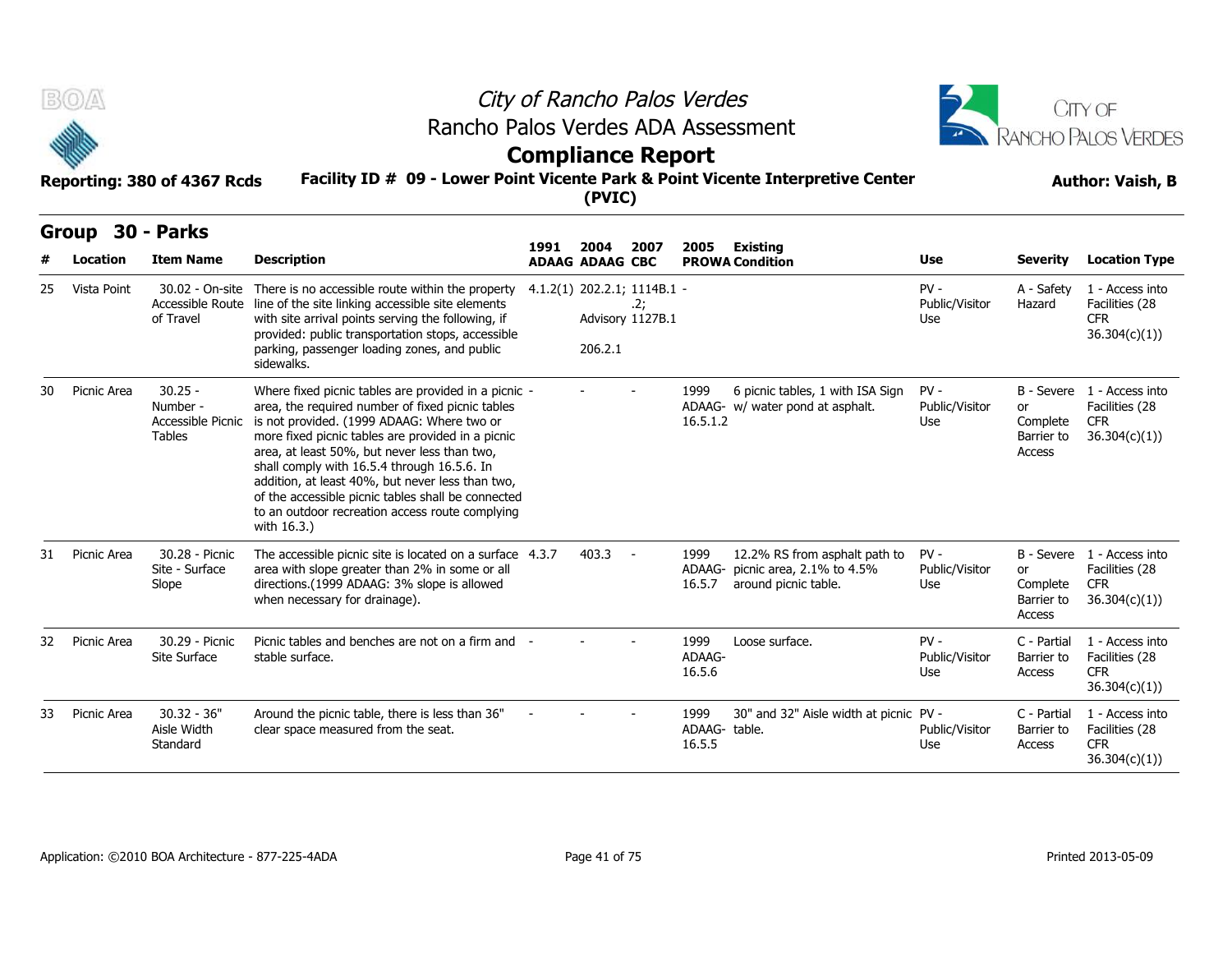



### **Compliance Report**

|    | B(0)              |                                                             | City of Rancho Palos Verdes                                                                                                                                                                                                                                                                                                                                                                                                                                                            |                             |                                | CITY OF                 |                                 |                                                                                           |                                 |                                        |                                                                            |
|----|-------------------|-------------------------------------------------------------|----------------------------------------------------------------------------------------------------------------------------------------------------------------------------------------------------------------------------------------------------------------------------------------------------------------------------------------------------------------------------------------------------------------------------------------------------------------------------------------|-----------------------------|--------------------------------|-------------------------|---------------------------------|-------------------------------------------------------------------------------------------|---------------------------------|----------------------------------------|----------------------------------------------------------------------------|
|    |                   |                                                             | Rancho Palos Verdes ADA Assessment<br><b>Compliance Report</b>                                                                                                                                                                                                                                                                                                                                                                                                                         |                             | RANCHO PALOS VERDES            |                         |                                 |                                                                                           |                                 |                                        |                                                                            |
|    |                   | Reporting: 380 of 4367 Rcds                                 | Facility ID # 09 - Lower Point Vicente Park & Point Vicente Interpretive Center                                                                                                                                                                                                                                                                                                                                                                                                        |                             | (PVIC)                         |                         |                                 | <b>Author: Vaish, B</b>                                                                   |                                 |                                        |                                                                            |
|    | Group<br>Location | <b>30 - Parks</b><br><b>Item Name</b>                       | <b>Description</b>                                                                                                                                                                                                                                                                                                                                                                                                                                                                     | 1991                        | 2004<br><b>ADAAG ADAAG CBC</b> | 2007                    | 2005                            | <b>Existing</b><br><b>PROWA Condition</b>                                                 | Use                             | <b>Severity</b>                        | <b>Location Type</b>                                                       |
| 25 | Vista Point       | 30.02 - On-site<br>Accessible Route<br>of Travel            | There is no accessible route within the property<br>line of the site linking accessible site elements<br>with site arrival points serving the following, if<br>provided: public transportation stops, accessible<br>parking, passenger loading zones, and public<br>sidewalks.                                                                                                                                                                                                         | 4.1.2(1) 202.2.1; 1114B.1 - | 206.2.1                        | .2;<br>Advisory 1127B.1 |                                 |                                                                                           | $PV -$<br>Public/Visitor<br>Use | A - Safety<br>Hazard                   | 1 - Access into<br>Facilities (28<br><b>CFR</b><br>36.304(c)(1)            |
| 30 | Picnic Area       | $30.25 -$<br>Number -<br>Accessible Picnic<br><b>Tables</b> | Where fixed picnic tables are provided in a picnic -<br>area, the required number of fixed picnic tables<br>is not provided. (1999 ADAAG: Where two or<br>more fixed picnic tables are provided in a picnic<br>area, at least 50%, but never less than two,<br>shall comply with 16.5.4 through 16.5.6. In<br>addition, at least 40%, but never less than two,<br>of the accessible picnic tables shall be connected<br>to an outdoor recreation access route complying<br>with 16.3.) |                             |                                |                         | 1999<br>16.5.1.2                | 6 picnic tables, 1 with ISA Sign<br>ADAAG- w/ water pond at asphalt.                      | $PV -$<br>Public/Visitor<br>Use | or<br>Complete<br>Barrier to<br>Access | B - Severe 1 - Access into<br>Facilities (28<br><b>CFR</b><br>36.304(c)(1) |
|    | 31 Picnic Area    | 30.28 - Picnic<br>Site - Surface<br>Slope                   | The accessible picnic site is located on a surface 4.3.7<br>area with slope greater than 2% in some or all<br>directions.(1999 ADAAG: 3% slope is allowed<br>when necessary for drainage).                                                                                                                                                                                                                                                                                             |                             | $403.3 -$                      |                         | 1999<br>16.5.7                  | 12.2% RS from asphalt path to<br>ADAAG- picnic area, 2.1% to 4.5%<br>around picnic table. | $PV -$<br>Public/Visitor<br>Use | or<br>Complete<br>Barrier to<br>Access | B - Severe 1 - Access into<br>Facilities (28<br><b>CFR</b><br>36.304(c)(1) |
| 32 | Picnic Area       | 30.29 - Picnic<br>Site Surface                              | Picnic tables and benches are not on a firm and -<br>stable surface.                                                                                                                                                                                                                                                                                                                                                                                                                   |                             |                                |                         | 1999<br>ADAAG-<br>16.5.6        | Loose surface.                                                                            | $PV -$<br>Public/Visitor<br>Use | C - Partial<br>Barrier to<br>Access    | 1 - Access into<br>Facilities (28<br><b>CFR</b><br>36.304(c)(1))           |
| 33 | Picnic Area       | $30.32 - 36"$<br>Aisle Width<br>Standard                    | Around the picnic table, there is less than 36"<br>clear space measured from the seat.                                                                                                                                                                                                                                                                                                                                                                                                 |                             |                                |                         | 1999<br>ADAAG- table.<br>16.5.5 | 30" and 32" Aisle width at picnic PV -                                                    | Public/Visitor<br>Use           | C - Partial<br>Barrier to<br>Access    | 1 - Access into<br>Facilities (28<br><b>CFR</b><br>36.304(c)(1)            |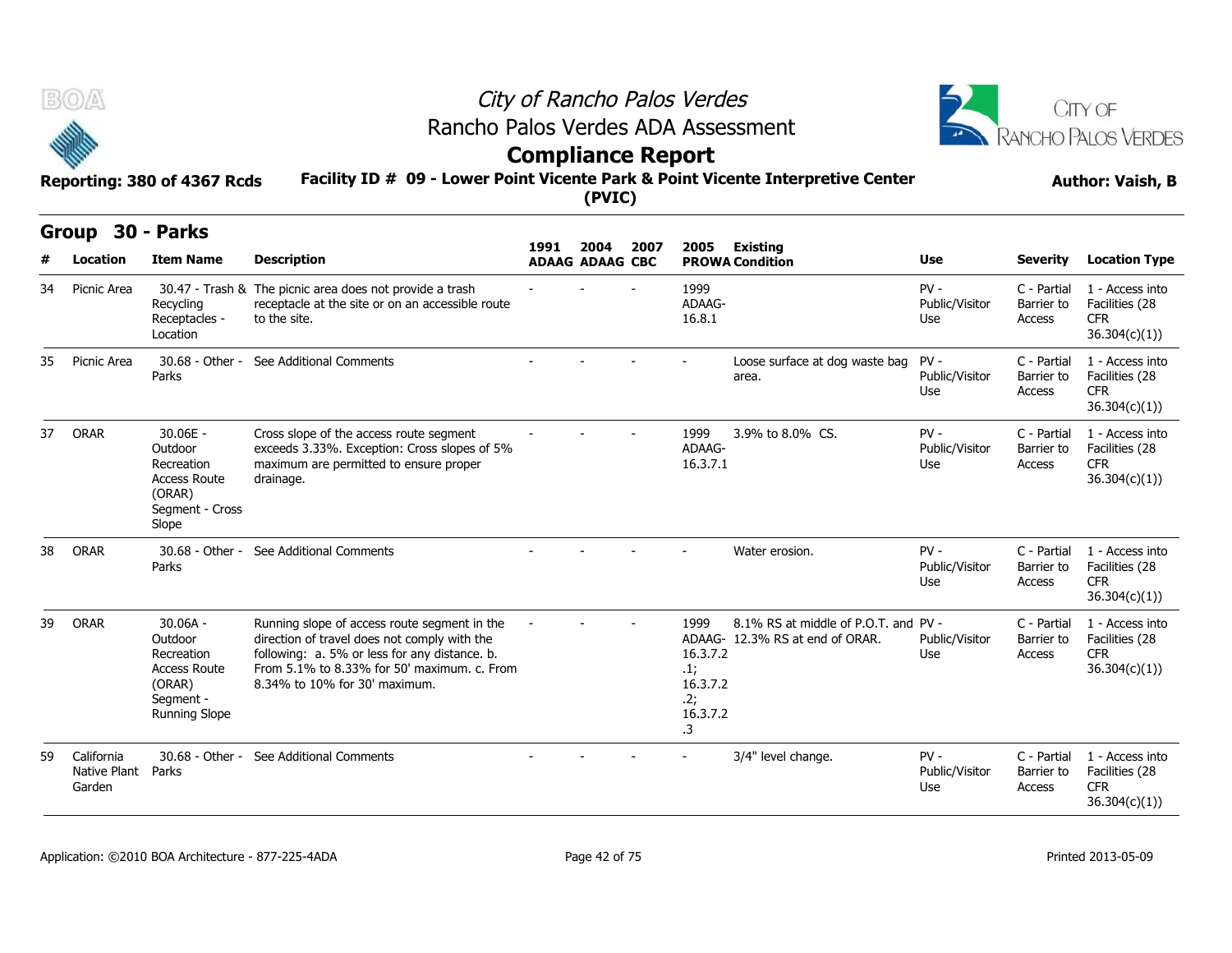



# **Compliance Report**

**Facility ID # 09 - Lower Point Vicente Park & Point Vicente Interpretive Center Reporting: 380 of 4367 Rcds Author: Vaish, B**

**Group 30 - Parks**

|    | <u>JV</u>                                  | כת וש                                                                                                     |                                                                                                                                                                                                                               | 1991 | 2004                   | 2007 | 2005                                                                | <b>Existing</b>                                                         |                                 |                                     |                                                                  |
|----|--------------------------------------------|-----------------------------------------------------------------------------------------------------------|-------------------------------------------------------------------------------------------------------------------------------------------------------------------------------------------------------------------------------|------|------------------------|------|---------------------------------------------------------------------|-------------------------------------------------------------------------|---------------------------------|-------------------------------------|------------------------------------------------------------------|
|    | Location                                   | <b>Item Name</b>                                                                                          | <b>Description</b>                                                                                                                                                                                                            |      | <b>ADAAG ADAAG CBC</b> |      |                                                                     | <b>PROWA Condition</b>                                                  | Use                             | <b>Severity</b>                     | <b>Location Type</b>                                             |
| 34 | Picnic Area                                | Recycling<br>Receptacles -<br>Location                                                                    | 30.47 - Trash & The picnic area does not provide a trash<br>receptacle at the site or on an accessible route<br>to the site.                                                                                                  |      |                        |      | 1999<br>ADAAG-<br>16.8.1                                            |                                                                         | $PV -$<br>Public/Visitor<br>Use | C - Partial<br>Barrier to<br>Access | 1 - Access into<br>Facilities (28<br><b>CFR</b><br>36.304(c)(1)) |
| 35 | Picnic Area                                | 30.68 - Other -<br>Parks                                                                                  | See Additional Comments                                                                                                                                                                                                       |      |                        |      |                                                                     | Loose surface at dog waste bag<br>area.                                 | $PV -$<br>Public/Visitor<br>Use | C - Partial<br>Barrier to<br>Access | 1 - Access into<br>Facilities (28<br><b>CFR</b><br>36.304(c)(1)) |
| 37 | ORAR                                       | $30.06E -$<br>Outdoor<br>Recreation<br><b>Access Route</b><br>(ORAR)<br>Segment - Cross<br>Slope          | Cross slope of the access route segment<br>exceeds 3.33%. Exception: Cross slopes of 5%<br>maximum are permitted to ensure proper<br>drainage.                                                                                |      |                        |      | 1999<br>ADAAG-<br>16.3.7.1                                          | 3.9% to 8.0% CS.                                                        | $PV -$<br>Public/Visitor<br>Use | C - Partial<br>Barrier to<br>Access | 1 - Access into<br>Facilities (28<br><b>CFR</b><br>36.304(c)(1)) |
| 38 | ORAR                                       | 30.68 - Other -<br>Parks                                                                                  | See Additional Comments                                                                                                                                                                                                       |      |                        |      |                                                                     | Water erosion.                                                          | $PV -$<br>Public/Visitor<br>Use | C - Partial<br>Barrier to<br>Access | 1 - Access into<br>Facilities (28<br><b>CFR</b><br>36.304(c)(1)  |
| 39 | ORAR                                       | $30.06A -$<br>Outdoor<br>Recreation<br><b>Access Route</b><br>(ORAR)<br>Segment -<br><b>Running Slope</b> | Running slope of access route segment in the<br>direction of travel does not comply with the<br>following: a. 5% or less for any distance. b.<br>From 5.1% to 8.33% for 50' maximum, c. From<br>8.34% to 10% for 30' maximum. |      |                        |      | 1999<br>16.3.7.2<br>.1;<br>16.3.7.2<br>.2;<br>16.3.7.2<br>$\cdot$ 3 | 8.1% RS at middle of P.O.T. and PV -<br>ADAAG- 12.3% RS at end of ORAR. | Public/Visitor<br>Use           | C - Partial<br>Barrier to<br>Access | 1 - Access into<br>Facilities (28<br><b>CFR</b><br>36.304(c)(1)) |
| 59 | California<br>Native Plant Parks<br>Garden | 30.68 - Other -                                                                                           | See Additional Comments                                                                                                                                                                                                       |      |                        |      |                                                                     | 3/4" level change.                                                      | $PV -$<br>Public/Visitor<br>Use | C - Partial<br>Barrier to<br>Access | 1 - Access into<br>Facilities (28<br><b>CFR</b><br>36.304(c)(1)) |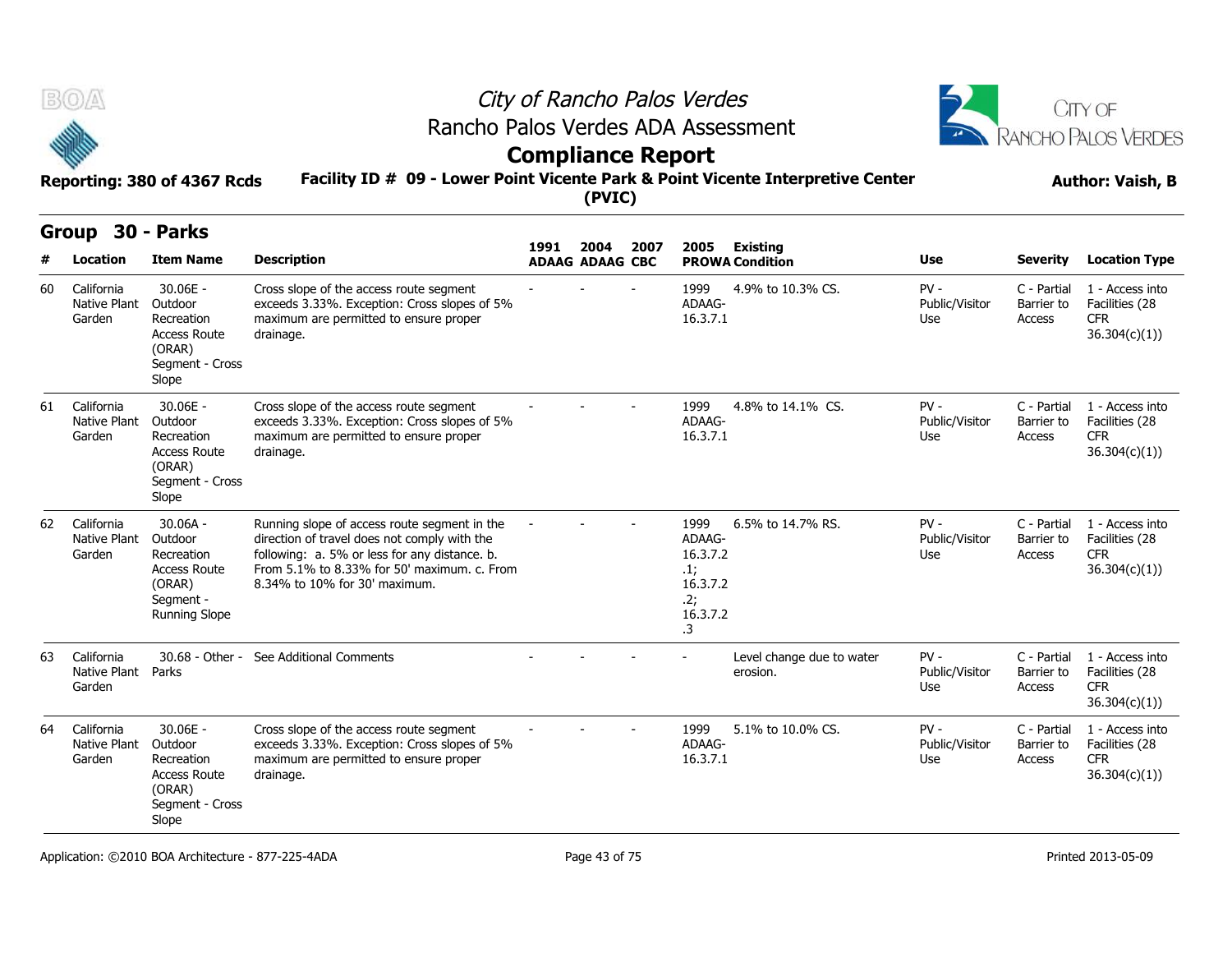



## **Compliance Report**

**Facility ID # 09 - Lower Point Vicente Park & Point Vicente Interpretive Center Reporting: 380 of 4367 Rcds Author: Vaish, B**

|    | <b>Group</b>                               | 30 - Parks                                                                                                |                                                                                                                                                                                                                               |      |                                |      |                                                                        |                                       |                                 |                                     |                                                                  |
|----|--------------------------------------------|-----------------------------------------------------------------------------------------------------------|-------------------------------------------------------------------------------------------------------------------------------------------------------------------------------------------------------------------------------|------|--------------------------------|------|------------------------------------------------------------------------|---------------------------------------|---------------------------------|-------------------------------------|------------------------------------------------------------------|
| #  | Location                                   | <b>Item Name</b>                                                                                          | <b>Description</b>                                                                                                                                                                                                            | 1991 | 2004<br><b>ADAAG ADAAG CBC</b> | 2007 | 2005                                                                   | Existing<br><b>PROWA Condition</b>    | <b>Use</b>                      | <b>Severity</b>                     | <b>Location Type</b>                                             |
| 60 | California<br>Native Plant<br>Garden       | 30.06E -<br>Outdoor<br>Recreation<br><b>Access Route</b><br>(ORAR)<br>Segment - Cross<br>Slope            | Cross slope of the access route segment<br>exceeds 3.33%. Exception: Cross slopes of 5%<br>maximum are permitted to ensure proper<br>drainage.                                                                                |      |                                |      | 1999<br>ADAAG-<br>16.3.7.1                                             | 4.9% to 10.3% CS.                     | $PV -$<br>Public/Visitor<br>Use | C - Partial<br>Barrier to<br>Access | 1 - Access into<br>Facilities (28<br><b>CFR</b><br>36.304(c)(1)) |
| 61 | California<br>Native Plant<br>Garden       | $30.06E -$<br>Outdoor<br>Recreation<br><b>Access Route</b><br>(ORAR)<br>Segment - Cross<br>Slope          | Cross slope of the access route segment<br>exceeds 3.33%. Exception: Cross slopes of 5%<br>maximum are permitted to ensure proper<br>drainage.                                                                                |      |                                |      | 1999<br>ADAAG-<br>16.3.7.1                                             | 4.8% to 14.1% CS.                     | $PV -$<br>Public/Visitor<br>Use | C - Partial<br>Barrier to<br>Access | 1 - Access into<br>Facilities (28<br><b>CFR</b><br>36.304(c)(1)) |
| 62 | California<br>Native Plant<br>Garden       | $30.06A -$<br>Outdoor<br>Recreation<br><b>Access Route</b><br>(ORAR)<br>Segment -<br><b>Running Slope</b> | Running slope of access route segment in the<br>direction of travel does not comply with the<br>following: a. 5% or less for any distance. b.<br>From 5.1% to 8.33% for 50' maximum. c. From<br>8.34% to 10% for 30' maximum. |      |                                |      | 1999<br>ADAAG-<br>16.3.7.2<br>.1;<br>16.3.7.2<br>.2;<br>16.3.7.2<br>.3 | 6.5% to 14.7% RS.                     | $PV -$<br>Public/Visitor<br>Use | C - Partial<br>Barrier to<br>Access | 1 - Access into<br>Facilities (28<br><b>CFR</b><br>36.304(c)(1)  |
| 63 | California<br>Native Plant Parks<br>Garden | 30.68 - Other -                                                                                           | See Additional Comments                                                                                                                                                                                                       |      |                                |      |                                                                        | Level change due to water<br>erosion. | $PV -$<br>Public/Visitor<br>Use | C - Partial<br>Barrier to<br>Access | 1 - Access into<br>Facilities (28<br><b>CFR</b><br>36.304(c)(1)) |
| 64 | California<br>Native Plant<br>Garden       | 30.06E -<br>Outdoor<br>Recreation<br><b>Access Route</b><br>(ORAR)<br>Segment - Cross<br>Slope            | Cross slope of the access route segment<br>exceeds 3.33%. Exception: Cross slopes of 5%<br>maximum are permitted to ensure proper<br>drainage.                                                                                |      |                                |      | 1999<br>ADAAG-<br>16.3.7.1                                             | 5.1% to 10.0% CS.                     | $PV -$<br>Public/Visitor<br>Use | C - Partial<br>Barrier to<br>Access | 1 - Access into<br>Facilities (28<br><b>CFR</b><br>36.304(c)(1)) |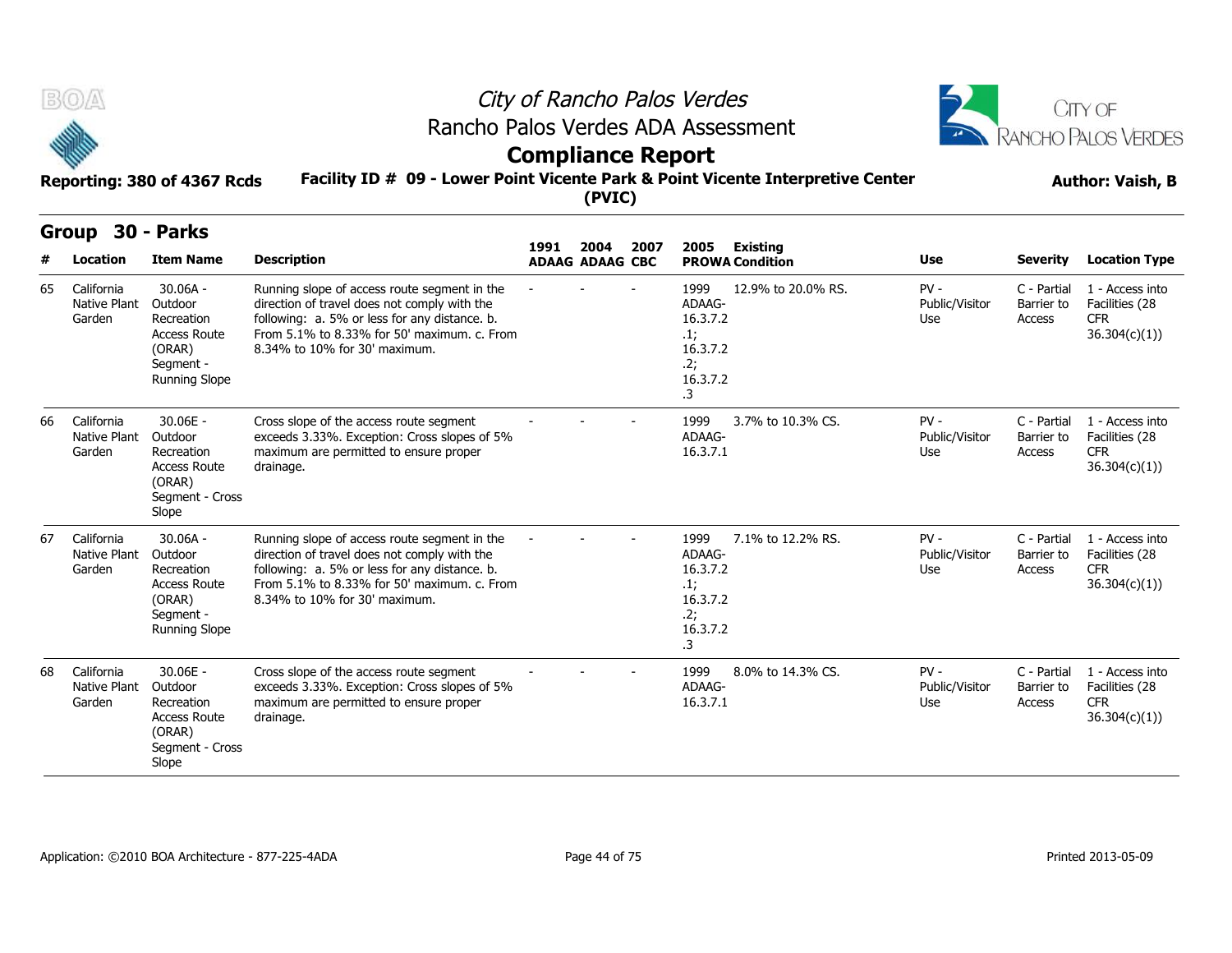



## **Compliance Report**

### **Facility ID # 09 - Lower Point Vicente Park & Point Vicente Interpretive Center Reporting: 380 of 4367 Rcds Author: Vaish, B**

| <b>Group</b> |                                             | 30 - Parks                                                                                                |                                                                                                                                                                                                                               |      |                                |      |                                                                               |                                    |                                 |                                     |                                                                  |
|--------------|---------------------------------------------|-----------------------------------------------------------------------------------------------------------|-------------------------------------------------------------------------------------------------------------------------------------------------------------------------------------------------------------------------------|------|--------------------------------|------|-------------------------------------------------------------------------------|------------------------------------|---------------------------------|-------------------------------------|------------------------------------------------------------------|
|              | <b>Location</b>                             | <b>Item Name</b>                                                                                          | <b>Description</b>                                                                                                                                                                                                            | 1991 | 2004<br><b>ADAAG ADAAG CBC</b> | 2007 | 2005                                                                          | Existing<br><b>PROWA Condition</b> | <b>Use</b>                      | <b>Severity</b>                     | <b>Location Type</b>                                             |
| 65           | California<br>Native Plant<br>Garden        | $30.06A -$<br>Outdoor<br>Recreation<br><b>Access Route</b><br>(ORAR)<br>Segment -<br><b>Running Slope</b> | Running slope of access route segment in the<br>direction of travel does not comply with the<br>following: a. 5% or less for any distance. b.<br>From 5.1% to 8.33% for 50' maximum. c. From<br>8.34% to 10% for 30' maximum. |      |                                |      | 1999<br>ADAAG-<br>16.3.7.2<br>$\cdot$ 1;<br>16.3.7.2<br>.2;<br>16.3.7.2<br>.3 | 12.9% to 20.0% RS.                 | $PV -$<br>Public/Visitor<br>Use | C - Partial<br>Barrier to<br>Access | 1 - Access into<br>Facilities (28<br><b>CFR</b><br>36.304(c)(1)  |
| 66           | California<br><b>Native Plant</b><br>Garden | $30.06E -$<br>Outdoor<br>Recreation<br><b>Access Route</b><br>(ORAR)<br>Segment - Cross<br>Slope          | Cross slope of the access route segment<br>exceeds 3.33%. Exception: Cross slopes of 5%<br>maximum are permitted to ensure proper<br>drainage.                                                                                |      |                                |      | 1999<br>ADAAG-<br>16.3.7.1                                                    | 3.7% to 10.3% CS.                  | $PV -$<br>Public/Visitor<br>Use | C - Partial<br>Barrier to<br>Access | 1 - Access into<br>Facilities (28<br><b>CFR</b><br>36.304(c)(1)) |
| 67           | California<br><b>Native Plant</b><br>Garden | $30.06A -$<br>Outdoor<br>Recreation<br><b>Access Route</b><br>(ORAR)<br>Segment -<br><b>Running Slope</b> | Running slope of access route segment in the<br>direction of travel does not comply with the<br>following: a. 5% or less for any distance. b.<br>From 5.1% to 8.33% for 50' maximum, c. From<br>8.34% to 10% for 30' maximum. |      |                                |      | 1999<br>ADAAG-<br>16.3.7.2<br>.1;<br>16.3.7.2<br>.2;<br>16.3.7.2<br>.3        | 7.1% to 12.2% RS.                  | $PV -$<br>Public/Visitor<br>Use | C - Partial<br>Barrier to<br>Access | 1 - Access into<br>Facilities (28<br><b>CFR</b><br>36.304(c)(1)) |
| 68           | California<br><b>Native Plant</b><br>Garden | 30.06E -<br>Outdoor<br>Recreation<br><b>Access Route</b><br>(ORAR)<br>Segment - Cross<br>Slope            | Cross slope of the access route segment<br>exceeds 3.33%. Exception: Cross slopes of 5%<br>maximum are permitted to ensure proper<br>drainage.                                                                                |      |                                |      | 1999<br>ADAAG-<br>16.3.7.1                                                    | 8.0% to 14.3% CS.                  | $PV -$<br>Public/Visitor<br>Use | C - Partial<br>Barrier to<br>Access | 1 - Access into<br>Facilities (28<br><b>CFR</b><br>36.304(c)(1)  |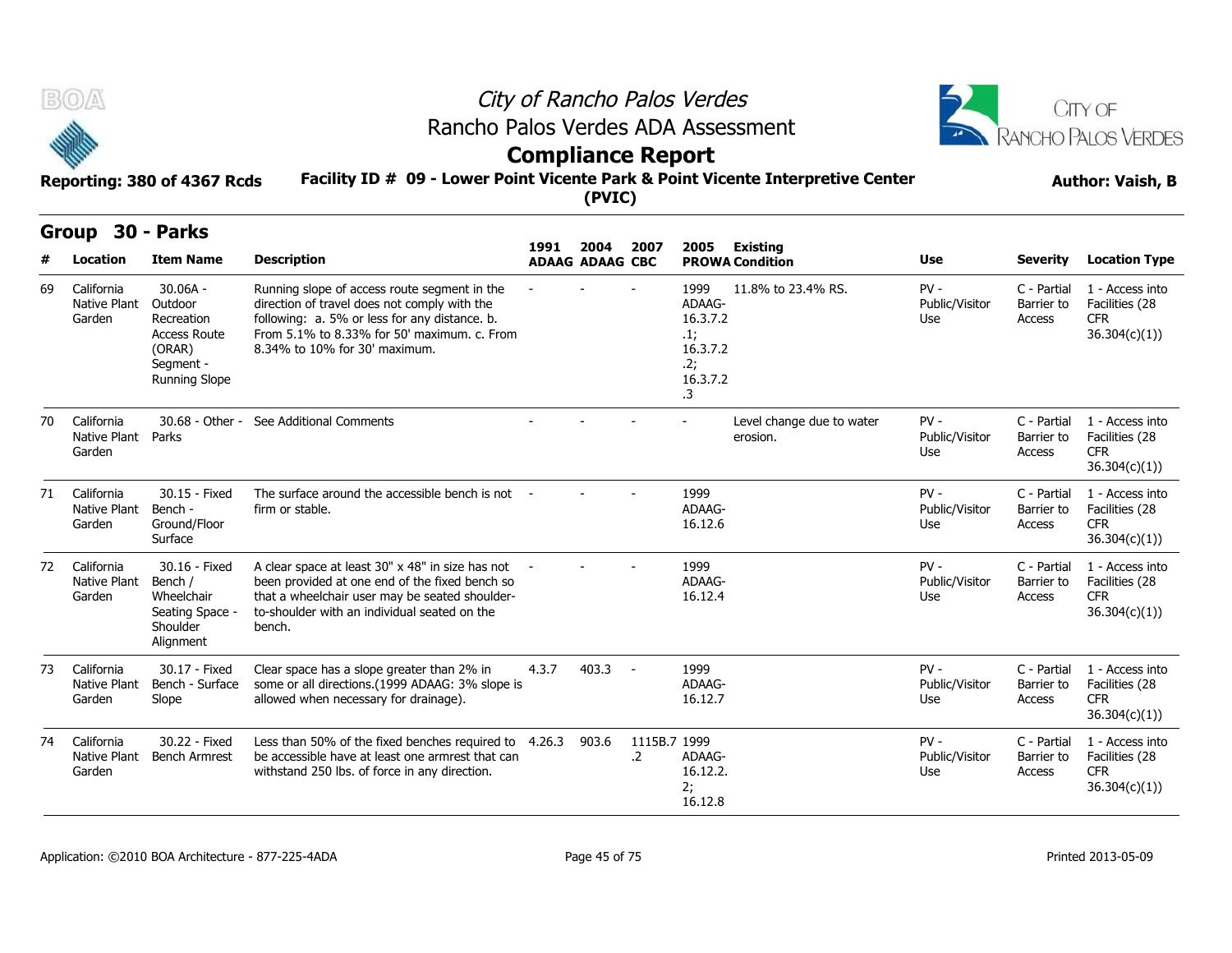



# **Compliance Report**

## **Facility ID # 09 - Lower Point Vicente Park & Point Vicente Interpretive Center Reporting: 380 of 4367 Rcds Author: Vaish, B**

| <b>Author: Vaish, B</b> |  |  |
|-------------------------|--|--|
|-------------------------|--|--|

|    | Group                                      | 30 - Parks                                                                                                |                                                                                                                                                                                                                               |       |                                |                    |                                                                               |                                           |                                 |                                            |                                                                  |
|----|--------------------------------------------|-----------------------------------------------------------------------------------------------------------|-------------------------------------------------------------------------------------------------------------------------------------------------------------------------------------------------------------------------------|-------|--------------------------------|--------------------|-------------------------------------------------------------------------------|-------------------------------------------|---------------------------------|--------------------------------------------|------------------------------------------------------------------|
|    | <b>Location</b>                            | <b>Item Name</b>                                                                                          | <b>Description</b>                                                                                                                                                                                                            | 1991  | 2004<br><b>ADAAG ADAAG CBC</b> | 2007               | 2005                                                                          | <b>Existing</b><br><b>PROWA Condition</b> | <b>Use</b>                      | <b>Severity</b>                            | <b>Location Type</b>                                             |
| 69 | California<br>Native Plant<br>Garden       | $30.06A -$<br>Outdoor<br>Recreation<br><b>Access Route</b><br>(ORAR)<br>Segment -<br><b>Running Slope</b> | Running slope of access route segment in the<br>direction of travel does not comply with the<br>following: a. 5% or less for any distance. b.<br>From 5.1% to 8.33% for 50' maximum, c. From<br>8.34% to 10% for 30' maximum. |       |                                |                    | 1999<br>ADAAG-<br>16.3.7.2<br>$\cdot$ 1;<br>16.3.7.2<br>.2;<br>16.3.7.2<br>З. | 11.8% to 23.4% RS.                        | $PV -$<br>Public/Visitor<br>Use | C - Partial<br>Barrier to<br><b>Access</b> | 1 - Access into<br>Facilities (28<br><b>CFR</b><br>36.304(c)(1)  |
| 70 | California<br>Native Plant Parks<br>Garden | 30.68 - Other -                                                                                           | See Additional Comments                                                                                                                                                                                                       |       |                                |                    |                                                                               | Level change due to water<br>erosion.     | $PV -$<br>Public/Visitor<br>Use | C - Partial<br>Barrier to<br><b>Access</b> | 1 - Access into<br>Facilities (28<br><b>CFR</b><br>36.304(c)(1)) |
| 71 | California<br>Native Plant<br>Garden       | 30.15 - Fixed<br>Bench -<br>Ground/Floor<br>Surface                                                       | The surface around the accessible bench is not<br>firm or stable.                                                                                                                                                             |       |                                |                    | 1999<br>ADAAG-<br>16.12.6                                                     |                                           | $PV -$<br>Public/Visitor<br>Use | C - Partial<br>Barrier to<br>Access        | 1 - Access into<br>Facilities (28<br><b>CFR</b><br>36.304(c)(1)) |
| 72 | California<br>Native Plant<br>Garden       | 30.16 - Fixed<br>Bench /<br>Wheelchair<br>Seating Space -<br>Shoulder<br>Alignment                        | A clear space at least 30" x 48" in size has not<br>been provided at one end of the fixed bench so<br>that a wheelchair user may be seated shoulder-<br>to-shoulder with an individual seated on the<br>bench.                |       |                                |                    | 1999<br>ADAAG-<br>16.12.4                                                     |                                           | $PV -$<br>Public/Visitor<br>Use | C - Partial<br>Barrier to<br><b>Access</b> | 1 - Access into<br>Facilities (28<br><b>CFR</b><br>36.304(c)(1)) |
| 73 | California<br>Native Plant<br>Garden       | 30.17 - Fixed<br>Bench - Surface<br>Slope                                                                 | Clear space has a slope greater than 2% in<br>some or all directions.(1999 ADAAG: 3% slope is<br>allowed when necessary for drainage).                                                                                        | 4.3.7 | 403.3                          | $\sim$             | 1999<br>ADAAG-<br>16.12.7                                                     |                                           | $PV -$<br>Public/Visitor<br>Use | C - Partial<br>Barrier to<br>Access        | 1 - Access into<br>Facilities (28<br><b>CFR</b><br>36.304(c)(1)) |
| 74 | California<br>Native Plant<br>Garden       | 30.22 - Fixed<br><b>Bench Armrest</b>                                                                     | Less than 50% of the fixed benches required to 4.26.3<br>be accessible have at least one armrest that can<br>withstand 250 lbs. of force in any direction.                                                                    |       | 903.6                          | 1115B.7 1999<br>.2 | ADAAG-<br>16.12.2.<br>2;<br>16.12.8                                           |                                           | $PV -$<br>Public/Visitor<br>Use | C - Partial<br>Barrier to<br>Access        | 1 - Access into<br>Facilities (28<br><b>CFR</b><br>36.304(c)(1)) |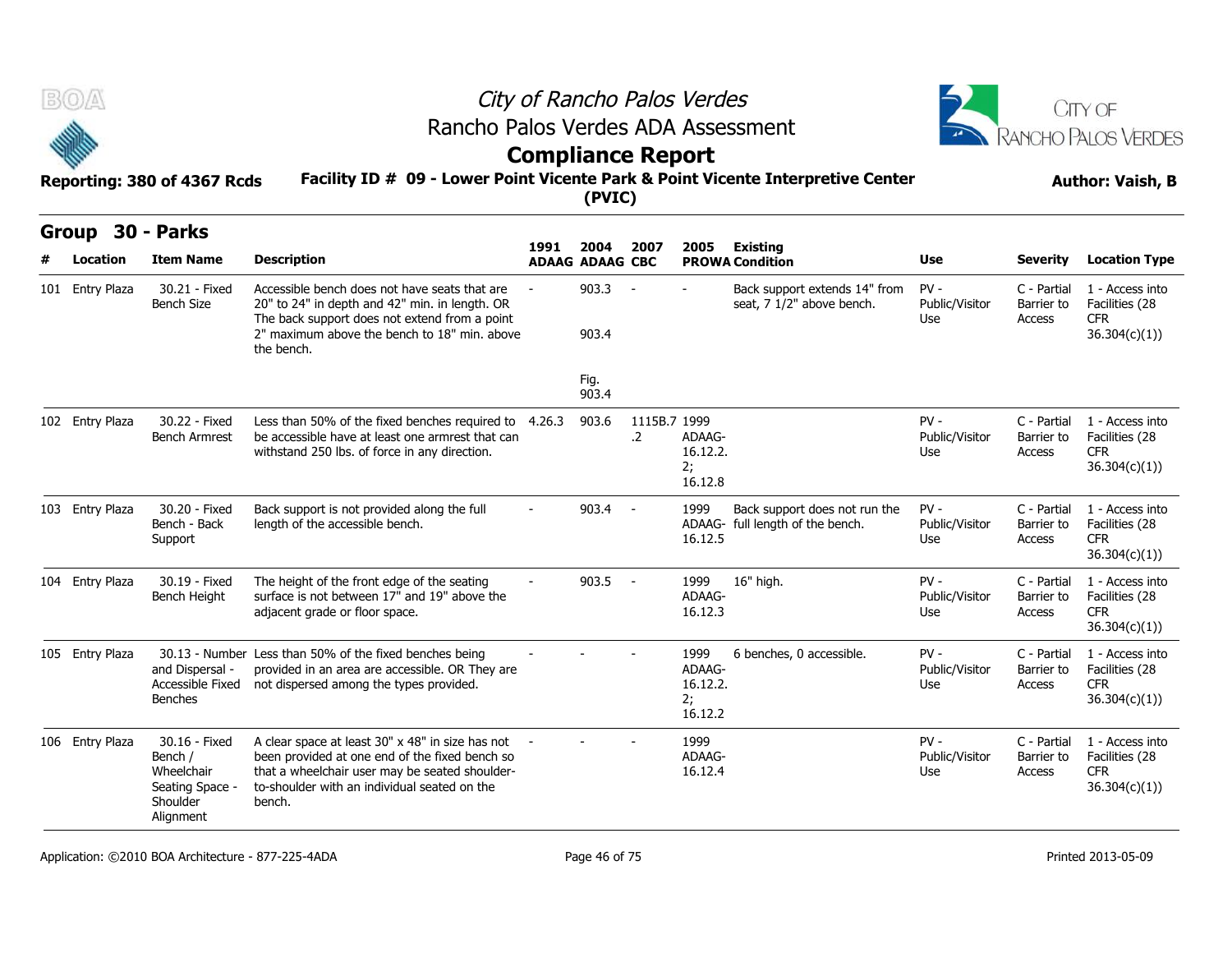| - - |  |  |  |
|-----|--|--|--|

## City of Rancho Palos Verdes Rancho Palos Verdes ADA Assessment



# **Compliance Report**

| B(0)            |                                                                                    |                                                                                                                                                                                                                | City of Rancho Palos Verdes<br>Rancho Palos Verdes ADA Assessment |                          |                            |                                             |                                                                   |                                 |                                     |                                                                  |  |  |  |
|-----------------|------------------------------------------------------------------------------------|----------------------------------------------------------------------------------------------------------------------------------------------------------------------------------------------------------------|-------------------------------------------------------------------|--------------------------|----------------------------|---------------------------------------------|-------------------------------------------------------------------|---------------------------------|-------------------------------------|------------------------------------------------------------------|--|--|--|
|                 |                                                                                    |                                                                                                                                                                                                                |                                                                   | <b>Compliance Report</b> |                            |                                             |                                                                   |                                 |                                     | <b>RANCHO PALOS VERDES</b>                                       |  |  |  |
|                 | Reporting: 380 of 4367 Rcds                                                        | Facility ID # 09 - Lower Point Vicente Park & Point Vicente Interpretive Center                                                                                                                                |                                                                   | (PVIC)                   |                            |                                             |                                                                   |                                 |                                     | <b>Author: Vaish, B</b>                                          |  |  |  |
| <b>Group</b>    | 30 - Parks                                                                         |                                                                                                                                                                                                                | 1991                                                              | 2004                     | 2007                       |                                             |                                                                   |                                 |                                     |                                                                  |  |  |  |
| Location        | <b>Item Name</b>                                                                   | <b>Description</b>                                                                                                                                                                                             |                                                                   | <b>ADAAG ADAAG CBC</b>   |                            | 2005                                        | Existing<br><b>PROWA Condition</b>                                | <b>Use</b>                      | <b>Severity</b>                     | <b>Location Type</b>                                             |  |  |  |
| 101 Entry Plaza | 30.21 - Fixed<br><b>Bench Size</b>                                                 | Accessible bench does not have seats that are<br>20" to 24" in depth and 42" min. in length. OR<br>The back support does not extend from a point<br>2" maximum above the bench to 18" min. above<br>the bench. |                                                                   | 903.3<br>903.4           |                            |                                             | Back support extends 14" from<br>seat, 7 1/2" above bench.        | $PV -$<br>Public/Visitor<br>Use | C - Partial<br>Barrier to<br>Access | 1 - Access into<br>Facilities (28<br><b>CFR</b><br>36.304(c)(1)) |  |  |  |
|                 |                                                                                    |                                                                                                                                                                                                                |                                                                   | Fig.<br>903.4            |                            |                                             |                                                                   |                                 |                                     |                                                                  |  |  |  |
| 102 Entry Plaza | 30.22 - Fixed<br><b>Bench Armrest</b>                                              | Less than 50% of the fixed benches required to 4.26.3<br>be accessible have at least one armrest that can<br>withstand 250 lbs. of force in any direction.                                                     |                                                                   | 903.6                    | 1115B.7 1999<br>$\cdot$ .2 | ADAAG-<br>16.12.2.<br>2;<br>16.12.8         |                                                                   | $PV -$<br>Public/Visitor<br>Use | C - Partial<br>Barrier to<br>Access | 1 - Access into<br>Facilities (28<br>CFR.<br>36.304(c)(1))       |  |  |  |
| 103 Entry Plaza | 30.20 - Fixed<br>Bench - Back<br>Support                                           | Back support is not provided along the full<br>length of the accessible bench.                                                                                                                                 |                                                                   | $903.4 -$                |                            | 1999<br>16.12.5                             | Back support does not run the<br>ADAAG- full length of the bench. | $PV -$<br>Public/Visitor<br>Use | C - Partial<br>Barrier to<br>Access | 1 - Access into<br>Facilities (28<br><b>CFR</b><br>36.304(c)(1)  |  |  |  |
| 104 Entry Plaza | 30.19 - Fixed<br>Bench Height                                                      | The height of the front edge of the seating<br>surface is not between 17" and 19" above the<br>adjacent grade or floor space.                                                                                  |                                                                   | 903.5                    | $\sim$ $-$                 | 1999<br>ADAAG-<br>16.12.3                   | 16" high.                                                         | $PV -$<br>Public/Visitor<br>Use | C - Partial<br>Barrier to<br>Access | 1 - Access into<br>Facilities (28<br>CFR.<br>36.304(c)(1)        |  |  |  |
| 105 Entry Plaza | and Dispersal -<br>Accessible Fixed<br><b>Benches</b>                              | 30.13 - Number Less than 50% of the fixed benches being<br>provided in an area are accessible. OR They are<br>not dispersed among the types provided.                                                          |                                                                   |                          |                            | 1999<br>ADAAG-<br>16.12.2.<br>2:<br>16.12.2 | 6 benches, 0 accessible.                                          | $PV -$<br>Public/Visitor<br>Use | C - Partial<br>Barrier to<br>Access | 1 - Access into<br>Facilities (28<br><b>CFR</b><br>36.304(c)(1)  |  |  |  |
| 106 Entry Plaza | 30.16 - Fixed<br>Bench /<br>Wheelchair<br>Seating Space -<br>Shoulder<br>Alianment | A clear space at least 30" x 48" in size has not<br>been provided at one end of the fixed bench so<br>that a wheelchair user may be seated shoulder-<br>to-shoulder with an individual seated on the<br>bench. |                                                                   |                          |                            | 1999<br>ADAAG-<br>16.12.4                   |                                                                   | $PV -$<br>Public/Visitor<br>Use | C - Partial<br>Barrier to<br>Access | 1 - Access into<br>Facilities (28<br><b>CFR</b><br>36.304(c)(1)  |  |  |  |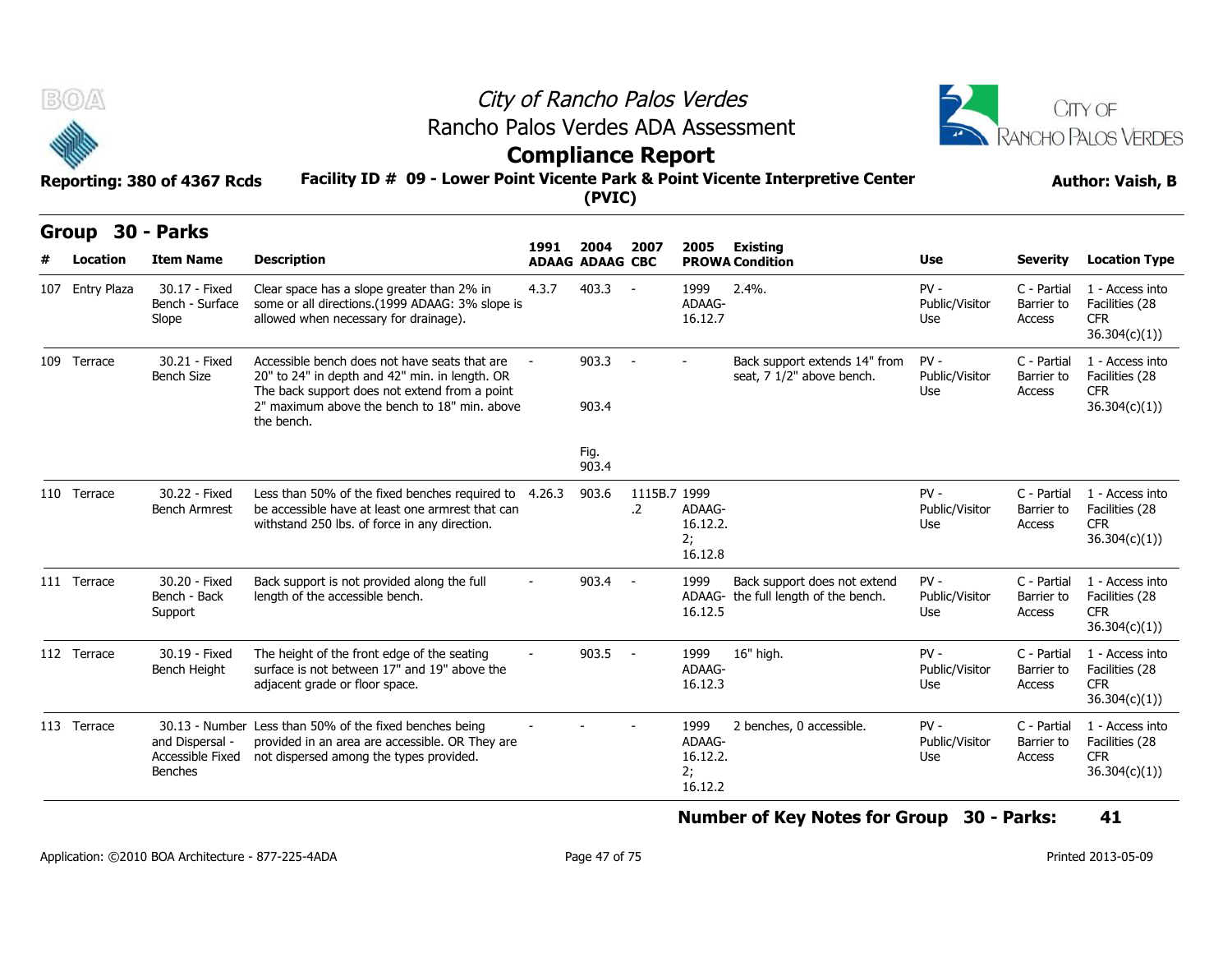



### **Compliance Report**

| B(0)         |                 | Reporting: 380 of 4367 Rcds                           | City of Rancho Palos Verdes<br>Rancho Palos Verdes ADA Assessment<br><b>Compliance Report</b><br>Facility ID # 09 - Lower Point Vicente Park & Point Vicente Interpretive Center | CITY OF<br><b>RANCHO PALOS VERDES</b><br><b>Author: Vaish, B</b> |                        |                            |                                             |                                                                      |                                 |                                     |                                                                  |
|--------------|-----------------|-------------------------------------------------------|----------------------------------------------------------------------------------------------------------------------------------------------------------------------------------|------------------------------------------------------------------|------------------------|----------------------------|---------------------------------------------|----------------------------------------------------------------------|---------------------------------|-------------------------------------|------------------------------------------------------------------|
| <b>Group</b> |                 | 30 - Parks                                            |                                                                                                                                                                                  | 1991                                                             | 2004                   | 2007                       | 2005                                        | <b>Existing</b>                                                      |                                 |                                     |                                                                  |
|              | Location        | <b>Item Name</b>                                      | <b>Description</b>                                                                                                                                                               |                                                                  | <b>ADAAG ADAAG CBC</b> |                            |                                             | <b>PROWA Condition</b>                                               | Use                             | <b>Severity</b>                     | <b>Location Type</b>                                             |
|              | 107 Entry Plaza | 30.17 - Fixed<br>Bench - Surface<br>Slope             | Clear space has a slope greater than 2% in<br>some or all directions.(1999 ADAAG: 3% slope is<br>allowed when necessary for drainage).                                           | 4.3.7                                                            | 403.3                  | $\sim$ $-$                 | 1999<br>ADAAG-<br>16.12.7                   | $2.4%$ .                                                             | $PV -$<br>Public/Visitor<br>Use | C - Partial<br>Barrier to<br>Access | 1 - Access into<br>Facilities (28<br><b>CFR</b><br>36.304(c)(1)) |
|              | 109 Terrace     | 30.21 - Fixed<br><b>Bench Size</b>                    | Accessible bench does not have seats that are<br>20" to 24" in depth and 42" min. in length. OR<br>The back support does not extend from a point                                 |                                                                  | 903.3                  |                            | $\sim$                                      | Back support extends 14" from<br>seat, 7 1/2" above bench.           | $PV -$<br>Public/Visitor<br>Use | C - Partial<br>Barrier to<br>Access | 1 - Access into<br>Facilities (28<br>CFR.                        |
|              |                 |                                                       | 2" maximum above the bench to 18" min. above<br>the bench.                                                                                                                       |                                                                  | 903.4                  |                            |                                             |                                                                      |                                 |                                     | 36.304(c)(1))                                                    |
|              |                 |                                                       |                                                                                                                                                                                  |                                                                  | Fig.<br>903.4          |                            |                                             |                                                                      |                                 |                                     |                                                                  |
|              | 110 Terrace     | 30.22 - Fixed<br><b>Bench Armrest</b>                 | Less than 50% of the fixed benches required to 4.26.3<br>be accessible have at least one armrest that can<br>withstand 250 lbs. of force in any direction.                       |                                                                  | 903.6                  | 1115B.7 1999<br>$\cdot$ .2 | ADAAG-<br>16.12.2.<br>2;<br>16.12.8         |                                                                      | $PV -$<br>Public/Visitor<br>Use | C - Partial<br>Barrier to<br>Access | 1 - Access into<br>Facilities (28<br><b>CFR</b><br>36.304(c)(1)) |
|              | 111 Terrace     | 30.20 - Fixed<br>Bench - Back<br>Support              | Back support is not provided along the full<br>length of the accessible bench.                                                                                                   |                                                                  | 903.4                  | $\sim$ $-$                 | 1999<br>16.12.5                             | Back support does not extend<br>ADAAG- the full length of the bench. | $PV -$<br>Public/Visitor<br>Use | C - Partial<br>Barrier to<br>Access | 1 - Access into<br>Facilities (28<br>CFR.<br>36.304(c)(1))       |
|              | 112 Terrace     | 30.19 - Fixed<br>Bench Height                         | The height of the front edge of the seating<br>surface is not between 17" and 19" above the<br>adjacent grade or floor space.                                                    |                                                                  | 903.5                  | $\sim$ $-$                 | 1999<br>ADAAG-<br>16.12.3                   | 16" high.                                                            | $PV -$<br>Public/Visitor<br>Use | C - Partial<br>Barrier to<br>Access | 1 - Access into<br>Facilities (28<br><b>CFR</b><br>36.304(c)(1)) |
|              | 113 Terrace     | and Dispersal -<br>Accessible Fixed<br><b>Benches</b> | 30.13 - Number Less than 50% of the fixed benches being<br>provided in an area are accessible. OR They are<br>not dispersed among the types provided.                            |                                                                  |                        |                            | 1999<br>ADAAG-<br>16.12.2.<br>2;<br>16.12.2 | 2 benches, 0 accessible.                                             | $PV -$<br>Public/Visitor<br>Use | C - Partial<br>Barrier to<br>Access | 1 - Access into<br>Facilities (28<br><b>CFR</b><br>36.304(c)(1)  |

**Number of Key Notes for Group 30 - Parks: 41**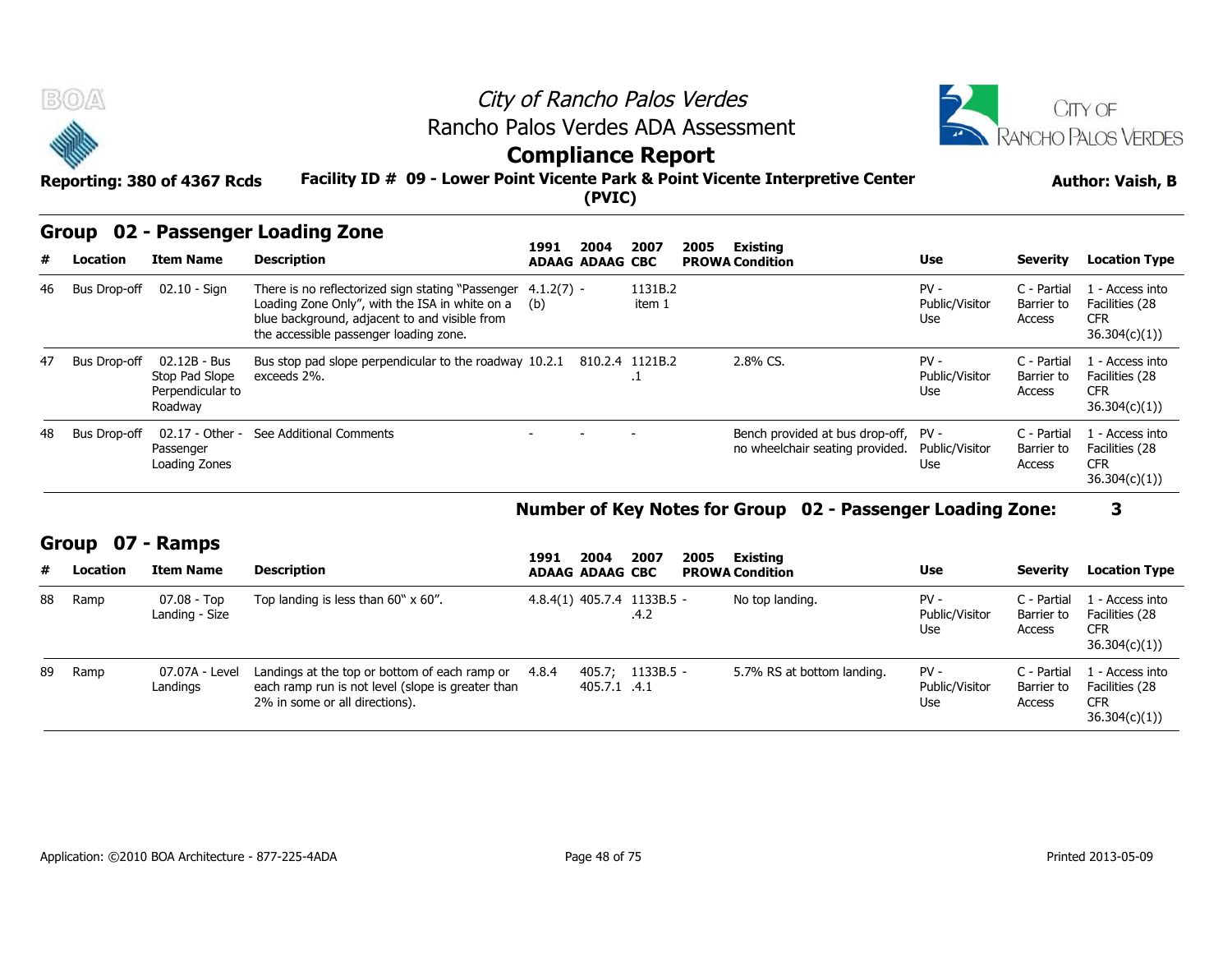



### **Compliance Report**

#### **Facility ID # 09 - Lower Point Vicente Park & Point Vicente Interpretive Center Reporting: 380 of 4367 Rcds Author: Vaish, B**

### **Group 02 - Passenger Loading Zone**

|                                                                                                                                                                                                                        | $\tilde{\phantom{a}}$<br><u>estribuation report</u><br>Facility ID # 09 - Lower Point Vicente Park & Point Vicente Interpretive Center<br>Reporting: 380 of 4367 Rcds<br>(PVIC) |                                                               |                                                                                                                                                                                                |                     |  |                        |  |                                                                         | <b>Author: Vaish, B</b>         |                                     |                                                                 |  |
|------------------------------------------------------------------------------------------------------------------------------------------------------------------------------------------------------------------------|---------------------------------------------------------------------------------------------------------------------------------------------------------------------------------|---------------------------------------------------------------|------------------------------------------------------------------------------------------------------------------------------------------------------------------------------------------------|---------------------|--|------------------------|--|-------------------------------------------------------------------------|---------------------------------|-------------------------------------|-----------------------------------------------------------------|--|
| Group 02 - Passenger Loading Zone<br>2007<br>Existing<br>1991<br>2004<br>2005<br><b>Description</b><br><b>Item Name</b><br>Use<br>#<br>Location<br><b>Severity</b><br><b>PROWA Condition</b><br><b>ADAAG ADAAG CBC</b> |                                                                                                                                                                                 |                                                               |                                                                                                                                                                                                |                     |  |                        |  |                                                                         |                                 | <b>Location Type</b>                |                                                                 |  |
|                                                                                                                                                                                                                        | 46 Bus Drop-off                                                                                                                                                                 | 02.10 - Sign                                                  | There is no reflectorized sign stating "Passenger<br>Loading Zone Only", with the ISA in white on a<br>blue background, adjacent to and visible from<br>the accessible passenger loading zone. | $4.1.2(7) -$<br>(b) |  | 1131B.2<br>item 1      |  |                                                                         | $PV -$<br>Public/Visitor<br>Use | C - Partial<br>Barrier to<br>Access | 1 - Access into<br>Facilities (28<br><b>CFR</b><br>36.304(c)(1) |  |
| 47                                                                                                                                                                                                                     | <b>Bus Drop-off</b>                                                                                                                                                             | 02.12B - Bus<br>Stop Pad Slope<br>Perpendicular to<br>Roadway | Bus stop pad slope perpendicular to the roadway 10.2.1<br>exceeds 2%.                                                                                                                          |                     |  | 810.2.4 1121B.2<br>. т |  | 2.8% CS.                                                                | $PV -$<br>Public/Visitor<br>Use | C - Partial<br>Barrier to<br>Access | 1 - Access into<br>Facilities (28<br><b>CFR</b><br>36.304(c)(1) |  |
| 48                                                                                                                                                                                                                     | <b>Bus Drop-off</b>                                                                                                                                                             | 02.17 - Other -<br>Passenger<br>Loading Zones                 | See Additional Comments                                                                                                                                                                        |                     |  |                        |  | Bench provided at bus drop-off, PV -<br>no wheelchair seating provided. | Public/Visitor<br>Use           | C - Partial<br>Barrier to<br>Access | . - Access into<br>Facilities (28<br><b>CFR</b><br>36.304(c)(1) |  |

### **Number of Key Notes for Group 02 - Passenger Loading Zone: 3**

### **Group 07 - Ramps**

|    |              | Roadway                                       |                                                                                                                                      |       |                        |                                          |      |                                                                         |                                 |                                     | 36.304(c)(1)                                                     |
|----|--------------|-----------------------------------------------|--------------------------------------------------------------------------------------------------------------------------------------|-------|------------------------|------------------------------------------|------|-------------------------------------------------------------------------|---------------------------------|-------------------------------------|------------------------------------------------------------------|
| 48 | Bus Drop-off | 02.17 - Other -<br>Passenger<br>Loading Zones | See Additional Comments                                                                                                              |       |                        |                                          |      | Bench provided at bus drop-off, PV -<br>no wheelchair seating provided. | Public/Visitor<br>Use           | C - Partial<br>Barrier to<br>Access | L - Access into<br>Facilities (28<br><b>CFR</b><br>36.304(c)(1)) |
|    |              |                                               |                                                                                                                                      |       |                        |                                          |      | Number of Key Notes for Group 02 - Passenger Loading Zone:              |                                 |                                     | 3                                                                |
|    | Group        | 07 - Ramps                                    |                                                                                                                                      |       | 2004                   | 2007                                     |      |                                                                         |                                 |                                     |                                                                  |
| #  | Location     | <b>Item Name</b>                              | <b>Description</b>                                                                                                                   | 1991  | <b>ADAAG ADAAG CBC</b> |                                          | 2005 | Existing<br><b>PROWA Condition</b>                                      | <b>Use</b>                      | <b>Severity</b>                     | <b>Location Type</b>                                             |
| 88 | Ramp         | $07.08 - Top$<br>Landing - Size               | Top landing is less than $60" \times 60"$ .                                                                                          |       |                        | $4.8.4(1)$ $405.7.4$ $1133B.5 -$<br>.4.2 |      | No top landing.                                                         | $PV -$<br>Public/Visitor<br>Use | C - Partial<br>Barrier to<br>Access | L - Access into<br>Facilities (28<br><b>CFR</b><br>36.304(c)(1)  |
| 89 | Ramp         | 07.07A - Level<br>Landings                    | Landings at the top or bottom of each ramp or<br>each ramp run is not level (slope is greater than<br>2% in some or all directions). | 4.8.4 | 405.7.1 .4.1           | $405.7$ ; 1133B.5 -                      |      | 5.7% RS at bottom landing.                                              | $PV -$<br>Public/Visitor<br>Use | C - Partial<br>Barrier to<br>Access | 1 - Access into<br>Facilities (28<br><b>CFR</b>                  |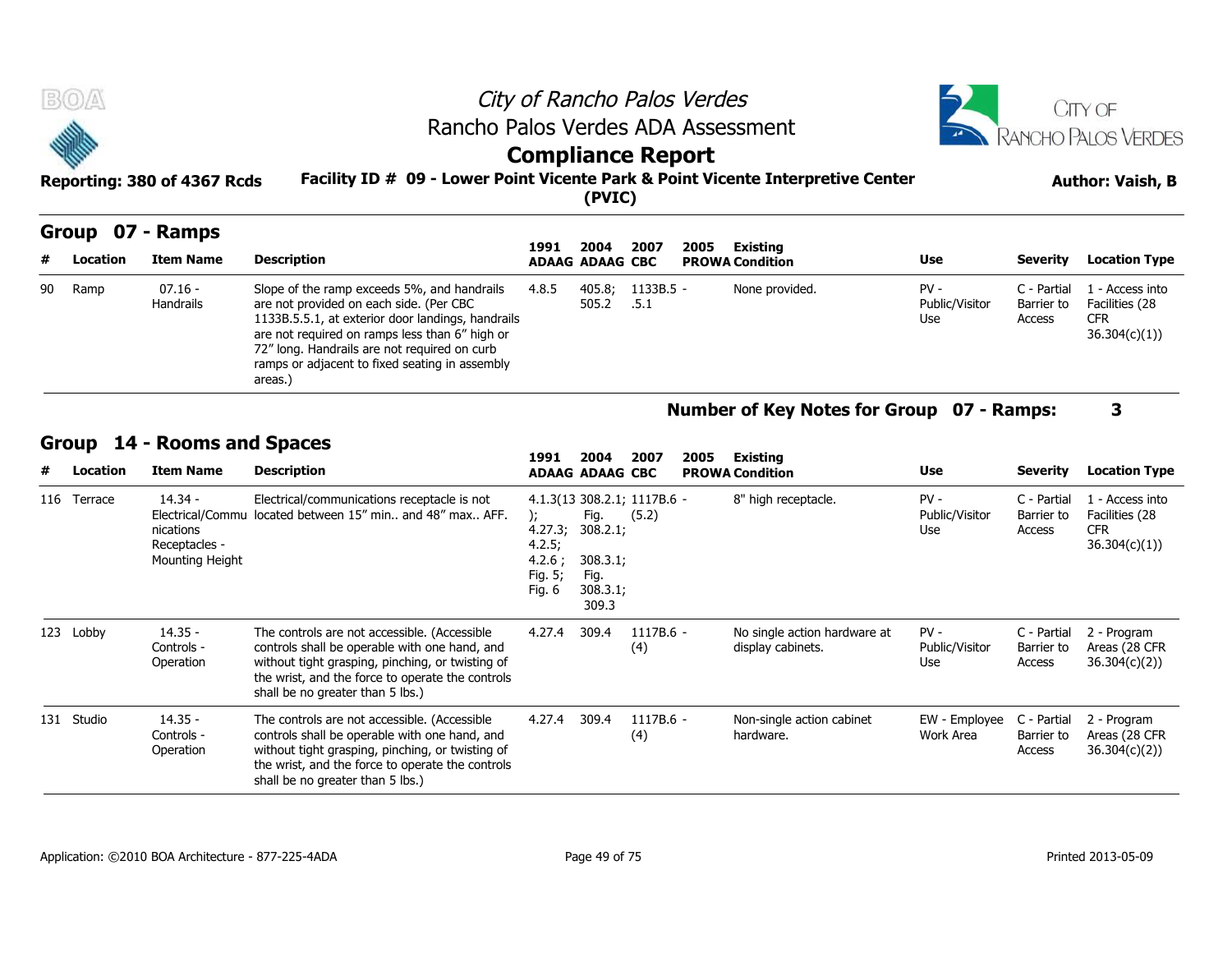| <b>BOA</b>                  | City of Rancho Palos Verdes                                                     | <b>CITY OF</b>          |
|-----------------------------|---------------------------------------------------------------------------------|-------------------------|
|                             | Rancho Palos Verdes ADA Assessment                                              | RANCHO PALOS VERDES     |
| <b>SERIES</b>               | <b>Compliance Report</b>                                                        |                         |
| Reporting: 380 of 4367 Rcds | Facility ID # 09 - Lower Point Vicente Park & Point Vicente Interpretive Center | <b>Author: Vaish, B</b> |
|                             | (PVIC)                                                                          |                         |

|    |                 | Group 07 - Ramps       |                                                                                                                                                                                                                                                                                                            |       |                                | 2007              |                                | Existing       |                                 |                                     |                                                                 |
|----|-----------------|------------------------|------------------------------------------------------------------------------------------------------------------------------------------------------------------------------------------------------------------------------------------------------------------------------------------------------------|-------|--------------------------------|-------------------|--------------------------------|----------------|---------------------------------|-------------------------------------|-----------------------------------------------------------------|
| #  | <b>Location</b> | <b>Item Name</b>       | <b>Description</b>                                                                                                                                                                                                                                                                                         | 1991  | 2004<br><b>ADAAG ADAAG CBC</b> |                   | 2005<br><b>PROWA Condition</b> |                | Use                             | Severity                            | <b>Location Type</b>                                            |
| 90 | Ramp            | $07.16 -$<br>Handrails | Slope of the ramp exceeds 5%, and handrails<br>are not provided on each side. (Per CBC<br>1133B.5.5.1, at exterior door landings, handrails<br>are not required on ramps less than 6" high or<br>72" long. Handrails are not required on curb<br>ramps or adjacent to fixed seating in assembly<br>areas.) | 4.8.5 | 405.8;<br>505.2                | 1133B.5 -<br>.5.1 |                                | None provided. | $PV -$<br>Public/Visitor<br>Use | C - Partial<br>Barrier to<br>Access | 1 - Access into<br>Facilities (28<br><b>CFR</b><br>36.304(c)(1) |

### **Group 14 - Rooms and Spaces**

|                   | <b>Handrails</b>                                                               | are not provided on each side. (Per CBC<br>1133B.5.5.1, at exterior door landings, handrails<br>are not required on ramps less than 6" high or<br>72" long. Handrails are not required on curb<br>ramps or adjacent to fixed seating in assembly<br>areas.) |                                                  | 505.2                                                     | .5.1                                 |      |                                                   | Public/Visitor<br>Use           | Barrier to<br>Access                | Facilities (28<br><b>CFR</b><br>36.304(c)(1))                    |
|-------------------|--------------------------------------------------------------------------------|-------------------------------------------------------------------------------------------------------------------------------------------------------------------------------------------------------------------------------------------------------------|--------------------------------------------------|-----------------------------------------------------------|--------------------------------------|------|---------------------------------------------------|---------------------------------|-------------------------------------|------------------------------------------------------------------|
|                   |                                                                                |                                                                                                                                                                                                                                                             |                                                  |                                                           |                                      |      | Number of Key Notes for Group 07 - Ramps:         |                                 |                                     | 3                                                                |
| Group<br>Location | 14 - Rooms and Spaces<br><b>Item Name</b>                                      | <b>Description</b>                                                                                                                                                                                                                                          | 1991                                             | 2004<br><b>ADAAG ADAAG CBC</b>                            | 2007                                 | 2005 | Existing<br><b>PROWA Condition</b>                | <b>Use</b>                      | <b>Severity</b>                     | <b>Location Type</b>                                             |
| 116 Terrace       | $14.34 -$<br>Electrical/Commu<br>nications<br>Receptacles -<br>Mounting Height | Electrical/communications receptacle is not<br>located between 15" min., and 48" max., AFF.                                                                                                                                                                 | 4.27.3;<br>4.2.5;<br>4.2.6;<br>Fig. 5;<br>Fig. 6 | Fig.<br>308.2.1;<br>308.3.1;<br>Fig.<br>308.3.1;<br>309.3 | 4.1.3(13 308.2.1; 1117B.6 -<br>(5.2) |      | 8" high receptacle.                               | $PV -$<br>Public/Visitor<br>Use | C - Partial<br>Barrier to<br>Access | 1 - Access into<br>Facilities (28<br><b>CFR</b><br>36.304(c)(1)) |
| 123 Lobby         | $14.35 -$<br>Controls -<br>Operation                                           | The controls are not accessible. (Accessible<br>controls shall be operable with one hand, and<br>without tight grasping, pinching, or twisting of<br>the wrist, and the force to operate the controls<br>shall be no greater than 5 lbs.)                   | 4.27.4                                           | 309.4                                                     | 1117B.6 -<br>(4)                     |      | No single action hardware at<br>display cabinets. | $PV -$<br>Public/Visitor<br>Use | C - Partial<br>Barrier to<br>Access | 2 - Program<br>Areas (28 CFR<br>36.304(c)(2)                     |
| 131 Studio        | $14.35 -$<br>Controls -<br>Operation                                           | The controls are not accessible. (Accessible<br>controls shall be operable with one hand, and<br>without tight grasping, pinching, or twisting of<br>the wrist, and the force to operate the controls<br>shall be no greater than 5 lbs.)                   | 4.27.4                                           | 309.4                                                     | 1117B.6 -<br>(4)                     |      | Non-single action cabinet<br>hardware.            | EW - Employee<br>Work Area      | C - Partial<br>Barrier to<br>Access | 2 - Program<br>Areas (28 CFR<br>36.304(c)(2)                     |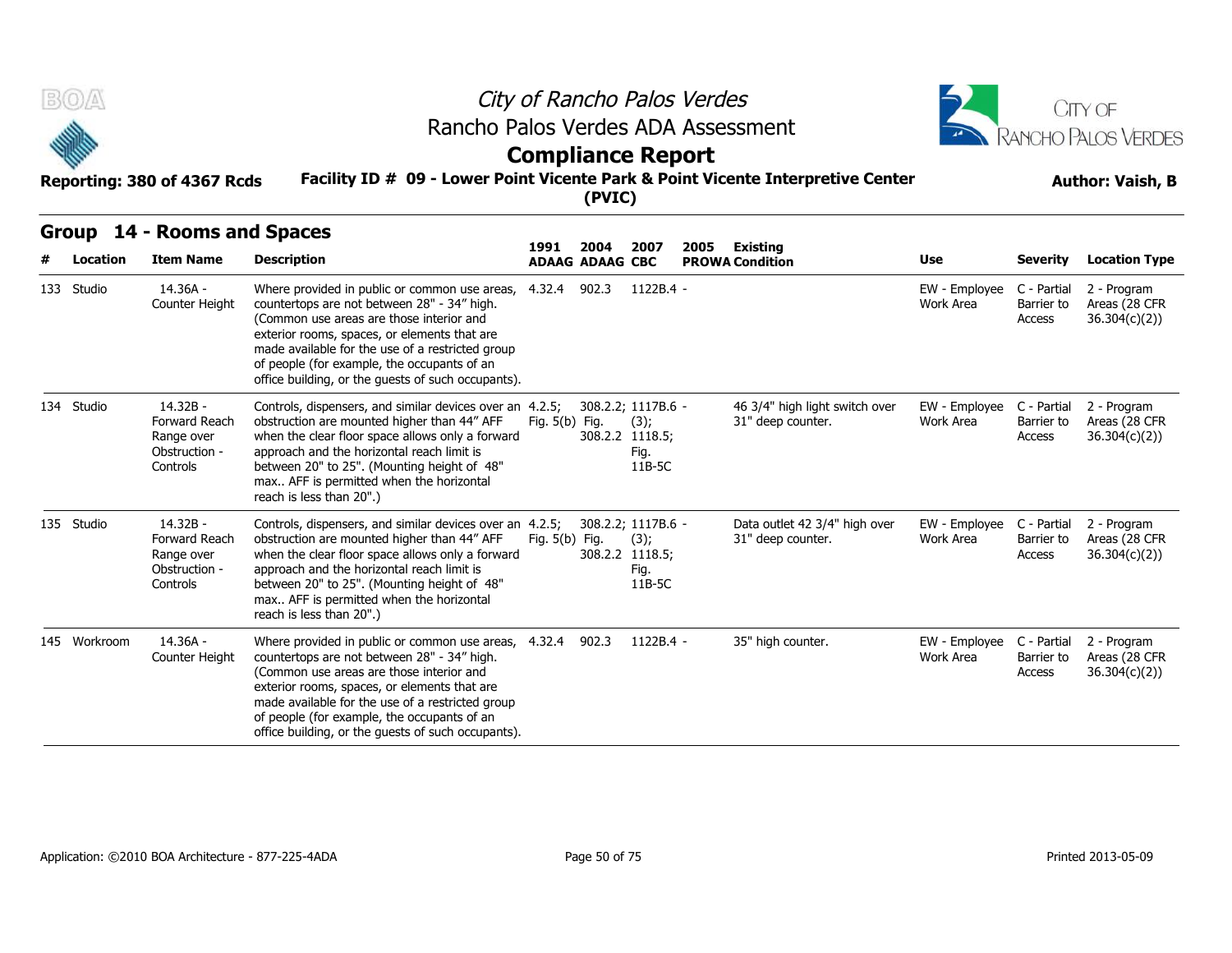



### **Compliance Report**

#### **Facility ID # 09 - Lower Point Vicente Park & Point Vicente Interpretive Center Reporting: 380 of 4367 Rcds Author: Vaish, B**

| B(0)         |  |                                                                      |                                                                                                                                                                                                                                                                                                                                                                | City of Rancho Palos Verdes<br>Rancho Palos Verdes ADA Assessment                                                     |                                |                                                                 |      |                                                     |                            |                                     |                                               |  |  |  |
|--------------|--|----------------------------------------------------------------------|----------------------------------------------------------------------------------------------------------------------------------------------------------------------------------------------------------------------------------------------------------------------------------------------------------------------------------------------------------------|-----------------------------------------------------------------------------------------------------------------------|--------------------------------|-----------------------------------------------------------------|------|-----------------------------------------------------|----------------------------|-------------------------------------|-----------------------------------------------|--|--|--|
|              |  | Reporting: 380 of 4367 Rcds                                          |                                                                                                                                                                                                                                                                                                                                                                | <b>Compliance Report</b><br>Facility ID # 09 - Lower Point Vicente Park & Point Vicente Interpretive Center<br>(PVIC) |                                |                                                                 |      |                                                     |                            |                                     |                                               |  |  |  |
| Location     |  | Group 14 - Rooms and Spaces<br><b>Item Name</b>                      | <b>Description</b>                                                                                                                                                                                                                                                                                                                                             | 1991                                                                                                                  | 2004<br><b>ADAAG ADAAG CBC</b> | 2007                                                            | 2005 | Existing<br><b>PROWA Condition</b>                  | Use                        | <b>Severity</b>                     | <b>Location Type</b>                          |  |  |  |
| 133 Studio   |  | 14.36A -<br>Counter Height                                           | Where provided in public or common use areas,<br>countertops are not between 28" - 34" high.<br>(Common use areas are those interior and<br>exterior rooms, spaces, or elements that are<br>made available for the use of a restricted group<br>of people (for example, the occupants of an<br>office building, or the quests of such occupants).              | 4.32.4 902.3                                                                                                          |                                | 1122B.4 -                                                       |      |                                                     | EW - Employee<br>Work Area | C - Partial<br>Barrier to<br>Access | 2 - Program<br>Areas (28 CFR<br>36.304(c)(2)  |  |  |  |
| 134 Studio   |  | 14.32B -<br>Forward Reach<br>Range over<br>Obstruction -<br>Controls | Controls, dispensers, and similar devices over an 4.2.5;<br>obstruction are mounted higher than 44" AFF<br>when the clear floor space allows only a forward<br>approach and the horizontal reach limit is<br>between 20" to 25". (Mounting height of 48"<br>max AFF is permitted when the horizontal<br>reach is less than 20".)                               | Fig. 5(b) Fig.                                                                                                        |                                | 308.2.2; 1117B.6 -<br>(3);<br>308.2.2 1118.5;<br>Fig.<br>11B-5C |      | 46 3/4" high light switch over<br>31" deep counter. | EW - Employee<br>Work Area | C - Partial<br>Barrier to<br>Access | 2 - Program<br>Areas (28 CFR<br>36.304(c)(2)) |  |  |  |
| 135 Studio   |  | 14.32B -<br>Forward Reach<br>Range over<br>Obstruction -<br>Controls | Controls, dispensers, and similar devices over an 4.2.5;<br>obstruction are mounted higher than 44" AFF<br>when the clear floor space allows only a forward<br>approach and the horizontal reach limit is<br>between 20" to 25". (Mounting height of 48"<br>max AFF is permitted when the horizontal<br>reach is less than 20".)                               | Fig. 5(b) Fig.                                                                                                        |                                | 308.2.2; 1117B.6 -<br>(3);<br>308.2.2 1118.5;<br>Fig.<br>11B-5C |      | Data outlet 42 3/4" high over<br>31" deep counter.  | EW - Employee<br>Work Area | C - Partial<br>Barrier to<br>Access | 2 - Program<br>Areas (28 CFR<br>36.304(c)(2)  |  |  |  |
| 145 Workroom |  | $14.36A -$<br>Counter Height                                         | Where provided in public or common use areas, 4.32.4 902.3<br>countertops are not between 28" - 34" high.<br>(Common use areas are those interior and<br>exterior rooms, spaces, or elements that are<br>made available for the use of a restricted group<br>of people (for example, the occupants of an<br>office building, or the quests of such occupants). |                                                                                                                       |                                | 1122B.4 -                                                       |      | 35" high counter.                                   | EW - Employee<br>Work Area | C - Partial<br>Barrier to<br>Access | 2 - Program<br>Areas (28 CFR<br>36.304(c)(2)) |  |  |  |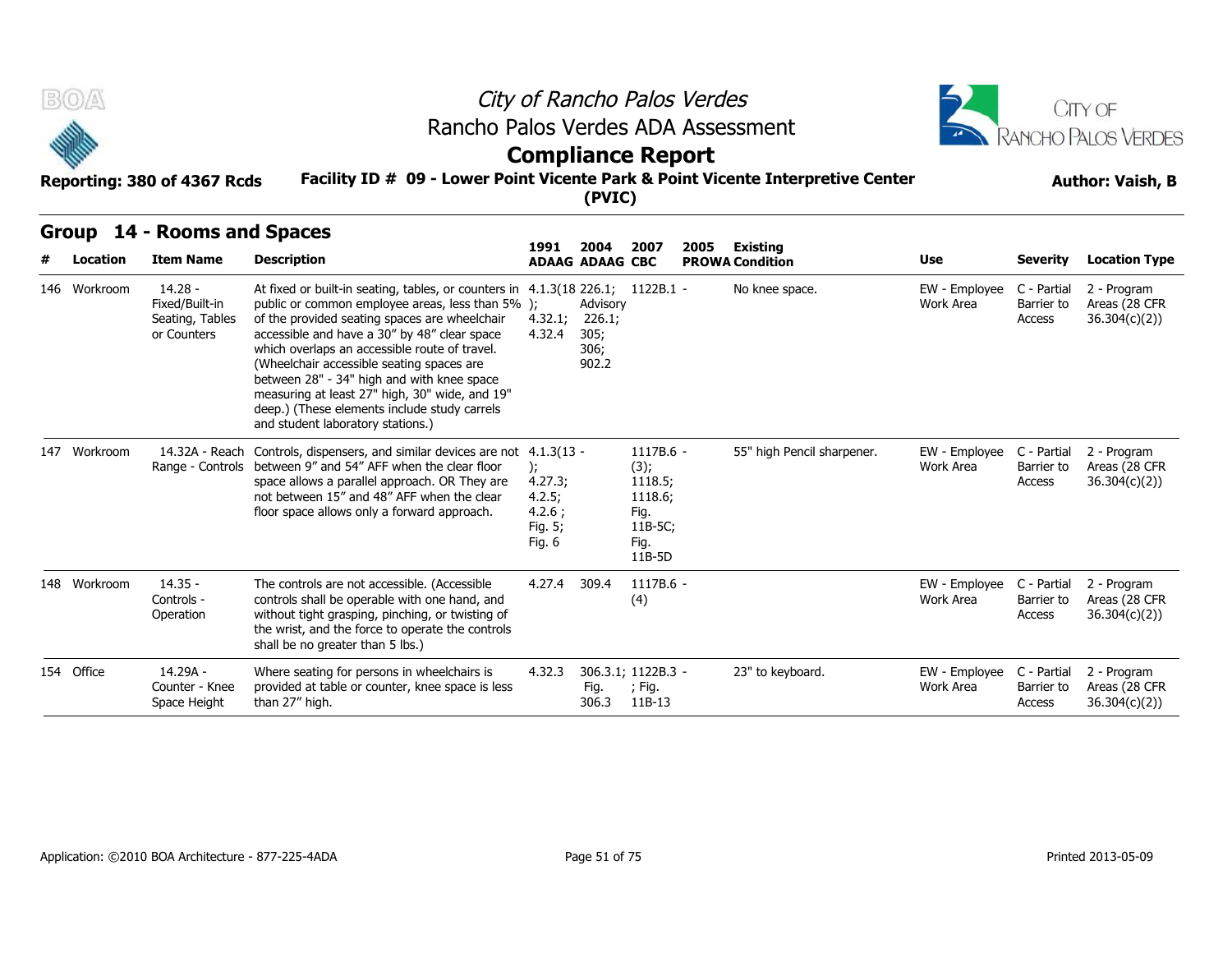



### **Compliance Report**

#### **Facility ID # 09 - Lower Point Vicente Park & Point Vicente Interpretive Center Reporting: 380 of 4367 Rcds Author: Vaish, B**

| B(0)         |                                                               |                                                                                                                                                                                                                                                                                                                                                                                                                                                                                                                        |                                                        | City of Rancho Palos Verdes                 |                                                                              |      |                            |                            |                                     | <b>ITY OF</b>                                 |  |
|--------------|---------------------------------------------------------------|------------------------------------------------------------------------------------------------------------------------------------------------------------------------------------------------------------------------------------------------------------------------------------------------------------------------------------------------------------------------------------------------------------------------------------------------------------------------------------------------------------------------|--------------------------------------------------------|---------------------------------------------|------------------------------------------------------------------------------|------|----------------------------|----------------------------|-------------------------------------|-----------------------------------------------|--|
|              |                                                               | Rancho Palos Verdes ADA Assessment                                                                                                                                                                                                                                                                                                                                                                                                                                                                                     |                                                        |                                             |                                                                              |      |                            |                            |                                     | RANCHO PALOS VERDES                           |  |
|              |                                                               |                                                                                                                                                                                                                                                                                                                                                                                                                                                                                                                        |                                                        | <b>Compliance Report</b>                    |                                                                              |      |                            |                            |                                     |                                               |  |
|              | Reporting: 380 of 4367 Rcds                                   | Facility ID # 09 - Lower Point Vicente Park & Point Vicente Interpretive Center                                                                                                                                                                                                                                                                                                                                                                                                                                        |                                                        | (PVIC)                                      |                                                                              |      |                            | <b>Author: Vaish, B</b>    |                                     |                                               |  |
| <b>Group</b> | 14 - Rooms and Spaces                                         |                                                                                                                                                                                                                                                                                                                                                                                                                                                                                                                        | 1991                                                   | 2004                                        | 2007                                                                         | 2005 | <b>Existing</b>            |                            |                                     |                                               |  |
| Location     | <b>Item Name</b>                                              | <b>Description</b>                                                                                                                                                                                                                                                                                                                                                                                                                                                                                                     |                                                        | <b>ADAAG ADAAG CBC</b>                      |                                                                              |      | <b>PROWA Condition</b>     | <b>Use</b>                 | <b>Severity</b>                     | <b>Location Type</b>                          |  |
| 146 Workroom | $14.28 -$<br>Fixed/Built-in<br>Seating, Tables<br>or Counters | At fixed or built-in seating, tables, or counters in 4.1.3(18 226.1; 1122B.1 -<br>public or common employee areas, less than 5% );<br>of the provided seating spaces are wheelchair<br>accessible and have a 30" by 48" clear space<br>which overlaps an accessible route of travel.<br>(Wheelchair accessible seating spaces are<br>between 28" - 34" high and with knee space<br>measuring at least 27" high, 30" wide, and 19"<br>deep.) (These elements include study carrels<br>and student laboratory stations.) | 4.32.1;<br>4.32.4                                      | Advisory<br>226.1;<br>305;<br>306;<br>902.2 |                                                                              |      | No knee space.             | EW - Employee<br>Work Area | C - Partial<br>Barrier to<br>Access | 2 - Program<br>Areas (28 CFR<br>36.304(c)(2)  |  |
| 147 Workroom |                                                               | 14.32A - Reach Controls, dispensers, and similar devices are not 4.1.3(13 -<br>Range - Controls between 9" and 54" AFF when the clear floor<br>space allows a parallel approach. OR They are<br>not between 15" and 48" AFF when the clear<br>floor space allows only a forward approach.                                                                                                                                                                                                                              | );<br>4.27.3;<br>4.2.5;<br>4.2.6;<br>Fig. 5;<br>Fig. 6 |                                             | 1117B.6 -<br>(3);<br>1118.5;<br>1118.6;<br>Fig.<br>11B-5C;<br>Fig.<br>11B-5D |      | 55" high Pencil sharpener. | EW - Employee<br>Work Area | C - Partial<br>Barrier to<br>Access | 2 - Program<br>Areas (28 CFR<br>36.304(c)(2)) |  |
| 148 Workroom | $14.35 -$<br>Controls -<br>Operation                          | The controls are not accessible. (Accessible<br>controls shall be operable with one hand, and<br>without tight grasping, pinching, or twisting of<br>the wrist, and the force to operate the controls<br>shall be no greater than 5 lbs.)                                                                                                                                                                                                                                                                              | 4.27.4                                                 | 309.4                                       | $1117B.6 -$<br>(4)                                                           |      |                            | EW - Employee<br>Work Area | C - Partial<br>Barrier to<br>Access | 2 - Program<br>Areas (28 CFR<br>36.304(c)(2)  |  |
| 154 Office   | 14.29A -<br>Counter - Knee<br>Space Height                    | Where seating for persons in wheelchairs is<br>provided at table or counter, knee space is less<br>than 27" high.                                                                                                                                                                                                                                                                                                                                                                                                      | 4.32.3                                                 | Fig.<br>306.3                               | 306.3.1; 1122B.3 -<br>; Fig.<br>11B-13                                       |      | 23" to keyboard.           | EW - Employee<br>Work Area | C - Partial<br>Barrier to<br>Access | 2 - Program<br>Areas (28 CFR<br>36.304(c)(2)  |  |
|              |                                                               |                                                                                                                                                                                                                                                                                                                                                                                                                                                                                                                        |                                                        |                                             |                                                                              |      |                            |                            |                                     |                                               |  |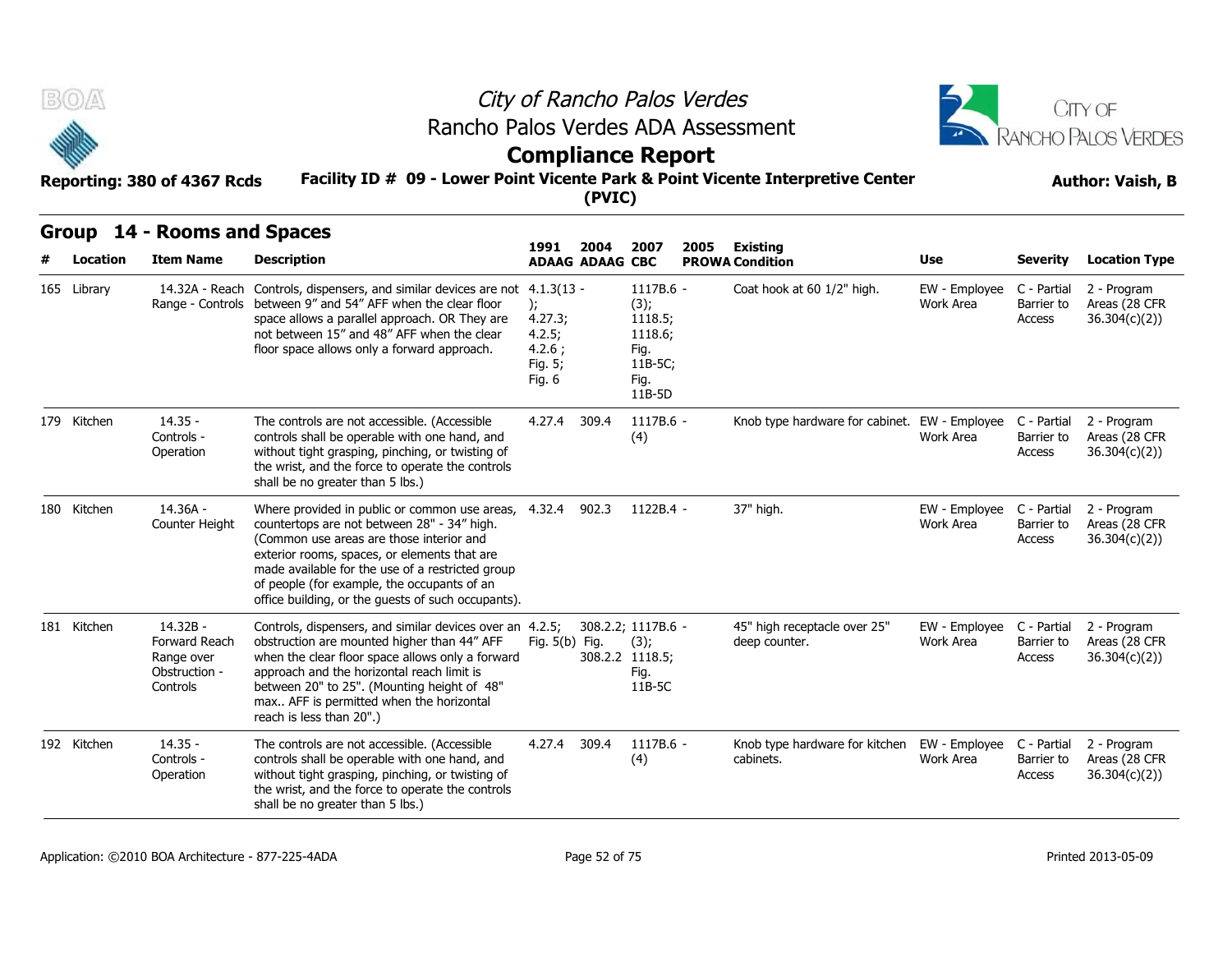



### **Compliance Report**

### **Facility ID # 09 - Lower Point Vicente Park & Point Vicente Interpretive Center Reporting: 380 of 4367 Rcds Author: Vaish, B**

| B(0)        | Reporting: 380 of 4367 Rcds                                          | Rancho Palos Verdes ADA Assessment<br>Facility ID # 09 - Lower Point Vicente Park & Point Vicente Interpretive Center                                                                                                                                                                                                                                    |                                                                        | (PVIC)                         | City of Rancho Palos Verdes<br><b>Compliance Report</b>                      |                                               |                            |                                     | CITY OF<br>ANCHO PALOS VERDES<br><b>Author: Vaish, B</b> |  |
|-------------|----------------------------------------------------------------------|----------------------------------------------------------------------------------------------------------------------------------------------------------------------------------------------------------------------------------------------------------------------------------------------------------------------------------------------------------|------------------------------------------------------------------------|--------------------------------|------------------------------------------------------------------------------|-----------------------------------------------|----------------------------|-------------------------------------|----------------------------------------------------------|--|
|             | Group 14 - Rooms and Spaces                                          |                                                                                                                                                                                                                                                                                                                                                          |                                                                        |                                |                                                                              |                                               |                            |                                     |                                                          |  |
| Location    | <b>Item Name</b>                                                     | <b>Description</b>                                                                                                                                                                                                                                                                                                                                       | 1991                                                                   | 2004<br><b>ADAAG ADAAG CBC</b> | 2007<br>2005                                                                 | Existing<br><b>PROWA Condition</b>            | Use                        | <b>Severity</b>                     | <b>Location Type</b>                                     |  |
| 165 Library | 14.32A - Reach                                                       | Controls, dispensers, and similar devices are not<br>Range - Controls between 9" and 54" AFF when the clear floor<br>space allows a parallel approach. OR They are<br>not between 15" and 48" AFF when the clear<br>floor space allows only a forward approach.                                                                                          | $4.1.3(13 -$<br>);<br>4.27.3;<br>4.2.5;<br>4.2.6:<br>Fig. 5;<br>Fig. 6 |                                | 1117B.6 -<br>(3);<br>1118.5;<br>1118.6;<br>Fig.<br>11B-5C;<br>Fig.<br>11B-5D | Coat hook at 60 1/2" high.                    | EW - Employee<br>Work Area | C - Partial<br>Barrier to<br>Access | 2 - Program<br>Areas (28 CFR<br>36.304(c)(2))            |  |
| 179 Kitchen | $14.35 -$<br>Controls -<br>Operation                                 | The controls are not accessible. (Accessible<br>controls shall be operable with one hand, and<br>without tight grasping, pinching, or twisting of<br>the wrist, and the force to operate the controls<br>shall be no greater than 5 lbs.)                                                                                                                | 4.27.4 309.4                                                           |                                | 1117B.6 -<br>(4)                                                             | Knob type hardware for cabinet. EW - Employee | Work Area                  | C - Partial<br>Barrier to<br>Access | 2 - Program<br>Areas (28 CFR<br>36.304(c)(2))            |  |
| 180 Kitchen | 14.36A -<br>Counter Height                                           | Where provided in public or common use areas, 4.32.4<br>countertops are not between 28" - 34" high.<br>(Common use areas are those interior and<br>exterior rooms, spaces, or elements that are<br>made available for the use of a restricted group<br>of people (for example, the occupants of an<br>office building, or the guests of such occupants). |                                                                        | 902.3                          | 1122B.4 -                                                                    | 37" high.                                     | EW - Employee<br>Work Area | C - Partial<br>Barrier to<br>Access | 2 - Program<br>Areas (28 CFR<br>36.304(c)(2))            |  |
| 181 Kitchen | 14.32B -<br>Forward Reach<br>Range over<br>Obstruction -<br>Controls | Controls, dispensers, and similar devices over an 4.2.5;<br>obstruction are mounted higher than 44" AFF<br>when the clear floor space allows only a forward<br>approach and the horizontal reach limit is<br>between 20" to 25". (Mounting height of 48"<br>max AFF is permitted when the horizontal<br>reach is less than 20".)                         | Fig. 5(b) Fig.                                                         |                                | 308.2.2; 1117B.6 -<br>(3);<br>308.2.2 1118.5;<br>Fig.<br>11B-5C              | 45" high receptacle over 25"<br>deep counter. | EW - Employee<br>Work Area | C - Partial<br>Barrier to<br>Access | 2 - Program<br>Areas (28 CFR<br>36.304(c)(2)             |  |
| 192 Kitchen | $14.35 -$<br>Controls -<br>Operation                                 | The controls are not accessible. (Accessible<br>controls shall be operable with one hand, and<br>without tight grasping, pinching, or twisting of<br>the wrist, and the force to operate the controls<br>shall be no greater than 5 lbs.)                                                                                                                | 4.27.4 309.4                                                           |                                | 1117B.6 -<br>(4)                                                             | Knob type hardware for kitchen<br>cabinets.   | EW - Employee<br>Work Area | C - Partial<br>Barrier to<br>Access | 2 - Program<br>Areas (28 CFR<br>36.304(c)(2))            |  |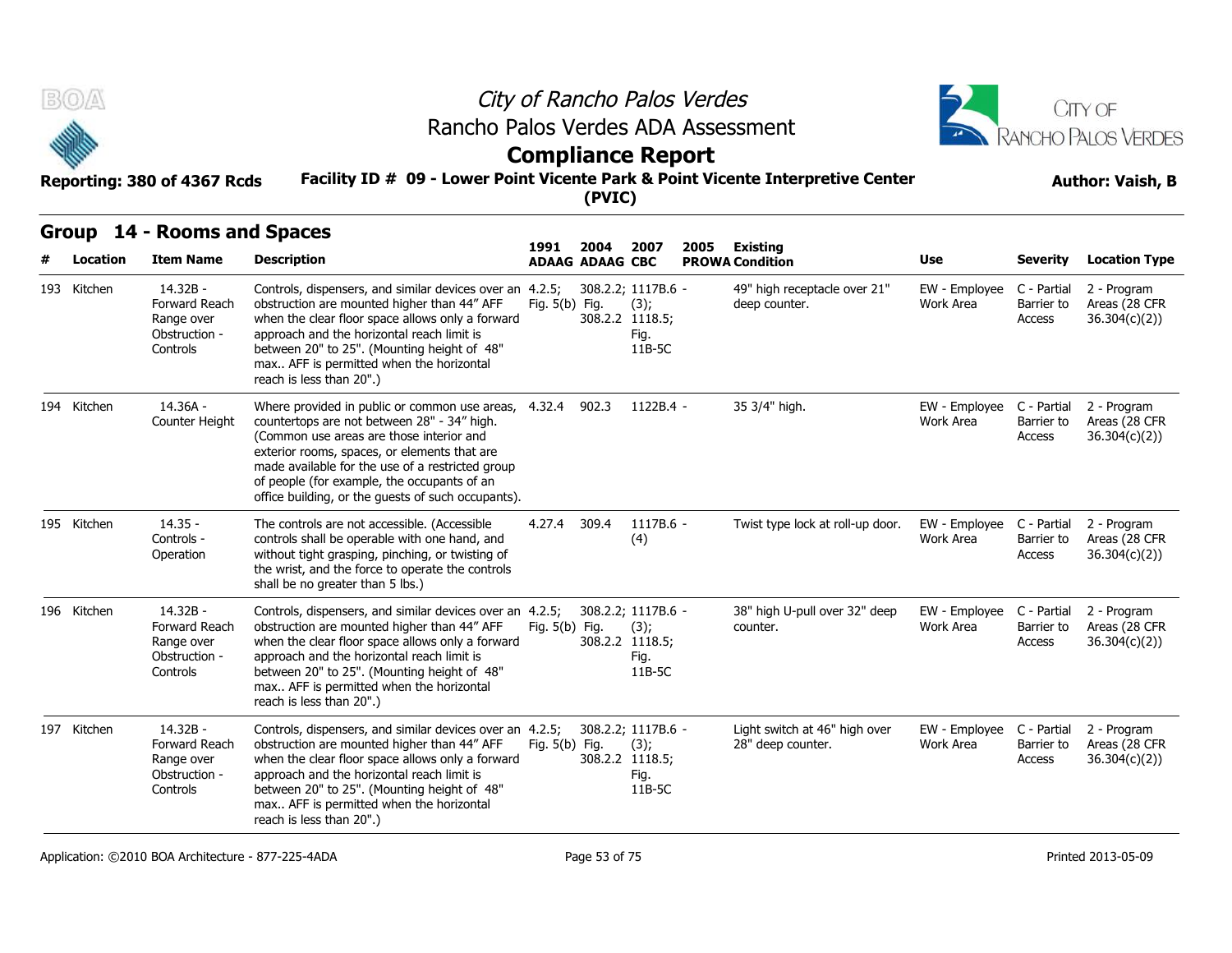



### **Compliance Report**

#### **Facility ID # 09 - Lower Point Vicente Park & Point Vicente Interpretive Center Reporting: 380 of 4367 Rcds Author: Vaish, B**

| B(0)        |                                                                      |                                                                                                                                                                                                                                                                                                                                                                |                  |                                | City of Rancho Palos Verdes<br>Rancho Palos Verdes ADA Assessment<br><b>Compliance Report</b> |      | CITY OF<br>RANCHO PALOS VERDES                     |                                        |                                     |                                               |
|-------------|----------------------------------------------------------------------|----------------------------------------------------------------------------------------------------------------------------------------------------------------------------------------------------------------------------------------------------------------------------------------------------------------------------------------------------------------|------------------|--------------------------------|-----------------------------------------------------------------------------------------------|------|----------------------------------------------------|----------------------------------------|-------------------------------------|-----------------------------------------------|
|             | Reporting: 380 of 4367 Rcds                                          | Facility ID # 09 - Lower Point Vicente Park & Point Vicente Interpretive Center                                                                                                                                                                                                                                                                                |                  | (PVIC)                         |                                                                                               |      |                                                    |                                        |                                     | <b>Author: Vaish, B</b>                       |
| Location    | Group 14 - Rooms and Spaces<br><b>Item Name</b>                      | <b>Description</b>                                                                                                                                                                                                                                                                                                                                             | 1991             | 2004<br><b>ADAAG ADAAG CBC</b> | 2007                                                                                          | 2005 | Existing<br><b>PROWA Condition</b>                 | Use                                    | <b>Severity</b>                     | <b>Location Type</b>                          |
| 193 Kitchen | 14.32B -<br>Forward Reach<br>Range over<br>Obstruction -<br>Controls | Controls, dispensers, and similar devices over an 4.2.5;<br>obstruction are mounted higher than 44" AFF<br>when the clear floor space allows only a forward<br>approach and the horizontal reach limit is<br>between 20" to 25". (Mounting height of 48"<br>max AFF is permitted when the horizontal<br>reach is less than 20".)                               | Fig. $5(b)$ Fig. |                                | 308.2.2; 1117B.6 -<br>(3);<br>308.2.2 1118.5;<br>Fig.<br>11B-5C                               |      | 49" high receptacle over 21"<br>deep counter.      | EW - Employee<br>Work Area             | C - Partial<br>Barrier to<br>Access | 2 - Program<br>Areas (28 CFR<br>36.304(c)(2)) |
| 194 Kitchen | 14.36A -<br>Counter Height                                           | Where provided in public or common use areas, 4.32.4 902.3<br>countertops are not between 28" - 34" high.<br>(Common use areas are those interior and<br>exterior rooms, spaces, or elements that are<br>made available for the use of a restricted group<br>of people (for example, the occupants of an<br>office building, or the guests of such occupants). |                  |                                | $1122B.4 -$                                                                                   |      | 35 3/4" high.                                      | EW - Employee C - Partial<br>Work Area | Barrier to<br>Access                | 2 - Program<br>Areas (28 CFR<br>36.304(c)(2)  |
| 195 Kitchen | $14.35 -$<br>Controls -<br>Operation                                 | The controls are not accessible. (Accessible<br>controls shall be operable with one hand, and<br>without tight grasping, pinching, or twisting of<br>the wrist, and the force to operate the controls<br>shall be no greater than 5 lbs.)                                                                                                                      | 4.27.4           | 309.4                          | $1117B.6 -$<br>(4)                                                                            |      | Twist type lock at roll-up door.                   | EW - Employee<br>Work Area             | C - Partial<br>Barrier to<br>Access | 2 - Program<br>Areas (28 CFR<br>36.304(c)(2)  |
| 196 Kitchen | 14.32B -<br>Forward Reach<br>Range over<br>Obstruction -<br>Controls | Controls, dispensers, and similar devices over an 4.2.5;<br>obstruction are mounted higher than 44" AFF<br>when the clear floor space allows only a forward<br>approach and the horizontal reach limit is<br>between 20" to 25". (Mounting height of 48"<br>max AFF is permitted when the horizontal<br>reach is less than 20".)                               | Fig. 5(b) Fig.   |                                | 308.2.2; 1117B.6 -<br>(3);<br>308.2.2 1118.5;<br>Fig.<br>11B-5C                               |      | 38" high U-pull over 32" deep<br>counter.          | EW - Employee<br>Work Area             | C - Partial<br>Barrier to<br>Access | 2 - Program<br>Areas (28 CFR<br>36.304(c)(2)  |
| 197 Kitchen | 14.32B -<br>Forward Reach<br>Range over<br>Obstruction -<br>Controls | Controls, dispensers, and similar devices over an 4.2.5;<br>obstruction are mounted higher than 44" AFF<br>when the clear floor space allows only a forward<br>approach and the horizontal reach limit is<br>between 20" to 25". (Mounting height of 48"<br>max AFF is permitted when the horizontal<br>reach is less than 20".)                               | Fig. 5(b) Fig.   |                                | 308.2.2; 1117B.6 -<br>(3);<br>308.2.2 1118.5;<br>Fig.<br>11B-5C                               |      | Light switch at 46" high over<br>28" deep counter. | EW - Employee C - Partial<br>Work Area | Barrier to<br>Access                | 2 - Program<br>Areas (28 CFR<br>36.304(c)(2)  |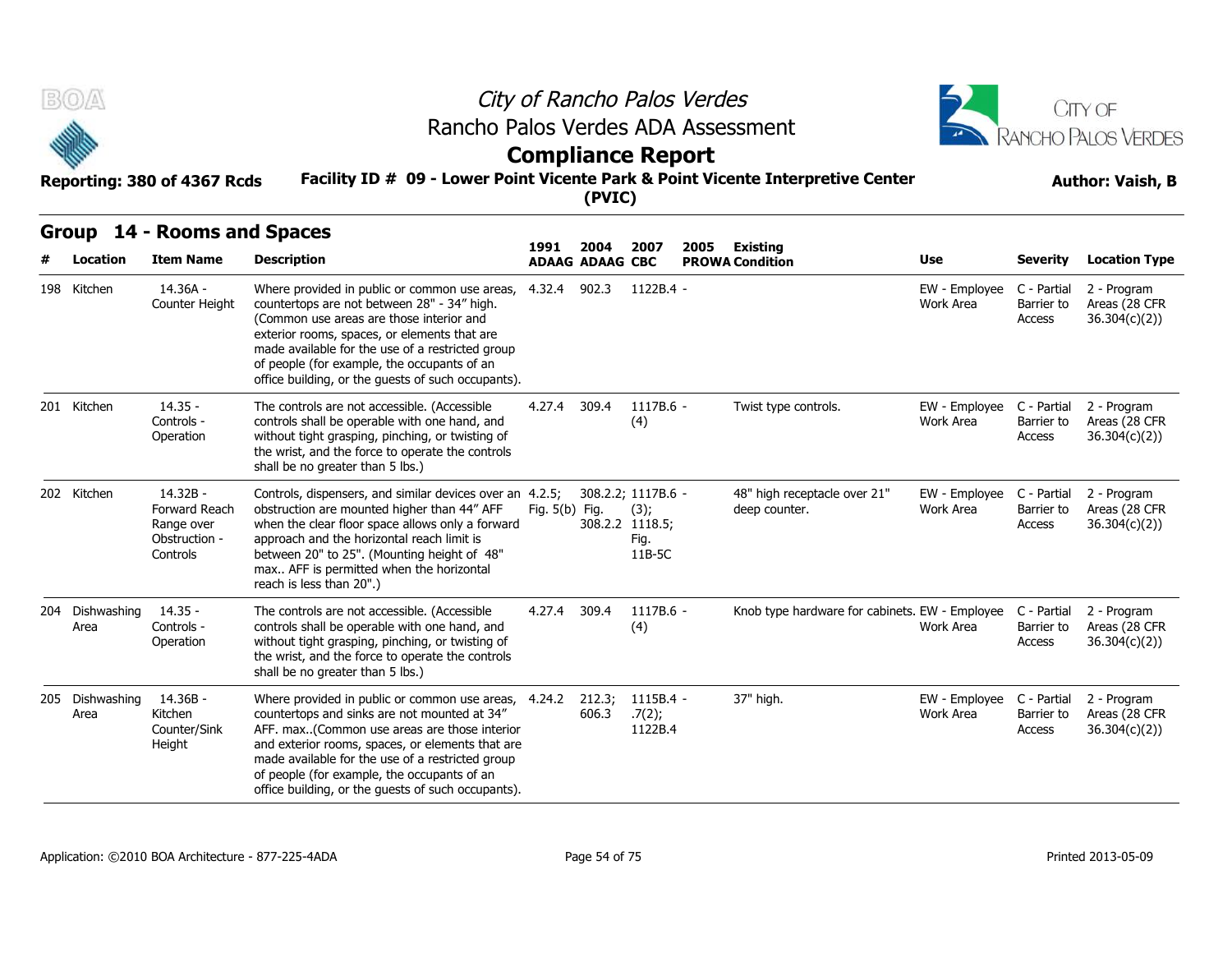



### **Compliance Report**

#### **Facility ID # 09 - Lower Point Vicente Park & Point Vicente Interpretive Center Reporting: 380 of 4367 Rcds Author: Vaish, B**

| $B(0)$ $\triangle$      | Reporting: 380 of 4367 Rcds                                          | Rancho Palos Verdes ADA Assessment<br>Facility ID # 09 - Lower Point Vicente Park & Point Vicente Interpretive Center                                                                                                                                                                                                                                      |                | (PVIC)                 | City of Rancho Palos Verdes<br><b>Compliance Report</b>         |                                                | CITY OF<br>RANCHO PALOS VERDES<br><b>Author: Vaish, B</b> |                                     |                                               |
|-------------------------|----------------------------------------------------------------------|------------------------------------------------------------------------------------------------------------------------------------------------------------------------------------------------------------------------------------------------------------------------------------------------------------------------------------------------------------|----------------|------------------------|-----------------------------------------------------------------|------------------------------------------------|-----------------------------------------------------------|-------------------------------------|-----------------------------------------------|
| Group                   | 14 - Rooms and Spaces                                                |                                                                                                                                                                                                                                                                                                                                                            | 1991           | 2004                   | 2007                                                            | 2005<br>Existing                               |                                                           |                                     |                                               |
| Location                | <b>Item Name</b>                                                     | <b>Description</b>                                                                                                                                                                                                                                                                                                                                         |                | <b>ADAAG ADAAG CBC</b> |                                                                 | <b>PROWA Condition</b>                         | Use                                                       | Severity                            | <b>Location Type</b>                          |
| 198 Kitchen             | 14.36A -<br>Counter Height                                           | Where provided in public or common use areas,<br>countertops are not between 28" - 34" high.<br>(Common use areas are those interior and<br>exterior rooms, spaces, or elements that are<br>made available for the use of a restricted group<br>of people (for example, the occupants of an<br>office building, or the quests of such occupants).          | 4.32.4         | 902.3                  | 1122B.4 -                                                       |                                                | EW - Employee<br>Work Area                                | C - Partial<br>Barrier to<br>Access | 2 - Program<br>Areas (28 CFR<br>36.304(c)(2)  |
| 201 Kitchen             | $14.35 -$<br>Controls -<br>Operation                                 | The controls are not accessible. (Accessible<br>controls shall be operable with one hand, and<br>without tight grasping, pinching, or twisting of<br>the wrist, and the force to operate the controls<br>shall be no greater than 5 lbs.)                                                                                                                  | 4.27.4 309.4   |                        | 1117B.6 -<br>(4)                                                | Twist type controls.                           | EW - Employee<br>Work Area                                | C - Partial<br>Barrier to<br>Access | 2 - Program<br>Areas (28 CFR<br>36.304(c)(2)) |
| 202 Kitchen             | 14.32B -<br>Forward Reach<br>Range over<br>Obstruction -<br>Controls | Controls, dispensers, and similar devices over an 4.2.5;<br>obstruction are mounted higher than 44" AFF<br>when the clear floor space allows only a forward<br>approach and the horizontal reach limit is<br>between 20" to 25". (Mounting height of 48"<br>max AFF is permitted when the horizontal<br>reach is less than 20".)                           | Fig. 5(b) Fig. |                        | 308.2.2; 1117B.6 -<br>(3);<br>308.2.2 1118.5;<br>Fig.<br>11B-5C | 48" high receptacle over 21"<br>deep counter.  | EW - Employee<br>Work Area                                | C - Partial<br>Barrier to<br>Access | 2 - Program<br>Areas (28 CFR<br>36.304(c)(2)) |
| 204 Dishwashing<br>Area | $14.35 -$<br>Controls -<br>Operation                                 | The controls are not accessible. (Accessible<br>controls shall be operable with one hand, and<br>without tight grasping, pinching, or twisting of<br>the wrist, and the force to operate the controls<br>shall be no greater than 5 lbs.)                                                                                                                  | 4.27.4         | 309.4                  | 1117B.6 -<br>(4)                                                | Knob type hardware for cabinets. EW - Employee | Work Area                                                 | C - Partial<br>Barrier to<br>Access | 2 - Program<br>Areas (28 CFR<br>36.304(c)(2)  |
| 205 Dishwashing<br>Area | 14.36B -<br>Kitchen<br>Counter/Sink<br>Height                        | Where provided in public or common use areas,<br>countertops and sinks are not mounted at 34"<br>AFF. max(Common use areas are those interior<br>and exterior rooms, spaces, or elements that are<br>made available for the use of a restricted group<br>of people (for example, the occupants of an<br>office building, or the guests of such occupants). | 4.24.2         | 212.3;<br>606.3        | 1115B.4 -<br>.7(2);<br>1122B.4                                  | 37" high.                                      | EW - Employee<br>Work Area                                | C - Partial<br>Barrier to<br>Access | 2 - Program<br>Areas (28 CFR<br>36.304(c)(2)) |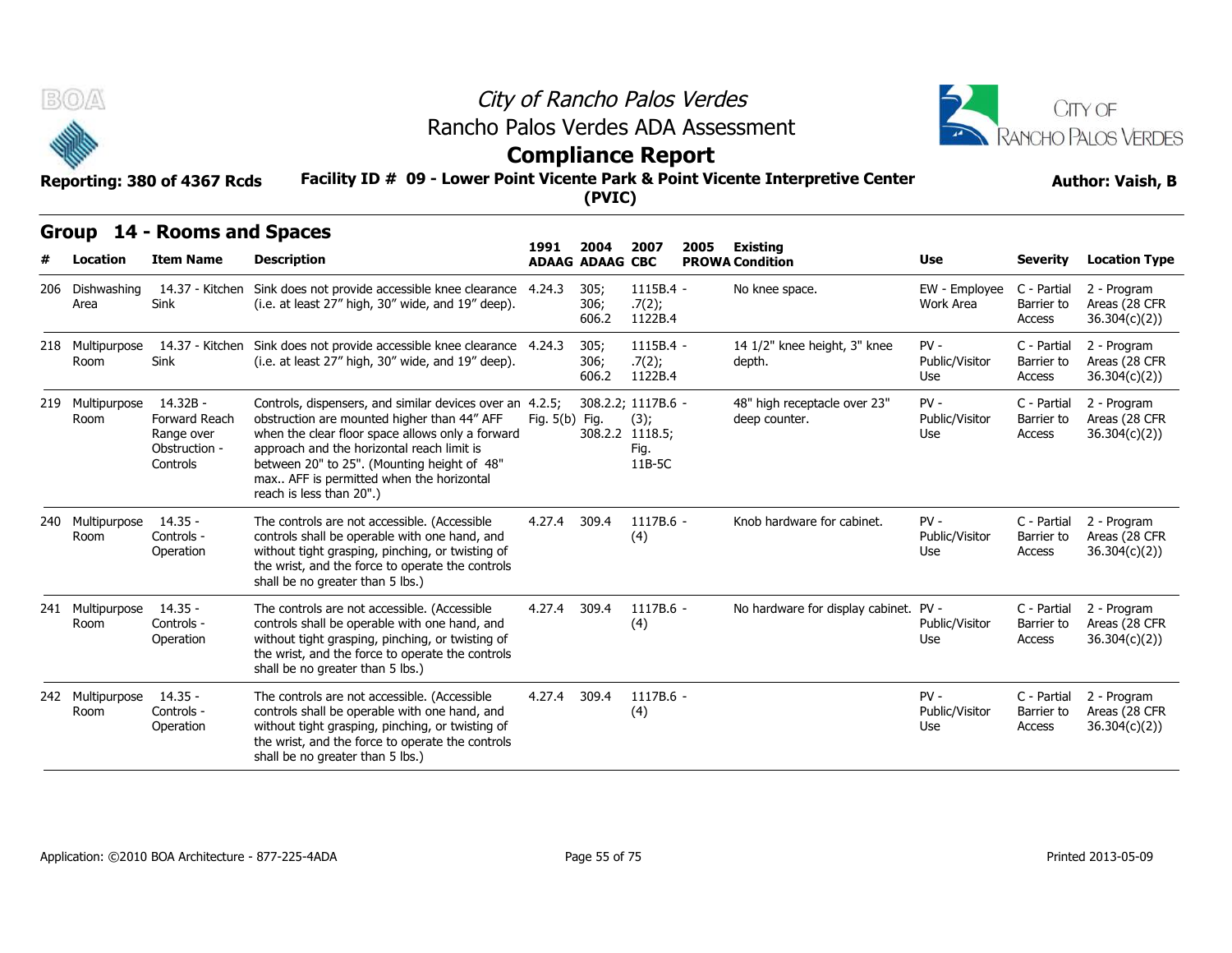



## **Compliance Report**

### **Facility ID # 09 - Lower Point Vicente Park & Point Vicente Interpretive Center Reporting: 380 of 4367 Rcds Author: Vaish, B**

|     | BOA                      | Reporting: 380 of 4367 Rcds                                            |                                                                                                                                                                                                                                                                                                                                  | City of Rancho Palos Verdes<br>Rancho Palos Verdes ADA Assessment<br><b>Compliance Report</b><br>Facility ID # 09 - Lower Point Vicente Park & Point Vicente Interpretive Center<br>(PVIC) |                                |                                                                 |      |                                               |                                 |                                     |                                              |  |  |  |  |
|-----|--------------------------|------------------------------------------------------------------------|----------------------------------------------------------------------------------------------------------------------------------------------------------------------------------------------------------------------------------------------------------------------------------------------------------------------------------|--------------------------------------------------------------------------------------------------------------------------------------------------------------------------------------------|--------------------------------|-----------------------------------------------------------------|------|-----------------------------------------------|---------------------------------|-------------------------------------|----------------------------------------------|--|--|--|--|
|     | Location                 | Group 14 - Rooms and Spaces<br><b>Item Name</b>                        | <b>Description</b>                                                                                                                                                                                                                                                                                                               | 1991                                                                                                                                                                                       | 2004<br><b>ADAAG ADAAG CBC</b> | 2007                                                            | 2005 | <b>Existing</b><br><b>PROWA Condition</b>     | Use                             | <b>Severity</b>                     | <b>Location Type</b>                         |  |  |  |  |
|     | 206 Dishwashing<br>Area  | Sink                                                                   | 14.37 - Kitchen Sink does not provide accessible knee clearance 4.24.3<br>(i.e. at least 27" high, 30" wide, and 19" deep).                                                                                                                                                                                                      |                                                                                                                                                                                            | 305;<br>306;<br>606.2          | 1115B.4 -<br>.7(2);<br>1122B.4                                  |      | No knee space.                                | EW - Employee<br>Work Area      | C - Partial<br>Barrier to<br>Access | 2 - Program<br>Areas (28 CFR<br>36.304(c)(2) |  |  |  |  |
|     | 218 Multipurpose<br>Room | 14.37 - Kitchen<br>Sink                                                | Sink does not provide accessible knee clearance 4.24.3<br>(i.e. at least 27" high, 30" wide, and 19" deep).                                                                                                                                                                                                                      |                                                                                                                                                                                            | 305;<br>306;<br>606.2          | 1115B.4 -<br>.7(2);<br>1122B.4                                  |      | 14 1/2" knee height, 3" knee<br>depth.        | $PV -$<br>Public/Visitor<br>Use | C - Partial<br>Barrier to<br>Access | 2 - Program<br>Areas (28 CFR<br>36.304(c)(2) |  |  |  |  |
| 219 | Multipurpose<br>Room     | $14.32B -$<br>Forward Reach<br>Range over<br>Obstruction -<br>Controls | Controls, dispensers, and similar devices over an 4.2.5;<br>obstruction are mounted higher than 44" AFF<br>when the clear floor space allows only a forward<br>approach and the horizontal reach limit is<br>between 20" to 25". (Mounting height of 48"<br>max AFF is permitted when the horizontal<br>reach is less than 20".) | Fig. 5(b) Fig.                                                                                                                                                                             |                                | 308.2.2; 1117B.6 -<br>(3);<br>308.2.2 1118.5;<br>Fig.<br>11B-5C |      | 48" high receptacle over 23"<br>deep counter. | $PV -$<br>Public/Visitor<br>Use | C - Partial<br>Barrier to<br>Access | 2 - Program<br>Areas (28 CFR<br>36.304(c)(2) |  |  |  |  |
| 240 | Multipurpose<br>Room     | $14.35 -$<br>Controls -<br>Operation                                   | The controls are not accessible. (Accessible<br>controls shall be operable with one hand, and<br>without tight grasping, pinching, or twisting of<br>the wrist, and the force to operate the controls<br>shall be no greater than 5 lbs.)                                                                                        | 4.27.4                                                                                                                                                                                     | 309.4                          | $1117B.6 -$<br>(4)                                              |      | Knob hardware for cabinet.                    | $PV -$<br>Public/Visitor<br>Use | C - Partial<br>Barrier to<br>Access | 2 - Program<br>Areas (28 CFR<br>36.304(c)(2) |  |  |  |  |
| 241 | Multipurpose<br>Room     | $14.35 -$<br>Controls -<br>Operation                                   | The controls are not accessible. (Accessible<br>controls shall be operable with one hand, and<br>without tight grasping, pinching, or twisting of<br>the wrist, and the force to operate the controls<br>shall be no greater than 5 lbs.)                                                                                        | 4.27.4                                                                                                                                                                                     | 309.4                          | 1117B.6 -<br>(4)                                                |      | No hardware for display cabinet. PV -         | Public/Visitor<br>Use           | C - Partial<br>Barrier to<br>Access | 2 - Program<br>Areas (28 CFR<br>36.304(c)(2) |  |  |  |  |
| 242 | Multipurpose<br>Room     | $14.35 -$<br>Controls -<br>Operation                                   | The controls are not accessible. (Accessible<br>controls shall be operable with one hand, and<br>without tight grasping, pinching, or twisting of<br>the wrist, and the force to operate the controls<br>shall be no greater than 5 lbs.)                                                                                        | 4.27.4                                                                                                                                                                                     | 309.4                          | 1117B.6 -<br>(4)                                                |      |                                               | $PV -$<br>Public/Visitor<br>Use | C - Partial<br>Barrier to<br>Access | 2 - Program<br>Areas (28 CFR<br>36.304(c)(2) |  |  |  |  |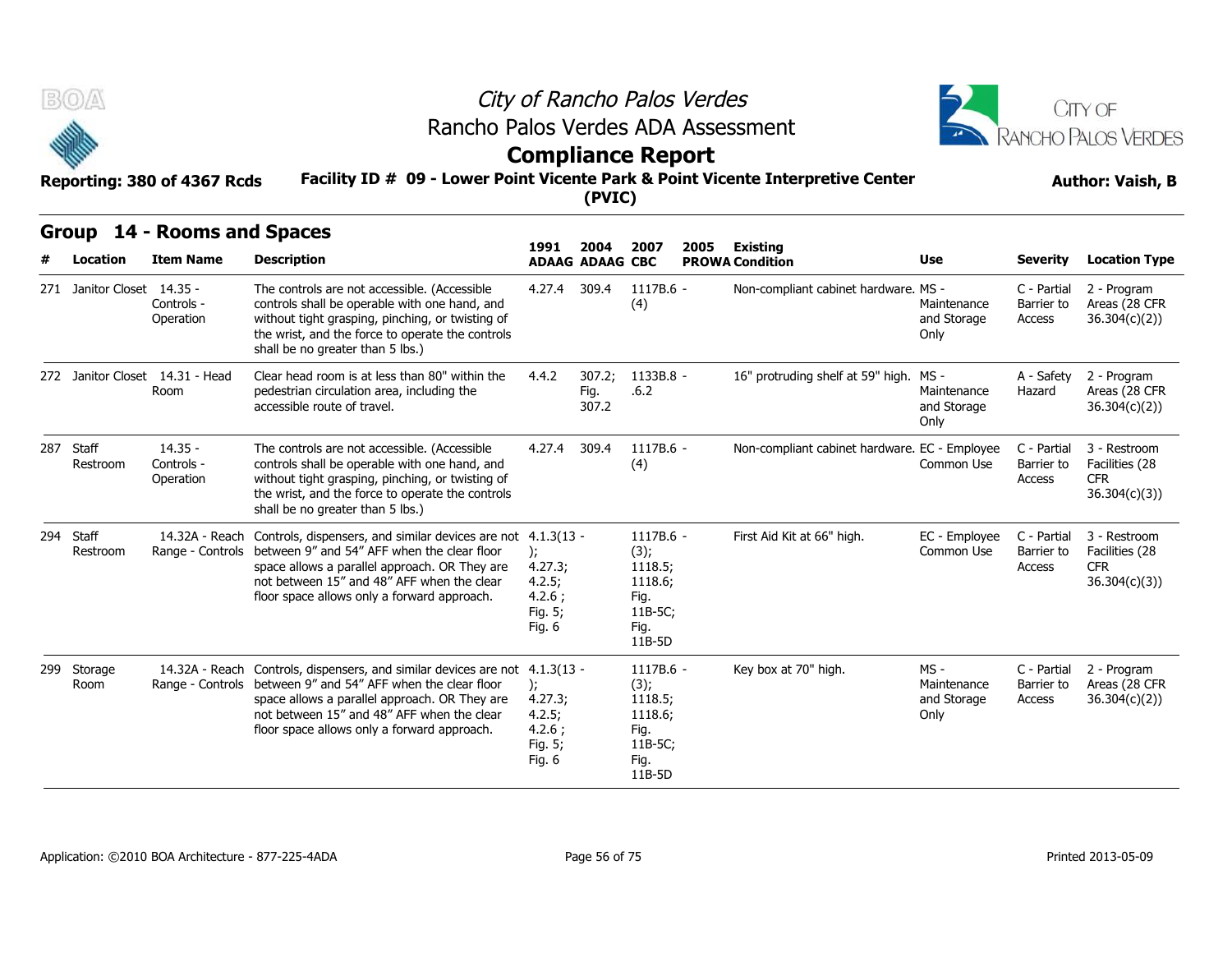



## **Compliance Report**

#### **Facility ID # 09 - Lower Point Vicente Park & Point Vicente Interpretive Center Reporting: 380 of 4367 Rcds Author: Vaish, B**

|     | B(0)                       | Reporting: 380 of 4367 Rcds               |                                                                                                                                                                                                                                                                            | City of Rancho Palos Verdes<br>Rancho Palos Verdes ADA Assessment<br><b>Compliance Report</b><br>Facility ID # 09 - Lower Point Vicente Park & Point Vicente Interpretive Center<br>(PVIC) |                                |                                                                              |      |                                               |                                            |                                     |                                                               |  |  |  |
|-----|----------------------------|-------------------------------------------|----------------------------------------------------------------------------------------------------------------------------------------------------------------------------------------------------------------------------------------------------------------------------|--------------------------------------------------------------------------------------------------------------------------------------------------------------------------------------------|--------------------------------|------------------------------------------------------------------------------|------|-----------------------------------------------|--------------------------------------------|-------------------------------------|---------------------------------------------------------------|--|--|--|
|     | Group<br>Location          | 14 - Rooms and Spaces<br><b>Item Name</b> | <b>Description</b>                                                                                                                                                                                                                                                         | 1991                                                                                                                                                                                       | 2004<br><b>ADAAG ADAAG CBC</b> | 2007                                                                         | 2005 | <b>Existing</b><br><b>PROWA Condition</b>     | Use                                        | <b>Severity</b>                     | <b>Location Type</b>                                          |  |  |  |
|     | 271 Janitor Closet 14.35 - | Controls -<br>Operation                   | The controls are not accessible. (Accessible<br>controls shall be operable with one hand, and<br>without tight grasping, pinching, or twisting of<br>the wrist, and the force to operate the controls<br>shall be no greater than 5 lbs.)                                  | 4.27.4                                                                                                                                                                                     | 309.4                          | 1117B.6 -<br>(4)                                                             |      | Non-compliant cabinet hardware. MS -          | Maintenance<br>and Storage<br>Only         | C - Partial<br>Barrier to<br>Access | 2 - Program<br>Areas (28 CFR<br>36.304(c)(2)                  |  |  |  |
|     |                            | 272 Janitor Closet 14.31 - Head<br>Room   | Clear head room is at less than 80" within the<br>pedestrian circulation area, including the<br>accessible route of travel.                                                                                                                                                | 4.4.2                                                                                                                                                                                      | 307.2;<br>Fig.<br>307.2        | 1133B.8 -<br>.6.2                                                            |      | 16" protruding shelf at 59" high. MS -        | Maintenance<br>and Storage<br>Only         | A - Safety<br>Hazard                | 2 - Program<br>Areas (28 CFR<br>36.304(c)(2)                  |  |  |  |
| 287 | Staff<br>Restroom          | $14.35 -$<br>Controls -<br>Operation      | The controls are not accessible. (Accessible<br>controls shall be operable with one hand, and<br>without tight grasping, pinching, or twisting of<br>the wrist, and the force to operate the controls<br>shall be no greater than 5 lbs.)                                  | 4.27.4                                                                                                                                                                                     | 309.4                          | 1117B.6 -<br>(4)                                                             |      | Non-compliant cabinet hardware. EC - Employee | Common Use                                 | C - Partial<br>Barrier to<br>Access | 3 - Restroom<br>Facilities (28<br><b>CFR</b><br>36.304(c)(3)) |  |  |  |
| 294 | Staff<br>Restroom          | 14.32A - Reach<br>Range - Controls        | Controls, dispensers, and similar devices are not 4.1.3(13 -<br>between 9" and 54" AFF when the clear floor<br>space allows a parallel approach. OR They are<br>not between 15" and 48" AFF when the clear<br>floor space allows only a forward approach.                  | $\mathcal{L}$<br>4.27.3;<br>4.2.5;<br>4.2.6:<br>Fig. 5;<br>Fig. 6                                                                                                                          |                                | 1117B.6 -<br>(3);<br>1118.5;<br>1118.6;<br>Fig.<br>11B-5C;<br>Fig.<br>11B-5D |      | First Aid Kit at 66" high.                    | EC - Employee<br>Common Use                | C - Partial<br>Barrier to<br>Access | 3 - Restroom<br>Facilities (28<br><b>CFR</b><br>36.304(c)(3)  |  |  |  |
| 299 | Storage<br>Room            | 14.32A - Reach                            | Controls, dispensers, and similar devices are not 4.1.3(13 -<br>Range - Controls between 9" and 54" AFF when the clear floor<br>space allows a parallel approach. OR They are<br>not between 15" and 48" AFF when the clear<br>floor space allows only a forward approach. | $\mathcal{E}$<br>4.27.3;<br>4.2.5;<br>4.2.6;<br>Fig. 5;<br>Fig. 6                                                                                                                          |                                | 1117B.6 -<br>(3);<br>1118.5;<br>1118.6;<br>Fig.<br>11B-5C;<br>Fig.<br>11B-5D |      | Key box at 70" high.                          | MS -<br>Maintenance<br>and Storage<br>Only | C - Partial<br>Barrier to<br>Access | 2 - Program<br>Areas (28 CFR<br>36.304(c)(2)                  |  |  |  |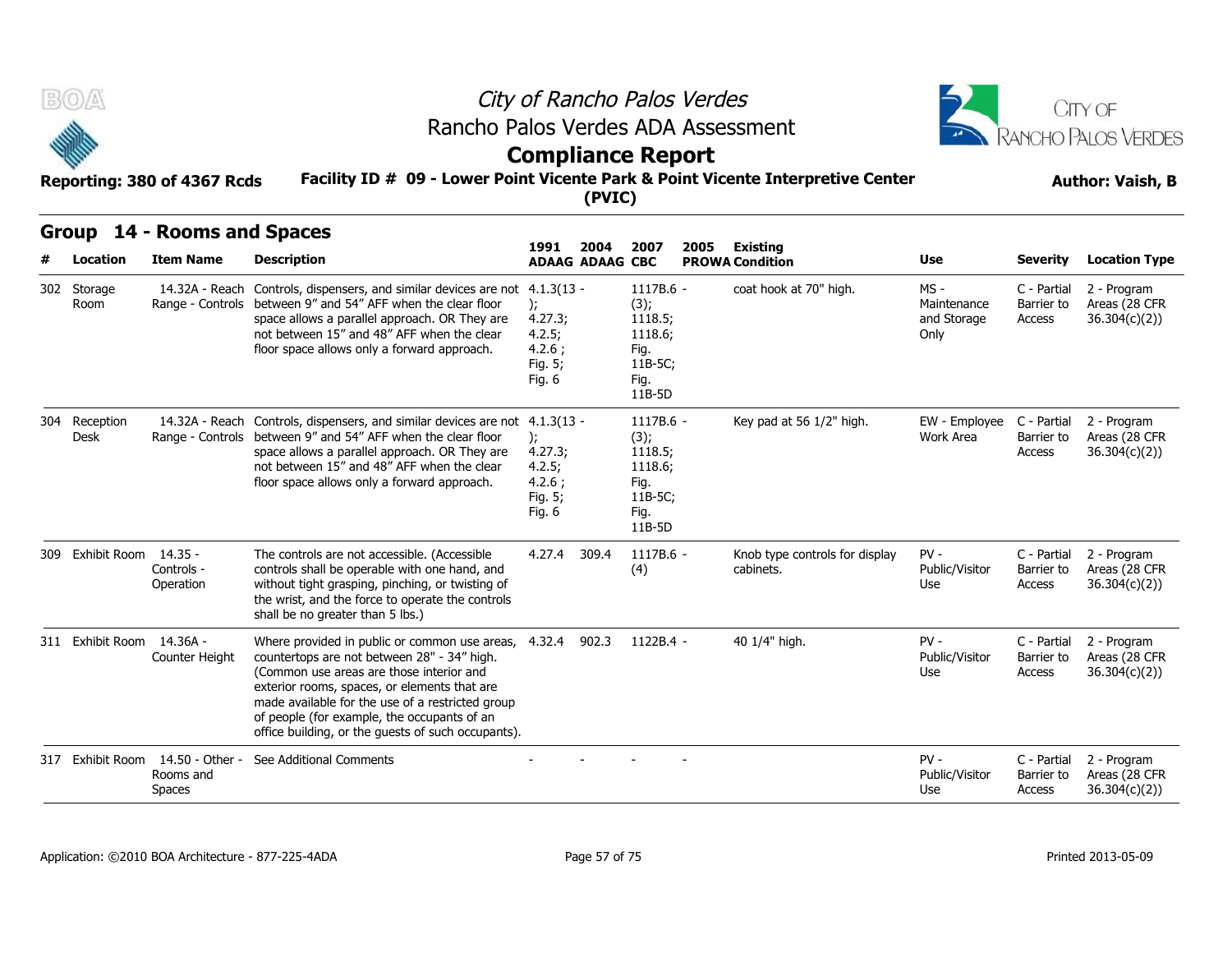



### **Compliance Report**

**Group 14 - Rooms and Spaces**

### **Facility ID # 09 - Lower Point Vicente Park & Point Vicente Interpretive Center Reporting: 380 of 4367 Rcds Author: Vaish, B**

**(PVIC)**

#### **Item Name Description 1991 ADAAG 2004 ADAAG CBC PROWA 2007 2005 Existing # Location Condition Use Severity Location Type** 14.32A - Reach Controls, dispensers, and similar devices are not 4.1.3(13 Room Bange - Controls between 9" and 54" AFF when the clear floor (b); space allows a parallel approach. OR They are not between 15" and 48" AFF when the clear floor space allows only a forward approach. ); 4.27.3; 4.2.5; 4.2.6 ; Fig. 5; Fig. 6 - 1117B.6 - coat hook at 70" high. MS - (3); 1118.5; 1118.6; Fig. 11B-5C; Fig. 11B-5D Maintenance Barrier to and Storage Only C - Partial 2 - Program Barrier to Areas (28 CFR Access 36.304(c)(2)) 14.32A - Reach Controls, dispensers, and similar devices are not Desk Bange - Controls between 9" and 54" AFF when the clear floor (b); space allows a parallel approach. OR They are not between 15" and 48" AFF when the clear floor space allows only a forward approach.  $1117B.6 -$ ); 4.27.3; 4.2.5; 4.2.6 ; Fig. 5; Fig. 6 Key pad at 56 1/2" high.  $(3);$ 1118.5; 1118.6; Fig. 11B-5C; Fig. 11B-5D EW - Employee C - Partial Work Area Barrier to C - Partial 2 - Program Barrier to Areas (28 CFR Access 36.304(c)(2)) Group 14 - Room<br>
# Location Item Na<br>
302 Storage 14.32A<br>
Room Range - C<br>
204 Reception 14.32A<br>
Desk Range - C 309 Exhibit Room 14.35 -Controls - Operation without tight grasping, pinching, or twisting of The controls are not accessible. (Accessible controls shall be operable with one hand, and the wrist, and the force to operate the controls shall be no greater than 5 lbs.) 4.27.4 309.4 1117B.6 (4) Knob type controls for display cabinets. PV - C - Partial Public/Visitor Barrier to Use Access C - Partial 2 - Program Barrier to Areas (28 CFR Access 36.304(c)(2)) France Controls, dispension and the Space Controls, dispension and the Space allows a proof between the Space allows and the Space allows and the Space allows and the Space allows of The Controls are Controls - Controls - 311 Exhibit Room 14.36A -Counter Height Where provided in public or common use areas, 4.32.4 902.3 countertops are not between 28" - 34" high. (Common use areas are those interior and exterior rooms, spaces, or elements that are made available for the use of a restricted group of people (for example, the occupants of an office building, or the guests of such occupants). 4.32.4 902.3 1122B.4 - 40 1/4" high. PV - Public/Visitor Barrier to Use Access C - Partial 2 - Program Barrier to Areas (28 CFR Access 36.304(c)(2)) space allows a protection strength<br>space allows a protective strength of the space allows a protective<br>ontrols -<br>Operation in the wrist, and the shall be no great<br>311 Exhibit Room 14.36A -<br>Counter Height countertops are<br>Co 14.50 - Other - See Additional Comments - - - - PV - Rooms and Spaces Public/Visitor Barrier to Use Access C - Partial 2 - Program Barrier to Areas (28 CFR Access 36.304(c)(2)) Controls - Controls shall be<br>
Controls - controls shall be<br>
Operation without tight grade<br>
shall be no great<br>
shall be no great<br>
Shall be no great<br>
Shall be no great<br>
Shall be no great<br>
Counter Height<br>
Countertops are<br>
(Co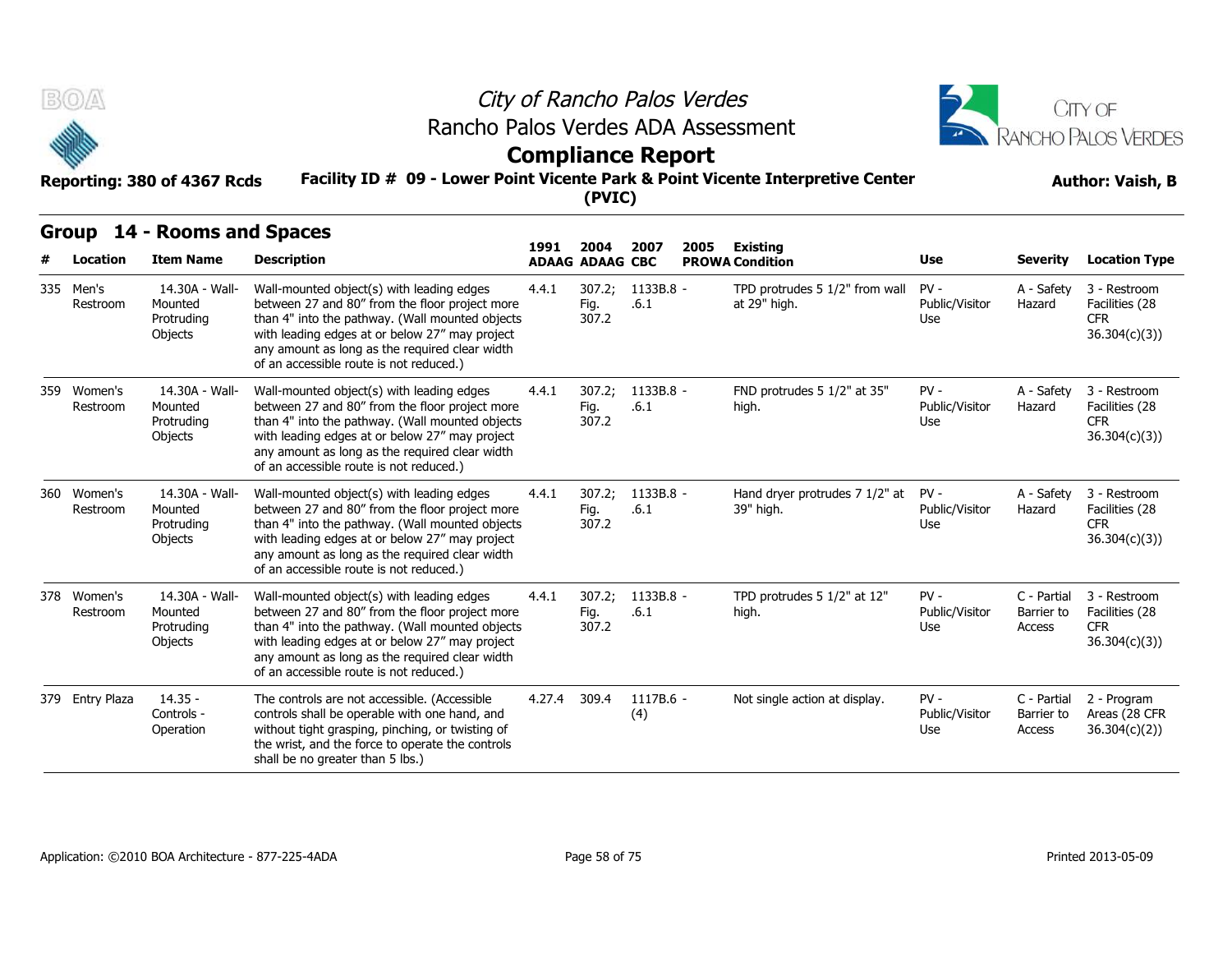



### **Compliance Report**

### **Facility ID # 09 - Lower Point Vicente Park & Point Vicente Interpretive Center Reporting: 380 of 4367 Rcds Author: Vaish, B**

| B(0)                    | Reporting: 380 of 4367 Rcds                        | Rancho Palos Verdes ADA Assessment<br>Facility ID # 09 - Lower Point Vicente Park & Point Vicente Interpretive Center                                                                                                                                                                         |              |                                          | City of Rancho Palos Verdes<br><b>Compliance Report</b> |      | CITY OF<br>RANCHO PALOS VERDES<br><b>Author: Vaish, B</b> |                                 |                                     |                                                              |
|-------------------------|----------------------------------------------------|-----------------------------------------------------------------------------------------------------------------------------------------------------------------------------------------------------------------------------------------------------------------------------------------------|--------------|------------------------------------------|---------------------------------------------------------|------|-----------------------------------------------------------|---------------------------------|-------------------------------------|--------------------------------------------------------------|
| Location                | Group 14 - Rooms and Spaces<br><b>Item Name</b>    | <b>Description</b>                                                                                                                                                                                                                                                                            | 1991         | (PVIC)<br>2004<br><b>ADAAG ADAAG CBC</b> | 2007                                                    | 2005 | <b>Existing</b><br><b>PROWA Condition</b>                 | Use                             | <b>Severity</b>                     | <b>Location Type</b>                                         |
| 335 Men's<br>Restroom   | 14.30A - Wall-<br>Mounted<br>Protruding<br>Objects | Wall-mounted object(s) with leading edges<br>between 27 and 80" from the floor project more<br>than 4" into the pathway. (Wall mounted objects<br>with leading edges at or below 27" may project<br>any amount as long as the required clear width<br>of an accessible route is not reduced.) | 4.4.1        | 307.2;<br>Fig.<br>307.2                  | 1133B.8 -<br>.6.1                                       |      | TPD protrudes 5 1/2" from wall<br>at 29" high.            | $PV -$<br>Public/Visitor<br>Use | A - Safety<br>Hazard                | 3 - Restroom<br>Facilities (28<br><b>CFR</b><br>36.304(c)(3) |
| 359 Women's<br>Restroom | 14.30A - Wall-<br>Mounted<br>Protruding<br>Objects | Wall-mounted object(s) with leading edges<br>between 27 and 80" from the floor project more<br>than 4" into the pathway. (Wall mounted objects<br>with leading edges at or below 27" may project<br>any amount as long as the required clear width<br>of an accessible route is not reduced.) | 4.4.1        | 307.2;<br>Fig.<br>307.2                  | 1133B.8 -<br>.6.1                                       |      | FND protrudes 5 1/2" at 35"<br>high.                      | $PV -$<br>Public/Visitor<br>Use | A - Safety<br>Hazard                | 3 - Restroom<br>Facilities (28<br><b>CFR</b><br>36.304(c)(3) |
| 360 Women's<br>Restroom | 14.30A - Wall-<br>Mounted<br>Protruding<br>Objects | Wall-mounted object(s) with leading edges<br>between 27 and 80" from the floor project more<br>than 4" into the pathway. (Wall mounted objects<br>with leading edges at or below 27" may project<br>any amount as long as the required clear width<br>of an accessible route is not reduced.) | 4.4.1        | 307.2;<br>Fig.<br>307.2                  | 1133B.8 -<br>.6.1                                       |      | Hand dryer protrudes 7 1/2" at<br>39" high.               | $PV -$<br>Public/Visitor<br>Use | A - Safety<br>Hazard                | 3 - Restroom<br>Facilities (28<br><b>CFR</b><br>36.304(c)(3) |
| 378 Women's<br>Restroom | 14.30A - Wall-<br>Mounted<br>Protruding<br>Objects | Wall-mounted object(s) with leading edges<br>between 27 and 80" from the floor project more<br>than 4" into the pathway. (Wall mounted objects<br>with leading edges at or below 27" may project<br>any amount as long as the required clear width<br>of an accessible route is not reduced.) | 4.4.1        | 307.2:<br>Fig.<br>307.2                  | $1133B.8 -$<br>.6.1                                     |      | TPD protrudes 5 1/2" at 12"<br>high.                      | $PV -$<br>Public/Visitor<br>Use | C - Partial<br>Barrier to<br>Access | 3 - Restroom<br>Facilities (28<br><b>CFR</b><br>36.304(c)(3) |
| 379 Entry Plaza         | $14.35 -$<br>Controls -<br>Operation               | The controls are not accessible. (Accessible<br>controls shall be operable with one hand, and<br>without tight grasping, pinching, or twisting of<br>the wrist, and the force to operate the controls<br>shall be no greater than 5 lbs.)                                                     | 4.27.4 309.4 |                                          | 1117B.6 -<br>(4)                                        |      | Not single action at display.                             | $PV -$<br>Public/Visitor<br>Use | C - Partial<br>Barrier to<br>Access | 2 - Program<br>Areas (28 CFR<br>36.304(c)(2)                 |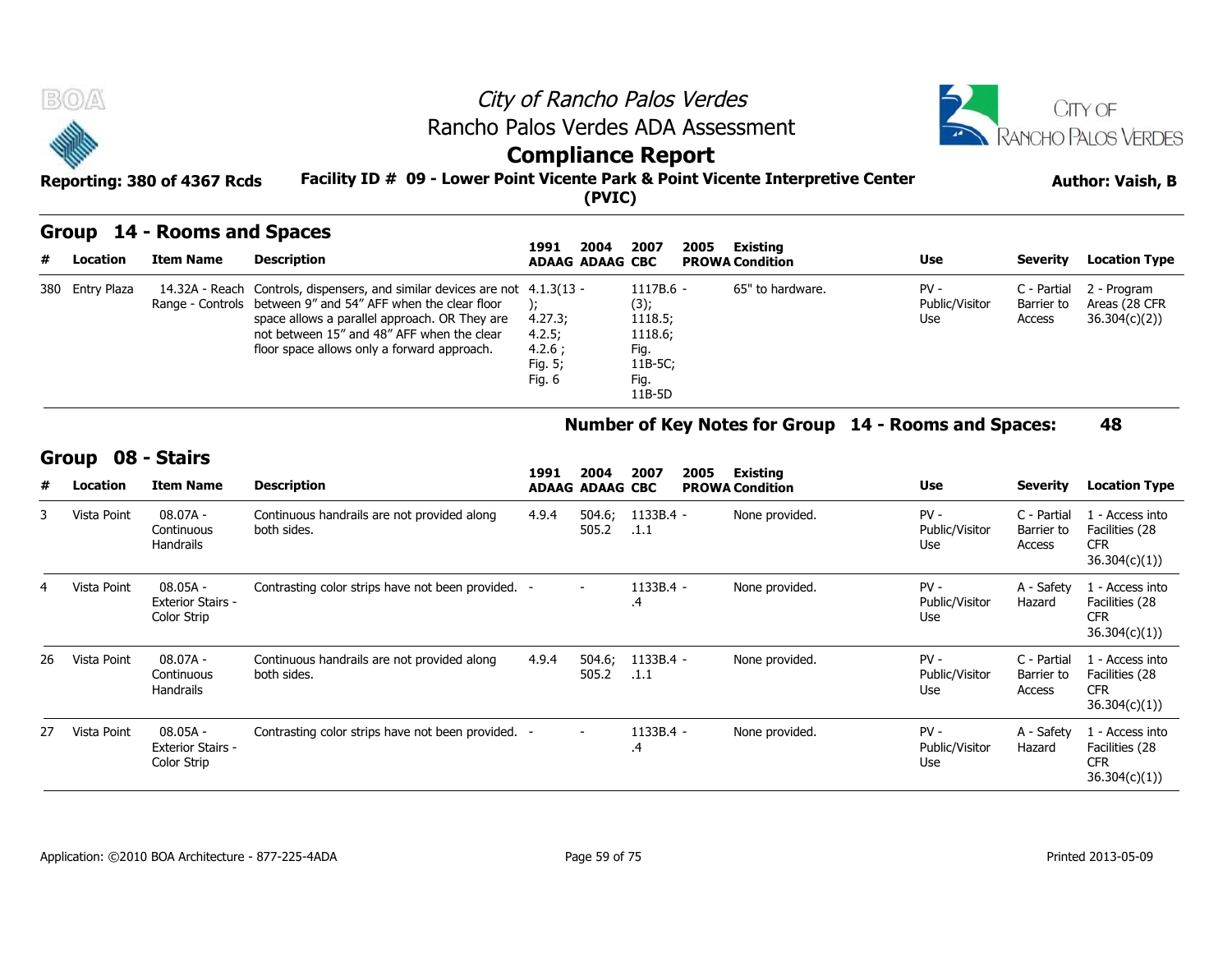

### **Group 14 - Rooms and Spaces**

| # | Location        | Item Name | Description                                                                                                                                                                                                                                                                               | 2004<br>1991<br><b>ADAAG ADAAG CBC</b>           | 2007                                                                           | 2005<br>Existing<br><b>PROWA Condition</b> | <b>Use</b>                      | Severity                            | <b>Location Type</b>                         |
|---|-----------------|-----------|-------------------------------------------------------------------------------------------------------------------------------------------------------------------------------------------------------------------------------------------------------------------------------------------|--------------------------------------------------|--------------------------------------------------------------------------------|--------------------------------------------|---------------------------------|-------------------------------------|----------------------------------------------|
|   | 380 Entry Plaza |           | 14.32A - Reach Controls, dispensers, and similar devices are not 4.1.3(13 -<br>Range - Controls between 9" and 54" AFF when the clear floor<br>space allows a parallel approach. OR They are<br>not between 15" and 48" AFF when the clear<br>floor space allows only a forward approach. | 4.27.3;<br>4.2.5;<br>4.2.6:<br>Fig. 5;<br>Fig. 6 | $1117B.6 -$<br>(3);<br>1118.5;<br>1118.6;<br>Fig.<br>11B-5C;<br>Fig.<br>11B-5D | 65" to hardware.                           | $PV -$<br>Public/Visitor<br>Use | C - Partial<br>Barrier to<br>Access | 2 - Program<br>Areas (28 CFR<br>36.304(c)(2) |

### **Number of Key Notes for Group 14 - Rooms and Spaces: 48**

#### **Group 08 - Stairs**

|    |             |                                                     |                                                            |       |                          | 11B-5D            |                        |                                                      |                                     |                                                                  |
|----|-------------|-----------------------------------------------------|------------------------------------------------------------|-------|--------------------------|-------------------|------------------------|------------------------------------------------------|-------------------------------------|------------------------------------------------------------------|
|    |             |                                                     |                                                            |       |                          |                   |                        | Number of Key Notes for Group 14 - Rooms and Spaces: |                                     | 48                                                               |
|    | Group       | 08 - Stairs                                         |                                                            | 1991  | 2004                     | 2007<br>2005      | Existing               |                                                      |                                     |                                                                  |
| #  | Location    | <b>Item Name</b>                                    | <b>Description</b>                                         |       | <b>ADAAG ADAAG CBC</b>   |                   | <b>PROWA Condition</b> | <b>Use</b>                                           | <b>Severity</b>                     | <b>Location Type</b>                                             |
| 3  | Vista Point | 08.07A -<br>Continuous<br>Handrails                 | Continuous handrails are not provided along<br>both sides. | 4.9.4 | 504.6;<br>505.2          | 1133B.4 -<br>.1.1 | None provided.         | $PV -$<br>Public/Visitor<br>Use                      | C - Partial<br>Barrier to<br>Access | 1 - Access into<br>Facilities (28<br><b>CFR</b><br>36.304(c)(1)  |
|    | Vista Point | 08.05A -<br><b>Exterior Stairs -</b><br>Color Strip | Contrasting color strips have not been provided. -         |       | $\overline{\phantom{0}}$ | 1133B.4 -<br>.4   | None provided.         | $PV -$<br>Public/Visitor<br>Use                      | A - Safety<br>Hazard                | 1 - Access into<br>Facilities (28<br><b>CFR</b><br>36.304(c)(1)  |
| 26 | Vista Point | $08.07A -$<br>Continuous<br>Handrails               | Continuous handrails are not provided along<br>both sides. | 4.9.4 | 504.6;<br>505.2          | 1133B.4 -<br>.1.1 | None provided.         | $PV -$<br>Public/Visitor<br>Use                      | C - Partial<br>Barrier to<br>Access | 1 - Access into<br>Facilities (28<br><b>CFR</b><br>36.304(c)(1)) |
| 27 | Vista Point | 08.05A -<br><b>Exterior Stairs -</b><br>Color Strip | Contrasting color strips have not been provided.           |       | $\overline{\phantom{0}}$ | 1133B.4 -<br>.4   | None provided.         | $PV -$<br>Public/Visitor<br>Use                      | A - Safety<br>Hazard                | 1 - Access into<br>Facilities (28<br><b>CFR</b><br>36.304(c)(1)  |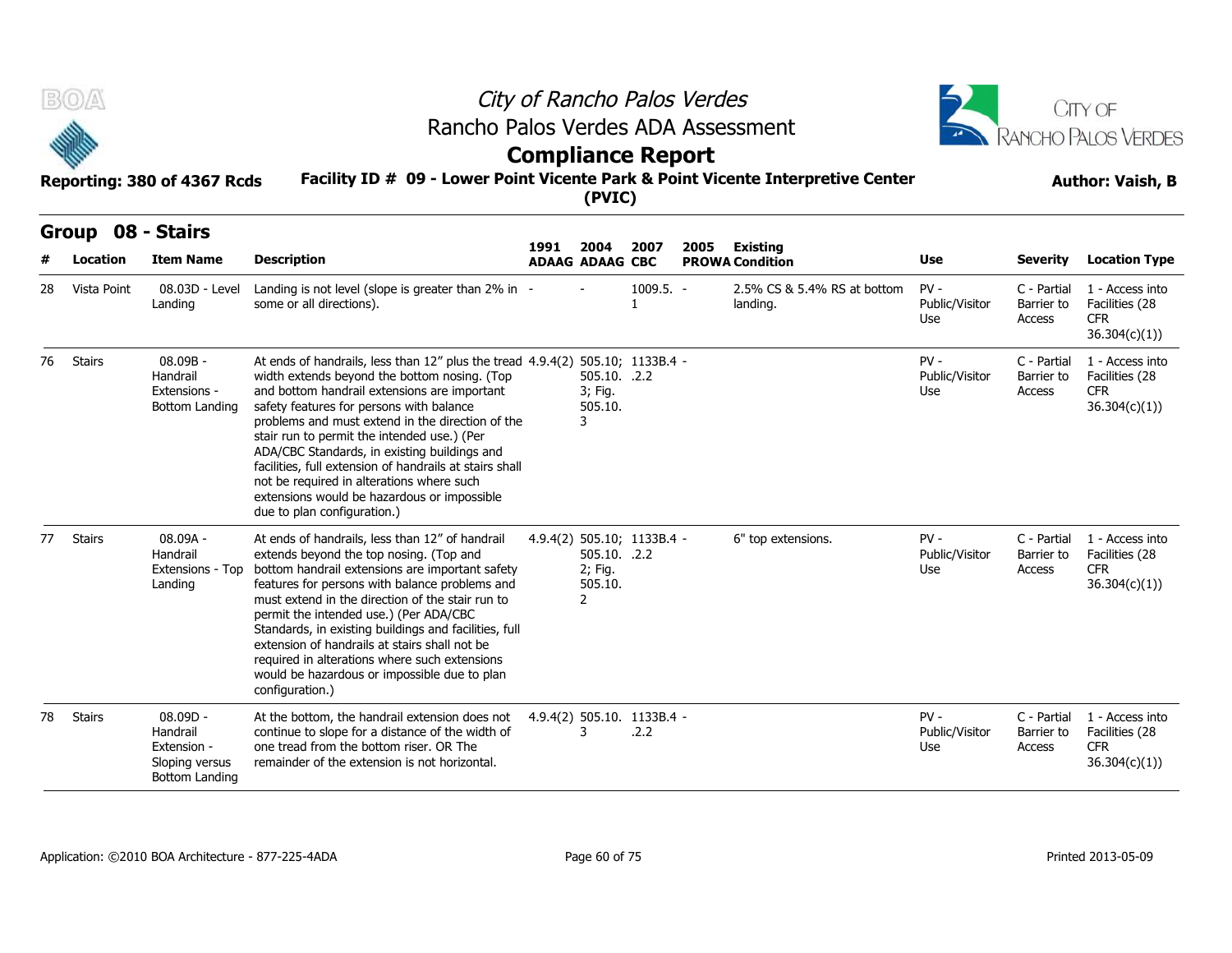| Ψ<br>$\sim$ |  |  |  |
|-------------|--|--|--|

**BO**A

# City of Rancho Palos Verdes Rancho Palos Verdes ADA Assessment



# **Compliance Report**

|                     | Reporting: 380 of 4367 Rcds                                                      | Facility ID # 09 - Lower Point Vicente Park & Point Vicente Interpretive Center                                                                                                                                                                                                                                                                                                                                                                                                                                                                                    |      | (PVIC)                                               |                                    |      |                                         |                                 |                                            | <b>Author: Vaish, B</b>                                          |  |
|---------------------|----------------------------------------------------------------------------------|--------------------------------------------------------------------------------------------------------------------------------------------------------------------------------------------------------------------------------------------------------------------------------------------------------------------------------------------------------------------------------------------------------------------------------------------------------------------------------------------------------------------------------------------------------------------|------|------------------------------------------------------|------------------------------------|------|-----------------------------------------|---------------------------------|--------------------------------------------|------------------------------------------------------------------|--|
| Group 08 - Stairs   |                                                                                  |                                                                                                                                                                                                                                                                                                                                                                                                                                                                                                                                                                    | 1991 | 2004                                                 | 2007                               | 2005 | <b>Existing</b>                         |                                 |                                            |                                                                  |  |
| Location            | <b>Item Name</b>                                                                 | <b>Description</b>                                                                                                                                                                                                                                                                                                                                                                                                                                                                                                                                                 |      | <b>ADAAG ADAAG CBC</b>                               |                                    |      | <b>PROWA Condition</b>                  | Use                             | <b>Severity</b>                            | <b>Location Type</b>                                             |  |
| Vista Point<br>28   | 08.03D - Level<br>Landing                                                        | Landing is not level (slope is greater than 2% in -<br>some or all directions).                                                                                                                                                                                                                                                                                                                                                                                                                                                                                    |      |                                                      | $1009.5. -$                        |      | 2.5% CS & 5.4% RS at bottom<br>landing. | $PV -$<br>Public/Visitor<br>Use | C - Partial<br>Barrier to<br>Access        | 1 - Access into<br>Facilities (28<br><b>CFR</b><br>36.304(c)(1)  |  |
| <b>Stairs</b><br>76 | 08.09B -<br>Handrail<br>Extensions -<br><b>Bottom Landing</b>                    | At ends of handrails, less than 12" plus the tread 4.9.4(2) 505.10; 1133B.4 -<br>width extends beyond the bottom nosing. (Top<br>and bottom handrail extensions are important<br>safety features for persons with balance<br>problems and must extend in the direction of the<br>stair run to permit the intended use.) (Per<br>ADA/CBC Standards, in existing buildings and<br>facilities, full extension of handrails at stairs shall<br>not be required in alterations where such<br>extensions would be hazardous or impossible<br>due to plan configuration.) |      | 505.10. .2.2<br>3; Fig.<br>505.10.<br>3              |                                    |      |                                         | $PV -$<br>Public/Visitor<br>Use | C - Partial<br>Barrier to<br>Access        | 1 - Access into<br>Facilities (28<br><b>CFR</b><br>36.304(c)(1)) |  |
| <b>Stairs</b><br>77 | $08.09A -$<br>Handrail<br>Extensions - Top<br>Landing                            | At ends of handrails, less than 12" of handrail<br>extends beyond the top nosing. (Top and<br>bottom handrail extensions are important safety<br>features for persons with balance problems and<br>must extend in the direction of the stair run to<br>permit the intended use.) (Per ADA/CBC<br>Standards, in existing buildings and facilities, full<br>extension of handrails at stairs shall not be<br>required in alterations where such extensions<br>would be hazardous or impossible due to plan<br>configuration.)                                        |      | 505.10. .2.2<br>2; Fig.<br>505.10.<br>$\overline{2}$ | 4.9.4(2) 505.10; 1133B.4 -         |      | 6" top extensions.                      | $PV -$<br>Public/Visitor<br>Use | C - Partial<br>Barrier to<br><b>Access</b> | 1 - Access into<br>Facilities (28<br><b>CFR</b><br>36.304(c)(1)) |  |
| <b>Stairs</b><br>78 | $08.09D -$<br>Handrail<br>Extension -<br>Sloping versus<br><b>Bottom Landing</b> | At the bottom, the handrail extension does not<br>continue to slope for a distance of the width of<br>one tread from the bottom riser. OR The<br>remainder of the extension is not horizontal.                                                                                                                                                                                                                                                                                                                                                                     |      | 3                                                    | 4.9.4(2) 505.10. 1133B.4 -<br>.2.2 |      |                                         | $PV -$<br>Public/Visitor<br>Use | C - Partial<br>Barrier to<br>Access        | 1 - Access into<br>Facilities (28<br><b>CFR</b><br>36.304(c)(1)  |  |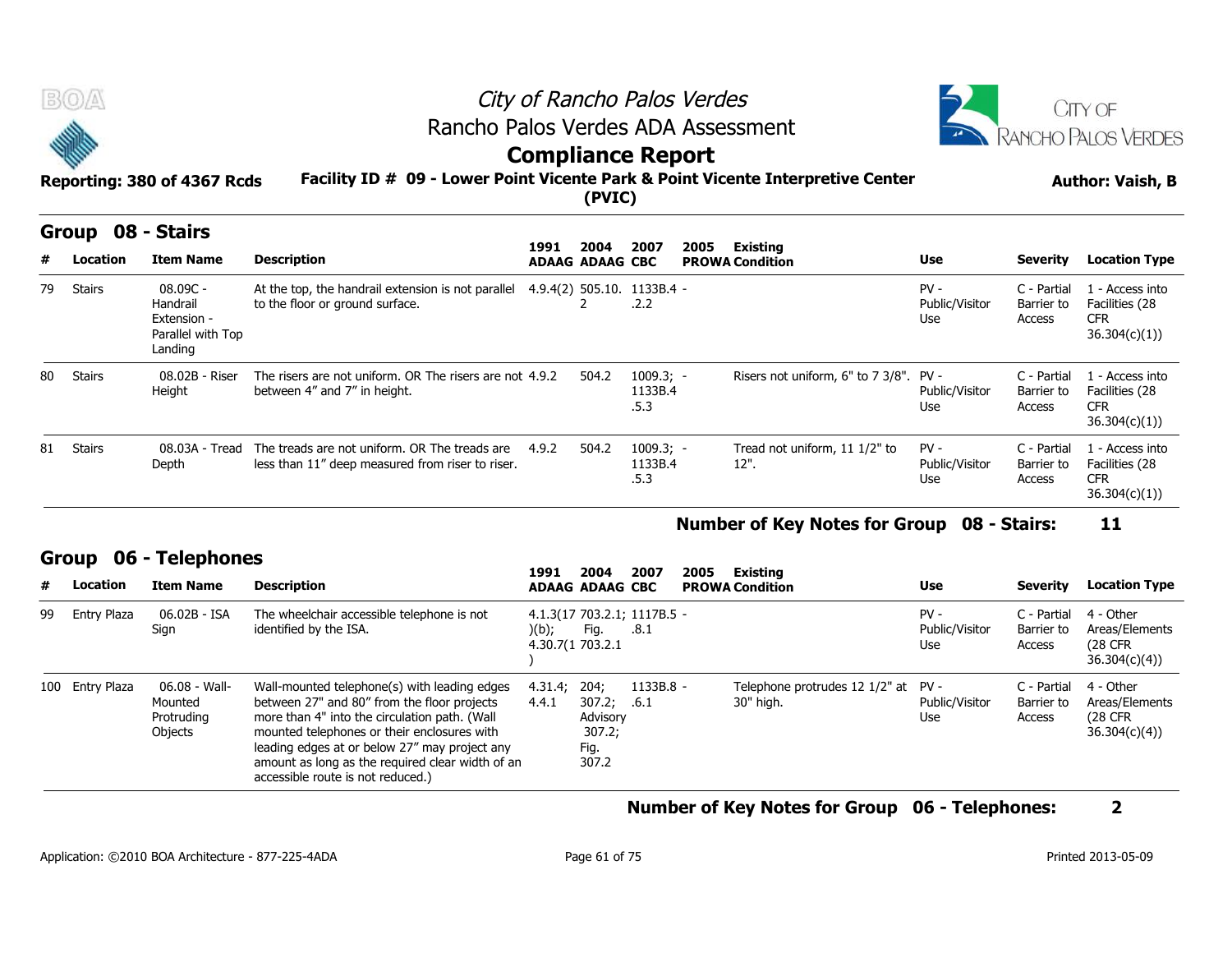



### **Compliance Report**

|    | B(0)<br>Reporting: 380 of 4367 Rcds |                                                                     |                                                                                                   | City of Rancho Palos Verdes<br>Rancho Palos Verdes ADA Assessment<br><b>Compliance Report</b><br>Facility ID # 09 - Lower Point Vicente Park & Point Vicente Interpretive Center<br>(PVIC) |                        |                                    |      |                                        |                                 |                                     |                                                                 |
|----|-------------------------------------|---------------------------------------------------------------------|---------------------------------------------------------------------------------------------------|--------------------------------------------------------------------------------------------------------------------------------------------------------------------------------------------|------------------------|------------------------------------|------|----------------------------------------|---------------------------------|-------------------------------------|-----------------------------------------------------------------|
|    | <b>Group</b>                        | 08 - Stairs                                                         |                                                                                                   | 1991                                                                                                                                                                                       | 2004                   | 2007                               | 2005 | Existing                               |                                 |                                     |                                                                 |
|    | Location                            | <b>Item Name</b>                                                    | <b>Description</b>                                                                                |                                                                                                                                                                                            | <b>ADAAG ADAAG CBC</b> |                                    |      | <b>PROWA Condition</b>                 | Use                             | <b>Severity</b>                     | <b>Location Type</b>                                            |
| 79 | Stairs                              | 08.09C -<br>Handrail<br>Extension -<br>Parallel with Top<br>Landing | At the top, the handrail extension is not parallel<br>to the floor or ground surface.             |                                                                                                                                                                                            |                        | 4.9.4(2) 505.10. 1133B.4 -<br>.2.2 |      |                                        | $PV -$<br>Public/Visitor<br>Use | C - Partial<br>Barrier to<br>Access | 1 - Access into<br>Facilities (28<br><b>CFR</b><br>36.304(c)(1) |
| 80 | Stairs                              | 08.02B - Riser<br>Height                                            | The risers are not uniform. OR The risers are not 4.9.2<br>between 4" and 7" in height.           |                                                                                                                                                                                            | 504.2                  | $1009.3; -$<br>1133B.4<br>.5.3     |      | Risers not uniform, 6" to 7 3/8". PV - | Public/Visitor<br>Use           | C - Partial<br>Barrier to<br>Access | 1 - Access into<br>Facilities (28<br><b>CFR</b><br>36.304(c)(1) |
| 81 | Stairs                              | 08.03A - Tread<br>Depth                                             | The treads are not uniform. OR The treads are<br>less than 11" deep measured from riser to riser. | 4.9.2                                                                                                                                                                                      | 504.2                  | $1009.3; -$<br>1133B.4<br>.5.3     |      | Tread not uniform, 11 1/2" to<br>12".  | $PV -$<br>Public/Visitor<br>Use | C - Partial<br>Barrier to<br>Access | 1 - Access into<br>Facilities (28<br><b>CFR</b><br>36.304(c)(1) |

### **Number of Key Notes for Group 08 - Stairs: 11**

### **Group 06 - Telephones**

|    |                 |                                                   |                                                                                                                                                                                                                                                                                                                                       |                  |                                                       |                                     |      |                                                  |                                 |                                     | 36.304(c)(1)                                            |
|----|-----------------|---------------------------------------------------|---------------------------------------------------------------------------------------------------------------------------------------------------------------------------------------------------------------------------------------------------------------------------------------------------------------------------------------|------------------|-------------------------------------------------------|-------------------------------------|------|--------------------------------------------------|---------------------------------|-------------------------------------|---------------------------------------------------------|
|    |                 |                                                   |                                                                                                                                                                                                                                                                                                                                       |                  |                                                       |                                     |      | Number of Key Notes for Group 08 - Stairs:       |                                 |                                     | 11                                                      |
|    | Group           | 06 - Telephones                                   |                                                                                                                                                                                                                                                                                                                                       | 1991             | 2004                                                  | 2007                                | 2005 | Existing                                         |                                 |                                     |                                                         |
| #  | Location        | <b>Item Name</b>                                  | <b>Description</b>                                                                                                                                                                                                                                                                                                                    |                  | <b>ADAAG ADAAG CBC</b>                                |                                     |      | <b>PROWA Condition</b>                           | Use                             | <b>Severity</b>                     | <b>Location Type</b>                                    |
| 99 | Entry Plaza     | 06.02B - ISA<br>Sign                              | The wheelchair accessible telephone is not<br>identified by the ISA.                                                                                                                                                                                                                                                                  | )(b);            | Fig.<br>4.30.7(1 703.2.1                              | 4.1.3(17 703.2.1; 1117B.5 -<br>.8.1 |      |                                                  | $PV -$<br>Public/Visitor<br>Use | C - Partial<br>Barrier to<br>Access | 4 - Other<br>Areas/Elements<br>(28 CFR)<br>36.304(c)(4) |
|    | 100 Entry Plaza | 06.08 - Wall-<br>Mounted<br>Protruding<br>Objects | Wall-mounted telephone(s) with leading edges<br>between 27" and 80" from the floor projects<br>more than 4" into the circulation path. (Wall<br>mounted telephones or their enclosures with<br>leading edges at or below 27" may project any<br>amount as long as the required clear width of an<br>accessible route is not reduced.) | 4.31.4;<br>4.4.1 | 204;<br>307.2;<br>Advisory<br>307.2;<br>Fig.<br>307.2 | 1133B.8 -<br>.6.1                   |      | Telephone protrudes 12 1/2" at PV -<br>30" high. | Public/Visitor<br>Use           | C - Partial<br>Barrier to<br>Access | 4 - Other<br>Areas/Elements<br>(28 CFR)<br>36.304(c)(4) |

**Number of Key Notes for Group 06 - Telephones: 2**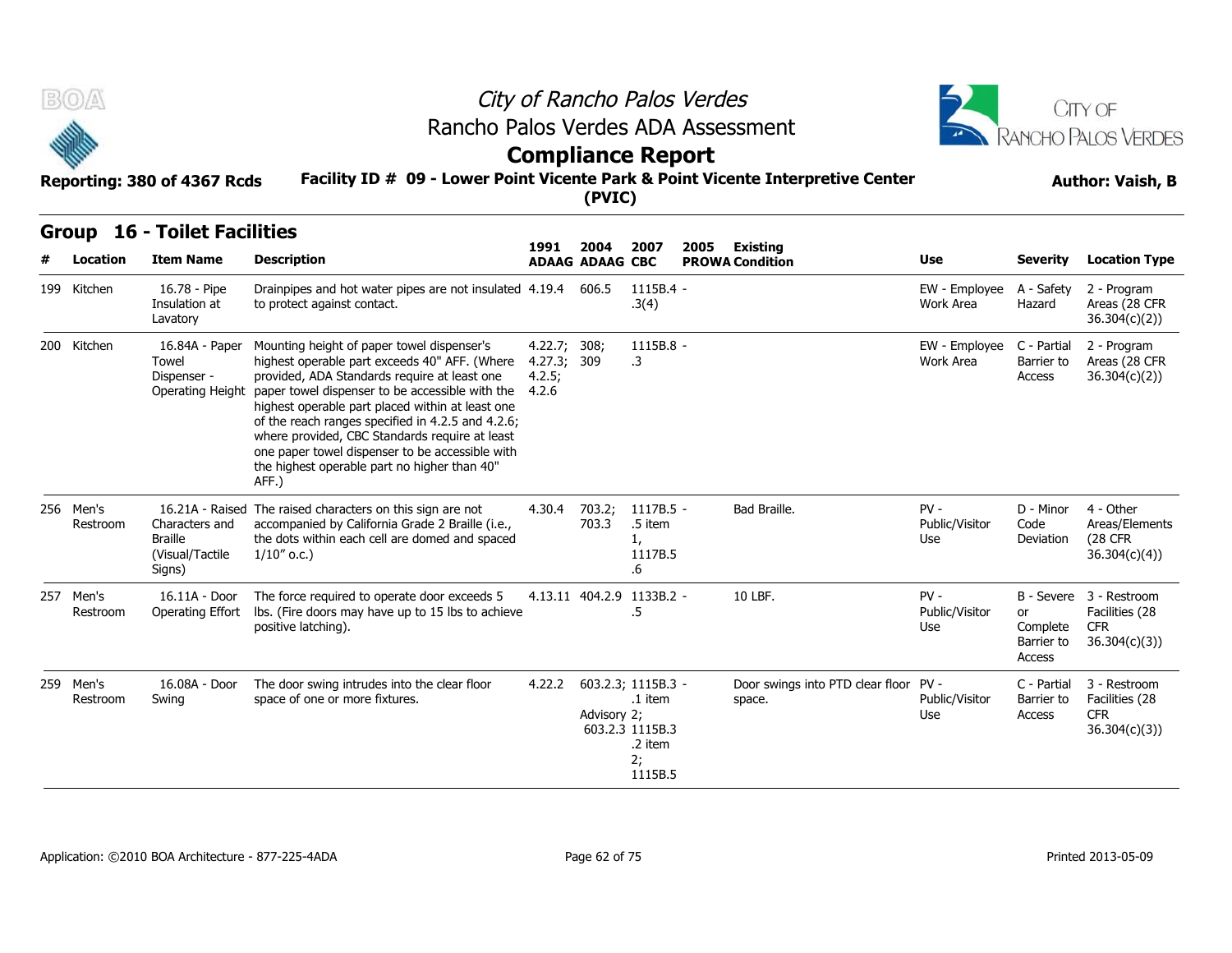



### **Facility ID # 09 - Lower Point Vicente Park & Point Vicente Interpretive Center Reporting: 380 of 4367 Rcds Author: Vaish, B Compliance Report**

| <b>BOA</b>               | Reporting: 380 of 4367 Rcds                                                      |                                                                                                                                                                                                                                                                                                                                                                                                                                                                       |                                                | <b>Compliance Report</b><br>(PVIC) |                                                        | City of Rancho Palos Verdes<br>Rancho Palos Verdes ADA Assessment<br>Facility ID # 09 - Lower Point Vicente Park & Point Vicente Interpretive Center |                                 |                                        | CITY OF<br><b>RANCHO PALOS VERDES</b><br><b>Author: Vaish, B</b>        |
|--------------------------|----------------------------------------------------------------------------------|-----------------------------------------------------------------------------------------------------------------------------------------------------------------------------------------------------------------------------------------------------------------------------------------------------------------------------------------------------------------------------------------------------------------------------------------------------------------------|------------------------------------------------|------------------------------------|--------------------------------------------------------|------------------------------------------------------------------------------------------------------------------------------------------------------|---------------------------------|----------------------------------------|-------------------------------------------------------------------------|
| Group<br><b>Location</b> | <b>16 - Toilet Facilities</b><br><b>Item Name</b>                                | <b>Description</b>                                                                                                                                                                                                                                                                                                                                                                                                                                                    | 1991                                           | 2004<br><b>ADAAG ADAAG CBC</b>     | 2007                                                   | 2005<br><b>Existing</b><br><b>PROWA Condition</b>                                                                                                    | Use                             | <b>Severity</b>                        | <b>Location Type</b>                                                    |
| 199 Kitchen              | 16.78 - Pipe<br>Insulation at<br>Lavatory                                        | Drainpipes and hot water pipes are not insulated 4.19.4<br>to protect against contact.                                                                                                                                                                                                                                                                                                                                                                                |                                                | 606.5                              | 1115B.4 -<br>.3(4)                                     |                                                                                                                                                      | EW - Employee<br>Work Area      | A - Safety<br>Hazard                   | 2 - Program<br>Areas (28 CFR<br>36.304(c)(2))                           |
| 200 Kitchen              | 16.84A - Paper<br>Towel<br>Dispenser -<br>Operating Height                       | Mounting height of paper towel dispenser's<br>highest operable part exceeds 40" AFF. (Where<br>provided, ADA Standards require at least one<br>paper towel dispenser to be accessible with the<br>highest operable part placed within at least one<br>of the reach ranges specified in 4.2.5 and 4.2.6;<br>where provided, CBC Standards require at least<br>one paper towel dispenser to be accessible with<br>the highest operable part no higher than 40"<br>AFF.) | 4.22.7; 308;<br>4.27.3; 309<br>4.2.5;<br>4.2.6 |                                    | 1115B.8 -<br>$\cdot$ 3                                 |                                                                                                                                                      | EW - Employee<br>Work Area      | C - Partial<br>Barrier to<br>Access    | 2 - Program<br>Areas (28 CFR<br>36.304(c)(2)                            |
| 256 Men's<br>Restroom    | 16.21A - Raised<br>Characters and<br><b>Braille</b><br>(Visual/Tactile<br>Signs) | The raised characters on this sign are not<br>accompanied by California Grade 2 Braille (i.e.,<br>the dots within each cell are domed and spaced<br>$1/10''$ o.c.)                                                                                                                                                                                                                                                                                                    | 4.30.4                                         | 703.2;<br>703.3                    | 1117B.5 -<br>.5 item<br>1,<br>1117B.5<br>.6            | Bad Braille.                                                                                                                                         | $PV -$<br>Public/Visitor<br>Use | D - Minor<br>Code<br>Deviation         | 4 - Other<br>Areas/Elements<br><b>(28 CFR</b><br>36.304(c)(4)           |
| 257 Men's<br>Restroom    | 16.11A - Door<br>Operating Effort                                                | The force required to operate door exceeds 5<br>lbs. (Fire doors may have up to 15 lbs to achieve<br>positive latching).                                                                                                                                                                                                                                                                                                                                              |                                                | 4.13.11 404.2.9 1133B.2 -          | .5                                                     | 10 LBF.                                                                                                                                              | $PV -$<br>Public/Visitor<br>Use | or<br>Complete<br>Barrier to<br>Access | B - Severe 3 - Restroom<br>Facilities (28<br><b>CFR</b><br>36.304(c)(3) |
| 259 Men's<br>Restroom    | 16.08A - Door<br>Swing                                                           | The door swing intrudes into the clear floor<br>space of one or more fixtures.                                                                                                                                                                                                                                                                                                                                                                                        | 4.22.2                                         | 603.2.3; 1115B.3 -<br>Advisory 2;  | .1 item<br>603.2.3 1115B.3<br>.2 item<br>2:<br>1115B.5 | Door swings into PTD clear floor PV -<br>space.                                                                                                      | Public/Visitor<br>Use           | C - Partial<br>Barrier to<br>Access    | 3 - Restroom<br>Facilities (28<br><b>CFR</b><br>36.304(c)(3)            |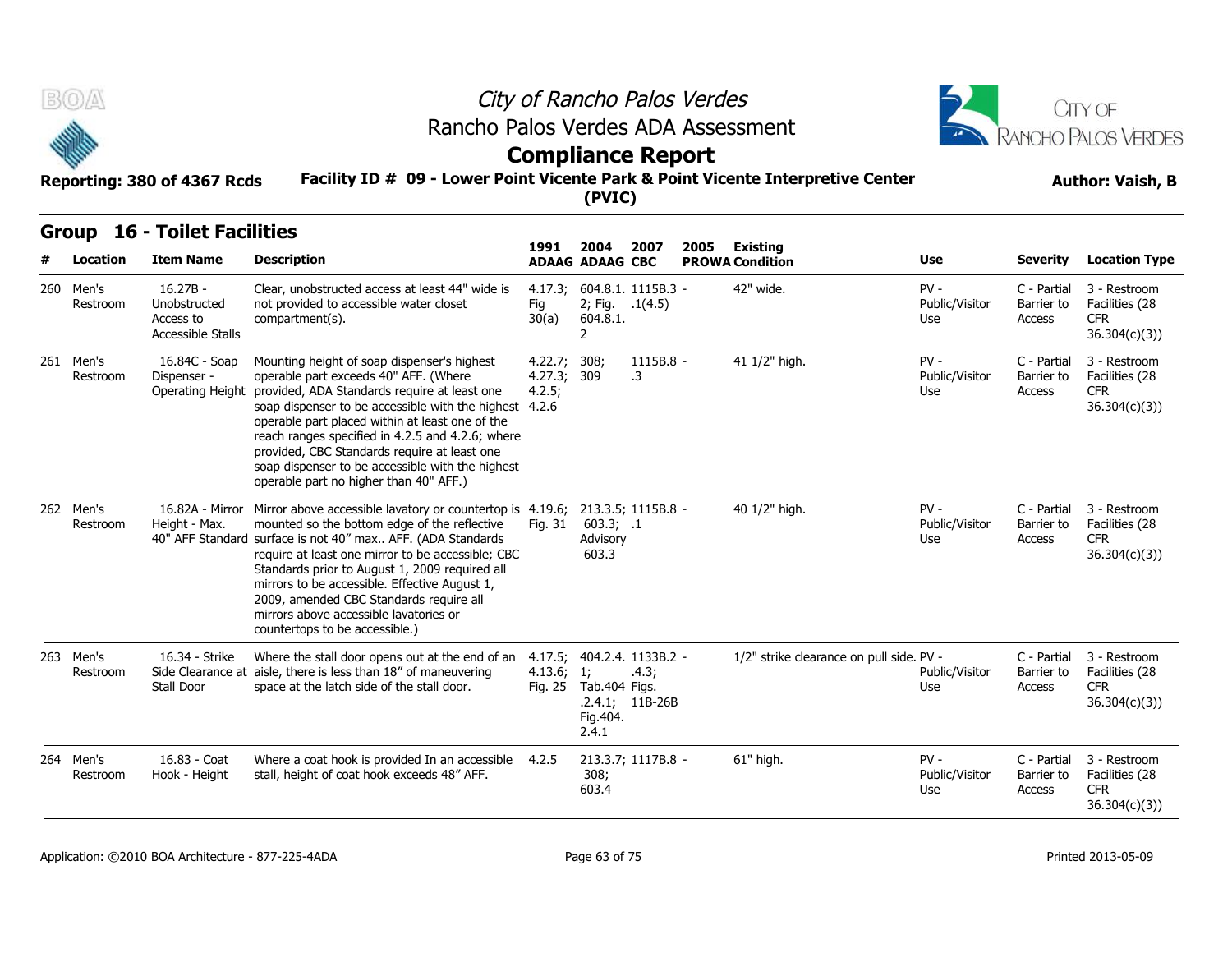



### **Facility ID # 09 - Lower Point Vicente Park & Point Vicente Interpretive Center Reporting: 380 of 4367 Rcds Author: Vaish, B**

# **Compliance Report**

|     |                   | Reporting: 380 of 4367 Rcds                                  | Rancho Palos Verdes ADA Assessment<br>Facility ID # 09 - Lower Point Vicente Park & Point Vicente Interpretive Center                                                                                           | <b>Compliance Report</b>              | (PVIC)   |                                         | City of Rancho Palos Verdes |                                    | <b>CITY OF</b><br><b>RANCHO PALOS VERDES</b><br><b>Author: Vaish, B</b> |                                     |                                                              |
|-----|-------------------|--------------------------------------------------------------|-----------------------------------------------------------------------------------------------------------------------------------------------------------------------------------------------------------------|---------------------------------------|----------|-----------------------------------------|-----------------------------|------------------------------------|-------------------------------------------------------------------------|-------------------------------------|--------------------------------------------------------------|
| #   | Location          | <b>Group 16 - Toilet Facilities</b><br><b>Item Name</b>      | <b>Description</b>                                                                                                                                                                                              | 1991<br><b>ADAAG ADAAG CBC</b>        | 2004     | 2007                                    | 2005                        | Existing<br><b>PROWA Condition</b> | <b>Use</b>                                                              | Severity                            | <b>Location Type</b>                                         |
| 260 | Men's<br>Restroom | $16.27B -$<br>Unobstructed<br>Access to<br>Accessible Stalls | Clear, unobstructed access at least 44" wide is<br>not provided to accessible water closet<br>compartment(s).                                                                                                   | 4.17.3;<br>Fig<br>30(a)               | 604.8.1. | 604.8.1. 1115B.3 -<br>2; Fig. $.1(4.5)$ |                             | 42" wide.                          | $PV -$<br>Public/Visitor<br>Use                                         | C - Partial<br>Barrier to<br>Access | 3 - Restroom<br>Facilities (28<br><b>CFR</b><br>36.304(c)(3) |
| 261 | Men's<br>Restroom | 16.84C - Soap<br>Dispenser -                                 | Mounting height of soap dispenser's highest<br>operable part exceeds 40" AFF. (Where<br>Operating Height provided, ADA Standards require at least one<br>soan dispenser to be accessible with the bighest $426$ | 4.22.7; 308;<br>4.27.3; 309<br>4.2.5; |          | $1115B.8 -$<br>.3                       |                             | 41 1/2" high.                      | $PV -$<br>Public/Visitor<br>Use                                         | C - Partial<br>Barrier to<br>Access | 3 - Restroom<br>Facilities (28<br><b>CFR</b><br>36.304(r)(3) |

| 260 Men's<br>Restroom | $16.27B -$<br>Unobstructed<br>Access to<br>Accessible Stalls | Clear, unobstructed access at least 44" wide is<br>not provided to accessible water closet<br>compartment(s).                                                                                                                                                                                                                                                                                                                                                              | 4.17.3;<br>Fig<br>30(a)               | 2; Fig. $.1(4.5)$<br>604.8.1.<br>2 | 604.8.1. 1115B.3 -                                       | 42" wide.                                | $PV -$<br>Public/Visitor<br>Use | C - Partial<br>Barrier to<br>Access        | 3 - Restroom<br>Facilities (28<br><b>CFR</b><br>36.304(c)(3) |
|-----------------------|--------------------------------------------------------------|----------------------------------------------------------------------------------------------------------------------------------------------------------------------------------------------------------------------------------------------------------------------------------------------------------------------------------------------------------------------------------------------------------------------------------------------------------------------------|---------------------------------------|------------------------------------|----------------------------------------------------------|------------------------------------------|---------------------------------|--------------------------------------------|--------------------------------------------------------------|
| 261 Men's<br>Restroom | 16.84C - Soap<br>Dispenser -                                 | Mounting height of soap dispenser's highest<br>operable part exceeds 40" AFF. (Where<br>Operating Height provided, ADA Standards require at least one<br>soap dispenser to be accessible with the highest 4.2.6<br>operable part placed within at least one of the<br>reach ranges specified in 4.2.5 and 4.2.6; where<br>provided, CBC Standards require at least one<br>soap dispenser to be accessible with the highest<br>operable part no higher than 40" AFF.)       | 4.22.7; 308;<br>4.27.3; 309<br>4.2.5; |                                    | 1115B.8 -<br>.3                                          | 41 1/2" high.                            | $PV -$<br>Public/Visitor<br>Use | C - Partial<br>Barrier to<br>Access        | 3 - Restroom<br>Facilities (28<br><b>CFR</b><br>36.304(c)(3) |
| 262 Men's<br>Restroom | 16.82A - Mirror<br>Height - Max.                             | Mirror above accessible lavatory or countertop is 4.19.6; 213.3.5; 1115B.8 -<br>mounted so the bottom edge of the reflective<br>40" AFF Standard surface is not 40" max AFF. (ADA Standards<br>require at least one mirror to be accessible; CBC<br>Standards prior to August 1, 2009 required all<br>mirrors to be accessible. Effective August 1,<br>2009, amended CBC Standards require all<br>mirrors above accessible lavatories or<br>countertops to be accessible.) | Fig. 31                               | 603.3; .1<br>Advisory<br>603.3     |                                                          | 40 1/2" high.                            | $PV -$<br>Public/Visitor<br>Use | C - Partial<br>Barrier to<br><b>Access</b> | 3 - Restroom<br>Facilities (28<br><b>CFR</b><br>36.304(c)(3) |
| 263 Men's<br>Restroom | 16.34 - Strike<br>Stall Door                                 | Where the stall door opens out at the end of an<br>Side Clearance at aisle, there is less than 18" of maneuvering<br>space at the latch side of the stall door.                                                                                                                                                                                                                                                                                                            | 4.13.6; 1;<br>Fig. 25                 | Tab.404 Figs.<br>Fig.404.<br>2.4.1 | 4.17.5; 404.2.4. 1133B.2 -<br>.4.3;<br>$.2.4.1; 11B-26B$ | 1/2" strike clearance on pull side. PV - | Public/Visitor<br>Use           | C - Partial<br>Barrier to<br><b>Access</b> | 3 - Restroom<br>Facilities (28<br><b>CFR</b><br>36.304(c)(3) |
| 264 Men's<br>Restroom | 16.83 - Coat<br>Hook - Height                                | Where a coat hook is provided In an accessible 4.2.5<br>stall, height of coat hook exceeds 48" AFF.                                                                                                                                                                                                                                                                                                                                                                        |                                       | 308;<br>603.4                      | 213.3.7; 1117B.8 -                                       | 61" high.                                | $PV -$<br>Public/Visitor<br>Use | C - Partial<br>Barrier to<br><b>Access</b> | 3 - Restroom<br>Facilities (28<br><b>CFR</b><br>36.304(c)(3) |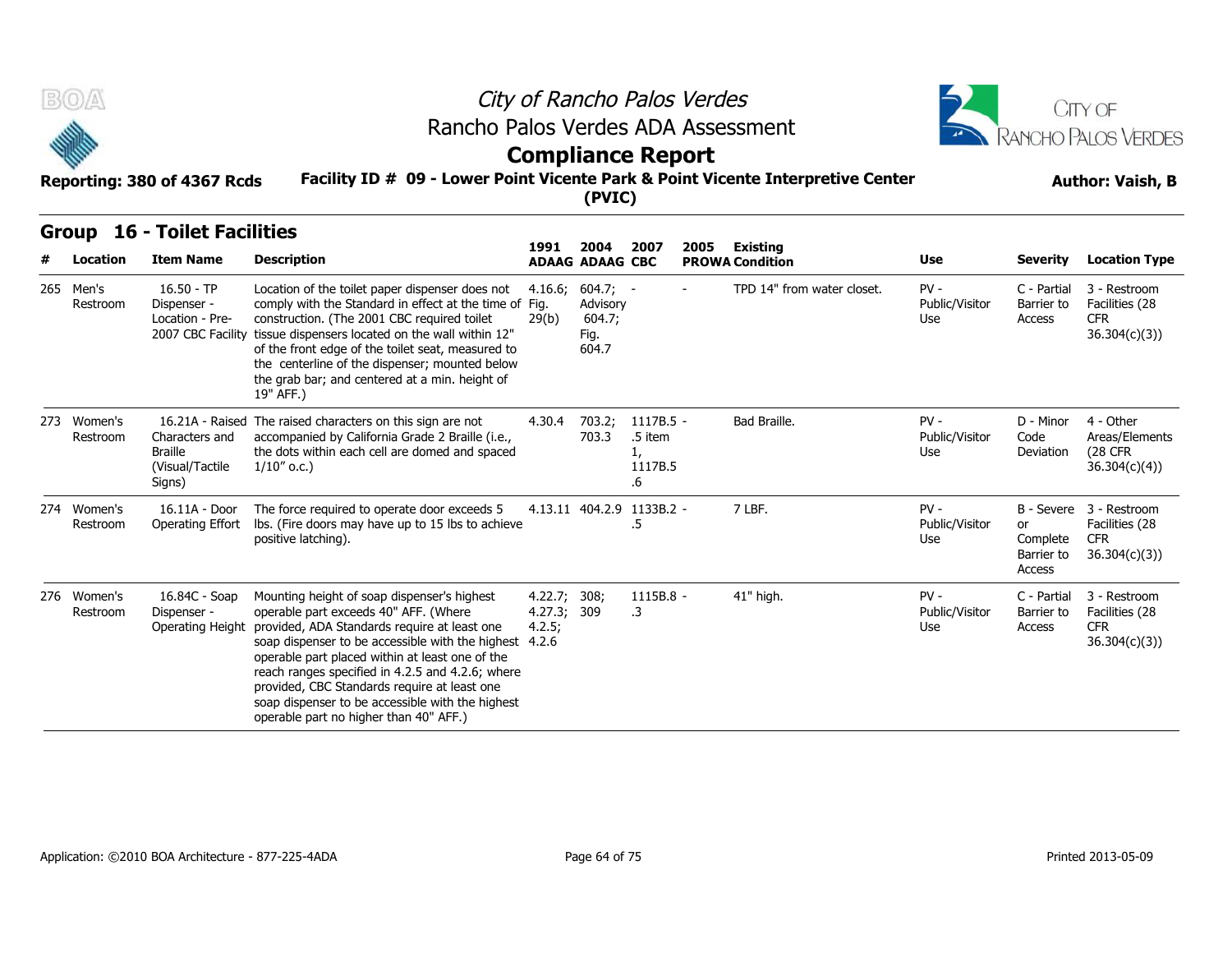



### **Compliance Report**

### **Facility ID # 09 - Lower Point Vicente Park & Point Vicente Interpretive Center Reporting: 380 of 4367 Rcds Author: Vaish, B**

### **Group 16 - Toilet Facilities**

| B(0)                    |                                                                     |                                                                                                                                                                                                                                                                                                                                                                                                                                                     |                                       |                                                   | City of Rancho Palos Verdes                 |      |                            |                                 |                                        | <b>CITY OF</b>                                                          |
|-------------------------|---------------------------------------------------------------------|-----------------------------------------------------------------------------------------------------------------------------------------------------------------------------------------------------------------------------------------------------------------------------------------------------------------------------------------------------------------------------------------------------------------------------------------------------|---------------------------------------|---------------------------------------------------|---------------------------------------------|------|----------------------------|---------------------------------|----------------------------------------|-------------------------------------------------------------------------|
|                         |                                                                     | Rancho Palos Verdes ADA Assessment                                                                                                                                                                                                                                                                                                                                                                                                                  |                                       |                                                   | <b>Compliance Report</b>                    |      |                            |                                 |                                        | <b>RANCHO PALOS VERDES</b>                                              |
|                         | Reporting: 380 of 4367 Rcds                                         | Facility ID # 09 - Lower Point Vicente Park & Point Vicente Interpretive Center                                                                                                                                                                                                                                                                                                                                                                     |                                       | (PVIC)                                            |                                             |      |                            |                                 |                                        | <b>Author: Vaish, B</b>                                                 |
| <b>Group</b>            | <b>16 - Toilet Facilities</b>                                       |                                                                                                                                                                                                                                                                                                                                                                                                                                                     | 1991                                  | 2004                                              | 2007                                        | 2005 | <b>Existing</b>            |                                 |                                        |                                                                         |
| Location                | <b>Item Name</b>                                                    | <b>Description</b>                                                                                                                                                                                                                                                                                                                                                                                                                                  |                                       | <b>ADAAG ADAAG CBC</b>                            |                                             |      | <b>PROWA Condition</b>     | Use                             | <b>Severity</b>                        | <b>Location Type</b>                                                    |
| 265 Men's<br>Restroom   | $16.50 - TP$<br>Dispenser -<br>Location - Pre-<br>2007 CBC Facility | Location of the toilet paper dispenser does not<br>comply with the Standard in effect at the time of Fig.<br>construction. (The 2001 CBC required toilet<br>tissue dispensers located on the wall within 12"<br>of the front edge of the toilet seat, measured to<br>the centerline of the dispenser; mounted below<br>the grab bar; and centered at a min. height of<br>19" AFF.)                                                                  | 4.16.6;<br>29(b)                      | $604.7; -$<br>Advisory<br>604.7;<br>Fig.<br>604.7 |                                             |      | TPD 14" from water closet. | $PV -$<br>Public/Visitor<br>Use | C - Partial<br>Barrier to<br>Access    | 3 - Restroom<br>Facilities (28<br><b>CFR</b><br>36.304(c)(3)            |
| 273 Women's<br>Restroom | Characters and<br><b>Braille</b><br>(Visual/Tactile<br>Signs)       | 16.21A - Raised The raised characters on this sign are not<br>accompanied by California Grade 2 Braille (i.e.,<br>the dots within each cell are domed and spaced<br>$1/10''$ o.c.)                                                                                                                                                                                                                                                                  | 4.30.4                                | 703.2;<br>703.3                                   | 1117B.5 -<br>.5 item<br>1,<br>1117B.5<br>.6 |      | Bad Braille.               | $PV -$<br>Public/Visitor<br>Use | D - Minor<br>Code<br>Deviation         | 4 - Other<br>Areas/Elements<br><b>(28 CFR)</b><br>36.304(c)(4)          |
| 274 Women's<br>Restroom | 16.11A - Door<br>Operating Effort                                   | The force required to operate door exceeds 5<br>Ibs. (Fire doors may have up to 15 lbs to achieve<br>positive latching).                                                                                                                                                                                                                                                                                                                            |                                       |                                                   | 4.13.11 404.2.9 1133B.2 -<br>.5             |      | 7 LBF.                     | $PV -$<br>Public/Visitor<br>Use | or<br>Complete<br>Barrier to<br>Access | B - Severe 3 - Restroom<br>Facilities (28<br><b>CFR</b><br>36.304(c)(3) |
| 276 Women's<br>Restroom | 16.84C - Soap<br>Dispenser -<br>Operating Height                    | Mounting height of soap dispenser's highest<br>operable part exceeds 40" AFF. (Where<br>provided, ADA Standards require at least one<br>soap dispenser to be accessible with the highest 4.2.6<br>operable part placed within at least one of the<br>reach ranges specified in 4.2.5 and 4.2.6; where<br>provided, CBC Standards require at least one<br>soap dispenser to be accessible with the highest<br>operable part no higher than 40" AFF.) | 4.22.7; 308;<br>4.27.3; 309<br>4.2.5; |                                                   | 1115B.8 -<br>.3                             |      | 41" high.                  | $PV -$<br>Public/Visitor<br>Use | C - Partial<br>Barrier to<br>Access    | 3 - Restroom<br>Facilities (28<br><b>CFR</b><br>36.304(c)(3)            |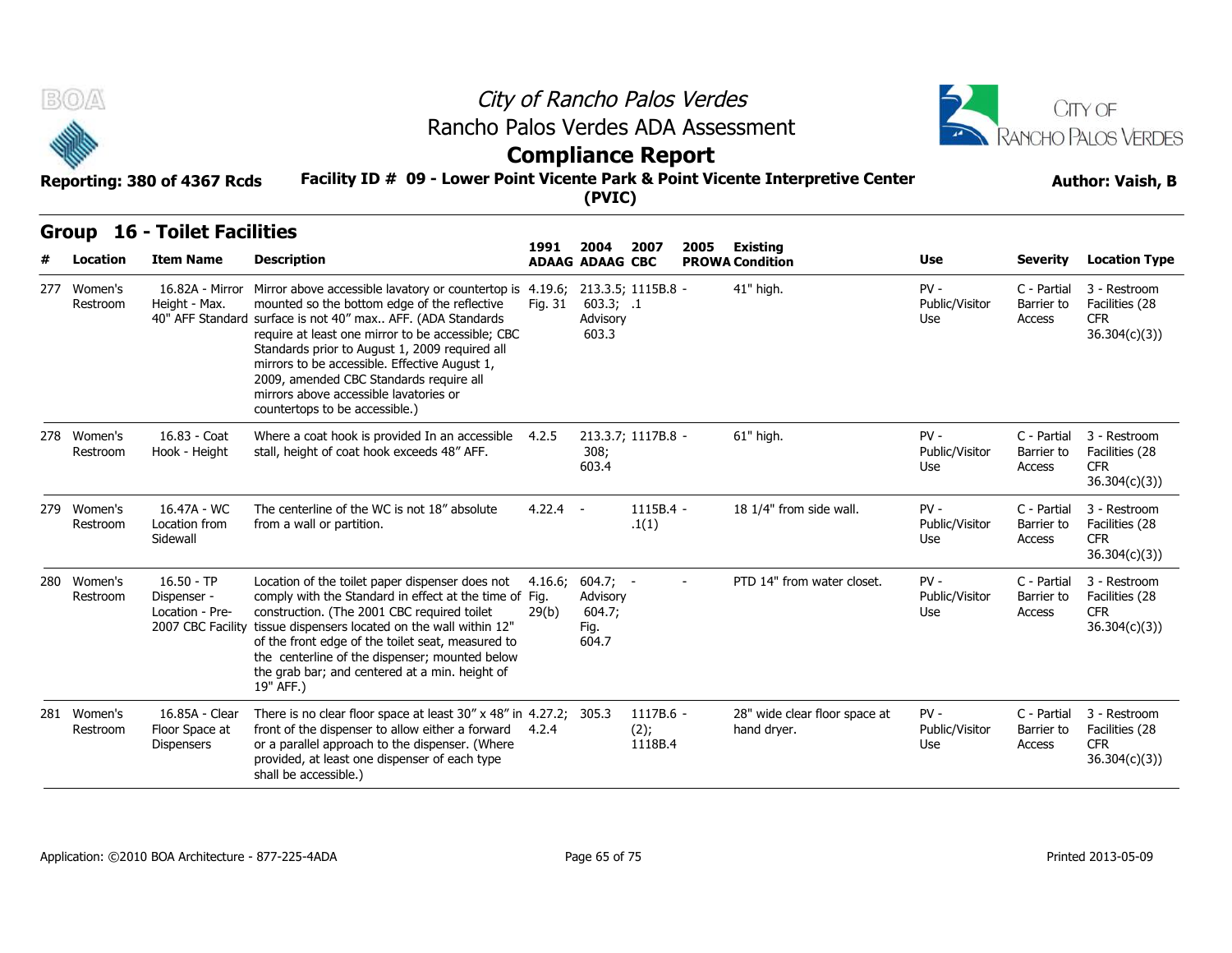



### **Compliance Report**

### **Facility ID # 09 - Lower Point Vicente Park & Point Vicente Interpretive Center Reporting: 380 of 4367 Rcds Author: Vaish, B**

### **Group 16 - Toilet Facilities**

| B(0)                    | Reporting: 380 of 4367 Rcds                                         | Rancho Palos Verdes ADA Assessment<br>Facility ID # 09 - Lower Point Vicente Park & Point Vicente Interpretive Center                                                                                                                                                                                                                                                                                                                                   |                  | City of Rancho Palos Verdes<br><b>Compliance Report</b> |                                 |        | CITY OF<br>RANCHO PALOS VERDES<br><b>Author: Vaish, B</b> |                                 |                                     |                                                              |
|-------------------------|---------------------------------------------------------------------|---------------------------------------------------------------------------------------------------------------------------------------------------------------------------------------------------------------------------------------------------------------------------------------------------------------------------------------------------------------------------------------------------------------------------------------------------------|------------------|---------------------------------------------------------|---------------------------------|--------|-----------------------------------------------------------|---------------------------------|-------------------------------------|--------------------------------------------------------------|
|                         |                                                                     |                                                                                                                                                                                                                                                                                                                                                                                                                                                         |                  | (PVIC)                                                  |                                 |        |                                                           |                                 |                                     |                                                              |
| Group<br>Location       | <b>16 - Toilet Facilities</b><br><b>Item Name</b>                   | <b>Description</b>                                                                                                                                                                                                                                                                                                                                                                                                                                      | 1991             | 2004<br><b>ADAAG ADAAG CBC</b>                          | 2007                            | 2005   | <b>Existing</b><br><b>PROWA Condition</b>                 | Use                             | <b>Severity</b>                     | <b>Location Type</b>                                         |
| 277 Women's<br>Restroom | 16.82A - Mirror<br>Height - Max.                                    | Mirror above accessible lavatory or countertop is 4.19.6;<br>mounted so the bottom edge of the reflective<br>40" AFF Standard surface is not 40" max AFF. (ADA Standards<br>require at least one mirror to be accessible; CBC<br>Standards prior to August 1, 2009 required all<br>mirrors to be accessible. Effective August 1,<br>2009, amended CBC Standards require all<br>mirrors above accessible lavatories or<br>countertops to be accessible.) | Fig. 31          | 213.3.5; 1115B.8 -<br>603.3; .1<br>Advisory<br>603.3    |                                 |        | 41" high.                                                 | $PV -$<br>Public/Visitor<br>Use | C - Partial<br>Barrier to<br>Access | 3 - Restroom<br>Facilities (28<br><b>CFR</b><br>36.304(c)(3) |
| 278 Women's<br>Restroom | 16.83 - Coat<br>Hook - Height                                       | Where a coat hook is provided In an accessible<br>stall, height of coat hook exceeds 48" AFF.                                                                                                                                                                                                                                                                                                                                                           | 4.2.5            | 213.3.7; 1117B.8 -<br>308;<br>603.4                     |                                 |        | 61" high.                                                 | $PV -$<br>Public/Visitor<br>Use | C - Partial<br>Barrier to<br>Access | 3 - Restroom<br>Facilities (28<br><b>CFR</b><br>36.304(c)(3) |
| 279 Women's<br>Restroom | 16.47A - WC<br>Location from<br>Sidewall                            | The centerline of the WC is not 18" absolute<br>from a wall or partition.                                                                                                                                                                                                                                                                                                                                                                               | $4.22.4 -$       |                                                         | 1115B.4 -<br>.1(1)              |        | 18 1/4" from side wall.                                   | $PV -$<br>Public/Visitor<br>Use | C - Partial<br>Barrier to<br>Access | 3 - Restroom<br>Facilities (28<br><b>CFR</b><br>36.304(c)(3) |
| 280 Women's<br>Restroom | $16.50 - TP$<br>Dispenser -<br>Location - Pre-<br>2007 CBC Facility | Location of the toilet paper dispenser does not<br>comply with the Standard in effect at the time of Fig.<br>construction. (The 2001 CBC required toilet<br>tissue dispensers located on the wall within 12"<br>of the front edge of the toilet seat, measured to<br>the centerline of the dispenser; mounted below<br>the grab bar; and centered at a min. height of<br>19" AFF.)                                                                      | 4.16.6;<br>29(b) | $604.7; -$<br>Advisory<br>604.7;<br>Fig.<br>604.7       |                                 | $\sim$ | PTD 14" from water closet.                                | $PV -$<br>Public/Visitor<br>Use | C - Partial<br>Barrier to<br>Access | 3 - Restroom<br>Facilities (28<br><b>CFR</b><br>36.304(c)(3) |
| 281 Women's<br>Restroom | 16.85A - Clear<br>Floor Space at<br><b>Dispensers</b>               | There is no clear floor space at least 30" x 48" in 4.27.2; 305.3<br>front of the dispenser to allow either a forward<br>or a parallel approach to the dispenser. (Where<br>provided, at least one dispenser of each type<br>shall be accessible.)                                                                                                                                                                                                      | 4.2.4            |                                                         | 1117B.6 -<br>$(2)$ ;<br>1118B.4 |        | 28" wide clear floor space at<br>hand dryer.              | $PV -$<br>Public/Visitor<br>Use | C - Partial<br>Barrier to<br>Access | 3 - Restroom<br>Facilities (28<br><b>CFR</b><br>36.304(c)(3) |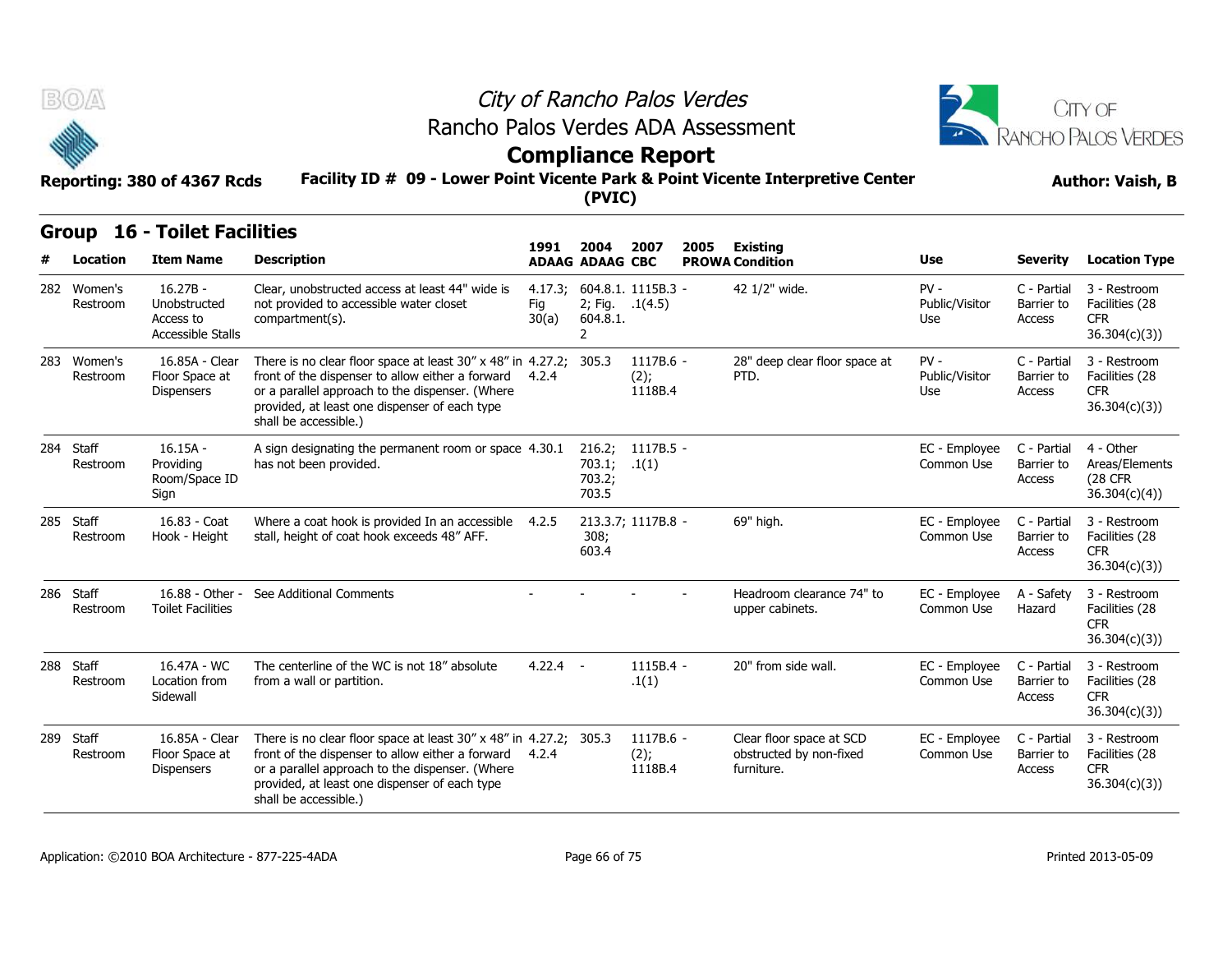



### **Facility ID # 09 - Lower Point Vicente Park & Point Vicente Interpretive Center Reporting: 380 of 4367 Rcds Author: Vaish, B Compliance Report**

| B(0)                    |                                                              | Rancho Palos Verdes ADA Assessment                                                                                                                                                                                                                 |                         |                                                      | City of Rancho Palos Verdes<br><b>Compliance Report</b> |      |                                                                   |                                 |                                     | CITY OF<br>RANCHO PALOS VERDES                                |
|-------------------------|--------------------------------------------------------------|----------------------------------------------------------------------------------------------------------------------------------------------------------------------------------------------------------------------------------------------------|-------------------------|------------------------------------------------------|---------------------------------------------------------|------|-------------------------------------------------------------------|---------------------------------|-------------------------------------|---------------------------------------------------------------|
|                         | Reporting: 380 of 4367 Rcds                                  | Facility ID # 09 - Lower Point Vicente Park & Point Vicente Interpretive Center                                                                                                                                                                    |                         | (PVIC)                                               |                                                         |      |                                                                   |                                 |                                     | <b>Author: Vaish, B</b>                                       |
| <b>Group</b>            | <b>16 - Toilet Facilities</b>                                |                                                                                                                                                                                                                                                    | 1991                    | 2004                                                 | 2007                                                    | 2005 | Existing                                                          |                                 |                                     |                                                               |
| <b>Location</b>         | <b>Item Name</b>                                             | <b>Description</b>                                                                                                                                                                                                                                 |                         | <b>ADAAG ADAAG CBC</b>                               |                                                         |      | <b>PROWA Condition</b>                                            | Use                             | <b>Severity</b>                     | <b>Location Type</b>                                          |
| 282 Women's<br>Restroom | $16.27B -$<br>Unobstructed<br>Access to<br>Accessible Stalls | Clear, unobstructed access at least 44" wide is<br>not provided to accessible water closet<br>compartment(s).                                                                                                                                      | 4.17.3;<br>Fig<br>30(a) | 2; Fig. .1(4.5)<br>604.8.1.<br>$\mathbf{2}^{\prime}$ | 604.8.1. 1115B.3 -                                      |      | 42 1/2" wide.                                                     | $PV -$<br>Public/Visitor<br>Use | C - Partial<br>Barrier to<br>Access | 3 - Restroom<br>Facilities (28<br><b>CFR</b><br>36.304(c)(3)) |
| 283 Women's<br>Restroom | 16.85A - Clear<br>Floor Space at<br><b>Dispensers</b>        | There is no clear floor space at least 30" x 48" in 4.27.2;<br>front of the dispenser to allow either a forward<br>or a parallel approach to the dispenser. (Where<br>provided, at least one dispenser of each type<br>shall be accessible.)       | 4.2.4                   | 305.3                                                | 1117B.6 -<br>(2);<br>1118B.4                            |      | 28" deep clear floor space at<br>PTD.                             | $PV -$<br>Public/Visitor<br>Use | C - Partial<br>Barrier to<br>Access | 3 - Restroom<br>Facilities (28<br><b>CFR</b><br>36.304(c)(3)  |
| 284 Staff<br>Restroom   | $16.15A -$<br>Providing<br>Room/Space ID<br>Sign             | A sign designating the permanent room or space 4.30.1<br>has not been provided.                                                                                                                                                                    |                         | 216.2;<br>703.1;<br>703.2;<br>703.5                  | 1117B.5 -<br>.1(1)                                      |      |                                                                   | EC - Employee<br>Common Use     | C - Partial<br>Barrier to<br>Access | 4 - Other<br>Areas/Elements<br><b>(28 CFR</b><br>36.304(c)(4) |
| 285 Staff<br>Restroom   | 16.83 - Coat<br>Hook - Height                                | Where a coat hook is provided In an accessible 4.2.5<br>stall, height of coat hook exceeds 48" AFF.                                                                                                                                                |                         | 308;<br>603.4                                        | 213.3.7; 1117B.8 -                                      |      | 69" high.                                                         | EC - Employee<br>Common Use     | C - Partial<br>Barrier to<br>Access | 3 - Restroom<br>Facilities (28<br><b>CFR</b><br>36.304(c)(3)  |
| 286 Staff<br>Restroom   | 16.88 - Other -<br><b>Toilet Facilities</b>                  | See Additional Comments                                                                                                                                                                                                                            |                         |                                                      |                                                         |      | Headroom clearance 74" to<br>upper cabinets.                      | EC - Emplovee<br>Common Use     | A - Safety<br>Hazard                | 3 - Restroom<br>Facilities (28<br><b>CFR</b><br>36.304(c)(3)  |
| 288 Staff<br>Restroom   | 16.47A - WC<br>Location from<br>Sidewall                     | The centerline of the WC is not 18" absolute<br>from a wall or partition.                                                                                                                                                                          | $4.22.4 -$              |                                                      | $1115B.4 -$<br>.1(1)                                    |      | 20" from side wall.                                               | EC - Employee<br>Common Use     | C - Partial<br>Barrier to<br>Access | 3 - Restroom<br>Facilities (28<br>CFR.<br>36.304(c)(3)        |
| 289 Staff<br>Restroom   | 16.85A - Clear<br>Floor Space at<br><b>Dispensers</b>        | There is no clear floor space at least 30" x 48" in 4.27.2; 305.3<br>front of the dispenser to allow either a forward<br>or a parallel approach to the dispenser. (Where<br>provided, at least one dispenser of each type<br>shall be accessible.) | 4.2.4                   |                                                      | 1117B.6 -<br>(2);<br>1118B.4                            |      | Clear floor space at SCD<br>obstructed by non-fixed<br>furniture. | EC - Employee<br>Common Use     | C - Partial<br>Barrier to<br>Access | 3 - Restroom<br>Facilities (28<br><b>CFR</b><br>36.304(c)(3)  |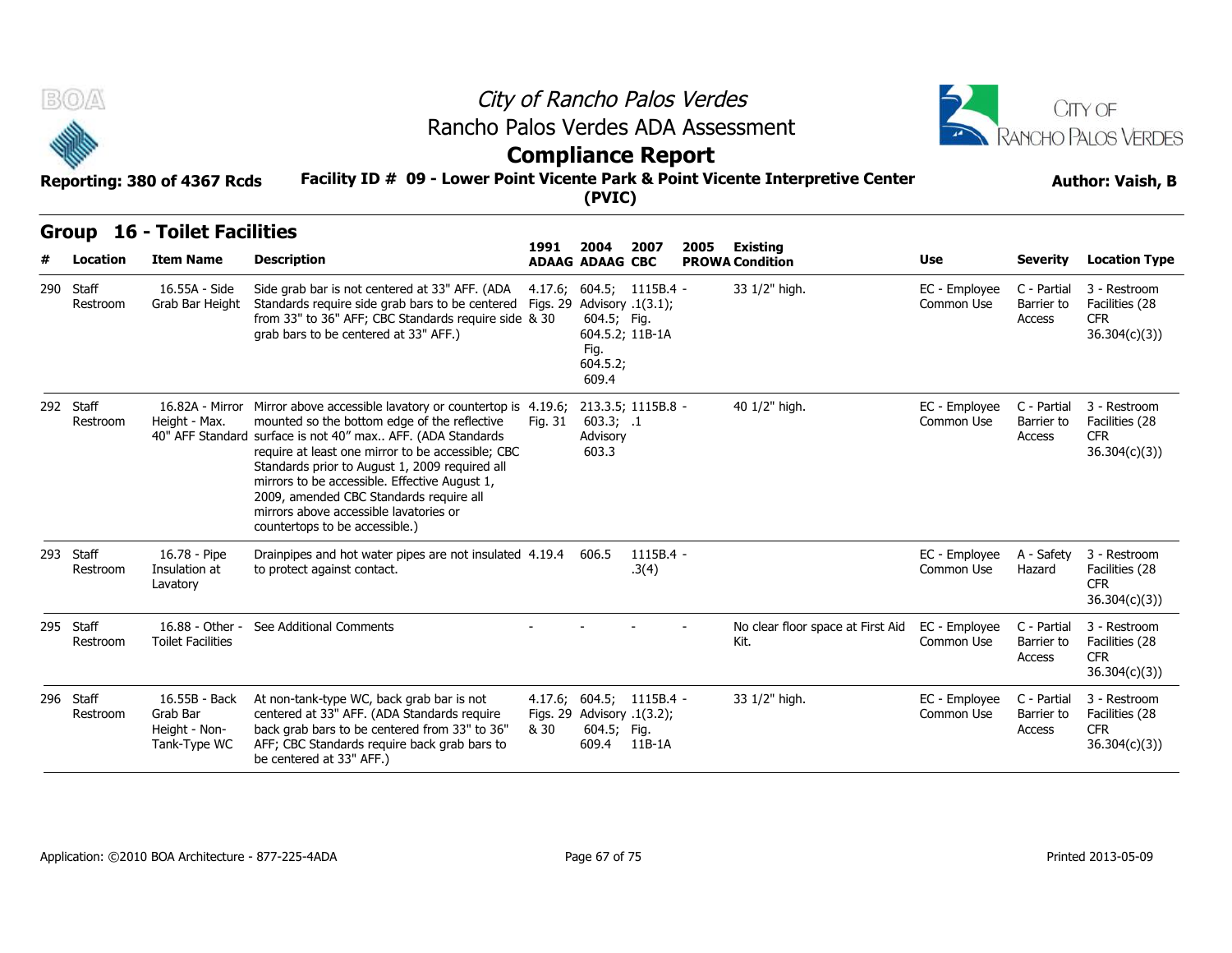



## **Compliance Report**

### **Facility ID # 09 - Lower Point Vicente Park & Point Vicente Interpretive Center Reporting: 380 of 4367 Rcds Author: Vaish, B**

| B(0)                  | Reporting: 380 of 4367 Rcds                                | Rancho Palos Verdes ADA Assessment<br>Facility ID # 09 - Lower Point Vicente Park & Point Vicente Interpretive Center                                                                                                                                                                                                                                                                                                                                                   | <b>Compliance Report</b> | (PVIC)                                                                                  |                      | City of Rancho Palos Verdes | CITY OF<br><b>RANCHO PALOS VERDES</b><br><b>Author: Vaish, B</b> |                             |                                     |                                                              |
|-----------------------|------------------------------------------------------------|-------------------------------------------------------------------------------------------------------------------------------------------------------------------------------------------------------------------------------------------------------------------------------------------------------------------------------------------------------------------------------------------------------------------------------------------------------------------------|--------------------------|-----------------------------------------------------------------------------------------|----------------------|-----------------------------|------------------------------------------------------------------|-----------------------------|-------------------------------------|--------------------------------------------------------------|
| Group<br>Location     | <b>16 - Toilet Facilities</b><br><b>Item Name</b>          | <b>Description</b>                                                                                                                                                                                                                                                                                                                                                                                                                                                      | 1991                     | 2004<br><b>ADAAG ADAAG CBC</b>                                                          | 2007                 | 2005                        | Existing<br><b>PROWA Condition</b>                               | Use                         | Severity                            | <b>Location Type</b>                                         |
| 290 Staff<br>Restroom | 16.55A - Side<br>Grab Bar Height                           | Side grab bar is not centered at 33" AFF. (ADA<br>Standards require side grab bars to be centered Figs. 29 Advisory .1(3.1);<br>from 33" to 36" AFF; CBC Standards require side & 30<br>grab bars to be centered at 33" AFF.)                                                                                                                                                                                                                                           |                          | 4.17.6; 604.5; 1115B.4 -<br>604.5; Fig.<br>604.5.2; 11B-1A<br>Fig.<br>604.5.2;<br>609.4 |                      |                             | 33 1/2" high.                                                    | EC - Employee<br>Common Use | C - Partial<br>Barrier to<br>Access | 3 - Restroom<br>Facilities (28<br><b>CFR</b><br>36.304(c)(3) |
| 292 Staff<br>Restroom | Height - Max.                                              | 16.82A - Mirror Mirror above accessible lavatory or countertop is 4.19.6;<br>mounted so the bottom edge of the reflective<br>40" AFF Standard surface is not 40" max AFF. (ADA Standards<br>require at least one mirror to be accessible; CBC<br>Standards prior to August 1, 2009 required all<br>mirrors to be accessible. Effective August 1,<br>2009, amended CBC Standards require all<br>mirrors above accessible lavatories or<br>countertops to be accessible.) | Fig. 31                  | 213.3.5; 1115B.8 -<br>603.3; .1<br>Advisory<br>603.3                                    |                      |                             | 40 1/2" high.                                                    | EC - Employee<br>Common Use | C - Partial<br>Barrier to<br>Access | 3 - Restroom<br>Facilities (28<br><b>CFR</b><br>36.304(c)(3) |
| 293 Staff<br>Restroom | 16.78 - Pipe<br>Insulation at<br>Lavatory                  | Drainpipes and hot water pipes are not insulated 4.19.4 606.5<br>to protect against contact.                                                                                                                                                                                                                                                                                                                                                                            |                          |                                                                                         | $1115B.4 -$<br>.3(4) |                             |                                                                  | EC - Emplovee<br>Common Use | A - Safety<br>Hazard                | 3 - Restroom<br>Facilities (28<br><b>CFR</b><br>36.304(c)(3) |
| 295 Staff<br>Restroom | 16.88 - Other -<br><b>Toilet Facilities</b>                | See Additional Comments                                                                                                                                                                                                                                                                                                                                                                                                                                                 |                          |                                                                                         |                      |                             | No clear floor space at First Aid<br>Kit.                        | EC - Employee<br>Common Use | C - Partial<br>Barrier to<br>Access | 3 - Restroom<br>Facilities (28<br><b>CFR</b><br>36.304(c)(3) |
| 296 Staff<br>Restroom | 16.55B - Back<br>Grab Bar<br>Height - Non-<br>Tank-Type WC | At non-tank-type WC, back grab bar is not<br>centered at 33" AFF. (ADA Standards require<br>back grab bars to be centered from 33" to 36"<br>AFF; CBC Standards require back grab bars to<br>be centered at 33" AFF.)                                                                                                                                                                                                                                                   | & 30                     | 4.17.6; 604.5; 1115B.4 -<br>Figs. 29 Advisory .1(3.2);<br>604.5; Fig.<br>609.4          | 11B-1A               |                             | 33 1/2" high.                                                    | EC - Employee<br>Common Use | C - Partial<br>Barrier to<br>Access | 3 - Restroom<br>Facilities (28<br><b>CFR</b><br>36.304(c)(3) |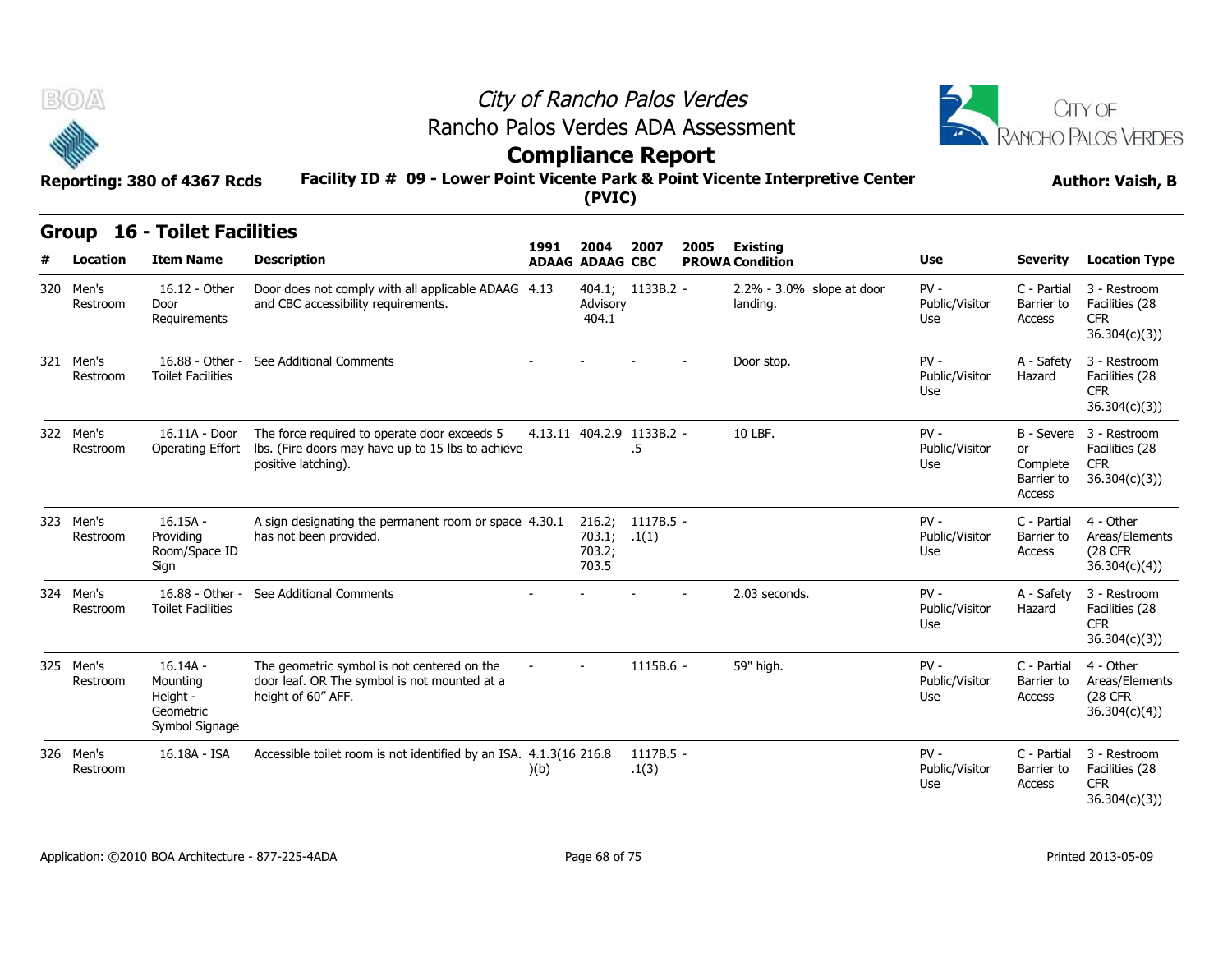



### **Compliance Report**

### **Facility ID # 09 - Lower Point Vicente Park & Point Vicente Interpretive Center Reporting: 380 of 4367 Rcds Author: Vaish, B**

|   | BOA                   | Reporting: 380 of 4367 Rcds                                       |                                                                                                                                           | City of Rancho Palos Verdes<br>Rancho Palos Verdes ADA Assessment<br><b>Compliance Report</b><br>Facility ID # 09 - Lower Point Vicente Park & Point Vicente Interpretive Center<br>(PVIC) |                                          |                                 |      |                                           |                                 |                                        |                                                                         |  |  |
|---|-----------------------|-------------------------------------------------------------------|-------------------------------------------------------------------------------------------------------------------------------------------|--------------------------------------------------------------------------------------------------------------------------------------------------------------------------------------------|------------------------------------------|---------------------------------|------|-------------------------------------------|---------------------------------|----------------------------------------|-------------------------------------------------------------------------|--|--|
|   |                       | <b>Group 16 - Toilet Facilities</b>                               |                                                                                                                                           |                                                                                                                                                                                            |                                          |                                 |      |                                           |                                 |                                        |                                                                         |  |  |
| # | Location              | <b>Item Name</b>                                                  | <b>Description</b>                                                                                                                        | 1991                                                                                                                                                                                       | 2004<br><b>ADAAG ADAAG CBC</b>           | 2007                            | 2005 | <b>Existing</b><br><b>PROWA Condition</b> | Use                             | Severity                               | <b>Location Type</b>                                                    |  |  |
|   | 320 Men's<br>Restroom | 16.12 - Other<br>Door<br>Requirements                             | Door does not comply with all applicable ADAAG 4.13<br>and CBC accessibility requirements.                                                |                                                                                                                                                                                            | Advisory<br>404.1                        | 404.1; 1133B.2 -                |      | 2.2% - 3.0% slope at door<br>landing.     | $PV -$<br>Public/Visitor<br>Use | C - Partial<br>Barrier to<br>Access    | 3 - Restroom<br>Facilities (28<br>CFR.<br>36.304(c)(3)                  |  |  |
|   | 321 Men's<br>Restroom | 16.88 - Other -<br><b>Toilet Facilities</b>                       | See Additional Comments                                                                                                                   |                                                                                                                                                                                            |                                          |                                 |      | Door stop.                                | $PV -$<br>Public/Visitor<br>Use | A - Safety<br>Hazard                   | 3 - Restroom<br>Facilities (28<br><b>CFR</b><br>36.304(c)(3)            |  |  |
|   | 322 Men's<br>Restroom | 16.11A - Door                                                     | The force required to operate door exceeds 5<br>Operating Effort Ibs. (Fire doors may have up to 15 lbs to achieve<br>positive latching). |                                                                                                                                                                                            |                                          | 4.13.11 404.2.9 1133B.2 -<br>.5 |      | 10 LBF.                                   | $PV -$<br>Public/Visitor<br>Use | or<br>Complete<br>Barrier to<br>Access | B - Severe 3 - Restroom<br>Facilities (28<br><b>CFR</b><br>36.304(c)(3) |  |  |
|   | 323 Men's<br>Restroom | $16.15A -$<br>Providing<br>Room/Space ID<br>Sign                  | A sign designating the permanent room or space 4.30.1<br>has not been provided.                                                           |                                                                                                                                                                                            | 216.2;<br>703.1; 1(1)<br>703.2;<br>703.5 | 1117B.5 -                       |      |                                           | $PV -$<br>Public/Visitor<br>Use | C - Partial<br>Barrier to<br>Access    | 4 - Other<br>Areas/Elements<br>(28 CFR<br>36.304(c)(4)                  |  |  |
|   | 324 Men's<br>Restroom | 16.88 - Other -<br><b>Toilet Facilities</b>                       | See Additional Comments                                                                                                                   |                                                                                                                                                                                            |                                          |                                 |      | 2.03 seconds.                             | $PV -$<br>Public/Visitor<br>Use | A - Safety<br>Hazard                   | 3 - Restroom<br>Facilities (28<br><b>CFR</b><br>36.304(c)(3))           |  |  |
|   | 325 Men's<br>Restroom | $16.14A -$<br>Mounting<br>Height -<br>Geometric<br>Symbol Signage | The geometric symbol is not centered on the<br>door leaf. OR The symbol is not mounted at a<br>height of 60" AFF.                         |                                                                                                                                                                                            |                                          | 1115B.6 -                       |      | 59" high.                                 | $PV -$<br>Public/Visitor<br>Use | C - Partial<br>Barrier to<br>Access    | 4 - Other<br>Areas/Elements<br>(28 CFR<br>36.304(c)(4)                  |  |  |
|   | 326 Men's<br>Restroom | 16.18A - ISA                                                      | Accessible toilet room is not identified by an ISA. 4.1.3(16 216.8)                                                                       | )(b)                                                                                                                                                                                       |                                          | $1117B.5 -$<br>.1(3)            |      |                                           | $PV -$<br>Public/Visitor<br>Use | C - Partial<br>Barrier to<br>Access    | 3 - Restroom<br>Facilities (28<br><b>CFR</b><br>36.304(c)(3)            |  |  |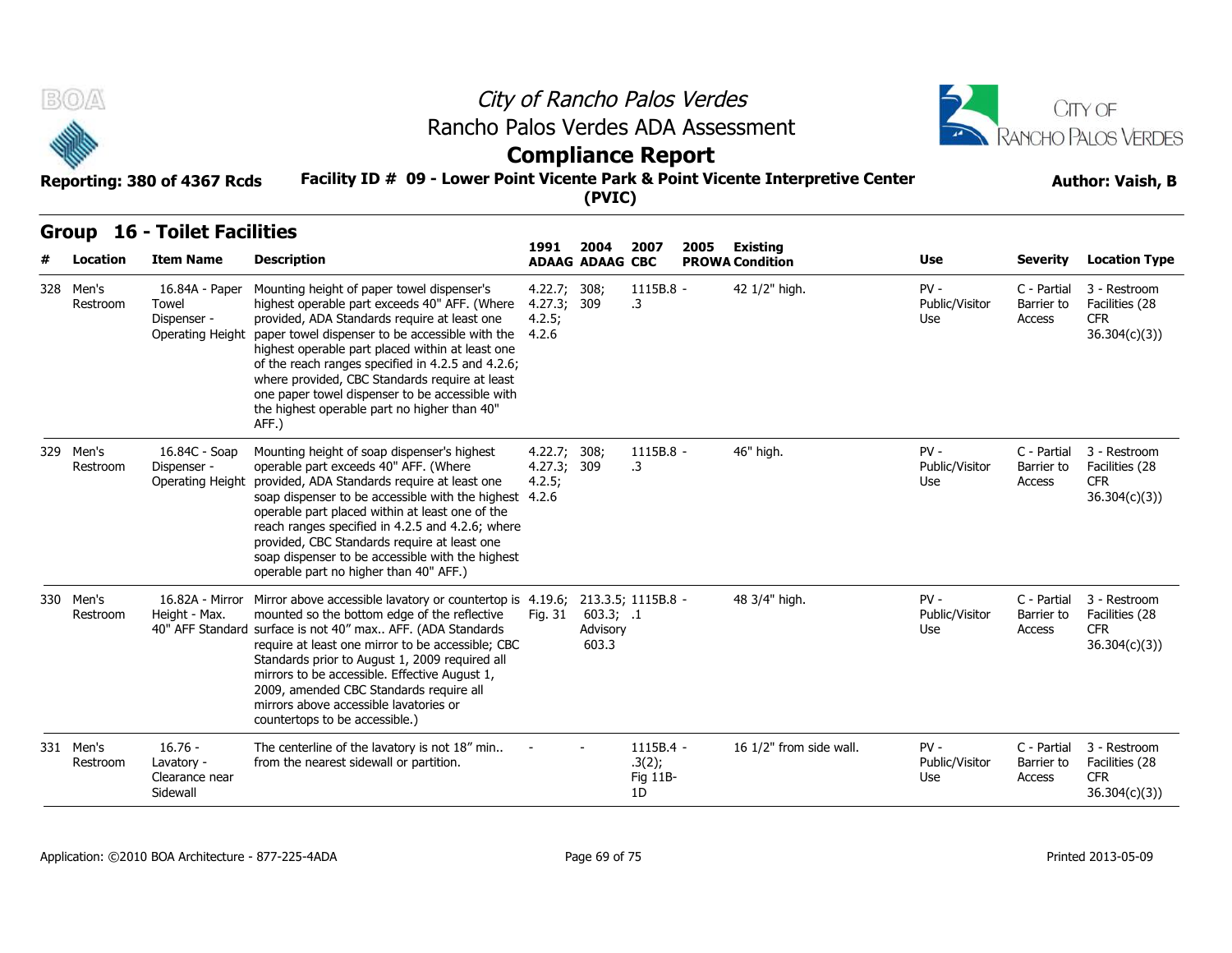



### **Compliance Report**

### **Facility ID # 09 - Lower Point Vicente Park & Point Vicente Interpretive Center Reporting: 380 of 4367 Rcds Author: Vaish, B**

### **Group 16 - Toilet Facilities**

| B(0)                  | Reporting: 380 of 4367 Rcds                                | City of Rancho Palos Verdes<br>Rancho Palos Verdes ADA Assessment<br><b>Compliance Report</b><br>Facility ID # 09 - Lower Point Vicente Park & Point Vicente Interpretive Center                                                                                                                                                                                                                                                                                                           |                                       |                                | CITY OF<br>RANCHO PALOS VERDES<br><b>Author: Vaish, B</b> |      |                                           |                                 |                                     |                                                               |
|-----------------------|------------------------------------------------------------|--------------------------------------------------------------------------------------------------------------------------------------------------------------------------------------------------------------------------------------------------------------------------------------------------------------------------------------------------------------------------------------------------------------------------------------------------------------------------------------------|---------------------------------------|--------------------------------|-----------------------------------------------------------|------|-------------------------------------------|---------------------------------|-------------------------------------|---------------------------------------------------------------|
| <b>Group</b>          | <b>16 - Toilet Facilities</b>                              |                                                                                                                                                                                                                                                                                                                                                                                                                                                                                            |                                       |                                |                                                           |      |                                           |                                 |                                     |                                                               |
| Location              | <b>Item Name</b>                                           | <b>Description</b>                                                                                                                                                                                                                                                                                                                                                                                                                                                                         | 1991                                  | 2004<br><b>ADAAG ADAAG CBC</b> | 2007                                                      | 2005 | <b>Existing</b><br><b>PROWA Condition</b> | Use                             | <b>Severity</b>                     | <b>Location Type</b>                                          |
| 328 Men's<br>Restroom | 16.84A - Paper<br>Towel<br>Dispenser -<br>Operating Height | Mounting height of paper towel dispenser's<br>highest operable part exceeds 40" AFF. (Where<br>provided, ADA Standards require at least one<br>paper towel dispenser to be accessible with the<br>highest operable part placed within at least one<br>of the reach ranges specified in 4.2.5 and 4.2.6;<br>where provided, CBC Standards require at least<br>one paper towel dispenser to be accessible with<br>the highest operable part no higher than 40"<br>AFF.)                      | 4.22.7;<br>4.27.3;<br>4.2.5;<br>4.2.6 | 308;<br>309                    | 1115B.8 -<br>.3                                           |      | 42 1/2" high.                             | $PV -$<br>Public/Visitor<br>Use | C - Partial<br>Barrier to<br>Access | 3 - Restroom<br>Facilities (28<br><b>CFR</b><br>36.304(c)(3)  |
| 329 Men's<br>Restroom | 16.84C - Soap<br>Dispenser -<br>Operating Height           | Mounting height of soap dispenser's highest<br>operable part exceeds 40" AFF. (Where<br>provided, ADA Standards require at least one<br>soap dispenser to be accessible with the highest 4.2.6<br>operable part placed within at least one of the<br>reach ranges specified in 4.2.5 and 4.2.6; where<br>provided, CBC Standards require at least one<br>soap dispenser to be accessible with the highest<br>operable part no higher than 40" AFF.)                                        | 4.22.7;<br>4.27.3;<br>4.2.5;          | 308;<br>309                    | 1115B.8 -<br>.3                                           |      | 46" high.                                 | $PV -$<br>Public/Visitor<br>Use | C - Partial<br>Barrier to<br>Access | 3 - Restroom<br>Facilities (28<br><b>CFR</b><br>36.304(c)(3)  |
| 330 Men's<br>Restroom | Height - Max.                                              | 16.82A - Mirror Mirror above accessible lavatory or countertop is 4.19.6; 213.3.5; 1115B.8 -<br>mounted so the bottom edge of the reflective<br>40" AFF Standard surface is not 40" max AFF. (ADA Standards<br>require at least one mirror to be accessible; CBC<br>Standards prior to August 1, 2009 required all<br>mirrors to be accessible. Effective August 1,<br>2009, amended CBC Standards require all<br>mirrors above accessible lavatories or<br>countertops to be accessible.) | Fia. 31                               | 603.3; .1<br>Advisory<br>603.3 |                                                           |      | 48 3/4" high.                             | $PV -$<br>Public/Visitor<br>Use | C - Partial<br>Barrier to<br>Access | 3 - Restroom<br>Facilities (28<br><b>CFR</b><br>36.304(c)(3)  |
| 331 Men's<br>Restroom | $16.76 -$<br>Lavatory -<br>Clearance near<br>Sidewall      | The centerline of the lavatory is not 18" min<br>from the nearest sidewall or partition.                                                                                                                                                                                                                                                                                                                                                                                                   |                                       |                                | 1115B.4 -<br>.3(2);<br>Fig 11B-<br>1D                     |      | 16 1/2" from side wall.                   | $PV -$<br>Public/Visitor<br>Use | C - Partial<br>Barrier to<br>Access | 3 - Restroom<br>Facilities (28<br><b>CFR</b><br>36.304(c)(3)) |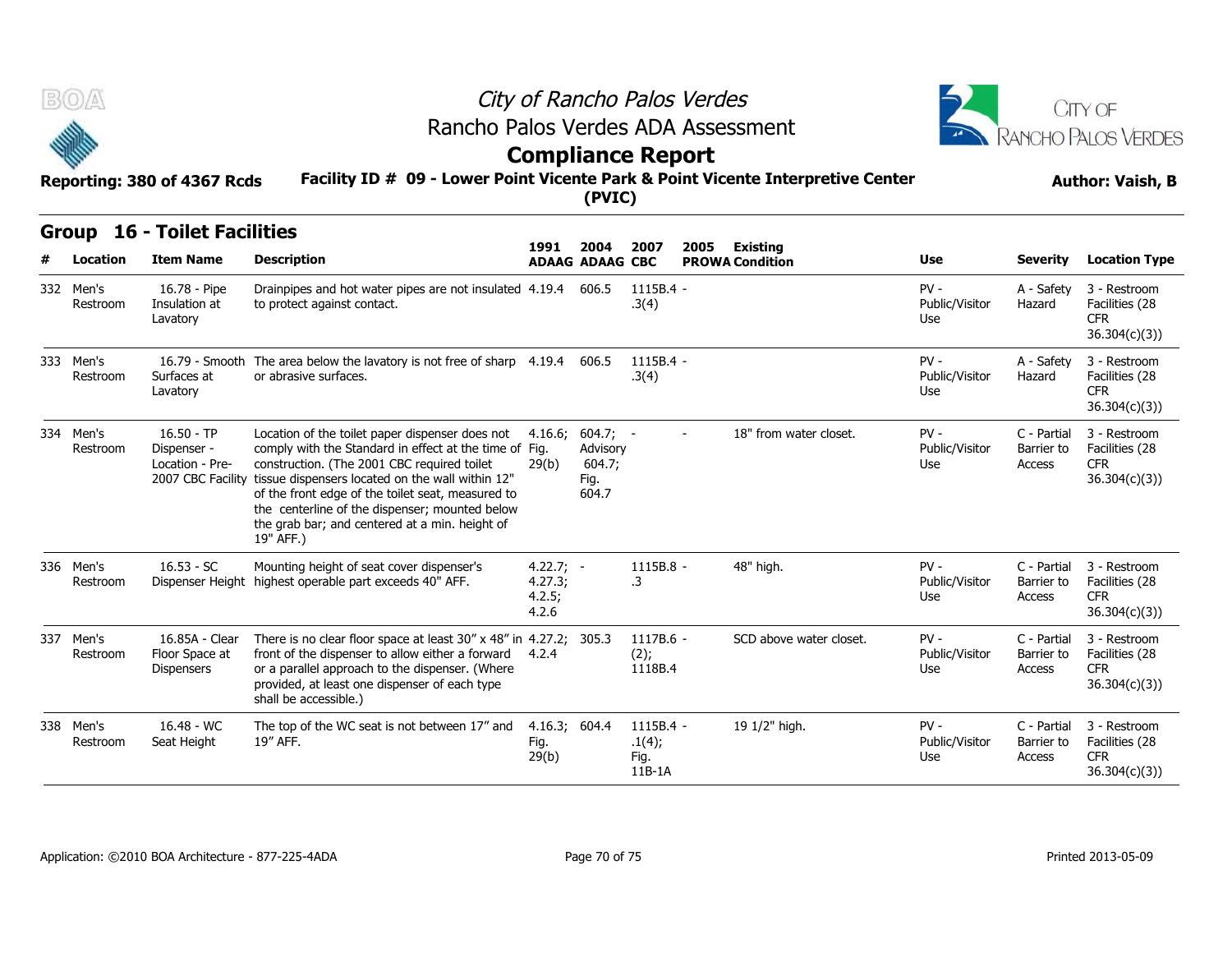



# **Compliance Report**

#### **Facility ID # 09 - Lower Point Vicente Park & Point Vicente Interpretive Center Reporting: 380 of 4367 Rcds Author: Vaish, B**

|     | B(0)                  |                                                                     |                                                                                                                                                                                                                                                                                                                                                                                    | City of Rancho Palos Verdes<br>Rancho Palos Verdes ADA Assessment<br><b>Compliance Report</b> |                                                   |                                       |      |                                           |                                 |                                     |                                                              |  |  |
|-----|-----------------------|---------------------------------------------------------------------|------------------------------------------------------------------------------------------------------------------------------------------------------------------------------------------------------------------------------------------------------------------------------------------------------------------------------------------------------------------------------------|-----------------------------------------------------------------------------------------------|---------------------------------------------------|---------------------------------------|------|-------------------------------------------|---------------------------------|-------------------------------------|--------------------------------------------------------------|--|--|
|     |                       | Reporting: 380 of 4367 Rcds                                         | Facility ID # 09 - Lower Point Vicente Park & Point Vicente Interpretive Center                                                                                                                                                                                                                                                                                                    |                                                                                               | (PVIC)                                            |                                       |      |                                           |                                 |                                     | <b>Author: Vaish, B</b>                                      |  |  |
| #   | Location              | <b>Group 16 - Toilet Facilities</b><br><b>Item Name</b>             | <b>Description</b>                                                                                                                                                                                                                                                                                                                                                                 | 1991                                                                                          | 2004<br><b>ADAAG ADAAG CBC</b>                    | 2007                                  | 2005 | <b>Existing</b><br><b>PROWA Condition</b> | Use                             | <b>Severity</b>                     | <b>Location Type</b>                                         |  |  |
|     | 332 Men's<br>Restroom | 16.78 - Pipe<br>Insulation at<br>Lavatory                           | Drainpipes and hot water pipes are not insulated 4.19.4<br>to protect against contact.                                                                                                                                                                                                                                                                                             |                                                                                               | 606.5                                             | 1115B.4 -<br>.3(4)                    |      |                                           | $PV -$<br>Public/Visitor<br>Use | A - Safety<br>Hazard                | 3 - Restroom<br>Facilities (28<br><b>CFR</b><br>36.304(c)(3) |  |  |
|     | 333 Men's<br>Restroom | Surfaces at<br>Lavatory                                             | 16.79 - Smooth The area below the lavatory is not free of sharp 4.19.4 606.5<br>or abrasive surfaces.                                                                                                                                                                                                                                                                              |                                                                                               |                                                   | $1115B.4 -$<br>.3(4)                  |      |                                           | $PV -$<br>Public/Visitor<br>Use | A - Safety<br>Hazard                | 3 - Restroom<br>Facilities (28<br><b>CFR</b><br>36.304(c)(3) |  |  |
|     | 334 Men's<br>Restroom | $16.50 - TP$<br>Dispenser -<br>Location - Pre-<br>2007 CBC Facility | Location of the toilet paper dispenser does not<br>comply with the Standard in effect at the time of Fig.<br>construction. (The 2001 CBC required toilet<br>tissue dispensers located on the wall within 12"<br>of the front edge of the toilet seat, measured to<br>the centerline of the dispenser; mounted below<br>the grab bar; and centered at a min. height of<br>19" AFF.) | 4.16.6;<br>29(b)                                                                              | $604.7; -$<br>Advisory<br>604.7;<br>Fig.<br>604.7 |                                       |      | 18" from water closet.                    | PV -<br>Public/Visitor<br>Use   | C - Partial<br>Barrier to<br>Access | 3 - Restroom<br>Facilities (28<br><b>CFR</b><br>36.304(c)(3) |  |  |
|     | 336 Men's<br>Restroom | $16.53 - SC$                                                        | Mounting height of seat cover dispenser's<br>Dispenser Height highest operable part exceeds 40" AFF.                                                                                                                                                                                                                                                                               | $4.22.7; -$<br>4.27.3;<br>4.2.5;<br>4.2.6                                                     |                                                   | 1115B.8 -<br>.3                       |      | 48" high.                                 | $PV -$<br>Public/Visitor<br>Use | C - Partial<br>Barrier to<br>Access | 3 - Restroom<br>Facilities (28<br><b>CFR</b><br>36.304(c)(3) |  |  |
| 337 | Men's<br>Restroom     | 16.85A - Clear<br>Floor Space at<br><b>Dispensers</b>               | There is no clear floor space at least 30" x 48" in 4.27.2; 305.3<br>front of the dispenser to allow either a forward 4.2.4<br>or a parallel approach to the dispenser. (Where<br>provided, at least one dispenser of each type<br>shall be accessible.)                                                                                                                           |                                                                                               |                                                   | 1117B.6 -<br>(2);<br>1118B.4          |      | SCD above water closet.                   | $PV -$<br>Public/Visitor<br>Use | C - Partial<br>Barrier to<br>Access | 3 - Restroom<br>Facilities (28<br><b>CFR</b><br>36.304(c)(3) |  |  |
|     | 338 Men's<br>Restroom | 16.48 - WC<br>Seat Height                                           | The top of the WC seat is not between 17" and<br>19" AFF.                                                                                                                                                                                                                                                                                                                          | 4.16.3; 604.4<br>Fig.<br>29(b)                                                                |                                                   | 1115B.4 -<br>.1(4);<br>Fig.<br>11B-1A |      | 19 1/2" high.                             | $PV -$<br>Public/Visitor<br>Use | C - Partial<br>Barrier to<br>Access | 3 - Restroom<br>Facilities (28<br><b>CFR</b><br>36.304(c)(3) |  |  |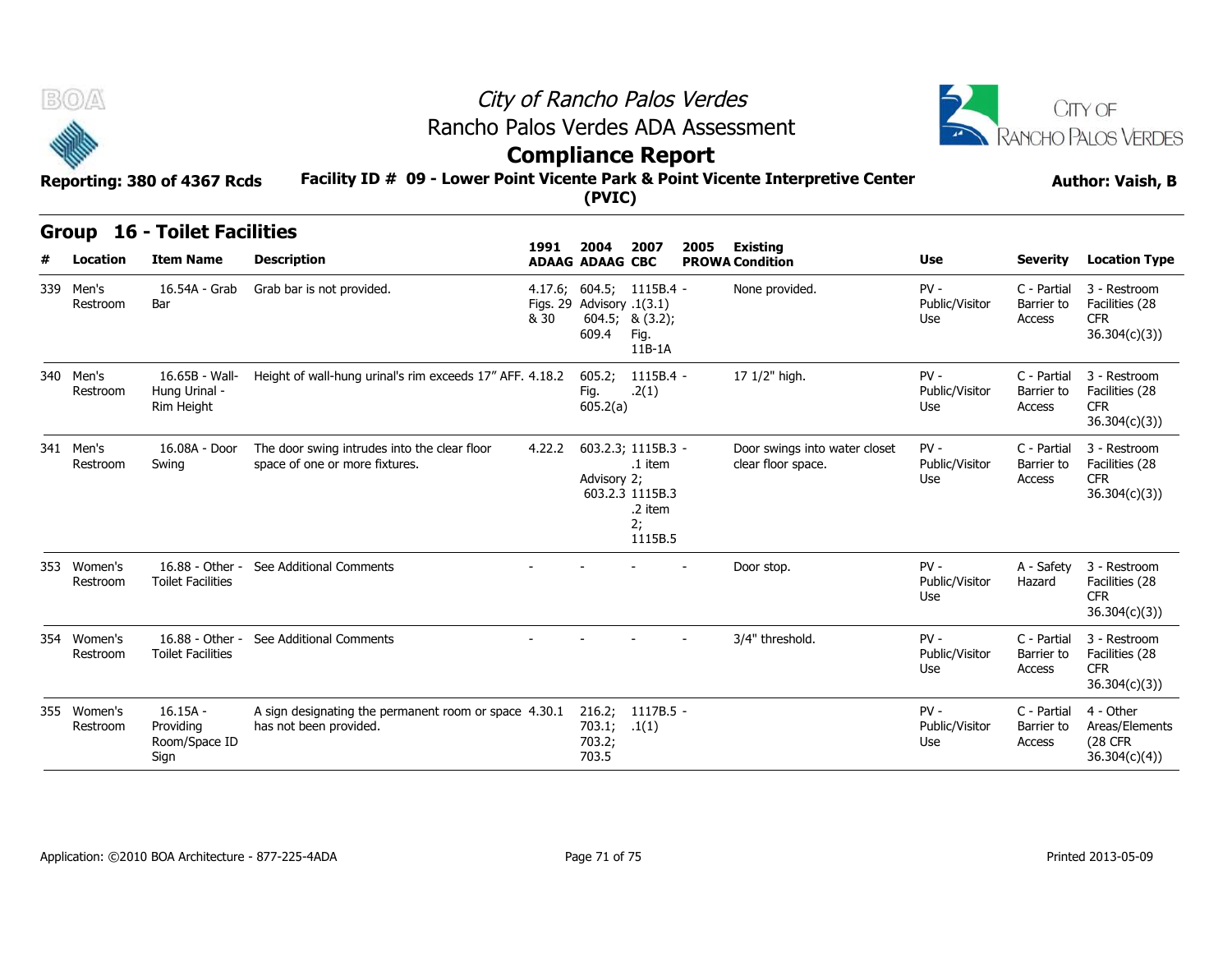



# **Compliance Report**

#### **Facility ID # 09 - Lower Point Vicente Park & Point Vicente Interpretive Center Reporting: 380 of 4367 Rcds Author: Vaish, B**

| <b>BOA</b><br>Reporting: 380 of 4367 Rcds |  |                                                  |                                                                                 | City of Rancho Palos Verdes<br>Rancho Palos Verdes ADA Assessment<br><b>Compliance Report</b><br>Facility ID # 09 - Lower Point Vicente Park & Point Vicente Interpretive Center<br>(PVIC) |                                                                |                                                                              |      |                                                     |                                 |                                     |                                                               |  |  |  |  |
|-------------------------------------------|--|--------------------------------------------------|---------------------------------------------------------------------------------|--------------------------------------------------------------------------------------------------------------------------------------------------------------------------------------------|----------------------------------------------------------------|------------------------------------------------------------------------------|------|-----------------------------------------------------|---------------------------------|-------------------------------------|---------------------------------------------------------------|--|--|--|--|
| <b>Group</b>                              |  | <b>16 - Toilet Facilities</b>                    |                                                                                 | 1991                                                                                                                                                                                       | 2004                                                           | 2007                                                                         | 2005 | <b>Existing</b>                                     |                                 |                                     | <b>Author: Vaish, B</b>                                       |  |  |  |  |
| Location                                  |  | <b>Item Name</b>                                 | <b>Description</b>                                                              |                                                                                                                                                                                            | <b>ADAAG ADAAG CBC</b>                                         |                                                                              |      | <b>PROWA Condition</b>                              | Use                             | <b>Severity</b>                     | <b>Location Type</b>                                          |  |  |  |  |
| 339 Men's<br>Restroom                     |  | 16.54A - Grab<br>Bar                             | Grab bar is not provided.                                                       | & 30                                                                                                                                                                                       | 4.17.6; 604.5; 1115B.4 -<br>Figs. 29 Advisory .1(3.1)<br>609.4 | 604.5; 8(3.2);<br>Fig.<br>$11B-1A$                                           |      | None provided.                                      | $PV -$<br>Public/Visitor<br>Use | C - Partial<br>Barrier to<br>Access | 3 - Restroom<br>Facilities (28<br><b>CFR</b><br>36.304(c)(3)  |  |  |  |  |
| 340 Men's<br>Restroom                     |  | 16.65B - Wall-<br>Hung Urinal -<br>Rim Height    | Height of wall-hung urinal's rim exceeds 17" AFF. 4.18.2                        |                                                                                                                                                                                            | 605.2;<br>Fig.<br>605.2(a)                                     | 1115B.4 -<br>.2(1)                                                           |      | 17 1/2" high.                                       | $PV -$<br>Public/Visitor<br>Use | C - Partial<br>Barrier to<br>Access | 3 - Restroom<br>Facilities (28<br><b>CFR</b><br>36.304(c)(3)  |  |  |  |  |
| 341 Men's<br>Restroom                     |  | 16.08A - Door<br>Swing                           | The door swing intrudes into the clear floor<br>space of one or more fixtures.  | 4.22.2                                                                                                                                                                                     | Advisory 2;                                                    | 603.2.3; 1115B.3 -<br>.1 item<br>603.2.3 1115B.3<br>.2 item<br>2;<br>1115B.5 |      | Door swings into water closet<br>clear floor space. | $PV -$<br>Public/Visitor<br>Use | C - Partial<br>Barrier to<br>Access | 3 - Restroom<br>Facilities (28<br><b>CFR</b><br>36.304(c)(3)  |  |  |  |  |
| 353 Women's<br>Restroom                   |  | 16.88 - Other -<br><b>Toilet Facilities</b>      | See Additional Comments                                                         |                                                                                                                                                                                            |                                                                |                                                                              |      | Door stop.                                          | $PV -$<br>Public/Visitor<br>Use | A - Safety<br>Hazard                | 3 - Restroom<br>Facilities (28<br><b>CFR</b><br>36.304(c)(3)  |  |  |  |  |
| 354 Women's<br>Restroom                   |  | 16.88 - Other -<br><b>Toilet Facilities</b>      | See Additional Comments                                                         |                                                                                                                                                                                            |                                                                |                                                                              |      | 3/4" threshold.                                     | $PV -$<br>Public/Visitor<br>Use | C - Partial<br>Barrier to<br>Access | 3 - Restroom<br>Facilities (28<br><b>CFR</b><br>36.304(c)(3)  |  |  |  |  |
| 355 Women's<br>Restroom                   |  | $16.15A -$<br>Providing<br>Room/Space ID<br>Sign | A sign designating the permanent room or space 4.30.1<br>has not been provided. |                                                                                                                                                                                            | 216.2;<br>703.1;<br>703.2;<br>703.5                            | 1117B.5 -<br>.1(1)                                                           |      |                                                     | $PV -$<br>Public/Visitor<br>Use | C - Partial<br>Barrier to<br>Access | 4 - Other<br>Areas/Elements<br><b>(28 CFR</b><br>36.304(c)(4) |  |  |  |  |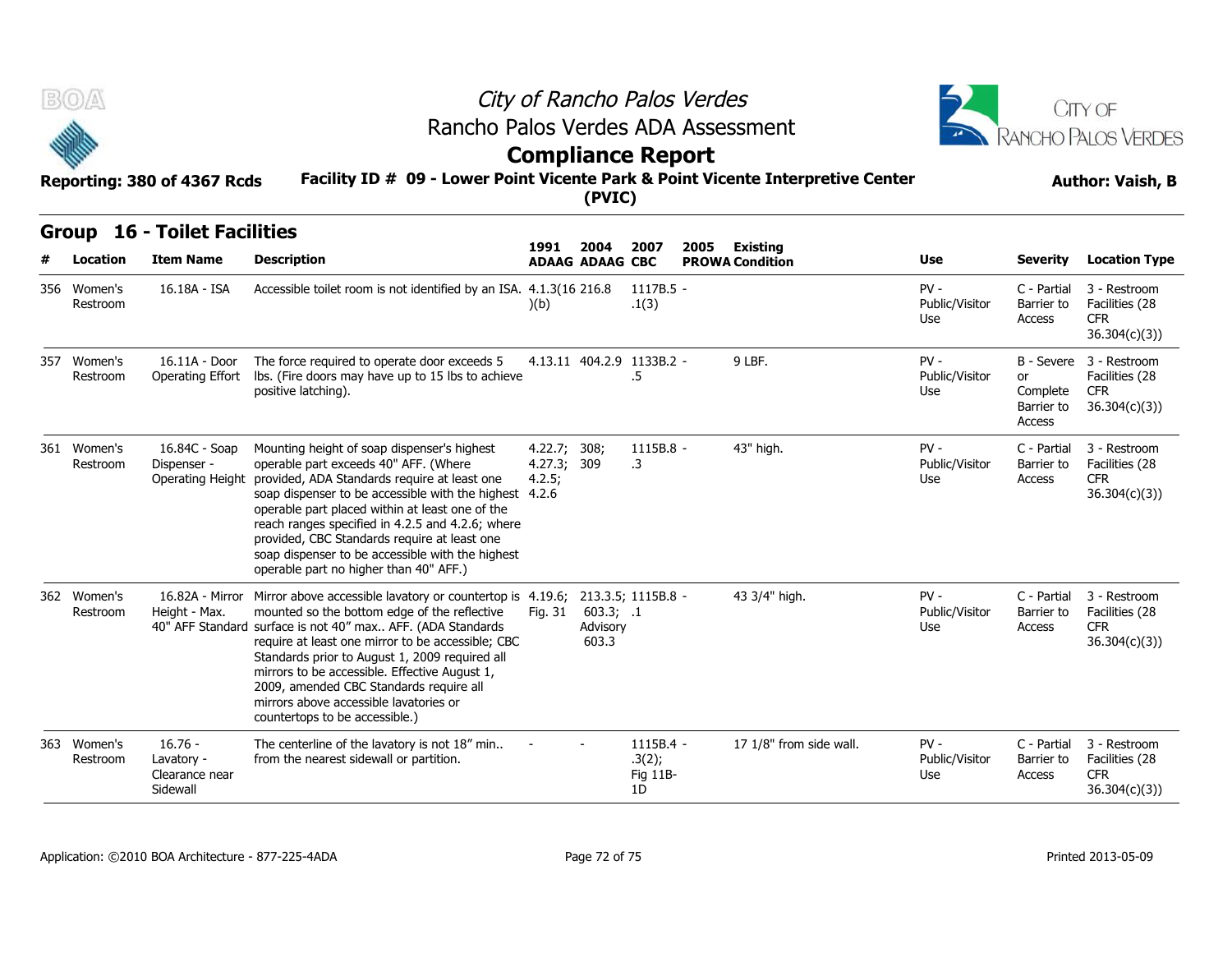



# **Compliance Report**

#### **Facility ID # 09 - Lower Point Vicente Park & Point Vicente Interpretive Center Reporting: 380 of 4367 Rcds Author: Vaish, B**

|     | B(0)                     | Reporting: 380 of 4367 Rcds                           |                                                                                                                                                                                                                                                                                                                                                                                                                                                                            | City of Rancho Palos Verdes<br>Rancho Palos Verdes ADA Assessment<br><b>Compliance Report</b><br>Facility ID # 09 - Lower Point Vicente Park & Point Vicente Interpretive Center<br>(PVIC) |                                |                                         |      |                                           |                                 |                                                      |                                                              |  |  |  |
|-----|--------------------------|-------------------------------------------------------|----------------------------------------------------------------------------------------------------------------------------------------------------------------------------------------------------------------------------------------------------------------------------------------------------------------------------------------------------------------------------------------------------------------------------------------------------------------------------|--------------------------------------------------------------------------------------------------------------------------------------------------------------------------------------------|--------------------------------|-----------------------------------------|------|-------------------------------------------|---------------------------------|------------------------------------------------------|--------------------------------------------------------------|--|--|--|
|     | <b>Group</b><br>Location | <b>16 - Toilet Facilities</b><br><b>Item Name</b>     | <b>Description</b>                                                                                                                                                                                                                                                                                                                                                                                                                                                         | 1991                                                                                                                                                                                       | 2004<br><b>ADAAG ADAAG CBC</b> | 2007                                    | 2005 | <b>Existing</b><br><b>PROWA Condition</b> | Use                             | <b>Severity</b>                                      | <b>Location Type</b>                                         |  |  |  |
|     | 356 Women's<br>Restroom  | 16.18A - ISA                                          | Accessible toilet room is not identified by an ISA. 4.1.3(16 216.8)                                                                                                                                                                                                                                                                                                                                                                                                        | (b)                                                                                                                                                                                        |                                | $1117B.5 -$<br>.1(3)                    |      |                                           | $PV -$<br>Public/Visitor<br>Use | C - Partial<br>Barrier to<br>Access                  | 3 - Restroom<br>Facilities (28<br>CFR.<br>36.304(c)(3)       |  |  |  |
| 357 | Women's<br>Restroom      | 16.11A - Door<br>Operating Effort                     | The force required to operate door exceeds 5<br>lbs. (Fire doors may have up to 15 lbs to achieve<br>positive latching).                                                                                                                                                                                                                                                                                                                                                   |                                                                                                                                                                                            |                                | 4.13.11 404.2.9 1133B.2 -<br>.5         |      | 9 LBF.                                    | $PV -$<br>Public/Visitor<br>Use | B - Severe<br>or<br>Complete<br>Barrier to<br>Access | 3 - Restroom<br>Facilities (28<br><b>CFR</b><br>36.304(c)(3) |  |  |  |
|     | 361 Women's<br>Restroom  | 16.84C - Soap<br>Dispenser -<br>Operating Height      | Mounting height of soap dispenser's highest<br>operable part exceeds 40" AFF. (Where<br>provided, ADA Standards require at least one<br>soap dispenser to be accessible with the highest 4.2.6<br>operable part placed within at least one of the<br>reach ranges specified in 4.2.5 and 4.2.6; where<br>provided, CBC Standards require at least one<br>soap dispenser to be accessible with the highest<br>operable part no higher than 40" AFF.)                        | 4.22.7; 308;<br>4.27.3; 309<br>4.2.5;                                                                                                                                                      |                                | 1115B.8 -<br>.3                         |      | 43" high.                                 | $PV -$<br>Public/Visitor<br>Use | C - Partial<br>Barrier to<br>Access                  | 3 - Restroom<br>Facilities (28<br><b>CFR</b><br>36.304(c)(3) |  |  |  |
|     | 362 Women's<br>Restroom  | 16.82A - Mirror<br>Height - Max.                      | Mirror above accessible lavatory or countertop is 4.19.6; 213.3.5; 1115B.8 -<br>mounted so the bottom edge of the reflective<br>40" AFF Standard surface is not 40" max AFF. (ADA Standards<br>require at least one mirror to be accessible; CBC<br>Standards prior to August 1, 2009 required all<br>mirrors to be accessible. Effective August 1,<br>2009, amended CBC Standards require all<br>mirrors above accessible lavatories or<br>countertops to be accessible.) | Fig. 31                                                                                                                                                                                    | 603.3; .1<br>Advisory<br>603.3 |                                         |      | 43 3/4" high.                             | $PV -$<br>Public/Visitor<br>Use | C - Partial<br>Barrier to<br><b>Access</b>           | 3 - Restroom<br>Facilities (28<br><b>CFR</b><br>36.304(c)(3) |  |  |  |
| 363 | Women's<br>Restroom      | $16.76 -$<br>Lavatory -<br>Clearance near<br>Sidewall | The centerline of the lavatory is not 18" min<br>from the nearest sidewall or partition.                                                                                                                                                                                                                                                                                                                                                                                   |                                                                                                                                                                                            |                                | $1115B.4 -$<br>.3(2);<br>Fig 11B-<br>1D |      | 17 1/8" from side wall.                   | $PV -$<br>Public/Visitor<br>Use | C - Partial<br>Barrier to<br>Access                  | 3 - Restroom<br>Facilities (28<br>CFR.<br>36.304(c)(3)       |  |  |  |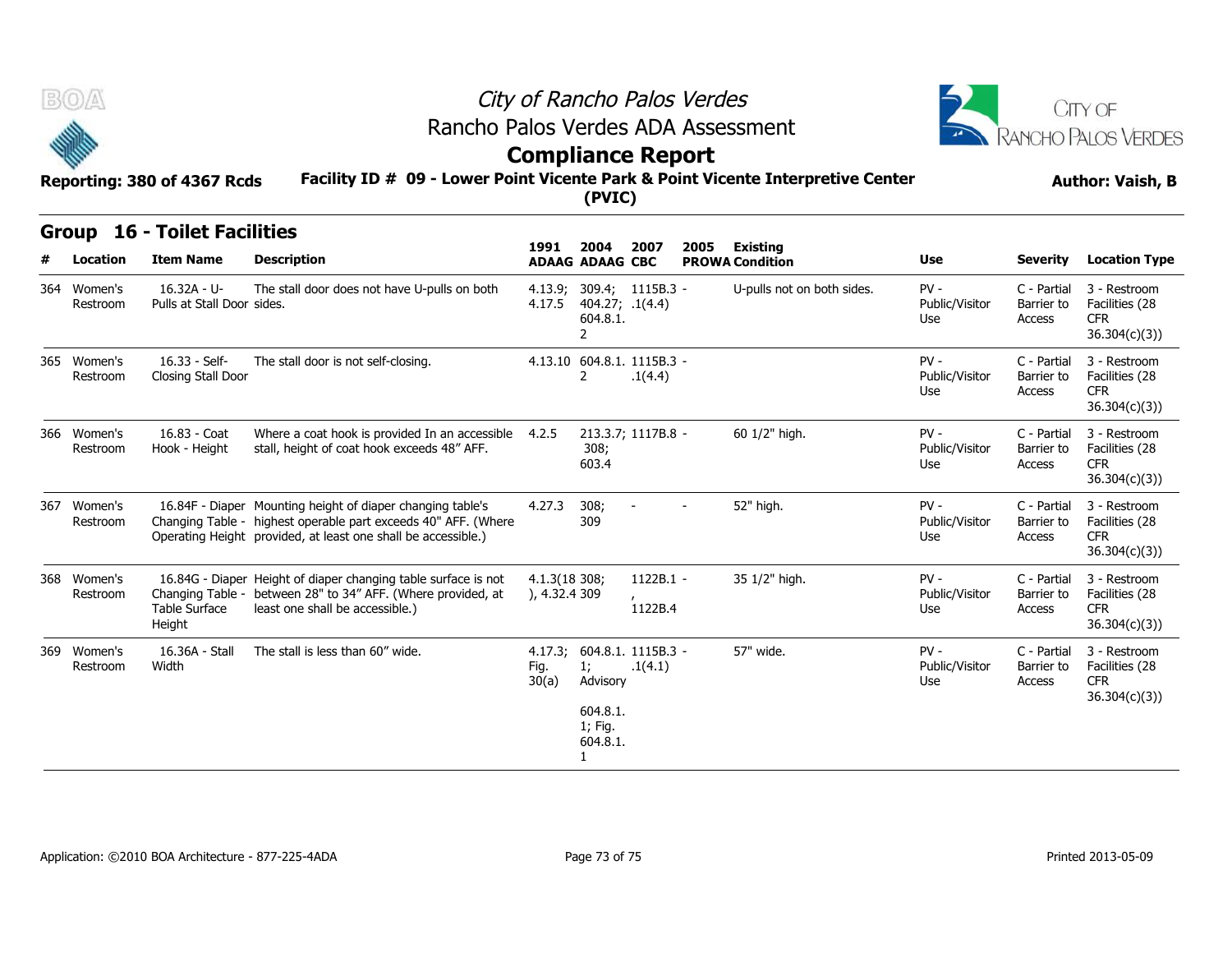

### City of Rancho Palos Verdes Rancho Palos Verdes ADA Assessment



# **Compliance Report**

#### **Facility ID # 09 - Lower Point Vicente Park & Point Vicente Interpretive Center Reporting: 380 of 4367 Rcds Author: Vaish, B**

| BOA<br>Reporting: 380 of 4367 Rcds |                         |                                                         | City of Rancho Palos Verdes<br>Rancho Palos Verdes ADA Assessment<br><b>Compliance Report</b><br>Facility ID # 09 - Lower Point Vicente Park & Point Vicente Interpretive Center              |                               | CITY OF<br>RANCHO PALOS VERDES<br><b>Author: Vaish, B</b>         |                                       |      |                                           |                                 |                                     |                                                               |
|------------------------------------|-------------------------|---------------------------------------------------------|-----------------------------------------------------------------------------------------------------------------------------------------------------------------------------------------------|-------------------------------|-------------------------------------------------------------------|---------------------------------------|------|-------------------------------------------|---------------------------------|-------------------------------------|---------------------------------------------------------------|
| #                                  | Location                | <b>Group 16 - Toilet Facilities</b><br><b>Item Name</b> | <b>Description</b>                                                                                                                                                                            | 1991                          | 2004<br><b>ADAAG ADAAG CBC</b>                                    | 2007                                  | 2005 | <b>Existing</b><br><b>PROWA Condition</b> | Use                             | <b>Severity</b>                     | <b>Location Type</b>                                          |
| 364                                | Women's<br>Restroom     | 16.32A - U-<br>Pulls at Stall Door sides.               | The stall door does not have U-pulls on both                                                                                                                                                  | 4.17.5                        | 404.27; .1(4.4)<br>604.8.1.<br>$\overline{2}$                     | 4.13.9; 309.4; 1115B.3 -              |      | U-pulls not on both sides.                | $PV -$<br>Public/Visitor<br>Use | C - Partial<br>Barrier to<br>Access | 3 - Restroom<br>Facilities (28<br>CFR.<br>36.304(c)(3)        |
|                                    | 365 Women's<br>Restroom | 16.33 - Self-<br>Closing Stall Door                     | The stall door is not self-closing.                                                                                                                                                           |                               | 2                                                                 | 4.13.10 604.8.1. 1115B.3 -<br>.1(4.4) |      |                                           | $PV -$<br>Public/Visitor<br>Use | C - Partial<br>Barrier to<br>Access | 3 - Restroom<br>Facilities (28<br><b>CFR</b><br>36.304(c)(3)  |
|                                    | 366 Women's<br>Restroom | 16.83 - Coat<br>Hook - Height                           | Where a coat hook is provided In an accessible 4.2.5<br>stall, height of coat hook exceeds 48" AFF.                                                                                           |                               | 308;<br>603.4                                                     | 213.3.7; 1117B.8 -                    |      | 60 1/2" high.                             | $PV -$<br>Public/Visitor<br>Use | C - Partial<br>Barrier to<br>Access | 3 - Restroom<br>Facilities (28<br><b>CFR</b><br>36.304(c)(3)  |
| 367                                | Women's<br>Restroom     |                                                         | 16.84F - Diaper Mounting height of diaper changing table's<br>Changing Table - highest operable part exceeds 40" AFF. (Where<br>Operating Height provided, at least one shall be accessible.) | 4.27.3                        | 308;<br>309                                                       |                                       |      | 52" high.                                 | $PV -$<br>Public/Visitor<br>Use | C - Partial<br>Barrier to<br>Access | 3 - Restroom<br>Facilities (28<br><b>CFR</b><br>36.304(c)(3)  |
|                                    | 368 Women's<br>Restroom | Changing Table -<br>Table Surface<br>Height             | 16.84G - Diaper Height of diaper changing table surface is not<br>between 28" to 34" AFF. (Where provided, at<br>least one shall be accessible.)                                              | 4.1.3(18 308;<br>), 4.32.4309 |                                                                   | 1122B.1 -<br>1122B.4                  |      | 35 1/2" high.                             | $PV -$<br>Public/Visitor<br>Use | C - Partial<br>Barrier to<br>Access | 3 - Restroom<br>Facilities (28<br><b>CFR</b><br>36.304(c)(3)  |
| 369                                | Women's<br>Restroom     | 16.36A - Stall<br>Width                                 | The stall is less than 60" wide.                                                                                                                                                              | Fig.<br>30(a)                 | 1;<br>Advisory<br>604.8.1.<br>1; Fig.<br>604.8.1.<br>$\mathbf{1}$ | 4.17.3: 604.8.1. 1115B.3 -<br>.1(4.1) |      | 57" wide.                                 | $PV -$<br>Public/Visitor<br>Use | C - Partial<br>Barrier to<br>Access | 3 - Restroom<br>Facilities (28<br><b>CFR</b><br>36.304(c)(3)) |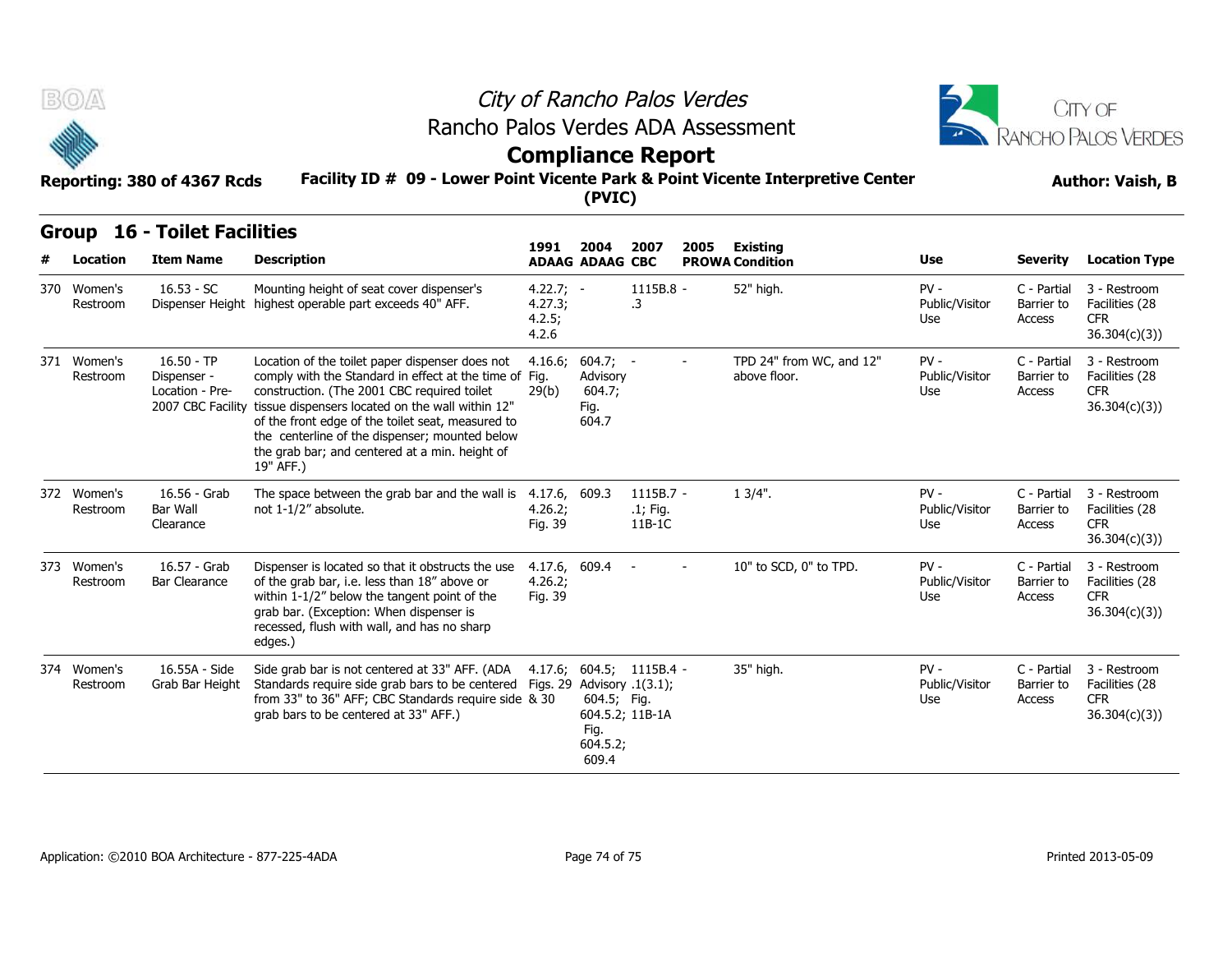

### City of Rancho Palos Verdes Rancho Palos Verdes ADA Assessment



### **Compliance Report**

#### **Facility ID # 09 - Lower Point Vicente Park & Point Vicente Interpretive Center Reporting: 380 of 4367 Rcds Author: Vaish, B**

| B(0) |                         | City of Rancho Palos Verdes<br>Rancho Palos Verdes ADA Assessment |                                                                                                                                                                                                                                                                                                                                                                                                      |                                           |                                                           |                                             |      |                                           |                                 |                                     | CITY OF<br>RANCHO PALOS VERDES                               |  |
|------|-------------------------|-------------------------------------------------------------------|------------------------------------------------------------------------------------------------------------------------------------------------------------------------------------------------------------------------------------------------------------------------------------------------------------------------------------------------------------------------------------------------------|-------------------------------------------|-----------------------------------------------------------|---------------------------------------------|------|-------------------------------------------|---------------------------------|-------------------------------------|--------------------------------------------------------------|--|
|      |                         | Reporting: 380 of 4367 Rcds                                       | <b>Compliance Report</b><br>Facility ID # 09 - Lower Point Vicente Park & Point Vicente Interpretive Center<br>(PVIC)                                                                                                                                                                                                                                                                                |                                           |                                                           |                                             |      |                                           |                                 |                                     | <b>Author: Vaish, B</b>                                      |  |
|      | Location                | <b>Group 16 - Toilet Facilities</b><br><b>Item Name</b>           | <b>Description</b>                                                                                                                                                                                                                                                                                                                                                                                   | 1991                                      | 2004<br><b>ADAAG ADAAG CBC</b>                            | 2007                                        | 2005 | <b>Existing</b><br><b>PROWA Condition</b> | Use                             | <b>Severity</b>                     | <b>Location Type</b>                                         |  |
| 370  | Women's<br>Restroom     | $16.53 - SC$                                                      | Mounting height of seat cover dispenser's<br>Dispenser Height highest operable part exceeds 40" AFF.                                                                                                                                                                                                                                                                                                 | $4.22.7; -$<br>4.27.3;<br>4.2.5;<br>4.2.6 |                                                           | 1115B.8 -<br>.3                             |      | 52" high.                                 | $PV -$<br>Public/Visitor<br>Use | C - Partial<br>Barrier to<br>Access | 3 - Restroom<br>Facilities (28<br><b>CFR</b><br>36.304(c)(3) |  |
|      | 371 Women's<br>Restroom | $16.50 - TP$<br>Dispenser -<br>Location - Pre-                    | Location of the toilet paper dispenser does not<br>comply with the Standard in effect at the time of Fig.<br>construction. (The 2001 CBC required toilet<br>2007 CBC Facility tissue dispensers located on the wall within 12"<br>of the front edge of the toilet seat, measured to<br>the centerline of the dispenser; mounted below<br>the grab bar; and centered at a min. height of<br>19" AFF.) | 29(b)                                     | $4.16.6; 604.7; -$<br>Advisory<br>604.7;<br>Fig.<br>604.7 |                                             |      | TPD 24" from WC, and 12"<br>above floor.  | $PV -$<br>Public/Visitor<br>Use | C - Partial<br>Barrier to<br>Access | 3 - Restroom<br>Facilities (28<br><b>CFR</b><br>36.304(c)(3) |  |
|      | 372 Women's<br>Restroom | 16.56 - Grab<br><b>Bar Wall</b><br>Clearance                      | The space between the grab bar and the wall is $4.17.6$ , 609.3<br>not 1-1/2" absolute.                                                                                                                                                                                                                                                                                                              | 4.26.2;<br>Fig. 39                        |                                                           | 1115B.7 -<br>.1; Fig.<br>11B-1C             |      | $13/4$ ".                                 | $PV -$<br>Public/Visitor<br>Use | C - Partial<br>Barrier to<br>Access | 3 - Restroom<br>Facilities (28<br><b>CFR</b><br>36.304(c)(3) |  |
|      | 373 Women's<br>Restroom | 16.57 - Grab<br><b>Bar Clearance</b>                              | Dispenser is located so that it obstructs the use<br>of the grab bar, i.e. less than 18" above or<br>within 1-1/2" below the tangent point of the<br>grab bar. (Exception: When dispenser is<br>recessed, flush with wall, and has no sharp<br>edges.)                                                                                                                                               | 4.17.6, 609.4<br>4.26.2;<br>Fig. 39       |                                                           |                                             |      | 10" to SCD, 0" to TPD.                    | $PV -$<br>Public/Visitor<br>Use | C - Partial<br>Barrier to<br>Access | 3 - Restroom<br>Facilities (28<br><b>CFR</b><br>36.304(c)(3) |  |
|      | 374 Women's<br>Restroom | 16.55A - Side                                                     | Side grab bar is not centered at 33" AFF. (ADA<br>Grab Bar Height Standards require side grab bars to be centered Figs. 29 Advisory .1(3.1);<br>from 33" to 36" AFF; CBC Standards require side & 30<br>grab bars to be centered at 33" AFF.)                                                                                                                                                        |                                           | 604.5; Fig.<br>Fig.<br>604.5.2;<br>609.4                  | 4.17.6; 604.5; 1115B.4 -<br>604.5.2; 11B-1A |      | 35" high.                                 | $PV -$<br>Public/Visitor<br>Use | C - Partial<br>Barrier to<br>Access | 3 - Restroom<br>Facilities (28<br><b>CFR</b><br>36.304(c)(3) |  |